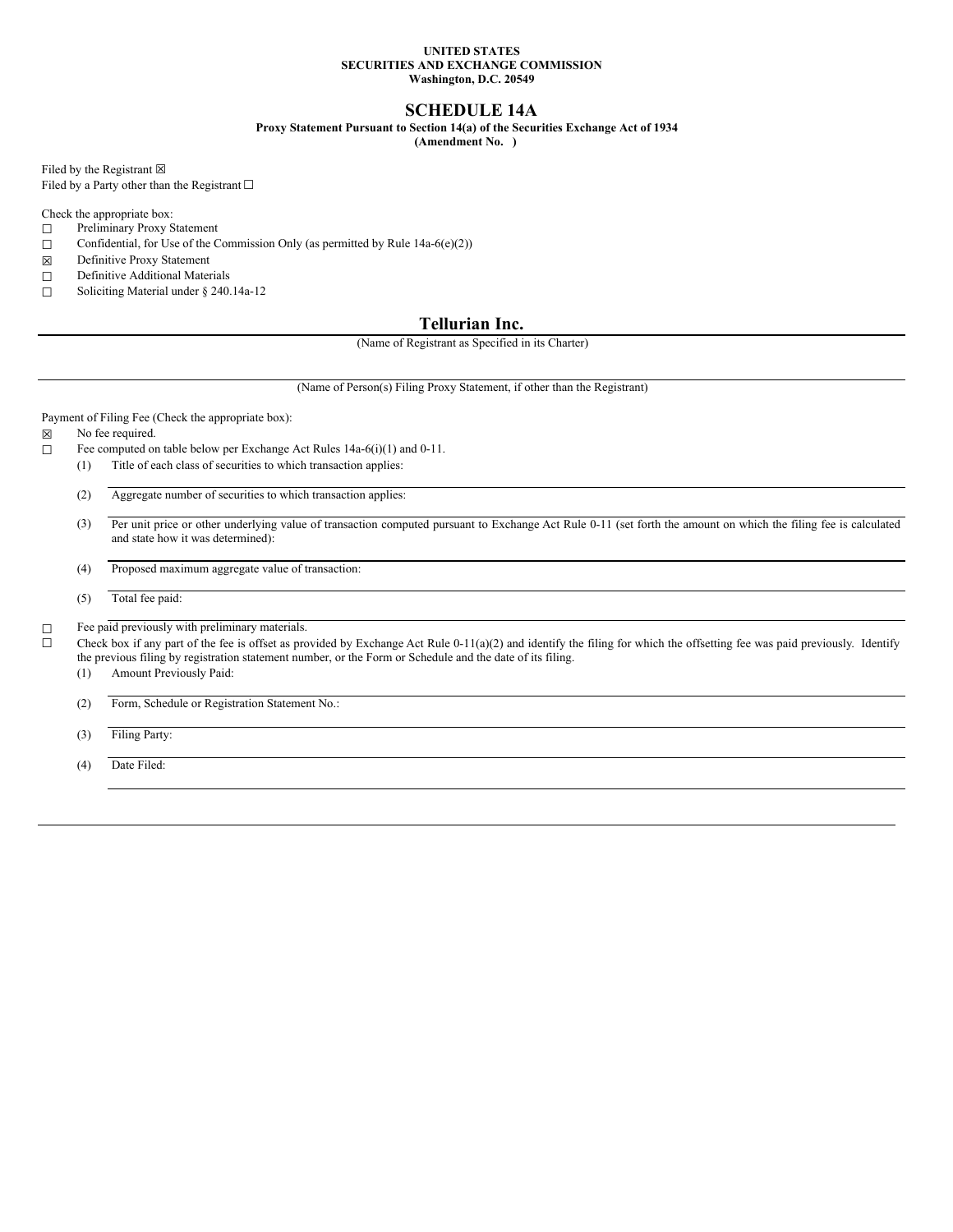#### **UNITED STATES SECURITIES AND EXCHANGE COMMISSION Washington, D.C. 20549**

# **SCHEDULE 14A**

**Proxy Statement Pursuant to Section 14(a) of the Securities Exchange Act of 1934**

**(Amendment No. )**

Filed by the Registrant  $\boxtimes$ 

Filed by a Party other than the Registrant  $□$ 

Check the appropriate box:

- ☐ Preliminary Proxy Statement
- $\Box$  Confidential, for Use of the Commission Only (as permitted by Rule 14a-6(e)(2))
- ☒ Definitive Proxy Statement
- □ Definitive Additional Materials
- ☐ Soliciting Material under § 240.14a-12

# **Tellurian Inc.**

(Name of Registrant as Specified in its Charter)

(Name of Person(s) Filing Proxy Statement, if other than the Registrant)

Payment of Filing Fee (Check the appropriate box):

☒ No fee required.

- ☐ Fee computed on table below per Exchange Act Rules 14a-6(i)(1) and 0-11.
	- (1) Title of each class of securities to which transaction applies:

(2) Aggregate number of securities to which transaction applies:

(3) Per unit price or other underlying value of transaction computed pursuant to Exchange Act Rule 0-11 (set forth the amount on which the filing fee is calculated and state how it was determined):

(4) Proposed maximum aggregate value of transaction:

(5) Total fee paid:

□ Fee paid previously with preliminary materials.

 $\Box$  Check box if any part of the fee is offset as provided by Exchange Act Rule 0-11(a)(2) and identify the filing for which the offsetting fee was paid previously. Identify the previous filing by registration statement number, or the Form or Schedule and the date of its filing.

(1) Amount Previously Paid:

(2) Form, Schedule or Registration Statement No.:

(3) Filing Party:

(4) Date Filed: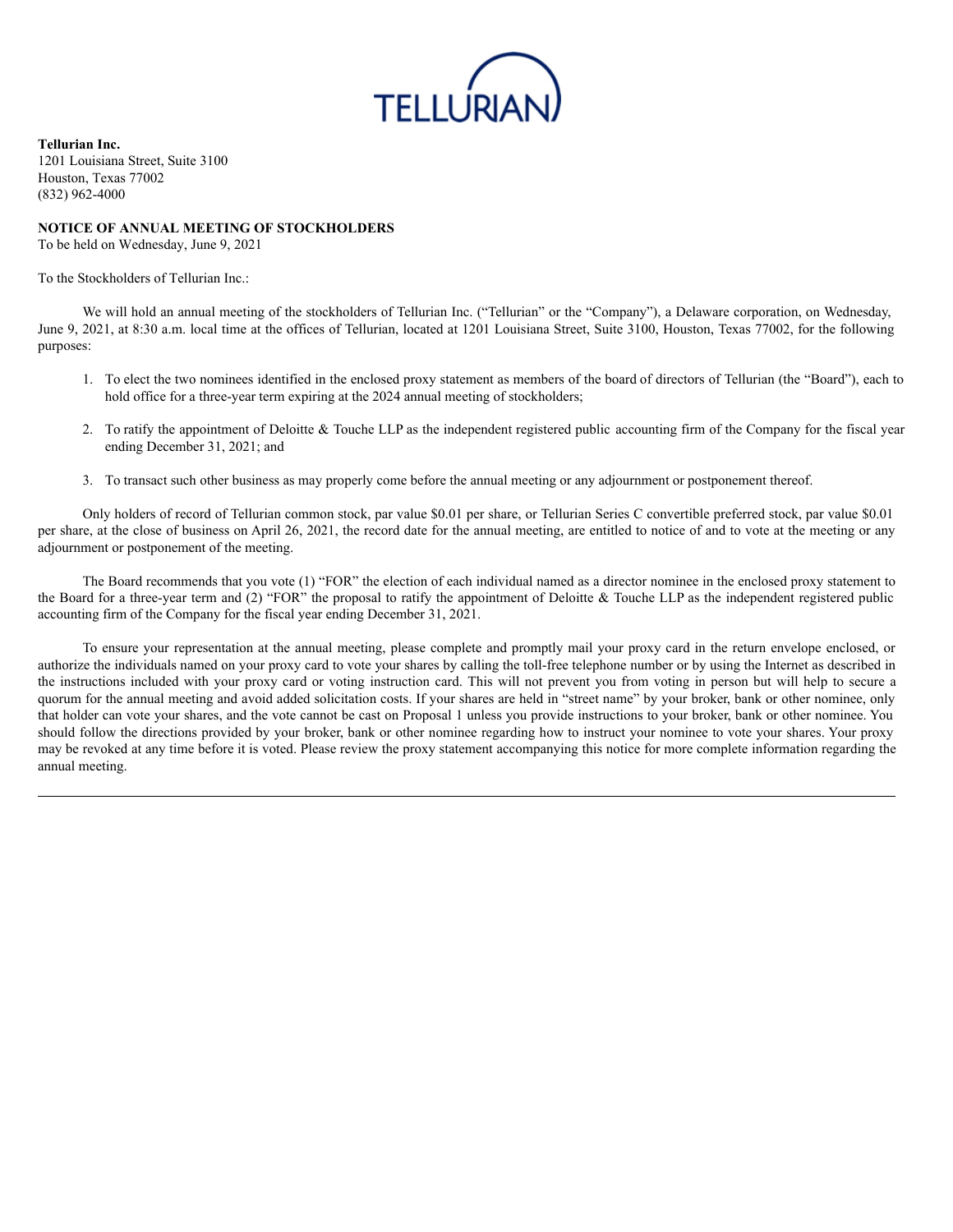

**Tellurian Inc.** 1201 Louisiana Street, Suite 3100 Houston, Texas 77002 (832) 962-4000

## **NOTICE OF ANNUAL MEETING OF STOCKHOLDERS**

To be held on Wednesday, June 9, 2021

To the Stockholders of Tellurian Inc.:

We will hold an annual meeting of the stockholders of Tellurian Inc. ("Tellurian" or the "Company"), a Delaware corporation, on Wednesday, June 9, 2021, at 8:30 a.m. local time at the offices of Tellurian, located at 1201 Louisiana Street, Suite 3100, Houston, Texas 77002, for the following purposes:

- 1. To elect the two nominees identified in the enclosed proxy statement as members of the board of directors of Tellurian (the "Board"), each to hold office for a three-year term expiring at the 2024 annual meeting of stockholders;
- 2. To ratify the appointment of Deloitte & Touche LLP as the independent registered public accounting firm of the Company for the fiscal year ending December 31, 2021; and
- 3. To transact such other business as may properly come before the annual meeting or any adjournment or postponement thereof.

Only holders of record of Tellurian common stock, par value \$0.01 per share, or Tellurian Series C convertible preferred stock, par value \$0.01 per share, at the close of business on April 26, 2021, the record date for the annual meeting, are entitled to notice of and to vote at the meeting or any adjournment or postponement of the meeting.

The Board recommends that you vote (1) "FOR" the election of each individual named as a director nominee in the enclosed proxy statement to the Board for a three-year term and (2) "FOR" the proposal to ratify the appointment of Deloitte & Touche LLP as the independent registered public accounting firm of the Company for the fiscal year ending December 31, 2021.

To ensure your representation at the annual meeting, please complete and promptly mail your proxy card in the return envelope enclosed, or authorize the individuals named on your proxy card to vote your shares by calling the toll-free telephone number or by using the Internet as described in the instructions included with your proxy card or voting instruction card. This will not prevent you from voting in person but will help to secure a quorum for the annual meeting and avoid added solicitation costs. If your shares are held in "street name" by your broker, bank or other nominee, only that holder can vote your shares, and the vote cannot be cast on Proposal 1 unless you provide instructions to your broker, bank or other nominee. You should follow the directions provided by your broker, bank or other nominee regarding how to instruct your nominee to vote your shares. Your proxy may be revoked at any time before it is voted. Please review the proxy statement accompanying this notice for more complete information regarding the annual meeting.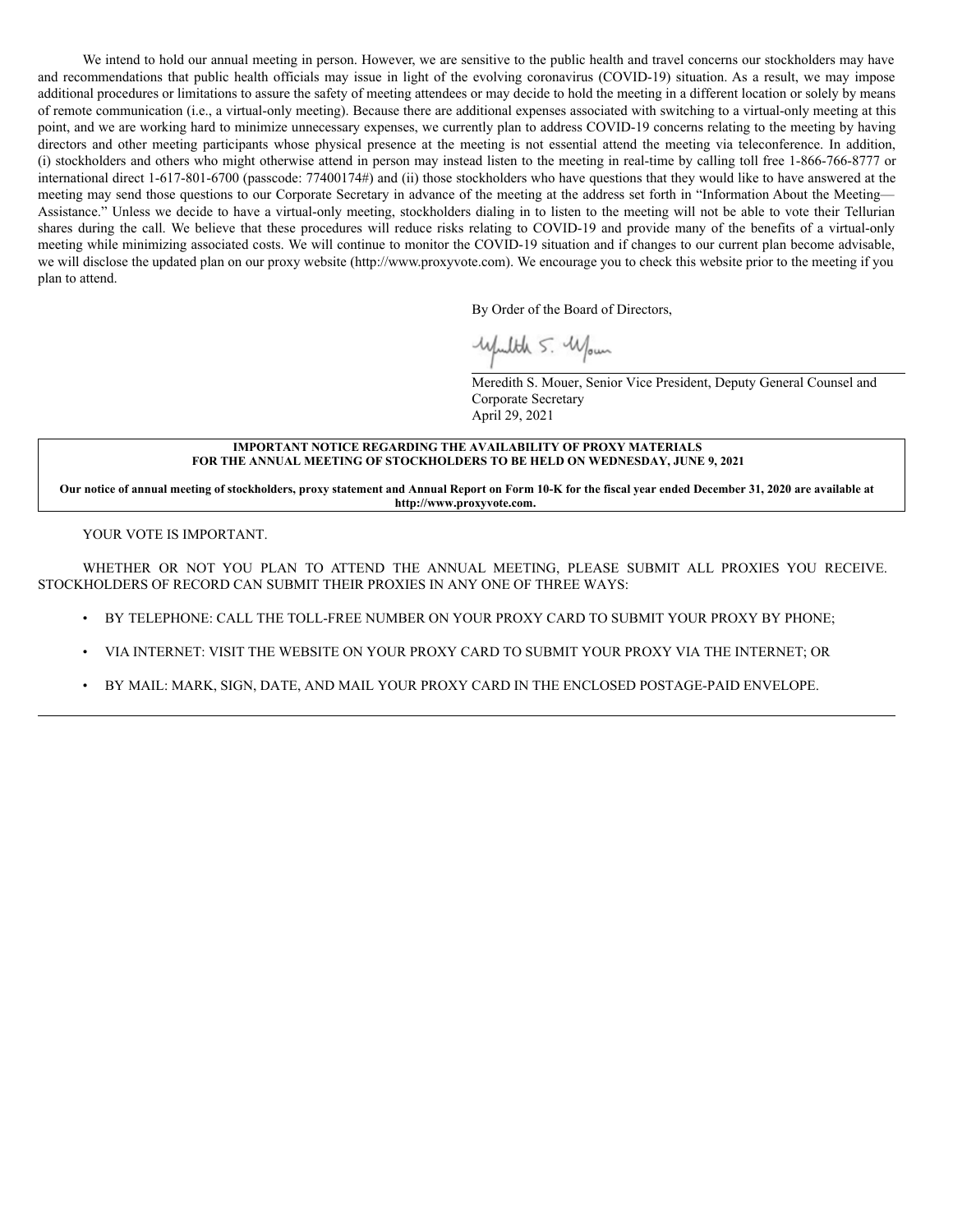We intend to hold our annual meeting in person. However, we are sensitive to the public health and travel concerns our stockholders may have and recommendations that public health officials may issue in light of the evolving coronavirus (COVID-19) situation. As a result, we may impose additional procedures or limitations to assure the safety of meeting attendees or may decide to hold the meeting in a different location or solely by means of remote communication (i.e., a virtual-only meeting). Because there are additional expenses associated with switching to a virtual-only meeting at this point, and we are working hard to minimize unnecessary expenses, we currently plan to address COVID-19 concerns relating to the meeting by having directors and other meeting participants whose physical presence at the meeting is not essential attend the meeting via teleconference. In addition, (i) stockholders and others who might otherwise attend in person may instead listen to the meeting in real-time by calling toll free 1-866-766-8777 or international direct 1-617-801-6700 (passcode: 77400174#) and (ii) those stockholders who have questions that they would like to have answered at the meeting may send those questions to our Corporate Secretary in advance of the meeting at the address set forth in "Information About the Meeting— Assistance." Unless we decide to have a virtual-only meeting, stockholders dialing in to listen to the meeting will not be able to vote their Tellurian shares during the call. We believe that these procedures will reduce risks relating to COVID-19 and provide many of the benefits of a virtual-only meeting while minimizing associated costs. We will continue to monitor the COVID-19 situation and if changes to our current plan become advisable, we will disclose the updated plan on our proxy website (http://www.proxyvote.com). We encourage you to check this website prior to the meeting if you plan to attend.

By Order of the Board of Directors,

Wfulth 5. Wown

Meredith S. Mouer, Senior Vice President, Deputy General Counsel and Corporate Secretary April 29, 2021

### **IMPORTANT NOTICE REGARDING THE AVAILABILITY OF PROXY MATERIALS FOR THE ANNUAL MEETING OF STOCKHOLDERS TO BE HELD ON WEDNESDAY, JUNE 9, 2021**

Our notice of annual meeting of stockholders, proxy statement and Annual Report on Form 10-K for the fiscal year ended December 31, 2020 are available at **http://www.proxyvote.com.**

YOUR VOTE IS IMPORTANT.

WHETHER OR NOT YOU PLAN TO ATTEND THE ANNUAL MEETING, PLEASE SUBMIT ALL PROXIES YOU RECEIVE. STOCKHOLDERS OF RECORD CAN SUBMIT THEIR PROXIES IN ANY ONE OF THREE WAYS:

- BY TELEPHONE: CALL THE TOLL-FREE NUMBER ON YOUR PROXY CARD TO SUBMIT YOUR PROXY BY PHONE;
- VIA INTERNET: VISIT THE WEBSITE ON YOUR PROXY CARD TO SUBMIT YOUR PROXY VIA THE INTERNET; OR
- BY MAIL: MARK, SIGN, DATE, AND MAIL YOUR PROXY CARD IN THE ENCLOSED POSTAGE-PAID ENVELOPE.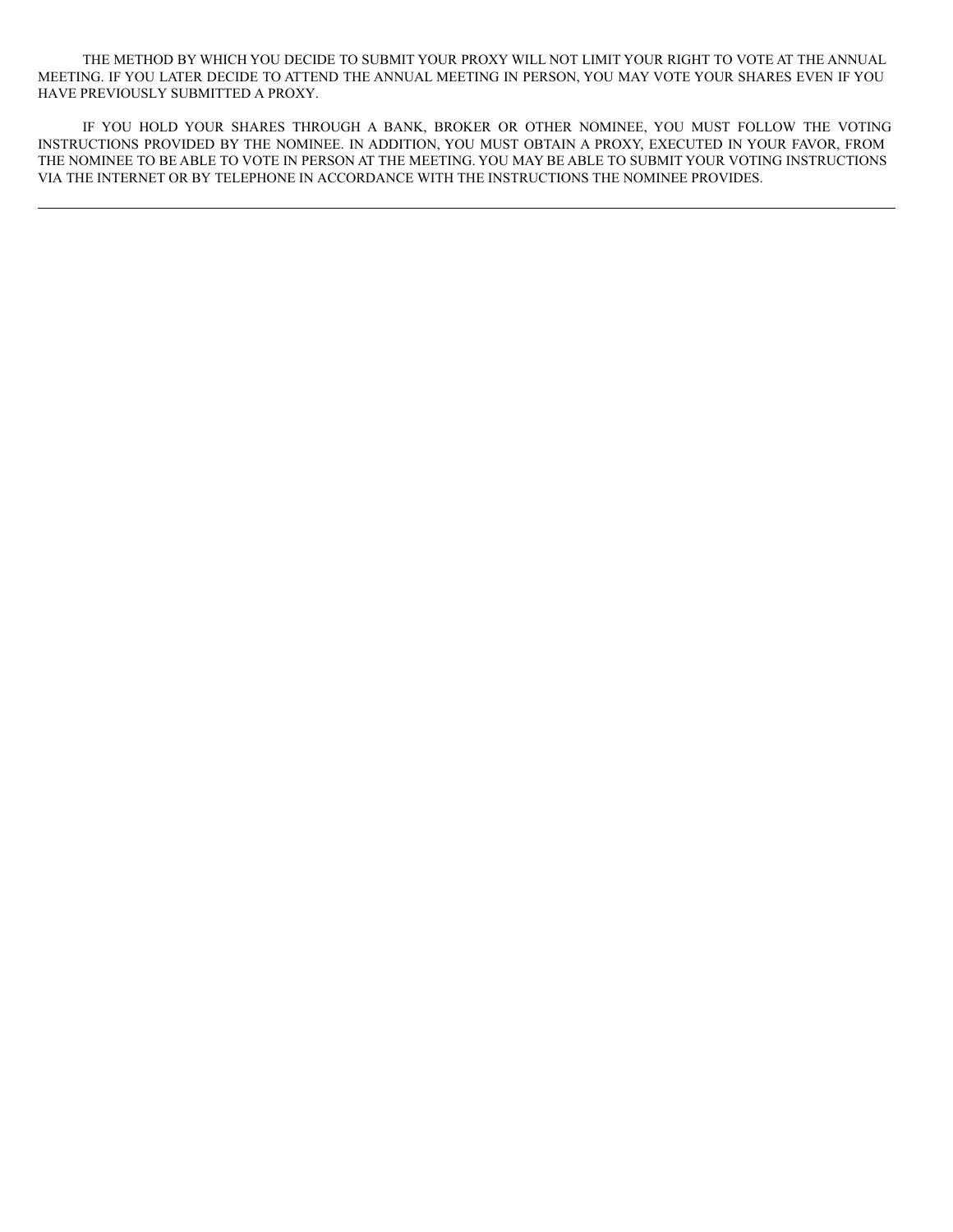THE METHOD BY WHICH YOU DECIDE TO SUBMIT YOUR PROXY WILL NOT LIMIT YOUR RIGHT TO VOTE AT THE ANNUAL MEETING. IF YOU LATER DECIDE TO ATTEND THE ANNUAL MEETING IN PERSON, YOU MAY VOTE YOUR SHARES EVEN IF YOU HAVE PREVIOUSLY SUBMITTED A PROXY.

IF YOU HOLD YOUR SHARES THROUGH A BANK, BROKER OR OTHER NOMINEE, YOU MUST FOLLOW THE VOTING INSTRUCTIONS PROVIDED BY THE NOMINEE. IN ADDITION, YOU MUST OBTAIN A PROXY, EXECUTED IN YOUR FAVOR, FROM THE NOMINEE TO BE ABLE TO VOTE IN PERSON AT THE MEETING. YOU MAY BE ABLE TO SUBMIT YOUR VOTING INSTRUCTIONS VIA THE INTERNET OR BY TELEPHONE IN ACCORDANCE WITH THE INSTRUCTIONS THE NOMINEE PROVIDES.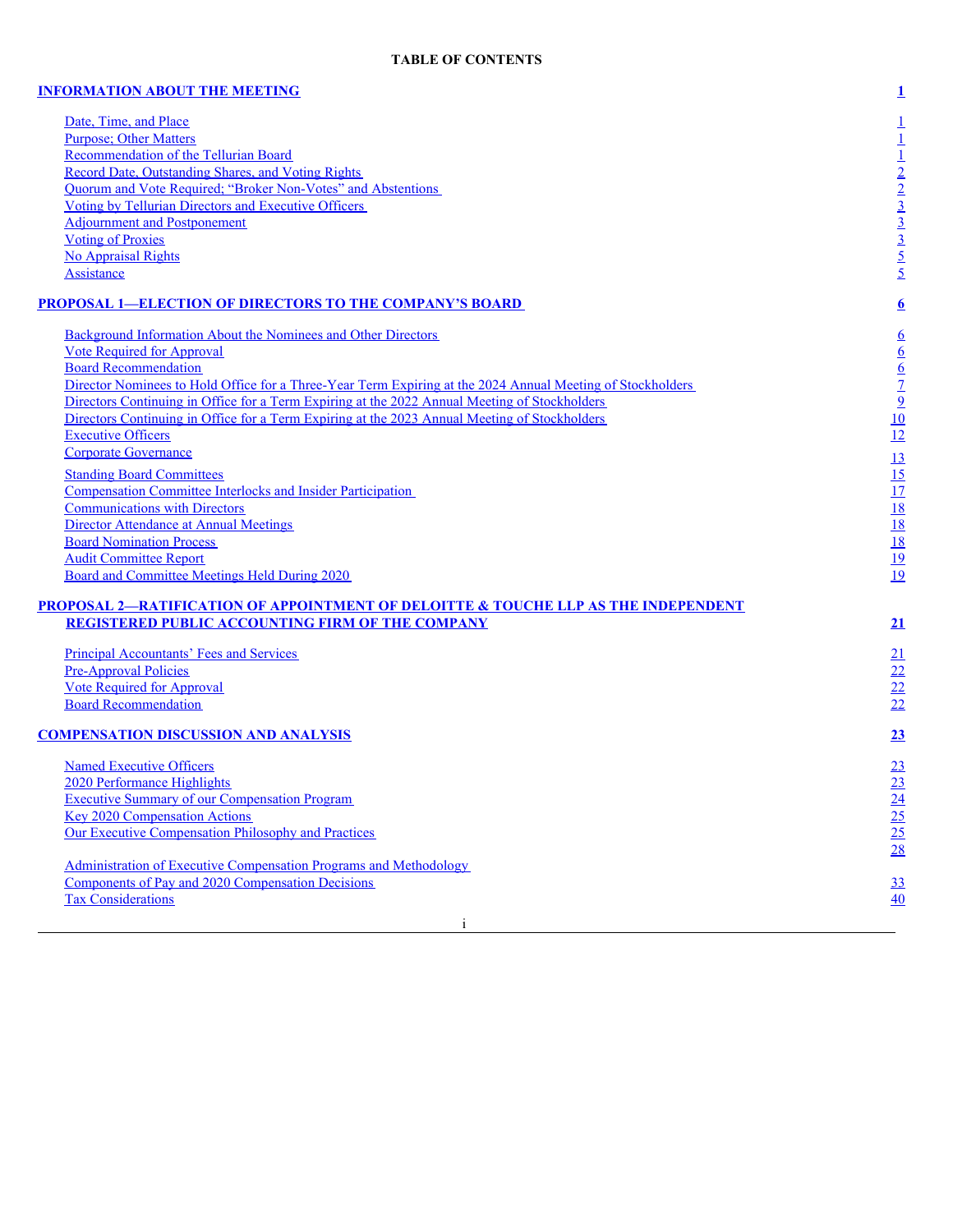## **[INFORMATION](#page-6-0) ABOUT THE MEETING [1](#page-6-0)**

Date, [Time,](#page-6-1) and Place<br>
Purpose; Other Matters<br>
Recommendation of the Tellurian Board<br>
Record Date, Outstanding Shares, and Voting Rights<br> [1](#page-6-1)<br>
Duorum and Vote Required; 'Broker Non-Votes' and Abstentions<br>
1<br>
2<br>
2<br>
2<br>
2<br>
Outi [Purpose;](#page-6-2) Other Matters [Recommendation](#page-6-3) of the Tellurian Board Record Date, [Outstanding](#page-7-0) Shares, and Voting Rights Quorum and Vote Required; "Broker [Non-Votes"](#page-7-1) and Abstentions [2](#page-7-1) Voting by Tellurian Directors and [Executive](#page-8-0) Officers Adjournment and [Postponement](#page-8-1) **Voting of [Proxies](#page-8-2)** No [Appraisal](#page-10-0) Rights  $\frac{5}{5}$  $\frac{5}{5}$  $\frac{5}{5}$ 

# **PROPOSAL [1—ELECTION](#page-11-0) OF DIRECTORS TO THE COMPANY'S BOARD [6](#page-11-0)**

| Background Information About the Nominees and Other Directors                                                                                            |                                                                            |
|----------------------------------------------------------------------------------------------------------------------------------------------------------|----------------------------------------------------------------------------|
| <b>Vote Required for Approval</b>                                                                                                                        |                                                                            |
| <b>Board Recommendation</b>                                                                                                                              |                                                                            |
| Director Nominees to Hold Office for a Three-Year Term Expiring at the 2024 Annual Meeting of Stockholders                                               |                                                                            |
| Directors Continuing in Office for a Term Expiring at the 2022 Annual Meeting of Stockholders                                                            |                                                                            |
| Directors Continuing in Office for a Term Expiring at the 2023 Annual Meeting of Stockholders                                                            | $rac{6}{6}$<br>$rac{6}{2}$<br>$rac{7}{2}$<br>$rac{9}{12}$<br>$rac{10}{12}$ |
| <b>Executive Officers</b>                                                                                                                                |                                                                            |
| <b>Corporate Governance</b>                                                                                                                              | 13                                                                         |
| <b>Standing Board Committees</b>                                                                                                                         |                                                                            |
| <b>Compensation Committee Interlocks and Insider Participation</b>                                                                                       |                                                                            |
| <b>Communications with Directors</b>                                                                                                                     |                                                                            |
| Director Attendance at Annual Meetings                                                                                                                   |                                                                            |
| <b>Board Nomination Process</b>                                                                                                                          | $\frac{15}{17}$ $\frac{18}{18}$                                            |
| <b>Audit Committee Report</b>                                                                                                                            |                                                                            |
| Board and Committee Meetings Held During 2020                                                                                                            | $\frac{19}{19}$                                                            |
| <b>PROPOSAL 2—RATIFICATION OF APPOINTMENT OF DELOITTE &amp; TOUCHE LLP AS THE INDEPENDENT</b><br><b>REGISTERED PUBLIC ACCOUNTING FIRM OF THE COMPANY</b> | 21                                                                         |
| <b>Principal Accountants' Fees and Services</b>                                                                                                          | 21                                                                         |
| <b>Pre-Approval Policies</b>                                                                                                                             |                                                                            |
| <b>Vote Required for Approval</b>                                                                                                                        |                                                                            |
| <b>Board Recommendation</b>                                                                                                                              | $\frac{22}{22}$                                                            |
| <b>COMPENSATION DISCUSSION AND ANALYSIS</b>                                                                                                              | 23                                                                         |
|                                                                                                                                                          |                                                                            |

**Named [Executive](#page-28-1) Officers** 2020 [Performance](#page-28-2) Highlights **Executive Summary of our [Compensation](#page-29-0) Program** Key 2020 [Compensation](#page-30-0) Actions Our Executive [Compensation](#page-30-1) Philosophy and Practices

[Administration](#page-33-0) of Executive Compensation Programs and Methodology Components of Pay and 2020 [Compensation](#page-38-0) Decisions [33](#page-38-0) **Tax [Considerations](#page-45-0)** [40](#page-45-0)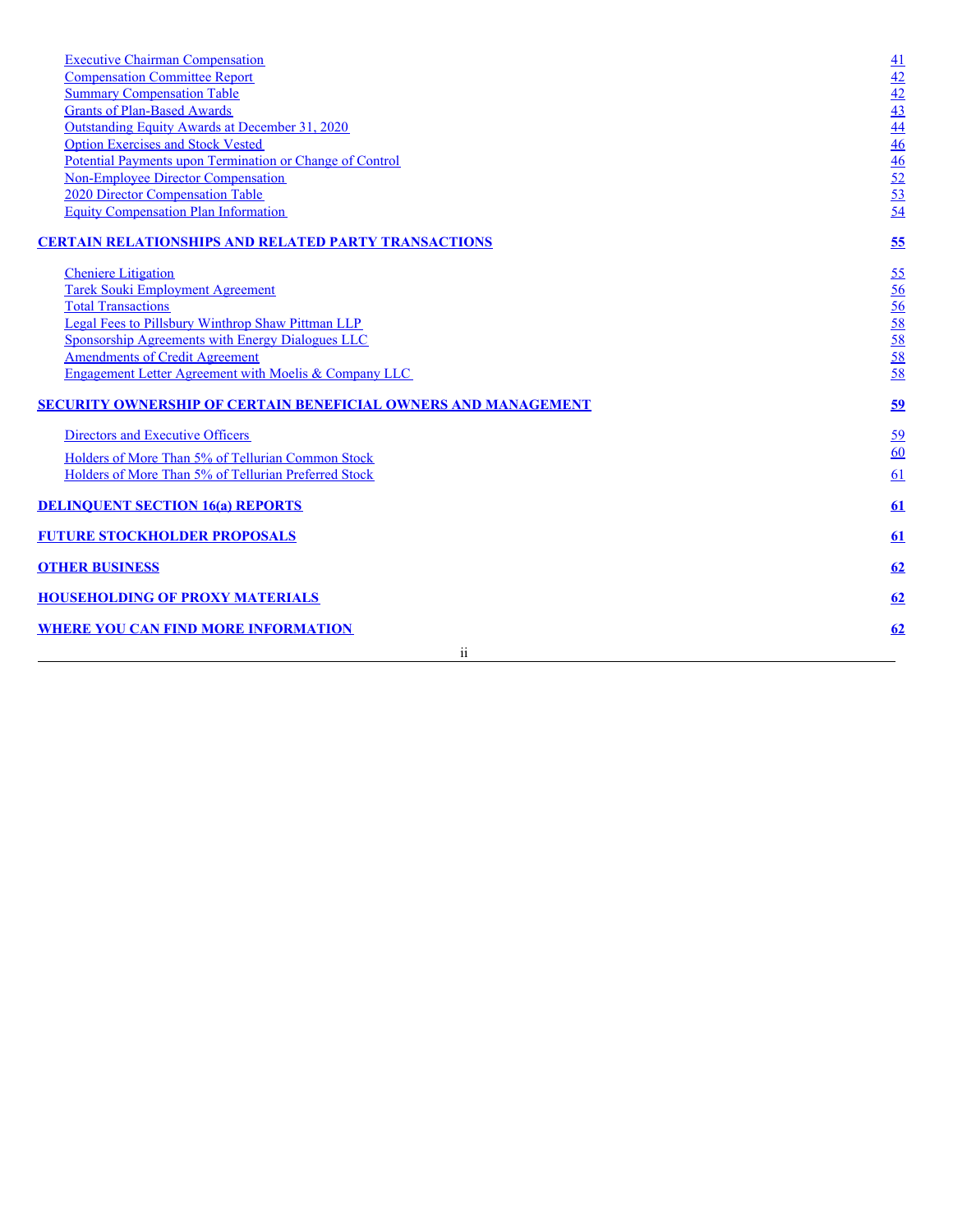| <b>Executive Chairman Compensation</b>                           |                                                                                                 |
|------------------------------------------------------------------|-------------------------------------------------------------------------------------------------|
| <b>Compensation Committee Report</b>                             | $\frac{41}{42}$ $\frac{42}{43}$ $\frac{43}{44}$ $\frac{46}{46}$ $\frac{46}{52}$ $\frac{53}{54}$ |
| <b>Summary Compensation Table</b>                                |                                                                                                 |
| <b>Grants of Plan-Based Awards</b>                               |                                                                                                 |
| Outstanding Equity Awards at December 31, 2020                   |                                                                                                 |
| <b>Option Exercises and Stock Vested</b>                         |                                                                                                 |
| Potential Payments upon Termination or Change of Control         |                                                                                                 |
| <b>Non-Employee Director Compensation</b>                        |                                                                                                 |
| 2020 Director Compensation Table                                 |                                                                                                 |
| <b>Equity Compensation Plan Information</b>                      |                                                                                                 |
| <b>CERTAIN RELATIONSHIPS AND RELATED PARTY TRANSACTIONS</b>      | 55                                                                                              |
| <b>Cheniere</b> Litigation                                       | <u>55</u>                                                                                       |
| <b>Tarek Souki Employment Agreement</b>                          |                                                                                                 |
| <b>Total Transactions</b>                                        |                                                                                                 |
| <b>Legal Fees to Pillsbury Winthrop Shaw Pittman LLP</b>         | $\frac{56}{58}$<br>$\frac{58}{58}$<br>$\frac{58}{58}$                                           |
| Sponsorship Agreements with Energy Dialogues LLC                 |                                                                                                 |
| <b>Amendments of Credit Agreement</b>                            |                                                                                                 |
| <b>Engagement Letter Agreement with Moelis &amp; Company LLC</b> |                                                                                                 |
| SECURITY OWNERSHIP OF CERTAIN BENEFICIAL OWNERS AND MANAGEMENT   | 59                                                                                              |
| Directors and Executive Officers                                 | <u>59</u>                                                                                       |
| Holders of More Than 5% of Tellurian Common Stock                | $\underline{60}$                                                                                |
| Holders of More Than 5% of Tellurian Preferred Stock             | 61                                                                                              |
|                                                                  |                                                                                                 |
| <b>DELINQUENT SECTION 16(a) REPORTS</b>                          | 61                                                                                              |
| <b>FUTURE STOCKHOLDER PROPOSALS</b>                              | 61                                                                                              |
| <b>OTHER BUSINESS</b>                                            | 62                                                                                              |
| <b>HOUSEHOLDING OF PROXY MATERIALS</b>                           | <u>62</u>                                                                                       |
| <b>WHERE YOU CAN FIND MORE INFORMATION</b>                       | 62                                                                                              |
| ii                                                               |                                                                                                 |
|                                                                  |                                                                                                 |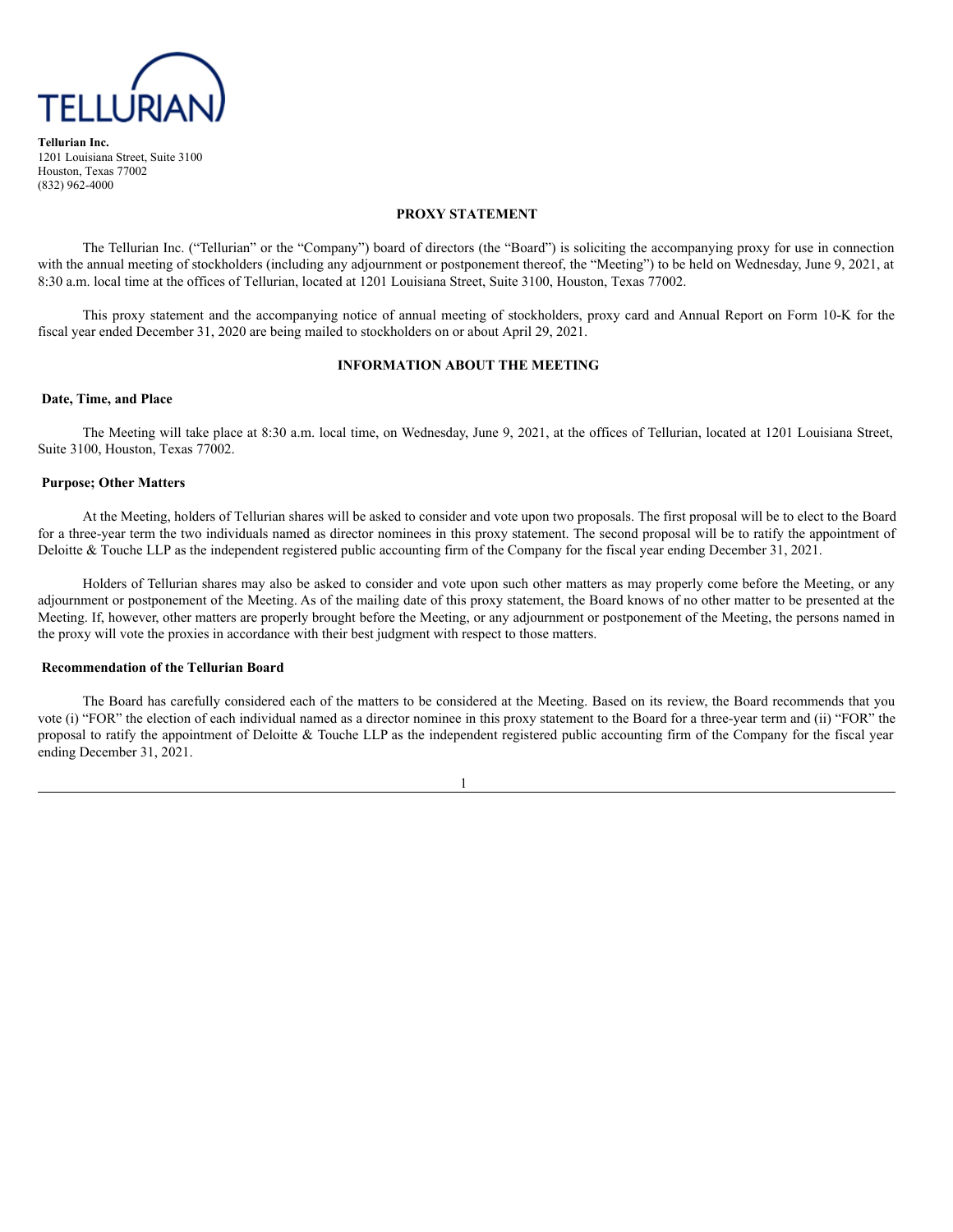

**Tellurian Inc.** 1201 Louisiana Street, Suite 3100 Houston, Texas 77002 (832) 962-4000

### **PROXY STATEMENT**

The Tellurian Inc. ("Tellurian" or the "Company") board of directors (the "Board") is soliciting the accompanying proxy for use in connection with the annual meeting of stockholders (including any adjournment or postponement thereof, the "Meeting") to be held on Wednesday, June 9, 2021, at 8:30 a.m. local time at the offices of Tellurian, located at 1201 Louisiana Street, Suite 3100, Houston, Texas 77002.

This proxy statement and the accompanying notice of annual meeting of stockholders, proxy card and Annual Report on Form 10-K for the fiscal year ended December 31, 2020 are being mailed to stockholders on or about April 29, 2021.

## <span id="page-6-0"></span>**INFORMATION ABOUT THE MEETING**

## <span id="page-6-1"></span>**Date, Time, and Place**

The Meeting will take place at 8:30 a.m. local time, on Wednesday, June 9, 2021, at the offices of Tellurian, located at 1201 Louisiana Street, Suite 3100, Houston, Texas 77002.

#### <span id="page-6-2"></span>**Purpose; Other Matters**

At the Meeting, holders of Tellurian shares will be asked to consider and vote upon two proposals. The first proposal will be to elect to the Board for a three-year term the two individuals named as director nominees in this proxy statement. The second proposal will be to ratify the appointment of Deloitte & Touche LLP as the independent registered public accounting firm of the Company for the fiscal year ending December 31, 2021.

Holders of Tellurian shares may also be asked to consider and vote upon such other matters as may properly come before the Meeting, or any adjournment or postponement of the Meeting. As of the mailing date of this proxy statement, the Board knows of no other matter to be presented at the Meeting. If, however, other matters are properly brought before the Meeting, or any adjournment or postponement of the Meeting, the persons named in the proxy will vote the proxies in accordance with their best judgment with respect to those matters.

## <span id="page-6-3"></span>**Recommendation of the Tellurian Board**

The Board has carefully considered each of the matters to be considered at the Meeting. Based on its review, the Board recommends that you vote (i) "FOR" the election of each individual named as a director nominee in this proxy statement to the Board for a three-year term and (ii) "FOR" the proposal to ratify the appointment of Deloitte  $&$  Touche LLP as the independent registered public accounting firm of the Company for the fiscal year ending December 31, 2021.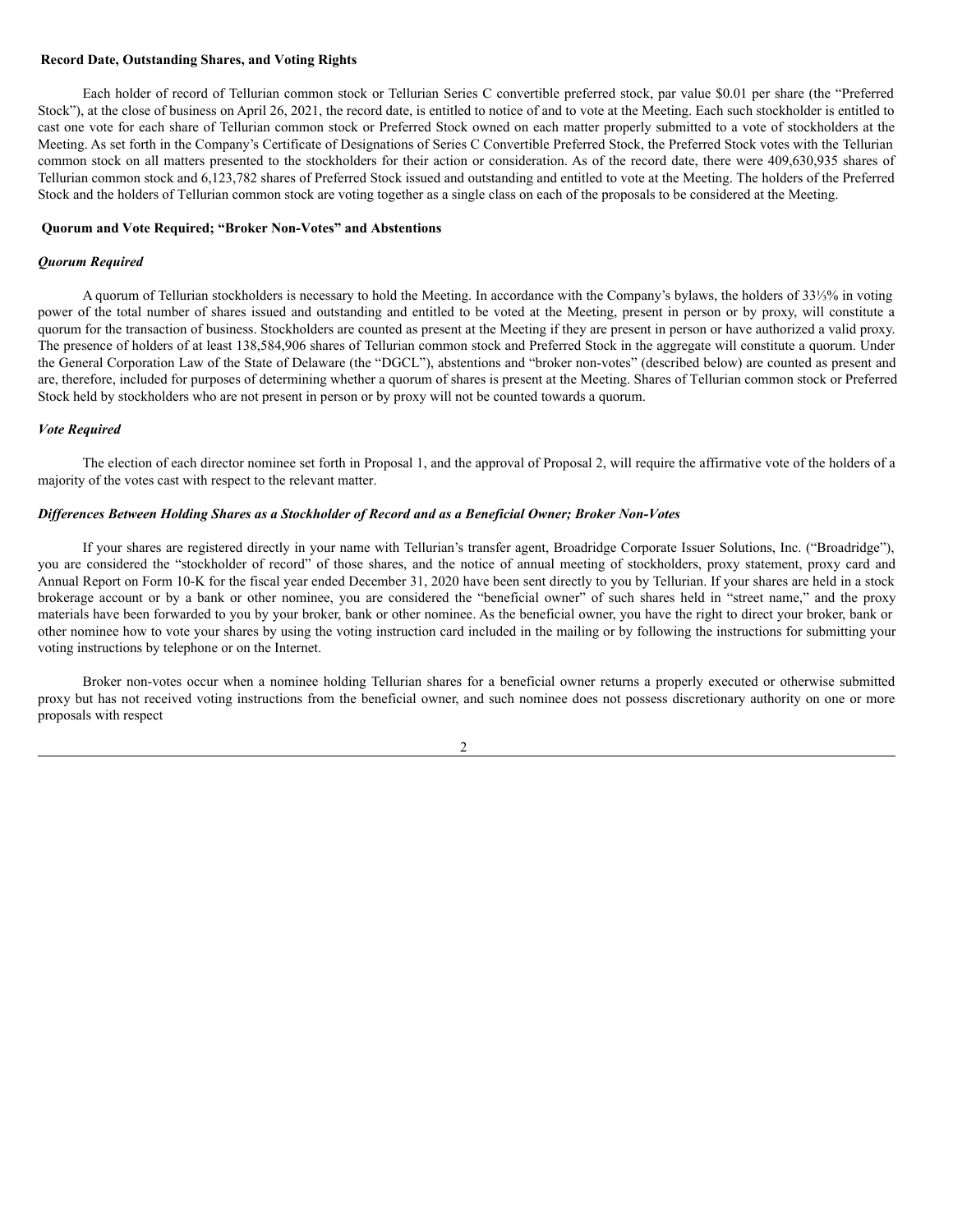## <span id="page-7-0"></span>**Record Date, Outstanding Shares, and Voting Rights**

Each holder of record of Tellurian common stock or Tellurian Series C convertible preferred stock, par value \$0.01 per share (the "Preferred Stock"), at the close of business on April 26, 2021, the record date, is entitled to notice of and to vote at the Meeting. Each such stockholder is entitled to cast one vote for each share of Tellurian common stock or Preferred Stock owned on each matter properly submitted to a vote of stockholders at the Meeting. As set forth in the Company's Certificate of Designations of Series C Convertible Preferred Stock, the Preferred Stock votes with the Tellurian common stock on all matters presented to the stockholders for their action or consideration. As of the record date, there were 409,630,935 shares of Tellurian common stock and 6,123,782 shares of Preferred Stock issued and outstanding and entitled to vote at the Meeting. The holders of the Preferred Stock and the holders of Tellurian common stock are voting together as a single class on each of the proposals to be considered at the Meeting.

## <span id="page-7-1"></span>**Quorum and Vote Required; "Broker Non-Votes" and Abstentions**

#### *Quorum Required*

A quorum of Tellurian stockholders is necessary to hold the Meeting. In accordance with the Company's bylaws, the holders of 33⅓% in voting power of the total number of shares issued and outstanding and entitled to be voted at the Meeting, present in person or by proxy, will constitute a quorum for the transaction of business. Stockholders are counted as present at the Meeting if they are present in person or have authorized a valid proxy. The presence of holders of at least 138,584,906 shares of Tellurian common stock and Preferred Stock in the aggregate will constitute a quorum. Under the General Corporation Law of the State of Delaware (the "DGCL"), abstentions and "broker non-votes" (described below) are counted as present and are, therefore, included for purposes of determining whether a quorum of shares is present at the Meeting. Shares of Tellurian common stock or Preferred Stock held by stockholders who are not present in person or by proxy will not be counted towards a quorum.

#### *Vote Required*

The election of each director nominee set forth in Proposal 1, and the approval of Proposal 2, will require the affirmative vote of the holders of a majority of the votes cast with respect to the relevant matter.

## *Dif erences Between Holding Shares as a Stockholder of Record and as a Beneficial Owner; Broker Non-Votes*

If your shares are registered directly in your name with Tellurian's transfer agent, Broadridge Corporate Issuer Solutions, Inc. ("Broadridge"), you are considered the "stockholder of record" of those shares, and the notice of annual meeting of stockholders, proxy statement, proxy card and Annual Report on Form 10-K for the fiscal year ended December 31, 2020 have been sent directly to you by Tellurian. If your shares are held in a stock brokerage account or by a bank or other nominee, you are considered the "beneficial owner" of such shares held in "street name," and the proxy materials have been forwarded to you by your broker, bank or other nominee. As the beneficial owner, you have the right to direct your broker, bank or other nominee how to vote your shares by using the voting instruction card included in the mailing or by following the instructions for submitting your voting instructions by telephone or on the Internet.

Broker non-votes occur when a nominee holding Tellurian shares for a beneficial owner returns a properly executed or otherwise submitted proxy but has not received voting instructions from the beneficial owner, and such nominee does not possess discretionary authority on one or more proposals with respect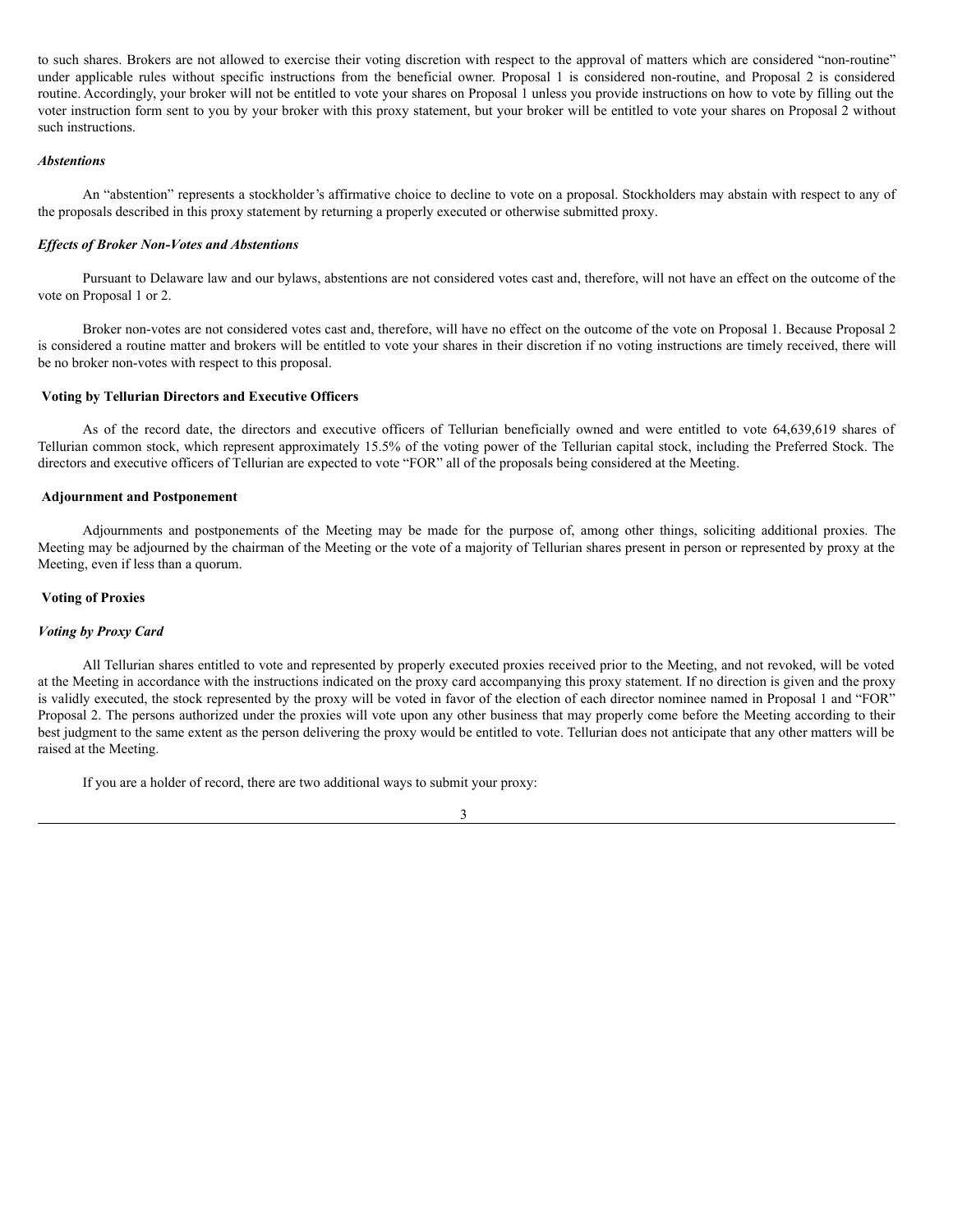to such shares. Brokers are not allowed to exercise their voting discretion with respect to the approval of matters which are considered "non-routine" under applicable rules without specific instructions from the beneficial owner. Proposal 1 is considered non-routine, and Proposal 2 is considered routine. Accordingly, your broker will not be entitled to vote your shares on Proposal 1 unless you provide instructions on how to vote by filling out the voter instruction form sent to you by your broker with this proxy statement, but your broker will be entitled to vote your shares on Proposal 2 without such instructions.

## *Abstentions*

An "abstention" represents a stockholder's affirmative choice to decline to vote on a proposal. Stockholders may abstain with respect to any of the proposals described in this proxy statement by returning a properly executed or otherwise submitted proxy.

#### *Ef ects of Broker Non-Votes and Abstentions*

Pursuant to Delaware law and our bylaws, abstentions are not considered votes cast and, therefore, will not have an effect on the outcome of the vote on Proposal 1 or 2.

Broker non-votes are not considered votes cast and, therefore, will have no effect on the outcome of the vote on Proposal 1. Because Proposal 2 is considered a routine matter and brokers will be entitled to vote your shares in their discretion if no voting instructions are timely received, there will be no broker non-votes with respect to this proposal.

## <span id="page-8-0"></span>**Voting by Tellurian Directors and Executive Officers**

As of the record date, the directors and executive officers of Tellurian beneficially owned and were entitled to vote 64,639,619 shares of Tellurian common stock, which represent approximately 15.5% of the voting power of the Tellurian capital stock, including the Preferred Stock. The directors and executive officers of Tellurian are expected to vote "FOR" all of the proposals being considered at the Meeting.

## <span id="page-8-1"></span>**Adjournment and Postponement**

Adjournments and postponements of the Meeting may be made for the purpose of, among other things, soliciting additional proxies. The Meeting may be adjourned by the chairman of the Meeting or the vote of a majority of Tellurian shares present in person or represented by proxy at the Meeting, even if less than a quorum.

## <span id="page-8-2"></span>**Voting of Proxies**

#### *Voting by Proxy Card*

All Tellurian shares entitled to vote and represented by properly executed proxies received prior to the Meeting, and not revoked, will be voted at the Meeting in accordance with the instructions indicated on the proxy card accompanying this proxy statement. If no direction is given and the proxy is validly executed, the stock represented by the proxy will be voted in favor of the election of each director nominee named in Proposal 1 and "FOR" Proposal 2. The persons authorized under the proxies will vote upon any other business that may properly come before the Meeting according to their best judgment to the same extent as the person delivering the proxy would be entitled to vote. Tellurian does not anticipate that any other matters will be raised at the Meeting.

If you are a holder of record, there are two additional ways to submit your proxy: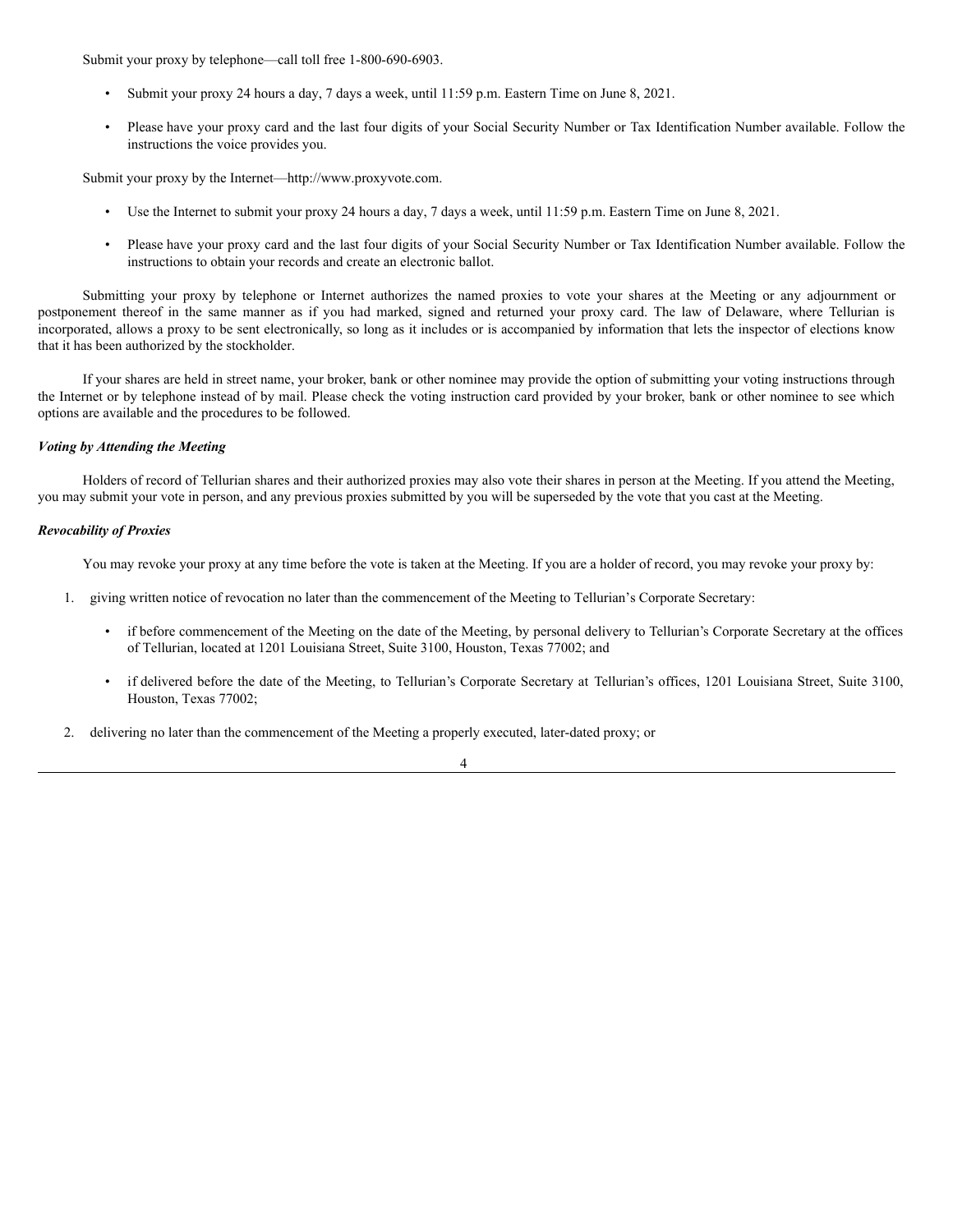Submit your proxy by telephone—call toll free 1-800-690-6903.

- Submit your proxy 24 hours a day, 7 days a week, until 11:59 p.m. Eastern Time on June 8, 2021.
- Please have your proxy card and the last four digits of your Social Security Number or Tax Identification Number available. Follow the instructions the voice provides you.

Submit your proxy by the Internet—http://www.proxyvote.com.

- Use the Internet to submit your proxy 24 hours a day, 7 days a week, until 11:59 p.m. Eastern Time on June 8, 2021.
- Please have your proxy card and the last four digits of your Social Security Number or Tax Identification Number available. Follow the instructions to obtain your records and create an electronic ballot.

Submitting your proxy by telephone or Internet authorizes the named proxies to vote your shares at the Meeting or any adjournment or postponement thereof in the same manner as if you had marked, signed and returned your proxy card. The law of Delaware, where Tellurian is incorporated, allows a proxy to be sent electronically, so long as it includes or is accompanied by information that lets the inspector of elections know that it has been authorized by the stockholder.

If your shares are held in street name, your broker, bank or other nominee may provide the option of submitting your voting instructions through the Internet or by telephone instead of by mail. Please check the voting instruction card provided by your broker, bank or other nominee to see which options are available and the procedures to be followed.

### *Voting by Attending the Meeting*

Holders of record of Tellurian shares and their authorized proxies may also vote their shares in person at the Meeting. If you attend the Meeting, you may submit your vote in person, and any previous proxies submitted by you will be superseded by the vote that you cast at the Meeting.

## *Revocability of Proxies*

You may revoke your proxy at any time before the vote is taken at the Meeting. If you are a holder of record, you may revoke your proxy by:

- 1. giving written notice of revocation no later than the commencement of the Meeting to Tellurian's Corporate Secretary:
	- if before commencement of the Meeting on the date of the Meeting, by personal delivery to Tellurian's Corporate Secretary at the offices of Tellurian, located at 1201 Louisiana Street, Suite 3100, Houston, Texas 77002; and
	- if delivered before the date of the Meeting, to Tellurian's Corporate Secretary at Tellurian's offices, 1201 Louisiana Street, Suite 3100, Houston, Texas 77002;
- 2. delivering no later than the commencement of the Meeting a properly executed, later-dated proxy; or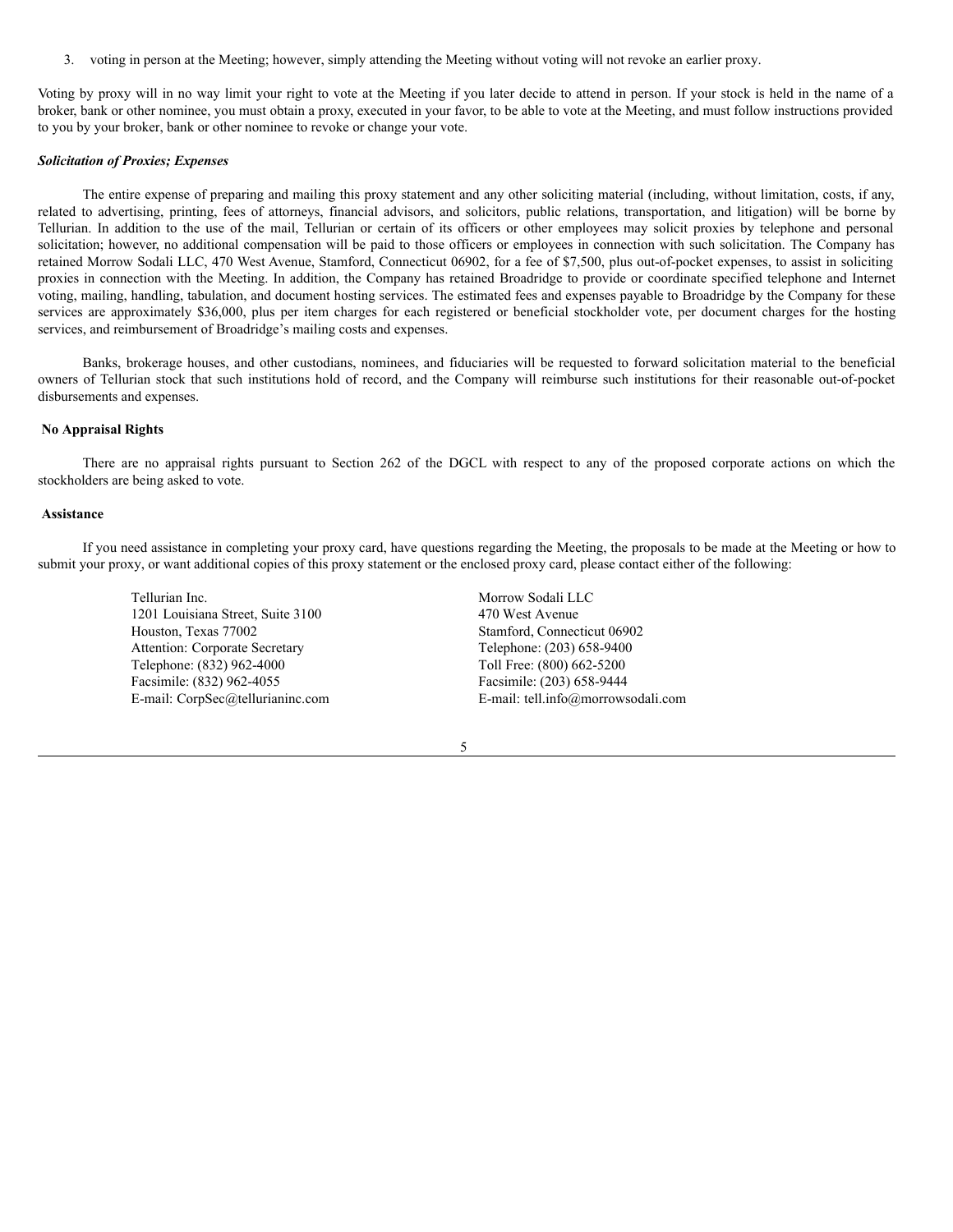3. voting in person at the Meeting; however, simply attending the Meeting without voting will not revoke an earlier proxy.

Voting by proxy will in no way limit your right to vote at the Meeting if you later decide to attend in person. If your stock is held in the name of a broker, bank or other nominee, you must obtain a proxy, executed in your favor, to be able to vote at the Meeting, and must follow instructions provided to you by your broker, bank or other nominee to revoke or change your vote.

## *Solicitation of Proxies; Expenses*

The entire expense of preparing and mailing this proxy statement and any other soliciting material (including, without limitation, costs, if any, related to advertising, printing, fees of attorneys, financial advisors, and solicitors, public relations, transportation, and litigation) will be borne by Tellurian. In addition to the use of the mail, Tellurian or certain of its officers or other employees may solicit proxies by telephone and personal solicitation; however, no additional compensation will be paid to those officers or employees in connection with such solicitation. The Company has retained Morrow Sodali LLC, 470 West Avenue, Stamford, Connecticut 06902, for a fee of \$7,500, plus out-of-pocket expenses, to assist in soliciting proxies in connection with the Meeting. In addition, the Company has retained Broadridge to provide or coordinate specified telephone and Internet voting, mailing, handling, tabulation, and document hosting services. The estimated fees and expenses payable to Broadridge by the Company for these services are approximately \$36,000, plus per item charges for each registered or beneficial stockholder vote, per document charges for the hosting services, and reimbursement of Broadridge's mailing costs and expenses.

Banks, brokerage houses, and other custodians, nominees, and fiduciaries will be requested to forward solicitation material to the beneficial owners of Tellurian stock that such institutions hold of record, and the Company will reimburse such institutions for their reasonable out-of-pocket disbursements and expenses.

#### <span id="page-10-0"></span>**No Appraisal Rights**

There are no appraisal rights pursuant to Section 262 of the DGCL with respect to any of the proposed corporate actions on which the stockholders are being asked to vote.

## <span id="page-10-1"></span>**Assistance**

If you need assistance in completing your proxy card, have questions regarding the Meeting, the proposals to be made at the Meeting or how to submit your proxy, or want additional copies of this proxy statement or the enclosed proxy card, please contact either of the following:

> Tellurian Inc. 1201 Louisiana Street, Suite 3100 Houston, Texas 77002 Attention: Corporate Secretary Telephone: (832) 962-4000 Facsimile: (832) 962-4055 E-mail: CorpSec@tellurianinc.com

Morrow Sodali LLC 470 West Avenue Stamford, Connecticut 06902 Telephone: (203) 658-9400 Toll Free: (800) 662-5200 Facsimile: (203) 658-9444 E-mail: tell.info@morrowsodali.com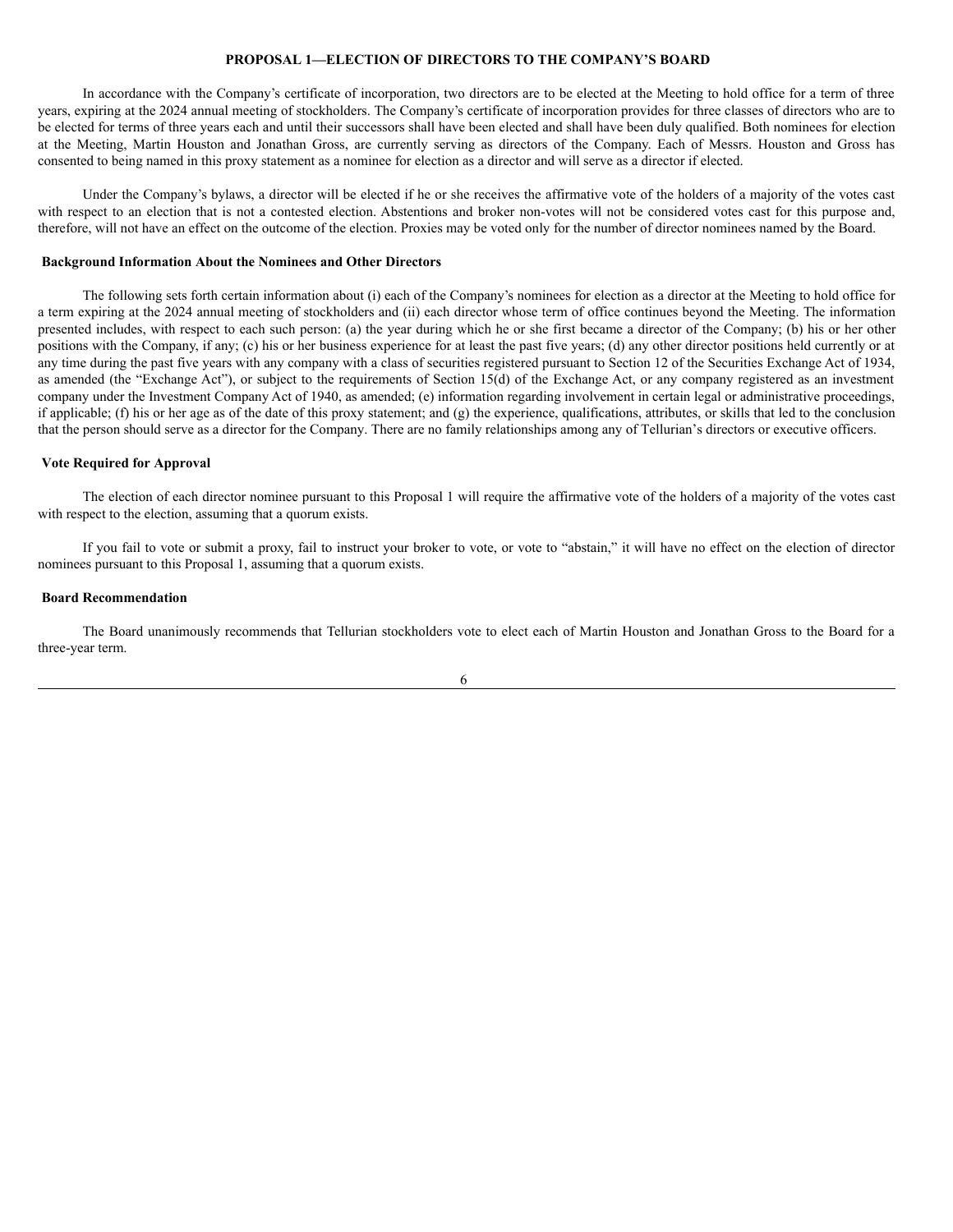## <span id="page-11-0"></span>**PROPOSAL 1—ELECTION OF DIRECTORS TO THE COMPANY'S BOARD**

In accordance with the Company's certificate of incorporation, two directors are to be elected at the Meeting to hold office for a term of three years, expiring at the 2024 annual meeting of stockholders. The Company's certificate of incorporation provides for three classes of directors who are to be elected for terms of three years each and until their successors shall have been elected and shall have been duly qualified. Both nominees for election at the Meeting, Martin Houston and Jonathan Gross, are currently serving as directors of the Company. Each of Messrs. Houston and Gross has consented to being named in this proxy statement as a nominee for election as a director and will serve as a director if elected.

Under the Company's bylaws, a director will be elected if he or she receives the affirmative vote of the holders of a majority of the votes cast with respect to an election that is not a contested election. Abstentions and broker non-votes will not be considered votes cast for this purpose and, therefore, will not have an effect on the outcome of the election. Proxies may be voted only for the number of director nominees named by the Board.

### <span id="page-11-1"></span>**Background Information About the Nominees and Other Directors**

The following sets forth certain information about (i) each of the Company's nominees for election as a director at the Meeting to hold office for a term expiring at the 2024 annual meeting of stockholders and (ii) each director whose term of office continues beyond the Meeting. The information presented includes, with respect to each such person: (a) the year during which he or she first became a director of the Company; (b) his or her other positions with the Company, if any; (c) his or her business experience for at least the past five years; (d) any other director positions held currently or at any time during the past five years with any company with a class of securities registered pursuant to Section 12 of the Securities Exchange Act of 1934, as amended (the "Exchange Act"), or subject to the requirements of Section 15(d) of the Exchange Act, or any company registered as an investment company under the Investment Company Act of 1940, as amended; (e) information regarding involvement in certain legal or administrative proceedings, if applicable; (f) his or her age as of the date of this proxy statement; and  $(g)$  the experience, qualifications, attributes, or skills that led to the conclusion that the person should serve as a director for the Company. There are no family relationships among any of Tellurian's directors or executive officers.

#### <span id="page-11-2"></span>**Vote Required for Approval**

The election of each director nominee pursuant to this Proposal 1 will require the affirmative vote of the holders of a majority of the votes cast with respect to the election, assuming that a quorum exists.

If you fail to vote or submit a proxy, fail to instruct your broker to vote, or vote to "abstain," it will have no effect on the election of director nominees pursuant to this Proposal 1, assuming that a quorum exists.

## <span id="page-11-3"></span>**Board Recommendation**

The Board unanimously recommends that Tellurian stockholders vote to elect each of Martin Houston and Jonathan Gross to the Board for a three-year term.

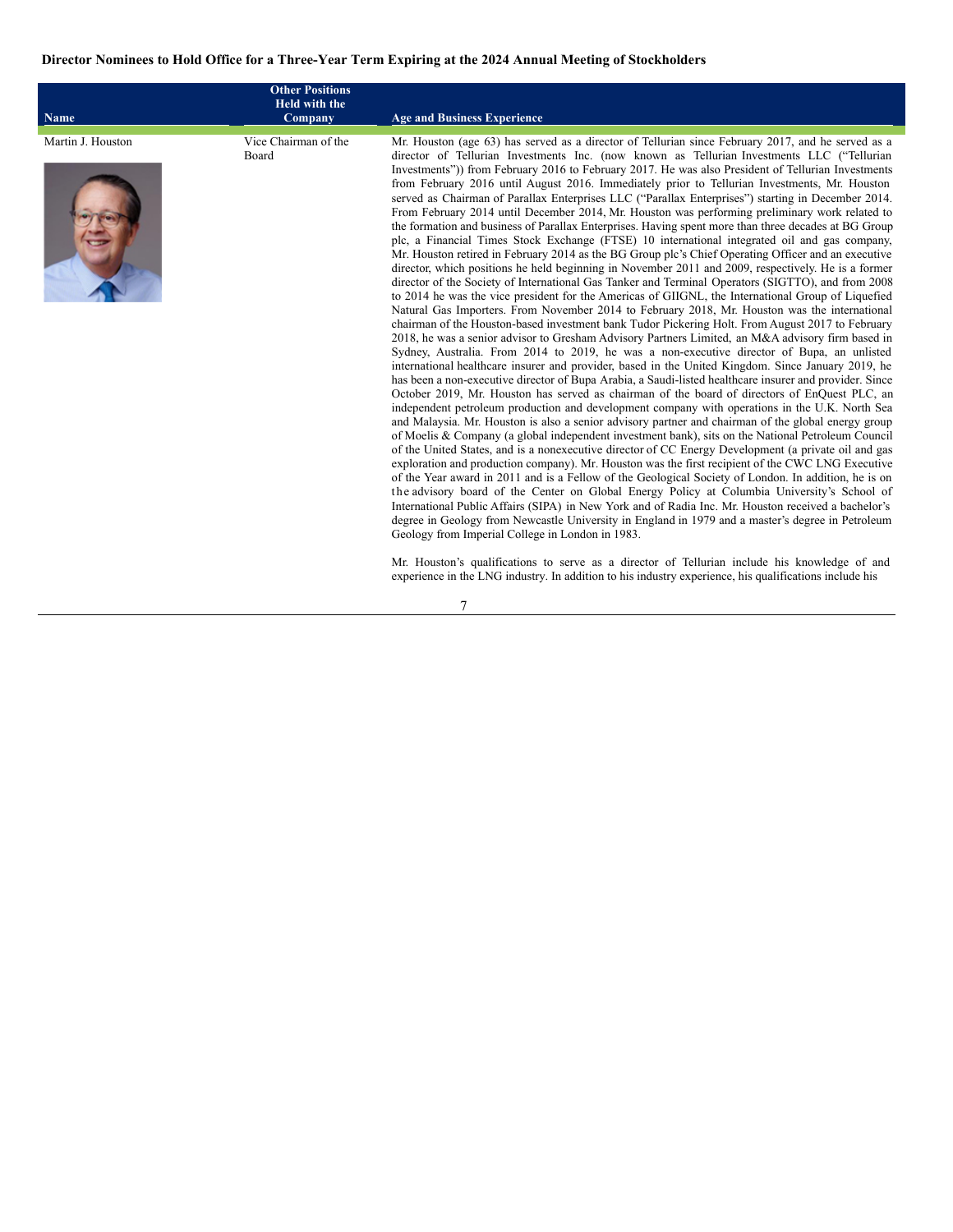# <span id="page-12-0"></span>Director Nominees to Hold Office for a Three-Year Term Expiring at the 2024 Annual Meeting of Stockholders

| <b>Name</b>       | <b>Other Positions</b><br><b>Held with the</b><br>Company | <b>Age and Business Experience</b>                                                                                                                                                                                                                                                                                                                                                                                                                                                                                                                                                                                                                                                                                                                                                                                                                                                                                                                                                                                                                                                                                                                                                                                                                                                                                                                                                                                                                                                                                                                                                                                                                                                                                                                                                                                                                                                                                                                                                                                                                                                                                                                                                                                                                                                                                                                                                                                                                                                                                                                                                                                                                                                                                                                                                                                                                                                                                                                                                                                                                                                                                                                                                         |
|-------------------|-----------------------------------------------------------|--------------------------------------------------------------------------------------------------------------------------------------------------------------------------------------------------------------------------------------------------------------------------------------------------------------------------------------------------------------------------------------------------------------------------------------------------------------------------------------------------------------------------------------------------------------------------------------------------------------------------------------------------------------------------------------------------------------------------------------------------------------------------------------------------------------------------------------------------------------------------------------------------------------------------------------------------------------------------------------------------------------------------------------------------------------------------------------------------------------------------------------------------------------------------------------------------------------------------------------------------------------------------------------------------------------------------------------------------------------------------------------------------------------------------------------------------------------------------------------------------------------------------------------------------------------------------------------------------------------------------------------------------------------------------------------------------------------------------------------------------------------------------------------------------------------------------------------------------------------------------------------------------------------------------------------------------------------------------------------------------------------------------------------------------------------------------------------------------------------------------------------------------------------------------------------------------------------------------------------------------------------------------------------------------------------------------------------------------------------------------------------------------------------------------------------------------------------------------------------------------------------------------------------------------------------------------------------------------------------------------------------------------------------------------------------------------------------------------------------------------------------------------------------------------------------------------------------------------------------------------------------------------------------------------------------------------------------------------------------------------------------------------------------------------------------------------------------------------------------------------------------------------------------------------------------------|
|                   |                                                           |                                                                                                                                                                                                                                                                                                                                                                                                                                                                                                                                                                                                                                                                                                                                                                                                                                                                                                                                                                                                                                                                                                                                                                                                                                                                                                                                                                                                                                                                                                                                                                                                                                                                                                                                                                                                                                                                                                                                                                                                                                                                                                                                                                                                                                                                                                                                                                                                                                                                                                                                                                                                                                                                                                                                                                                                                                                                                                                                                                                                                                                                                                                                                                                            |
| Martin J. Houston | Vice Chairman of the<br>Board                             | Mr. Houston (age 63) has served as a director of Tellurian since February 2017, and he served as a<br>director of Tellurian Investments Inc. (now known as Tellurian Investments LLC ("Tellurian<br>Investments")) from February 2016 to February 2017. He was also President of Tellurian Investments<br>from February 2016 until August 2016. Immediately prior to Tellurian Investments, Mr. Houston<br>served as Chairman of Parallax Enterprises LLC ("Parallax Enterprises") starting in December 2014.<br>From February 2014 until December 2014, Mr. Houston was performing preliminary work related to<br>the formation and business of Parallax Enterprises. Having spent more than three decades at BG Group<br>plc, a Financial Times Stock Exchange (FTSE) 10 international integrated oil and gas company,<br>Mr. Houston retired in February 2014 as the BG Group plc's Chief Operating Officer and an executive<br>director, which positions he held beginning in November 2011 and 2009, respectively. He is a former<br>director of the Society of International Gas Tanker and Terminal Operators (SIGTTO), and from 2008<br>to 2014 he was the vice president for the Americas of GIIGNL, the International Group of Liquefied<br>Natural Gas Importers. From November 2014 to February 2018, Mr. Houston was the international<br>chairman of the Houston-based investment bank Tudor Pickering Holt. From August 2017 to February<br>2018, he was a senior advisor to Gresham Advisory Partners Limited, an M&A advisory firm based in<br>Sydney, Australia. From 2014 to 2019, he was a non-executive director of Bupa, an unlisted<br>international healthcare insurer and provider, based in the United Kingdom. Since January 2019, he<br>has been a non-executive director of Bupa Arabia, a Saudi-listed healthcare insurer and provider. Since<br>October 2019, Mr. Houston has served as chairman of the board of directors of EnQuest PLC, an<br>independent petroleum production and development company with operations in the U.K. North Sea<br>and Malaysia. Mr. Houston is also a senior advisory partner and chairman of the global energy group<br>of Moelis & Company (a global independent investment bank), sits on the National Petroleum Council<br>of the United States, and is a nonexecutive director of CC Energy Development (a private oil and gas<br>exploration and production company). Mr. Houston was the first recipient of the CWC LNG Executive<br>of the Year award in 2011 and is a Fellow of the Geological Society of London. In addition, he is on<br>the advisory board of the Center on Global Energy Policy at Columbia University's School of<br>International Public Affairs (SIPA) in New York and of Radia Inc. Mr. Houston received a bachelor's<br>degree in Geology from Newcastle University in England in 1979 and a master's degree in Petroleum<br>Geology from Imperial College in London in 1983.<br>Mr. Houston's qualifications to serve as a director of Tellurian include his knowledge of and<br>experience in the LNG industry. In addition to his industry experience, his qualifications include his |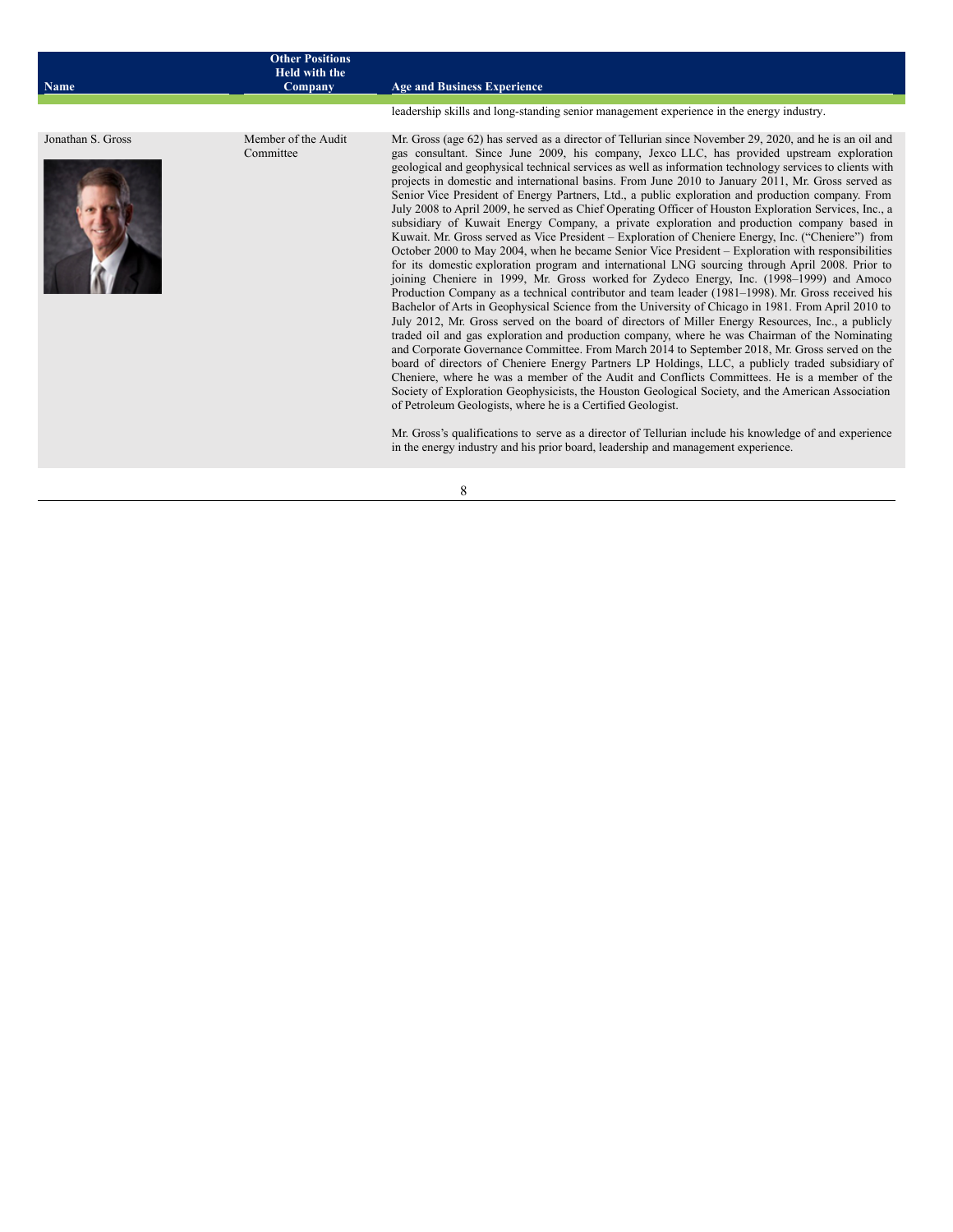| Name              | <b>Other Positions</b><br><b>Held with the</b><br>Company | <b>Age and Business Experience</b>                                                                                                                                                                                                                                                                                                                                                                                                                                                                                                                                                                                                                                                                                                                                                                                                                                                                                                                                                                                                                                                                                                                                                                                                                                                                                                                                                                                                                                                                                                                                                                                                                                                                                                                                                                                                                                                                                                                                                                                                                                                                                                                                                                                                            |
|-------------------|-----------------------------------------------------------|-----------------------------------------------------------------------------------------------------------------------------------------------------------------------------------------------------------------------------------------------------------------------------------------------------------------------------------------------------------------------------------------------------------------------------------------------------------------------------------------------------------------------------------------------------------------------------------------------------------------------------------------------------------------------------------------------------------------------------------------------------------------------------------------------------------------------------------------------------------------------------------------------------------------------------------------------------------------------------------------------------------------------------------------------------------------------------------------------------------------------------------------------------------------------------------------------------------------------------------------------------------------------------------------------------------------------------------------------------------------------------------------------------------------------------------------------------------------------------------------------------------------------------------------------------------------------------------------------------------------------------------------------------------------------------------------------------------------------------------------------------------------------------------------------------------------------------------------------------------------------------------------------------------------------------------------------------------------------------------------------------------------------------------------------------------------------------------------------------------------------------------------------------------------------------------------------------------------------------------------------|
|                   |                                                           | leadership skills and long-standing senior management experience in the energy industry.                                                                                                                                                                                                                                                                                                                                                                                                                                                                                                                                                                                                                                                                                                                                                                                                                                                                                                                                                                                                                                                                                                                                                                                                                                                                                                                                                                                                                                                                                                                                                                                                                                                                                                                                                                                                                                                                                                                                                                                                                                                                                                                                                      |
| Jonathan S. Gross | Member of the Audit<br>Committee                          | Mr. Gross (age 62) has served as a director of Tellurian since November 29, 2020, and he is an oil and<br>gas consultant. Since June 2009, his company, Jexco LLC, has provided upstream exploration<br>geological and geophysical technical services as well as information technology services to clients with<br>projects in domestic and international basins. From June 2010 to January 2011, Mr. Gross served as<br>Senior Vice President of Energy Partners, Ltd., a public exploration and production company. From<br>July 2008 to April 2009, he served as Chief Operating Officer of Houston Exploration Services, Inc., a<br>subsidiary of Kuwait Energy Company, a private exploration and production company based in<br>Kuwait. Mr. Gross served as Vice President - Exploration of Cheniere Energy, Inc. ("Cheniere") from<br>October 2000 to May 2004, when he became Senior Vice President – Exploration with responsibilities<br>for its domestic exploration program and international LNG sourcing through April 2008. Prior to<br>joining Cheniere in 1999, Mr. Gross worked for Zydeco Energy, Inc. (1998–1999) and Amoco<br>Production Company as a technical contributor and team leader (1981–1998). Mr. Gross received his<br>Bachelor of Arts in Geophysical Science from the University of Chicago in 1981. From April 2010 to<br>July 2012, Mr. Gross served on the board of directors of Miller Energy Resources, Inc., a publicly<br>traded oil and gas exploration and production company, where he was Chairman of the Nominating<br>and Corporate Governance Committee. From March 2014 to September 2018, Mr. Gross served on the<br>board of directors of Cheniere Energy Partners LP Holdings, LLC, a publicly traded subsidiary of<br>Cheniere, where he was a member of the Audit and Conflicts Committees. He is a member of the<br>Society of Exploration Geophysicists, the Houston Geological Society, and the American Association<br>of Petroleum Geologists, where he is a Certified Geologist.<br>Mr. Gross's qualifications to serve as a director of Tellurian include his knowledge of and experience<br>in the energy industry and his prior board, leadership and management experience. |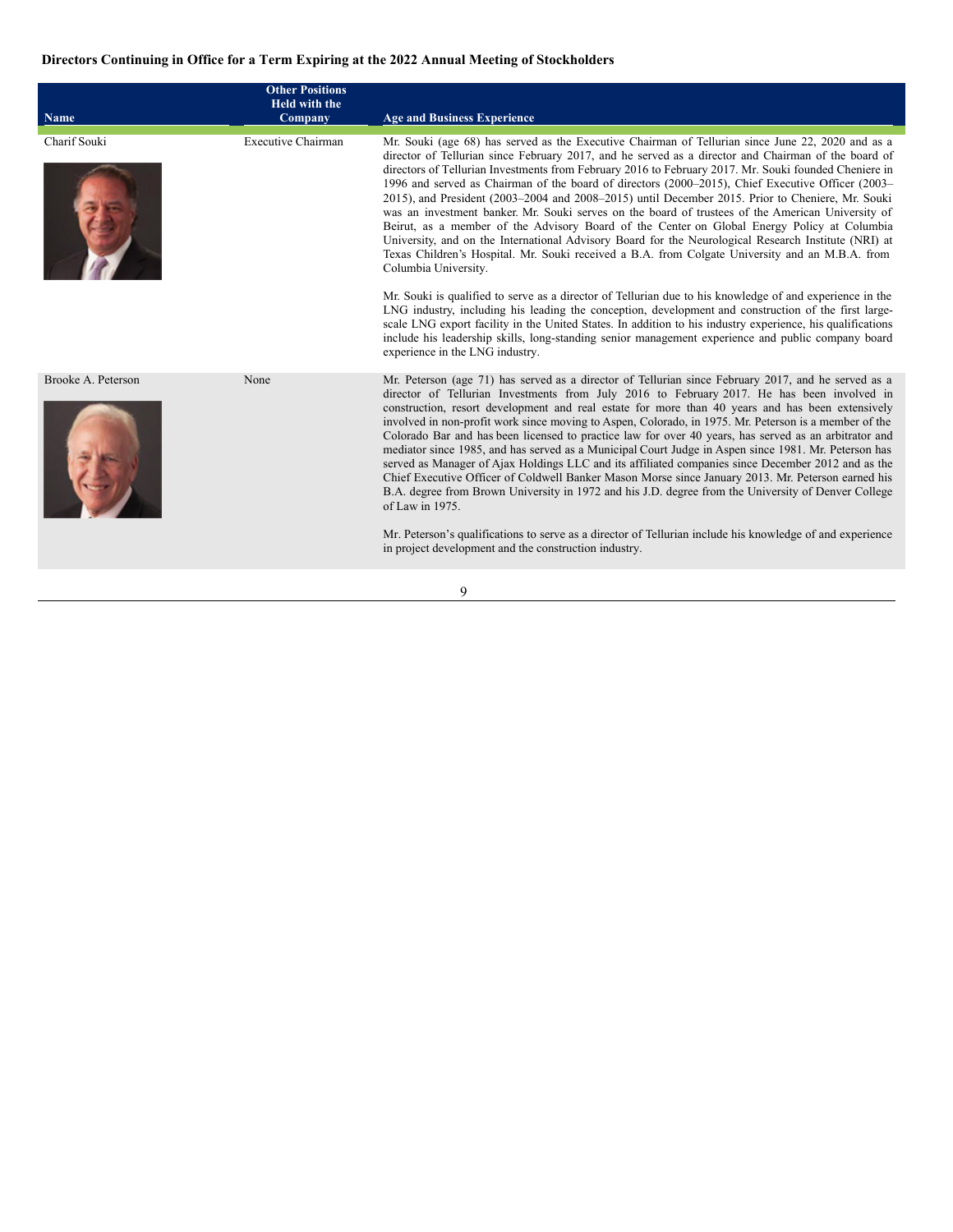# <span id="page-14-0"></span>**Directors Continuing in Office for a Term Expiring at the 2022 Annual Meeting of Stockholders**

| <b>Name</b>        | <b>Other Positions</b><br>Held with the<br>Company | <b>Age and Business Experience</b>                                                                                                                                                                                                                                                                                                                                                                                                                                                                                                                                                                                                                                                                                                                                                                                                                                                                                                                                    |
|--------------------|----------------------------------------------------|-----------------------------------------------------------------------------------------------------------------------------------------------------------------------------------------------------------------------------------------------------------------------------------------------------------------------------------------------------------------------------------------------------------------------------------------------------------------------------------------------------------------------------------------------------------------------------------------------------------------------------------------------------------------------------------------------------------------------------------------------------------------------------------------------------------------------------------------------------------------------------------------------------------------------------------------------------------------------|
| Charif Souki       | <b>Executive Chairman</b>                          | Mr. Souki (age 68) has served as the Executive Chairman of Tellurian since June 22, 2020 and as a<br>director of Tellurian since February 2017, and he served as a director and Chairman of the board of<br>directors of Tellurian Investments from February 2016 to February 2017. Mr. Souki founded Cheniere in<br>1996 and served as Chairman of the board of directors (2000–2015), Chief Executive Officer (2003–<br>2015), and President (2003–2004 and 2008–2015) until December 2015. Prior to Cheniere, Mr. Souki<br>was an investment banker. Mr. Souki serves on the board of trustees of the American University of<br>Beirut, as a member of the Advisory Board of the Center on Global Energy Policy at Columbia<br>University, and on the International Advisory Board for the Neurological Research Institute (NRI) at<br>Texas Children's Hospital. Mr. Souki received a B.A. from Colgate University and an M.B.A. from<br>Columbia University.     |
|                    |                                                    | Mr. Souki is qualified to serve as a director of Tellurian due to his knowledge of and experience in the<br>LNG industry, including his leading the conception, development and construction of the first large-<br>scale LNG export facility in the United States. In addition to his industry experience, his qualifications<br>include his leadership skills, long-standing senior management experience and public company board<br>experience in the LNG industry.                                                                                                                                                                                                                                                                                                                                                                                                                                                                                               |
| Brooke A. Peterson | None                                               | Mr. Peterson (age 71) has served as a director of Tellurian since February 2017, and he served as a<br>director of Tellurian Investments from July 2016 to February 2017. He has been involved in<br>construction, resort development and real estate for more than 40 years and has been extensively<br>involved in non-profit work since moving to Aspen, Colorado, in 1975. Mr. Peterson is a member of the<br>Colorado Bar and has been licensed to practice law for over 40 years, has served as an arbitrator and<br>mediator since 1985, and has served as a Municipal Court Judge in Aspen since 1981. Mr. Peterson has<br>served as Manager of Ajax Holdings LLC and its affiliated companies since December 2012 and as the<br>Chief Executive Officer of Coldwell Banker Mason Morse since January 2013. Mr. Peterson earned his<br>B.A. degree from Brown University in 1972 and his J.D. degree from the University of Denver College<br>of Law in 1975. |
|                    |                                                    | Mr. Peterson's qualifications to serve as a director of Tellurian include his knowledge of and experience<br>in project development and the construction industry.                                                                                                                                                                                                                                                                                                                                                                                                                                                                                                                                                                                                                                                                                                                                                                                                    |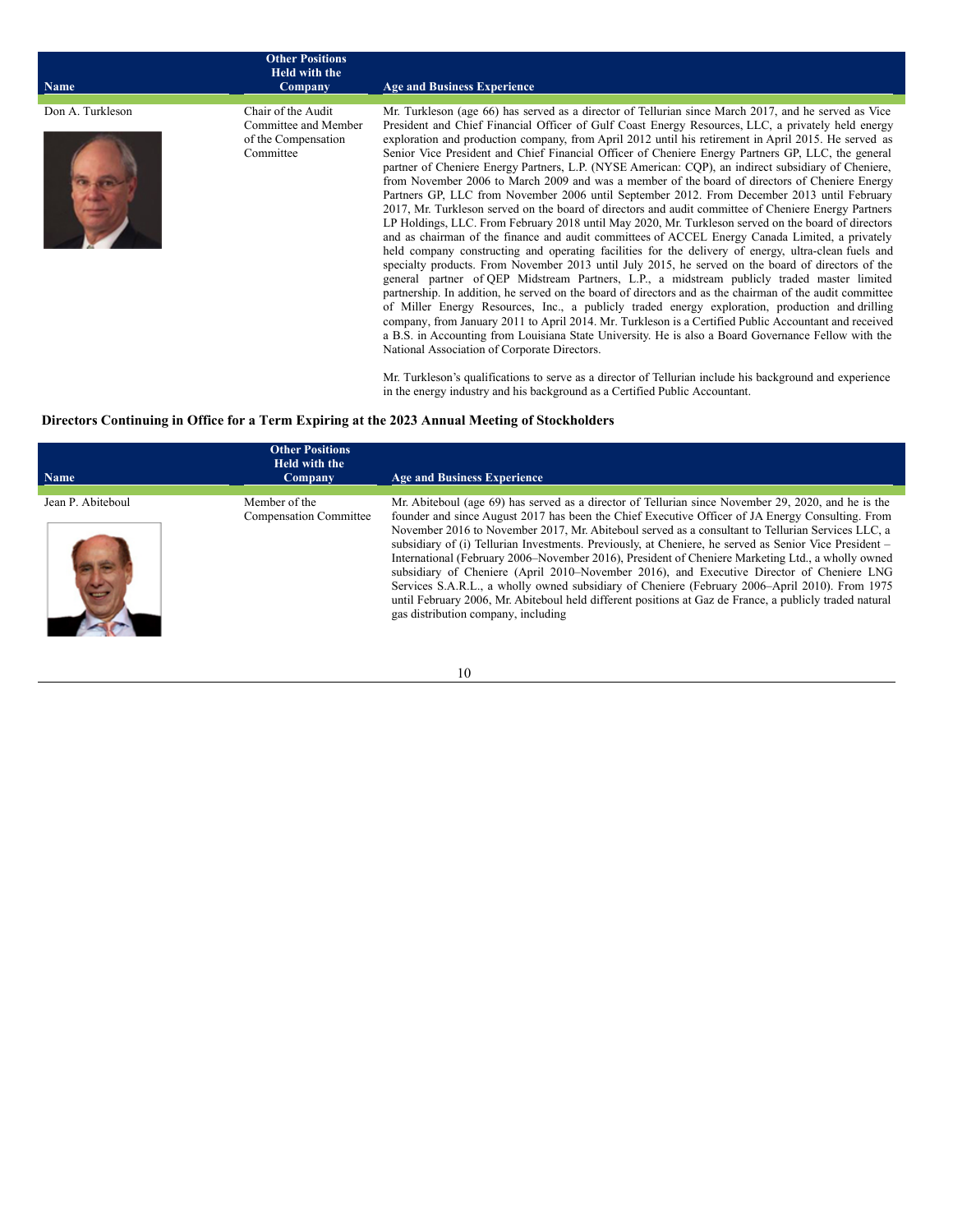| <b>Name</b>      | <b>Other Positions</b><br><b>Held with the</b><br>Company                      | <b>Age and Business Experience</b>                                                                                                                                                                                                                                                                                                                                                                                                                                                                                                                                                                                                                                                                                                                                                                                                                                                                                                                                                                                                                                                                                                                                                                                                                                                                                                                                                                                                                                                                                                                                                                                                                                                                                                                                                             |
|------------------|--------------------------------------------------------------------------------|------------------------------------------------------------------------------------------------------------------------------------------------------------------------------------------------------------------------------------------------------------------------------------------------------------------------------------------------------------------------------------------------------------------------------------------------------------------------------------------------------------------------------------------------------------------------------------------------------------------------------------------------------------------------------------------------------------------------------------------------------------------------------------------------------------------------------------------------------------------------------------------------------------------------------------------------------------------------------------------------------------------------------------------------------------------------------------------------------------------------------------------------------------------------------------------------------------------------------------------------------------------------------------------------------------------------------------------------------------------------------------------------------------------------------------------------------------------------------------------------------------------------------------------------------------------------------------------------------------------------------------------------------------------------------------------------------------------------------------------------------------------------------------------------|
|                  |                                                                                |                                                                                                                                                                                                                                                                                                                                                                                                                                                                                                                                                                                                                                                                                                                                                                                                                                                                                                                                                                                                                                                                                                                                                                                                                                                                                                                                                                                                                                                                                                                                                                                                                                                                                                                                                                                                |
| Don A. Turkleson | Chair of the Audit<br>Committee and Member<br>of the Compensation<br>Committee | Mr. Turkleson (age 66) has served as a director of Tellurian since March 2017, and he served as Vice<br>President and Chief Financial Officer of Gulf Coast Energy Resources, LLC, a privately held energy<br>exploration and production company, from April 2012 until his retirement in April 2015. He served as<br>Senior Vice President and Chief Financial Officer of Cheniere Energy Partners GP, LLC, the general<br>partner of Cheniere Energy Partners, L.P. (NYSE American: CQP), an indirect subsidiary of Cheniere,<br>from November 2006 to March 2009 and was a member of the board of directors of Cheniere Energy<br>Partners GP, LLC from November 2006 until September 2012. From December 2013 until February<br>2017, Mr. Turkleson served on the board of directors and audit committee of Cheniere Energy Partners<br>LP Holdings, LLC. From February 2018 until May 2020, Mr. Turkleson served on the board of directors<br>and as chairman of the finance and audit committees of ACCEL Energy Canada Limited, a privately<br>held company constructing and operating facilities for the delivery of energy, ultra-clean fuels and<br>specialty products. From November 2013 until July 2015, he served on the board of directors of the<br>general partner of QEP Midstream Partners, L.P., a midstream publicly traded master limited<br>partnership. In addition, he served on the board of directors and as the chairman of the audit committee<br>of Miller Energy Resources, Inc., a publicly traded energy exploration, production and drilling<br>company, from January 2011 to April 2014. Mr. Turkleson is a Certified Public Accountant and received<br>a B.S. in Accounting from Louisiana State University. He is also a Board Governance Fellow with the |

National Association of Corporate Directors.

Mr. Turkleson's qualifications to serve as a director of Tellurian include his background and experience in the energy industry and his background as a Certified Public Accountant.

# <span id="page-15-0"></span>**Directors Continuing in Office for a Term Expiring at the 2023 Annual Meeting of Stockholders**

| <b>Name</b>       | <b>Other Positions</b><br>Held with the<br>Company | <b>Age and Business Experience</b>                                                                                                                                                                                                                                                                                                                                                                                                                                                                                                                                                                                                                                                                                                                                                                                                                                           |
|-------------------|----------------------------------------------------|------------------------------------------------------------------------------------------------------------------------------------------------------------------------------------------------------------------------------------------------------------------------------------------------------------------------------------------------------------------------------------------------------------------------------------------------------------------------------------------------------------------------------------------------------------------------------------------------------------------------------------------------------------------------------------------------------------------------------------------------------------------------------------------------------------------------------------------------------------------------------|
| Jean P. Abiteboul | Member of the<br><b>Compensation Committee</b>     | Mr. Abiteboul (age 69) has served as a director of Tellurian since November 29, 2020, and he is the<br>founder and since August 2017 has been the Chief Executive Officer of JA Energy Consulting. From<br>November 2016 to November 2017, Mr. Abiteboul served as a consultant to Tellurian Services LLC, a<br>subsidiary of (i) Tellurian Investments. Previously, at Cheniere, he served as Senior Vice President –<br>International (February 2006–November 2016), President of Cheniere Marketing Ltd., a wholly owned<br>subsidiary of Cheniere (April 2010–November 2016), and Executive Director of Cheniere LNG<br>Services S.A.R.L., a wholly owned subsidiary of Cheniere (February 2006–April 2010). From 1975<br>until February 2006, Mr. Abiteboul held different positions at Gaz de France, a publicly traded natural<br>gas distribution company, including |

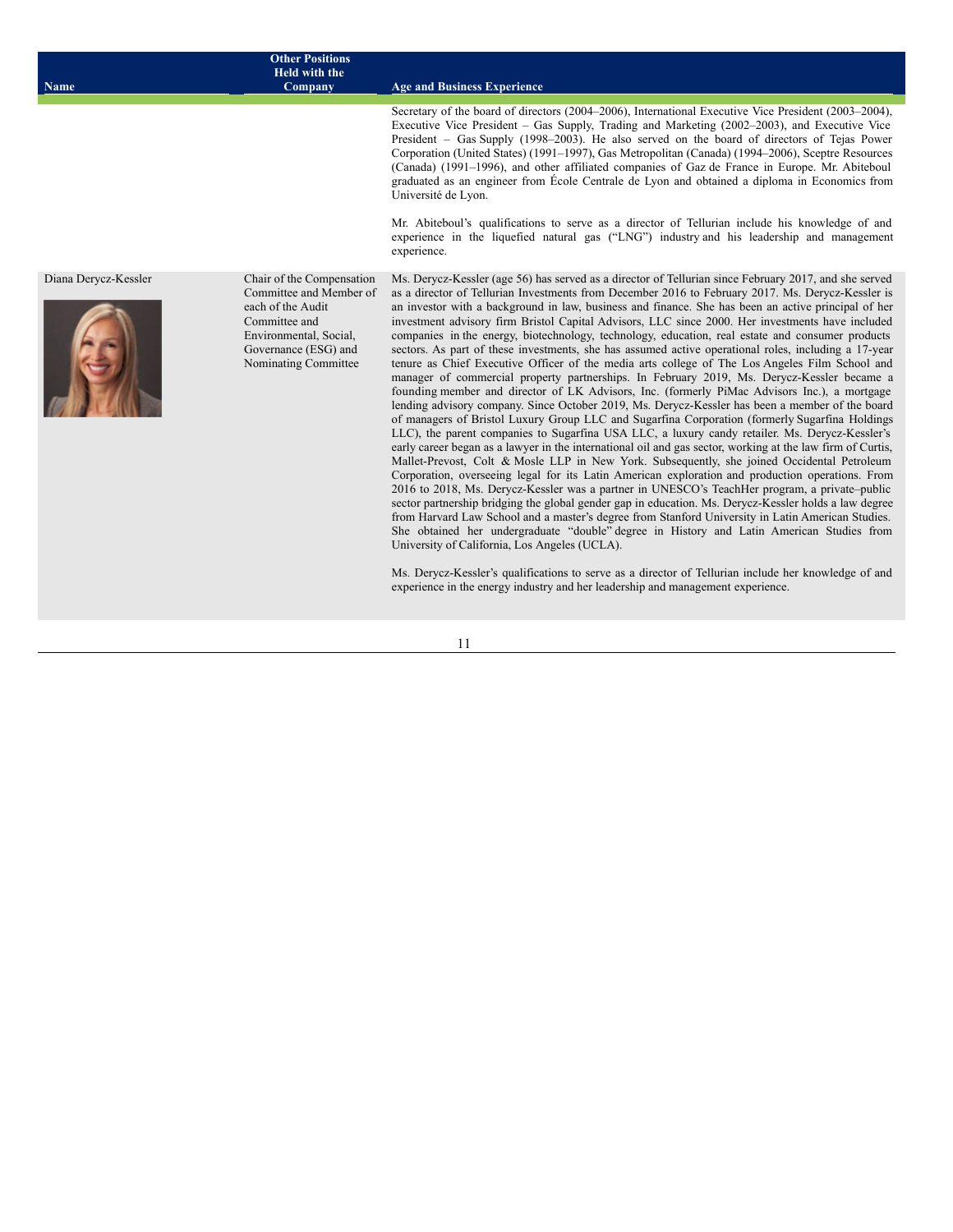| <b>Name</b>          | <b>Other Positions</b><br>Held with the<br>Company                                                                                                                   | <b>Age and Business Experience</b>                                                                                                                                                                                                                                                                                                                                                                                                                                                                                                                                                                                                                                                                                                                                                                                                                                                                                                                                                                                                                                                                                                                                                                                                                                                                                                                                                                                                                                                                                                                                                                                                                                                                                                                                                                                                                                                                                                                                                                                                                                                                                                                                                                                |
|----------------------|----------------------------------------------------------------------------------------------------------------------------------------------------------------------|-------------------------------------------------------------------------------------------------------------------------------------------------------------------------------------------------------------------------------------------------------------------------------------------------------------------------------------------------------------------------------------------------------------------------------------------------------------------------------------------------------------------------------------------------------------------------------------------------------------------------------------------------------------------------------------------------------------------------------------------------------------------------------------------------------------------------------------------------------------------------------------------------------------------------------------------------------------------------------------------------------------------------------------------------------------------------------------------------------------------------------------------------------------------------------------------------------------------------------------------------------------------------------------------------------------------------------------------------------------------------------------------------------------------------------------------------------------------------------------------------------------------------------------------------------------------------------------------------------------------------------------------------------------------------------------------------------------------------------------------------------------------------------------------------------------------------------------------------------------------------------------------------------------------------------------------------------------------------------------------------------------------------------------------------------------------------------------------------------------------------------------------------------------------------------------------------------------------|
|                      |                                                                                                                                                                      | Secretary of the board of directors (2004–2006), International Executive Vice President (2003–2004),<br>Executive Vice President – Gas Supply, Trading and Marketing (2002–2003), and Executive Vice<br>President – Gas Supply (1998–2003). He also served on the board of directors of Tejas Power<br>Corporation (United States) (1991–1997), Gas Metropolitan (Canada) (1994–2006), Sceptre Resources<br>(Canada) (1991–1996), and other affiliated companies of Gaz de France in Europe. Mr. Abiteboul<br>graduated as an engineer from École Centrale de Lyon and obtained a diploma in Economics from<br>Université de Lyon.<br>Mr. Abiteboul's qualifications to serve as a director of Tellurian include his knowledge of and<br>experience in the liquefied natural gas ("LNG") industry and his leadership and management<br>experience.                                                                                                                                                                                                                                                                                                                                                                                                                                                                                                                                                                                                                                                                                                                                                                                                                                                                                                                                                                                                                                                                                                                                                                                                                                                                                                                                                                |
| Diana Derycz-Kessler | Chair of the Compensation<br>Committee and Member of<br>each of the Audit<br>Committee and<br>Environmental, Social,<br>Governance (ESG) and<br>Nominating Committee | Ms. Derycz-Kessler (age 56) has served as a director of Tellurian since February 2017, and she served<br>as a director of Tellurian Investments from December 2016 to February 2017. Ms. Derycz-Kessler is<br>an investor with a background in law, business and finance. She has been an active principal of her<br>investment advisory firm Bristol Capital Advisors, LLC since 2000. Her investments have included<br>companies in the energy, biotechnology, technology, education, real estate and consumer products<br>sectors. As part of these investments, she has assumed active operational roles, including a 17-year<br>tenure as Chief Executive Officer of the media arts college of The Los Angeles Film School and<br>manager of commercial property partnerships. In February 2019, Ms. Derycz-Kessler became a<br>founding member and director of LK Advisors, Inc. (formerly PiMac Advisors Inc.), a mortgage<br>lending advisory company. Since October 2019, Ms. Derycz-Kessler has been a member of the board<br>of managers of Bristol Luxury Group LLC and Sugarfina Corporation (formerly Sugarfina Holdings<br>LLC), the parent companies to Sugarfina USA LLC, a luxury candy retailer. Ms. Derycz-Kessler's<br>early career began as a lawyer in the international oil and gas sector, working at the law firm of Curtis,<br>Mallet-Prevost, Colt & Mosle LLP in New York. Subsequently, she joined Occidental Petroleum<br>Corporation, overseeing legal for its Latin American exploration and production operations. From<br>2016 to 2018, Ms. Derycz-Kessler was a partner in UNESCO's TeachHer program, a private-public<br>sector partnership bridging the global gender gap in education. Ms. Derycz-Kessler holds a law degree<br>from Harvard Law School and a master's degree from Stanford University in Latin American Studies.<br>She obtained her undergraduate "double" degree in History and Latin American Studies from<br>University of California, Los Angeles (UCLA).<br>Ms. Derycz-Kessler's qualifications to serve as a director of Tellurian include her knowledge of and<br>experience in the energy industry and her leadership and management experience. |
|                      |                                                                                                                                                                      | 11                                                                                                                                                                                                                                                                                                                                                                                                                                                                                                                                                                                                                                                                                                                                                                                                                                                                                                                                                                                                                                                                                                                                                                                                                                                                                                                                                                                                                                                                                                                                                                                                                                                                                                                                                                                                                                                                                                                                                                                                                                                                                                                                                                                                                |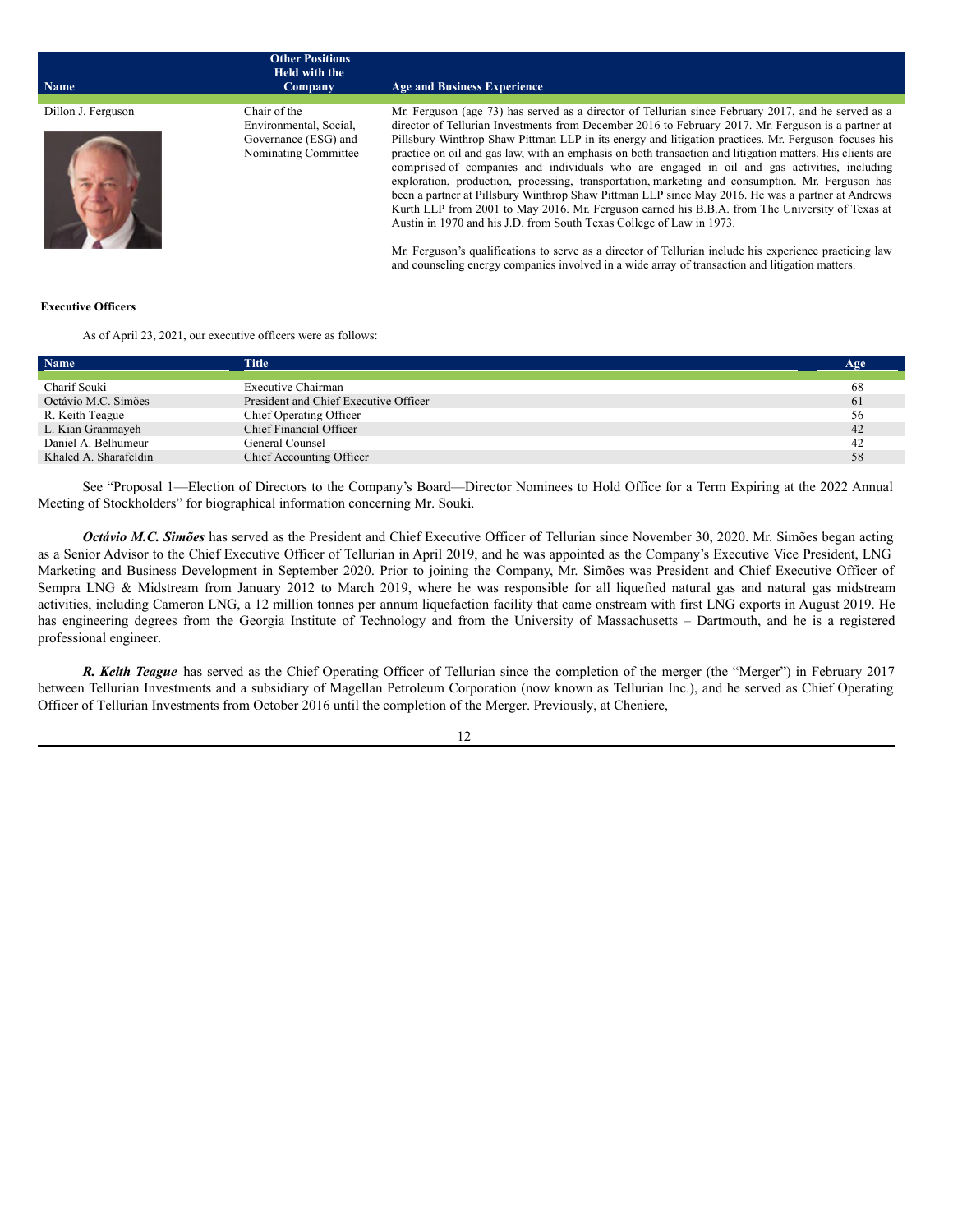| <b>Name</b>        | <b>Other Positions</b><br>Held with the<br>Company                                     | <b>Age and Business Experience</b>                                                                                                                                                                                                                                                                                                                                                                                                                                                                                                                                                                                                                                                                                                                                                                                                                                                                                 |
|--------------------|----------------------------------------------------------------------------------------|--------------------------------------------------------------------------------------------------------------------------------------------------------------------------------------------------------------------------------------------------------------------------------------------------------------------------------------------------------------------------------------------------------------------------------------------------------------------------------------------------------------------------------------------------------------------------------------------------------------------------------------------------------------------------------------------------------------------------------------------------------------------------------------------------------------------------------------------------------------------------------------------------------------------|
| Dillon J. Ferguson | Chair of the<br>Environmental, Social,<br>Governance (ESG) and<br>Nominating Committee | Mr. Ferguson (age 73) has served as a director of Tellurian since February 2017, and he served as a<br>director of Tellurian Investments from December 2016 to February 2017. Mr. Ferguson is a partner at<br>Pillsbury Winthrop Shaw Pittman LLP in its energy and litigation practices. Mr. Ferguson focuses his<br>practice on oil and gas law, with an emphasis on both transaction and litigation matters. His clients are<br>comprised of companies and individuals who are engaged in oil and gas activities, including<br>exploration, production, processing, transportation, marketing and consumption. Mr. Ferguson has<br>been a partner at Pillsbury Winthrop Shaw Pittman LLP since May 2016. He was a partner at Andrews<br>Kurth LLP from 2001 to May 2016. Mr. Ferguson earned his B.B.A. from The University of Texas at<br>Austin in 1970 and his J.D. from South Texas College of Law in 1973. |
|                    |                                                                                        | Mr. Ferguson's qualifications to serve as a director of Tellurian include his experience practicing law<br>and counseling energy companies involved in a wide array of transaction and litigation matters.                                                                                                                                                                                                                                                                                                                                                                                                                                                                                                                                                                                                                                                                                                         |

#### <span id="page-17-0"></span>**Executive Officers**

As of April 23, 2021, our executive officers were as follows:

| Name                  | Title                                 | Age |
|-----------------------|---------------------------------------|-----|
| Charif Souki          | Executive Chairman                    | 68  |
| Octávio M.C. Simões   | President and Chief Executive Officer | 61  |
| R. Keith Teague       | Chief Operating Officer               | 56  |
| L. Kian Granmayeh     | Chief Financial Officer               | 42  |
| Daniel A. Belhumeur   | General Counsel                       | 42  |
| Khaled A. Sharafeldin | Chief Accounting Officer              | 58  |

See "Proposal 1—Election of Directors to the Company's Board—Director Nominees to Hold Office for a Term Expiring at the 2022 Annual Meeting of Stockholders" for biographical information concerning Mr. Souki.

*Octávio M.C. Simões* has served as the President and Chief Executive Officer of Tellurian since November 30, 2020. Mr. Simões began acting as a Senior Advisor to the Chief Executive Officer of Tellurian in April 2019, and he was appointed as the Company's Executive Vice President, LNG Marketing and Business Development in September 2020. Prior to joining the Company, Mr. Simões was President and Chief Executive Officer of Sempra LNG & Midstream from January 2012 to March 2019, where he was responsible for all liquefied natural gas and natural gas midstream activities, including Cameron LNG, a 12 million tonnes per annum liquefaction facility that came onstream with first LNG exports in August 2019. He has engineering degrees from the Georgia Institute of Technology and from the University of Massachusetts – Dartmouth, and he is a registered professional engineer.

*R. Keith Teague* has served as the Chief Operating Officer of Tellurian since the completion of the merger (the "Merger") in February 2017 between Tellurian Investments and a subsidiary of Magellan Petroleum Corporation (now known as Tellurian Inc.), and he served as Chief Operating Officer of Tellurian Investments from October 2016 until the completion of the Merger. Previously, at Cheniere,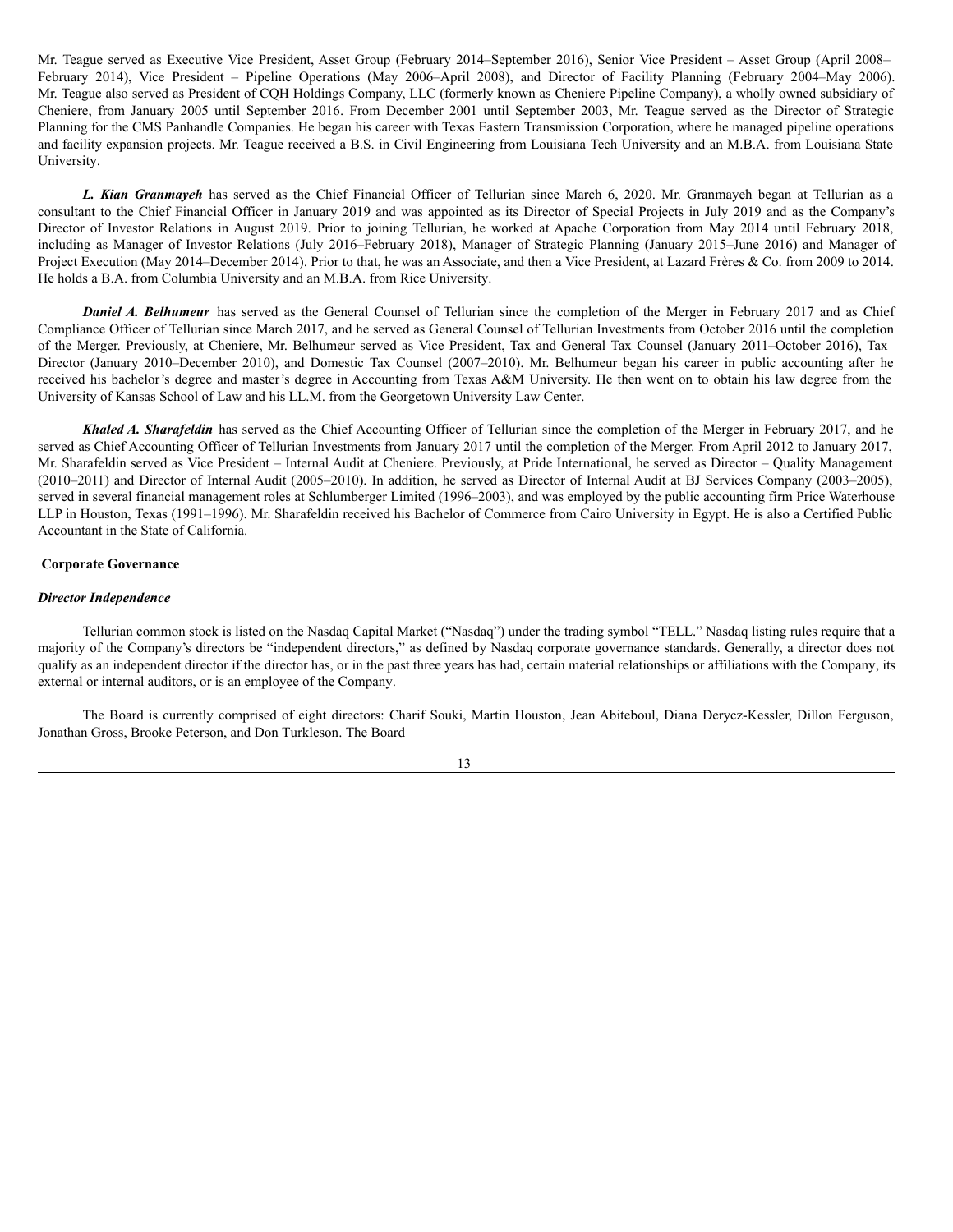Mr. Teague served as Executive Vice President, Asset Group (February 2014–September 2016), Senior Vice President – Asset Group (April 2008– February 2014), Vice President – Pipeline Operations (May 2006–April 2008), and Director of Facility Planning (February 2004–May 2006). Mr. Teague also served as President of CQH Holdings Company, LLC (formerly known as Cheniere Pipeline Company), a wholly owned subsidiary of Cheniere, from January 2005 until September 2016. From December 2001 until September 2003, Mr. Teague served as the Director of Strategic Planning for the CMS Panhandle Companies. He began his career with Texas Eastern Transmission Corporation, where he managed pipeline operations and facility expansion projects. Mr. Teague received a B.S. in Civil Engineering from Louisiana Tech University and an M.B.A. from Louisiana State University.

*L. Kian Granmayeh* has served as the Chief Financial Officer of Tellurian since March 6, 2020. Mr. Granmayeh began at Tellurian as a consultant to the Chief Financial Officer in January 2019 and was appointed as its Director of Special Projects in July 2019 and as the Company's Director of Investor Relations in August 2019. Prior to joining Tellurian, he worked at Apache Corporation from May 2014 until February 2018, including as Manager of Investor Relations (July 2016–February 2018), Manager of Strategic Planning (January 2015–June 2016) and Manager of Project Execution (May 2014–December 2014). Prior to that, he was an Associate, and then a Vice President, at Lazard Frères & Co. from 2009 to 2014. He holds a B.A. from Columbia University and an M.B.A. from Rice University.

*Daniel A. Belhumeur* has served as the General Counsel of Tellurian since the completion of the Merger in February 2017 and as Chief Compliance Officer of Tellurian since March 2017, and he served as General Counsel of Tellurian Investments from October 2016 until the completion of the Merger. Previously, at Cheniere, Mr. Belhumeur served as Vice President, Tax and General Tax Counsel (January 2011–October 2016), Tax Director (January 2010–December 2010), and Domestic Tax Counsel (2007–2010). Mr. Belhumeur began his career in public accounting after he received his bachelor's degree and master's degree in Accounting from Texas A&M University. He then went on to obtain his law degree from the University of Kansas School of Law and his LL.M. from the Georgetown University Law Center.

*Khaled A. Sharafeldin* has served as the Chief Accounting Officer of Tellurian since the completion of the Merger in February 2017, and he served as Chief Accounting Officer of Tellurian Investments from January 2017 until the completion of the Merger. From April 2012 to January 2017, Mr. Sharafeldin served as Vice President – Internal Audit at Cheniere. Previously, at Pride International, he served as Director – Quality Management (2010–2011) and Director of Internal Audit (2005–2010). In addition, he served as Director of Internal Audit at BJ Services Company (2003–2005), served in several financial management roles at Schlumberger Limited (1996–2003), and was employed by the public accounting firm Price Waterhouse LLP in Houston, Texas (1991–1996). Mr. Sharafeldin received his Bachelor of Commerce from Cairo University in Egypt. He is also a Certified Public Accountant in the State of California.

### <span id="page-18-0"></span>**Corporate Governance**

### *Director Independence*

Tellurian common stock is listed on the Nasdaq Capital Market ("Nasdaq") under the trading symbol "TELL." Nasdaq listing rules require that a majority of the Company's directors be "independent directors," as defined by Nasdaq corporate governance standards. Generally, a director does not qualify as an independent director if the director has, or in the past three years has had, certain material relationships or affiliations with the Company, its external or internal auditors, or is an employee of the Company.

The Board is currently comprised of eight directors: Charif Souki, Martin Houston, Jean Abiteboul, Diana Derycz-Kessler, Dillon Ferguson, Jonathan Gross, Brooke Peterson, and Don Turkleson. The Board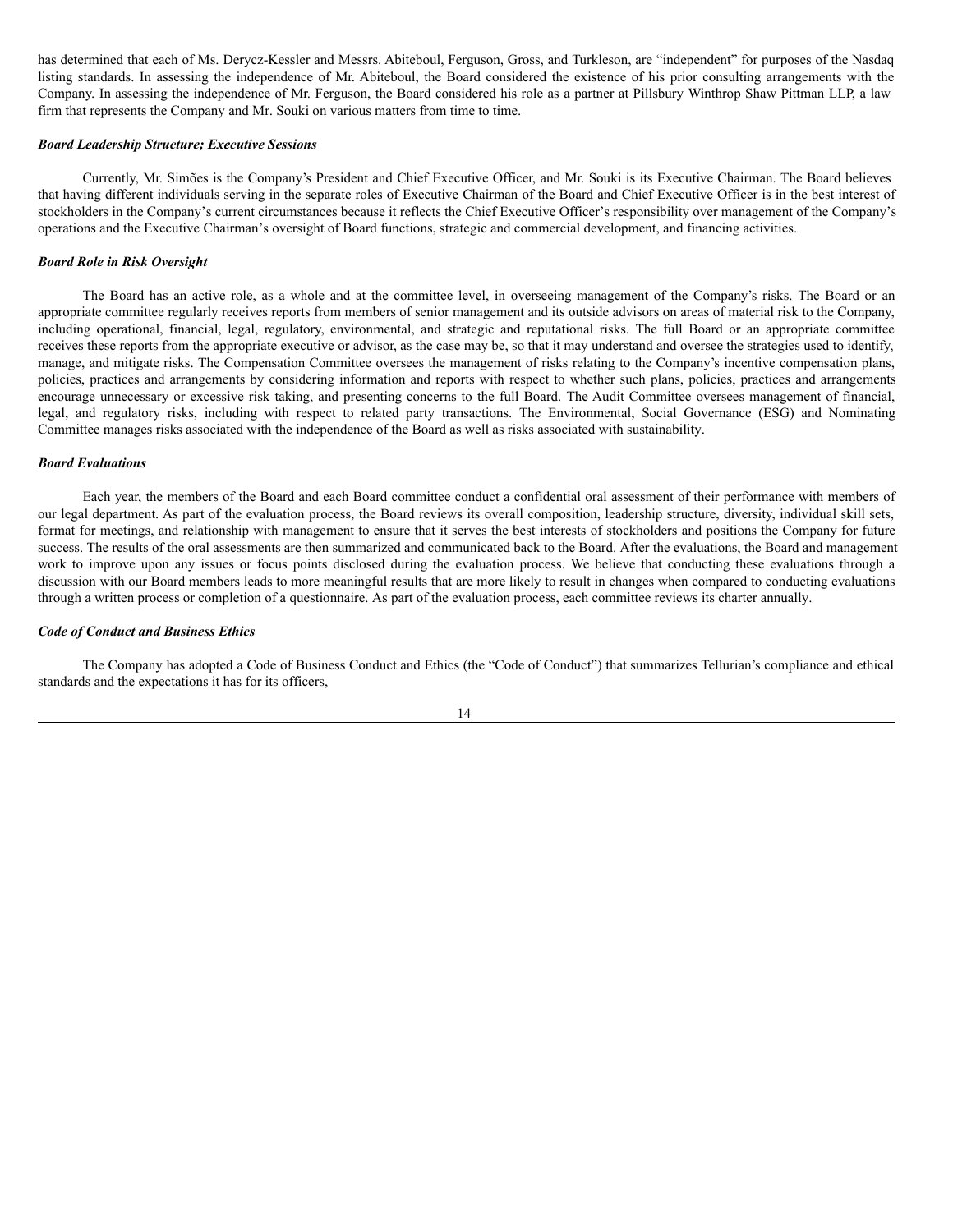has determined that each of Ms. Derycz-Kessler and Messrs. Abiteboul, Ferguson, Gross, and Turkleson, are "independent" for purposes of the Nasdaq listing standards. In assessing the independence of Mr. Abiteboul, the Board considered the existence of his prior consulting arrangements with the Company. In assessing the independence of Mr. Ferguson, the Board considered his role as a partner at Pillsbury Winthrop Shaw Pittman LLP, a law firm that represents the Company and Mr. Souki on various matters from time to time.

## *Board Leadership Structure; Executive Sessions*

Currently, Mr. Simões is the Company's President and Chief Executive Officer, and Mr. Souki is its Executive Chairman. The Board believes that having different individuals serving in the separate roles of Executive Chairman of the Board and Chief Executive Officer is in the best interest of stockholders in the Company's current circumstances because it reflects the Chief Executive Officer's responsibility over management of the Company's operations and the Executive Chairman's oversight of Board functions, strategic and commercial development, and financing activities.

### *Board Role in Risk Oversight*

The Board has an active role, as a whole and at the committee level, in overseeing management of the Company's risks. The Board or an appropriate committee regularly receives reports from members of senior management and its outside advisors on areas of material risk to the Company, including operational, financial, legal, regulatory, environmental, and strategic and reputational risks. The full Board or an appropriate committee receives these reports from the appropriate executive or advisor, as the case may be, so that it may understand and oversee the strategies used to identify, manage, and mitigate risks. The Compensation Committee oversees the management of risks relating to the Company's incentive compensation plans, policies, practices and arrangements by considering information and reports with respect to whether such plans, policies, practices and arrangements encourage unnecessary or excessive risk taking, and presenting concerns to the full Board. The Audit Committee oversees management of financial, legal, and regulatory risks, including with respect to related party transactions. The Environmental, Social Governance (ESG) and Nominating Committee manages risks associated with the independence of the Board as well as risks associated with sustainability.

#### *Board Evaluations*

Each year, the members of the Board and each Board committee conduct a confidential oral assessment of their performance with members of our legal department. As part of the evaluation process, the Board reviews its overall composition, leadership structure, diversity, individual skill sets, format for meetings, and relationship with management to ensure that it serves the best interests of stockholders and positions the Company for future success. The results of the oral assessments are then summarized and communicated back to the Board. After the evaluations, the Board and management work to improve upon any issues or focus points disclosed during the evaluation process. We believe that conducting these evaluations through a discussion with our Board members leads to more meaningful results that are more likely to result in changes when compared to conducting evaluations through a written process or completion of a questionnaire. As part of the evaluation process, each committee reviews its charter annually.

#### *Code of Conduct and Business Ethics*

The Company has adopted a Code of Business Conduct and Ethics (the "Code of Conduct") that summarizes Tellurian's compliance and ethical standards and the expectations it has for its officers,

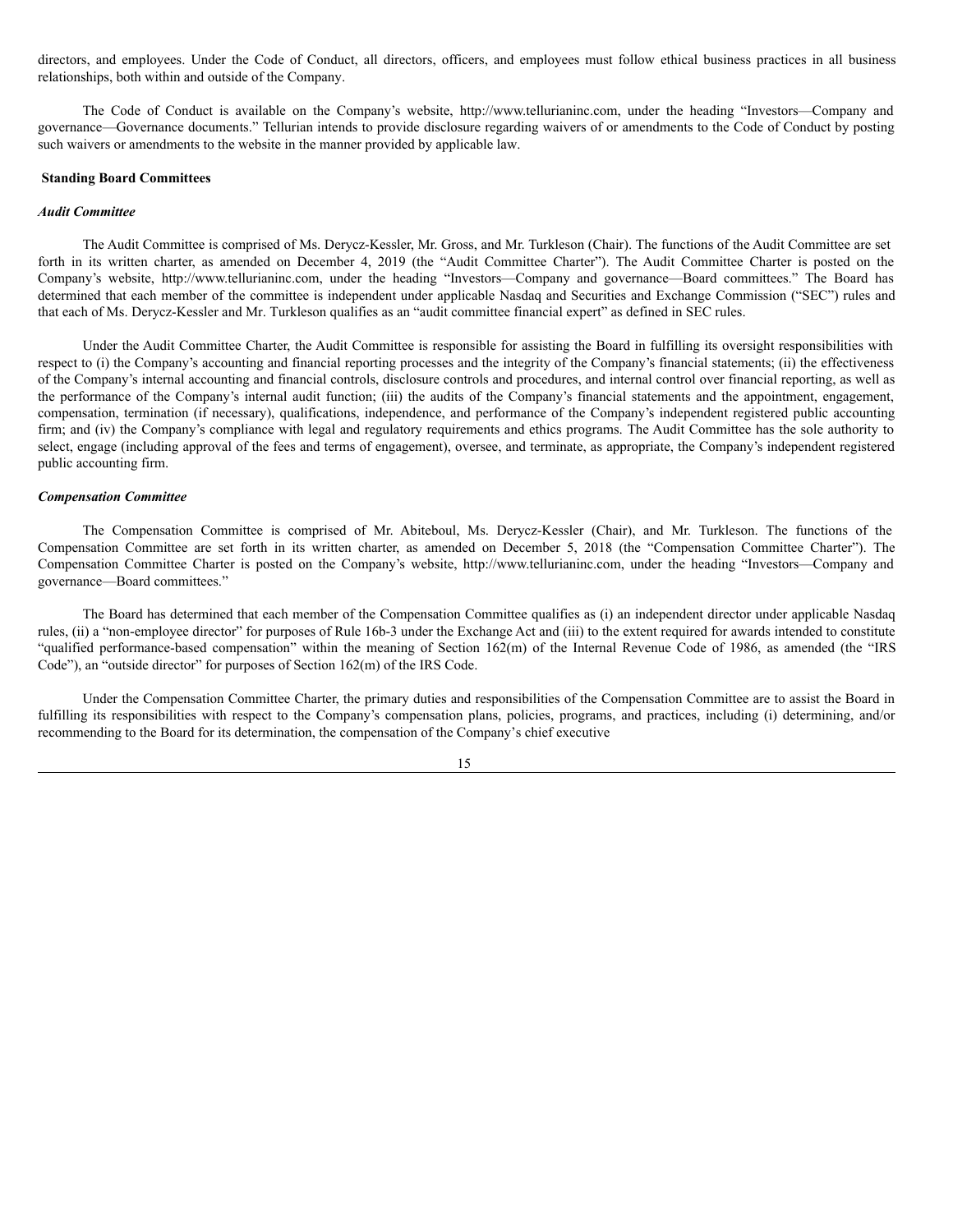directors, and employees. Under the Code of Conduct, all directors, officers, and employees must follow ethical business practices in all business relationships, both within and outside of the Company.

The Code of Conduct is available on the Company's website, http://www.tellurianinc.com, under the heading "Investors—Company and governance—Governance documents." Tellurian intends to provide disclosure regarding waivers of or amendments to the Code of Conduct by posting such waivers or amendments to the website in the manner provided by applicable law.

### <span id="page-20-0"></span>**Standing Board Committees**

#### *Audit Committee*

The Audit Committee is comprised of Ms. Derycz-Kessler, Mr. Gross, and Mr. Turkleson (Chair). The functions of the Audit Committee are set forth in its written charter, as amended on December 4, 2019 (the "Audit Committee Charter"). The Audit Committee Charter is posted on the Company's website, http://www.tellurianinc.com, under the heading "Investors—Company and governance—Board committees." The Board has determined that each member of the committee is independent under applicable Nasdaq and Securities and Exchange Commission ("SEC") rules and that each of Ms. Derycz-Kessler and Mr. Turkleson qualifies as an "audit committee financial expert" as defined in SEC rules.

Under the Audit Committee Charter, the Audit Committee is responsible for assisting the Board in fulfilling its oversight responsibilities with respect to (i) the Company's accounting and financial reporting processes and the integrity of the Company's financial statements; (ii) the effectiveness of the Company's internal accounting and financial controls, disclosure controls and procedures, and internal control over financial reporting, as well as the performance of the Company's internal audit function; (iii) the audits of the Company's financial statements and the appointment, engagement, compensation, termination (if necessary), qualifications, independence, and performance of the Company's independent registered public accounting firm; and (iv) the Company's compliance with legal and regulatory requirements and ethics programs. The Audit Committee has the sole authority to select, engage (including approval of the fees and terms of engagement), oversee, and terminate, as appropriate, the Company's independent registered public accounting firm.

### *Compensation Committee*

The Compensation Committee is comprised of Mr. Abiteboul, Ms. Derycz-Kessler (Chair), and Mr. Turkleson. The functions of the Compensation Committee are set forth in its written charter, as amended on December 5, 2018 (the "Compensation Committee Charter"). The Compensation Committee Charter is posted on the Company's website, http://www.tellurianinc.com, under the heading "Investors—Company and governance—Board committees."

The Board has determined that each member of the Compensation Committee qualifies as (i) an independent director under applicable Nasdaq rules, (ii) a "non-employee director" for purposes of Rule 16b-3 under the Exchange Act and (iii) to the extent required for awards intended to constitute "qualified performance-based compensation" within the meaning of Section 162(m) of the Internal Revenue Code of 1986, as amended (the "IRS Code"), an "outside director" for purposes of Section 162(m) of the IRS Code.

Under the Compensation Committee Charter, the primary duties and responsibilities of the Compensation Committee are to assist the Board in fulfilling its responsibilities with respect to the Company's compensation plans, policies, programs, and practices, including (i) determining, and/or recommending to the Board for its determination, the compensation of the Company's chief executive

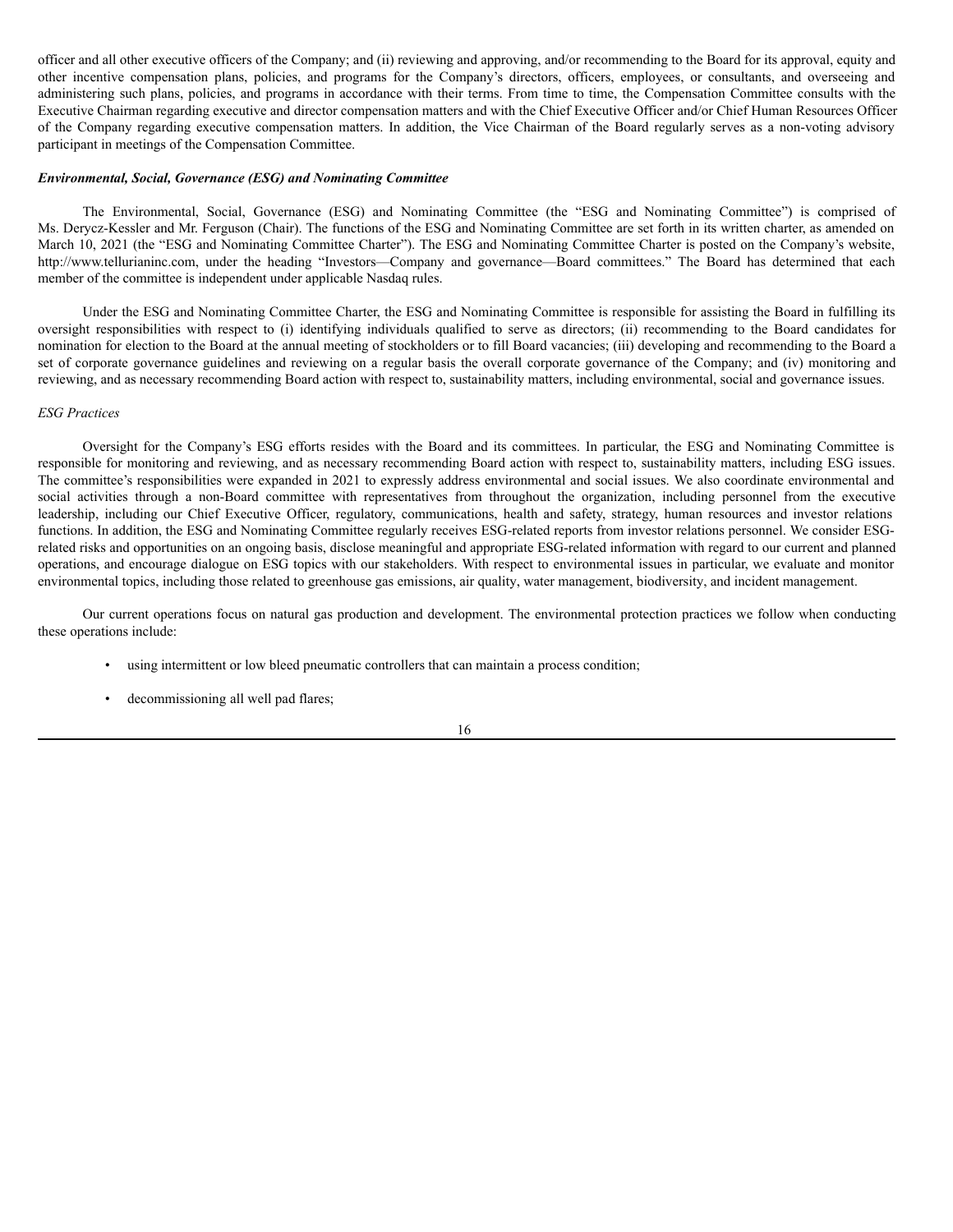officer and all other executive officers of the Company; and (ii) reviewing and approving, and/or recommending to the Board for its approval, equity and other incentive compensation plans, policies, and programs for the Company's directors, officers, employees, or consultants, and overseeing and administering such plans, policies, and programs in accordance with their terms. From time to time, the Compensation Committee consults with the Executive Chairman regarding executive and director compensation matters and with the Chief Executive Officer and/or Chief Human Resources Officer of the Company regarding executive compensation matters. In addition, the Vice Chairman of the Board regularly serves as a non-voting advisory participant in meetings of the Compensation Committee.

### *Environmental, Social, Governance (ESG) and Nominating Committee*

The Environmental, Social, Governance (ESG) and Nominating Committee (the "ESG and Nominating Committee") is comprised of Ms. Derycz-Kessler and Mr. Ferguson (Chair). The functions of the ESG and Nominating Committee are set forth in its written charter, as amended on March 10, 2021 (the "ESG and Nominating Committee Charter"). The ESG and Nominating Committee Charter is posted on the Company's website, http://www.tellurianinc.com, under the heading "Investors—Company and governance—Board committees." The Board has determined that each member of the committee is independent under applicable Nasdaq rules.

Under the ESG and Nominating Committee Charter, the ESG and Nominating Committee is responsible for assisting the Board in fulfilling its oversight responsibilities with respect to (i) identifying individuals qualified to serve as directors; (ii) recommending to the Board candidates for nomination for election to the Board at the annual meeting of stockholders or to fill Board vacancies; (iii) developing and recommending to the Board a set of corporate governance guidelines and reviewing on a regular basis the overall corporate governance of the Company; and (iv) monitoring and reviewing, and as necessary recommending Board action with respect to, sustainability matters, including environmental, social and governance issues.

### *ESG Practices*

Oversight for the Company's ESG efforts resides with the Board and its committees. In particular, the ESG and Nominating Committee is responsible for monitoring and reviewing, and as necessary recommending Board action with respect to, sustainability matters, including ESG issues. The committee's responsibilities were expanded in 2021 to expressly address environmental and social issues. We also coordinate environmental and social activities through a non-Board committee with representatives from throughout the organization, including personnel from the executive leadership, including our Chief Executive Officer, regulatory, communications, health and safety, strategy, human resources and investor relations functions. In addition, the ESG and Nominating Committee regularly receives ESG-related reports from investor relations personnel. We consider ESGrelated risks and opportunities on an ongoing basis, disclose meaningful and appropriate ESG-related information with regard to our current and planned operations, and encourage dialogue on ESG topics with our stakeholders. With respect to environmental issues in particular, we evaluate and monitor environmental topics, including those related to greenhouse gas emissions, air quality, water management, biodiversity, and incident management.

Our current operations focus on natural gas production and development. The environmental protection practices we follow when conducting these operations include:

- using intermittent or low bleed pneumatic controllers that can maintain a process condition;
- decommissioning all well pad flares;

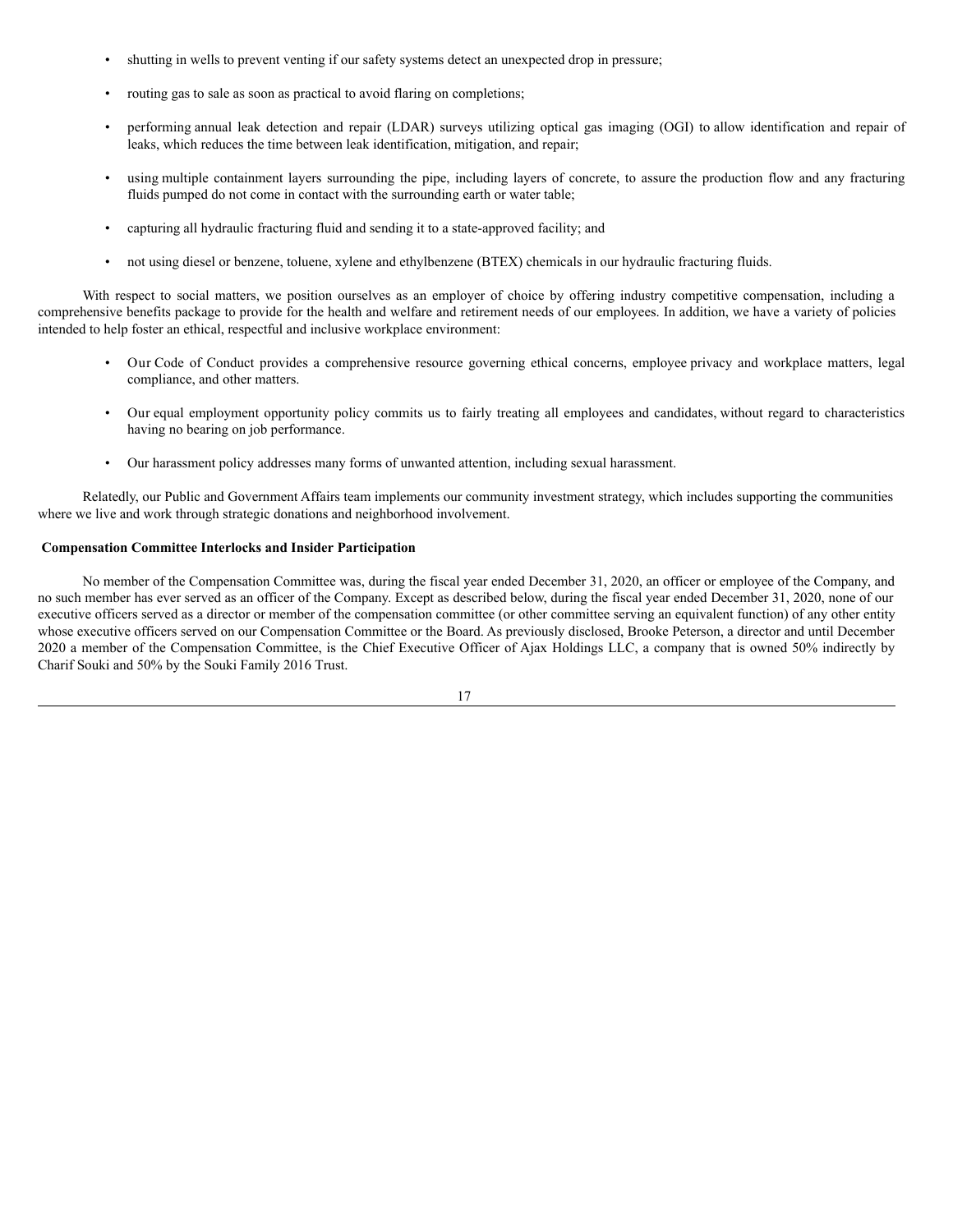- shutting in wells to prevent venting if our safety systems detect an unexpected drop in pressure;
- routing gas to sale as soon as practical to avoid flaring on completions;
- performing annual leak detection and repair (LDAR) surveys utilizing optical gas imaging (OGI) to allow identification and repair of leaks, which reduces the time between leak identification, mitigation, and repair;
- using multiple containment layers surrounding the pipe, including layers of concrete, to assure the production flow and any fracturing fluids pumped do not come in contact with the surrounding earth or water table;
- capturing all hydraulic fracturing fluid and sending it to a state-approved facility; and
- not using diesel or benzene, toluene, xylene and ethylbenzene (BTEX) chemicals in our hydraulic fracturing fluids.

With respect to social matters, we position ourselves as an employer of choice by offering industry competitive compensation, including a comprehensive benefits package to provide for the health and welfare and retirement needs of our employees. In addition, we have a variety of policies intended to help foster an ethical, respectful and inclusive workplace environment:

- Our Code of Conduct provides a comprehensive resource governing ethical concerns, employee privacy and workplace matters, legal compliance, and other matters.
- Our equal employment opportunity policy commits us to fairly treating all employees and candidates, without regard to characteristics having no bearing on job performance.
- Our harassment policy addresses many forms of unwanted attention, including sexual harassment.

Relatedly, our Public and Government Affairs team implements our community investment strategy, which includes supporting the communities where we live and work through strategic donations and neighborhood involvement.

## <span id="page-22-0"></span>**Compensation Committee Interlocks and Insider Participation**

No member of the Compensation Committee was, during the fiscal year ended December 31, 2020, an officer or employee of the Company, and no such member has ever served as an officer of the Company. Except as described below, during the fiscal year ended December 31, 2020, none of our executive officers served as a director or member of the compensation committee (or other committee serving an equivalent function) of any other entity whose executive officers served on our Compensation Committee or the Board. As previously disclosed, Brooke Peterson, a director and until December 2020 a member of the Compensation Committee, is the Chief Executive Officer of Ajax Holdings LLC, a company that is owned 50% indirectly by Charif Souki and 50% by the Souki Family 2016 Trust.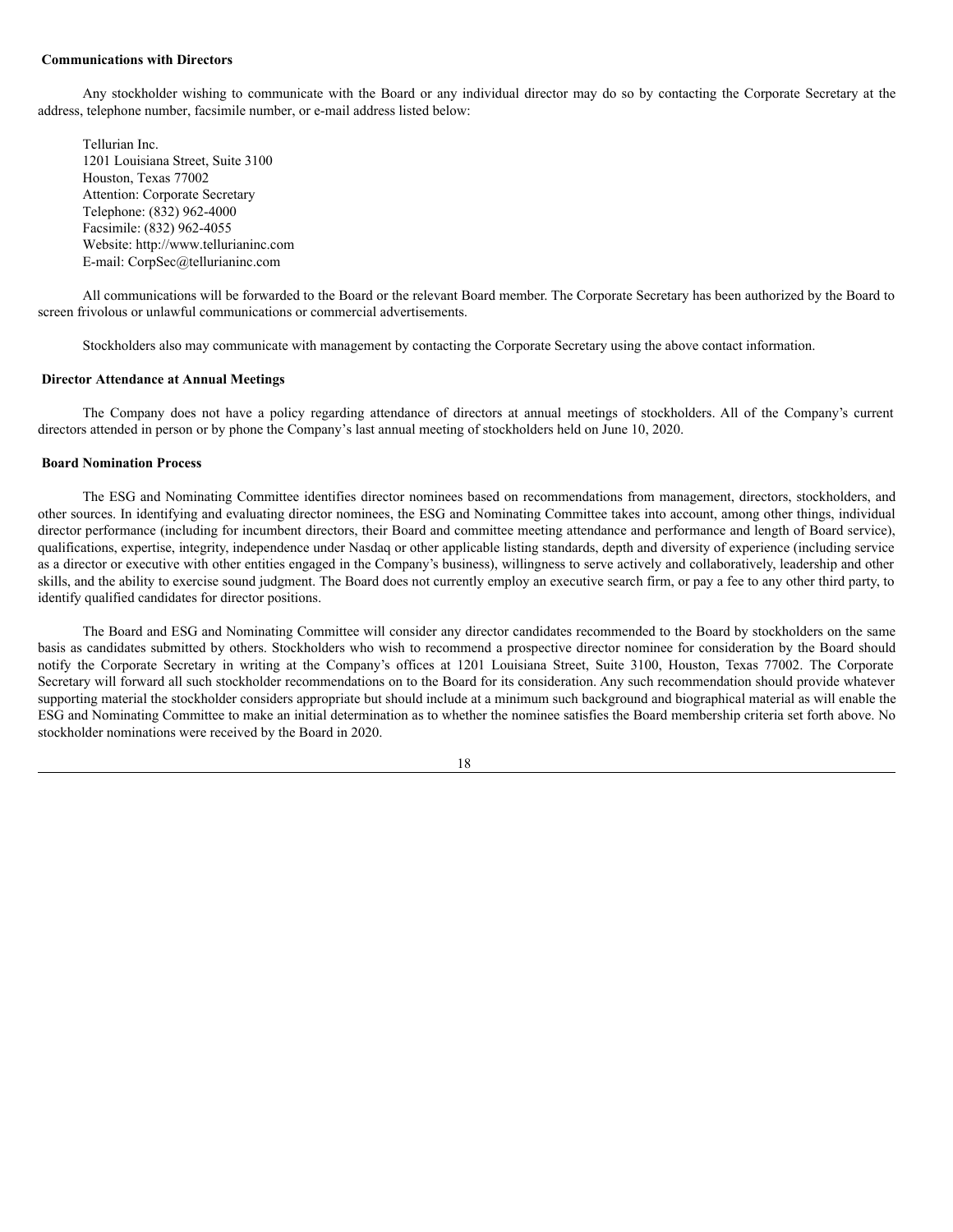#### <span id="page-23-0"></span>**Communications with Directors**

Any stockholder wishing to communicate with the Board or any individual director may do so by contacting the Corporate Secretary at the address, telephone number, facsimile number, or e-mail address listed below:

Tellurian Inc. 1201 Louisiana Street, Suite 3100 Houston, Texas 77002 Attention: Corporate Secretary Telephone: (832) 962-4000 Facsimile: (832) 962-4055 Website: http://www.tellurianinc.com E-mail: CorpSec@tellurianinc.com

All communications will be forwarded to the Board or the relevant Board member. The Corporate Secretary has been authorized by the Board to screen frivolous or unlawful communications or commercial advertisements.

Stockholders also may communicate with management by contacting the Corporate Secretary using the above contact information.

## <span id="page-23-1"></span>**Director Attendance at Annual Meetings**

The Company does not have a policy regarding attendance of directors at annual meetings of stockholders. All of the Company's current directors attended in person or by phone the Company's last annual meeting of stockholders held on June 10, 2020.

#### <span id="page-23-2"></span>**Board Nomination Process**

The ESG and Nominating Committee identifies director nominees based on recommendations from management, directors, stockholders, and other sources. In identifying and evaluating director nominees, the ESG and Nominating Committee takes into account, among other things, individual director performance (including for incumbent directors, their Board and committee meeting attendance and performance and length of Board service), qualifications, expertise, integrity, independence under Nasdaq or other applicable listing standards, depth and diversity of experience (including service as a director or executive with other entities engaged in the Company's business), willingness to serve actively and collaboratively, leadership and other skills, and the ability to exercise sound judgment. The Board does not currently employ an executive search firm, or pay a fee to any other third party, to identify qualified candidates for director positions.

The Board and ESG and Nominating Committee will consider any director candidates recommended to the Board by stockholders on the same basis as candidates submitted by others. Stockholders who wish to recommend a prospective director nominee for consideration by the Board should notify the Corporate Secretary in writing at the Company's offices at 1201 Louisiana Street, Suite 3100, Houston, Texas 77002. The Corporate Secretary will forward all such stockholder recommendations on to the Board for its consideration. Any such recommendation should provide whatever supporting material the stockholder considers appropriate but should include at a minimum such background and biographical material as will enable the ESG and Nominating Committee to make an initial determination as to whether the nominee satisfies the Board membership criteria set forth above. No stockholder nominations were received by the Board in 2020.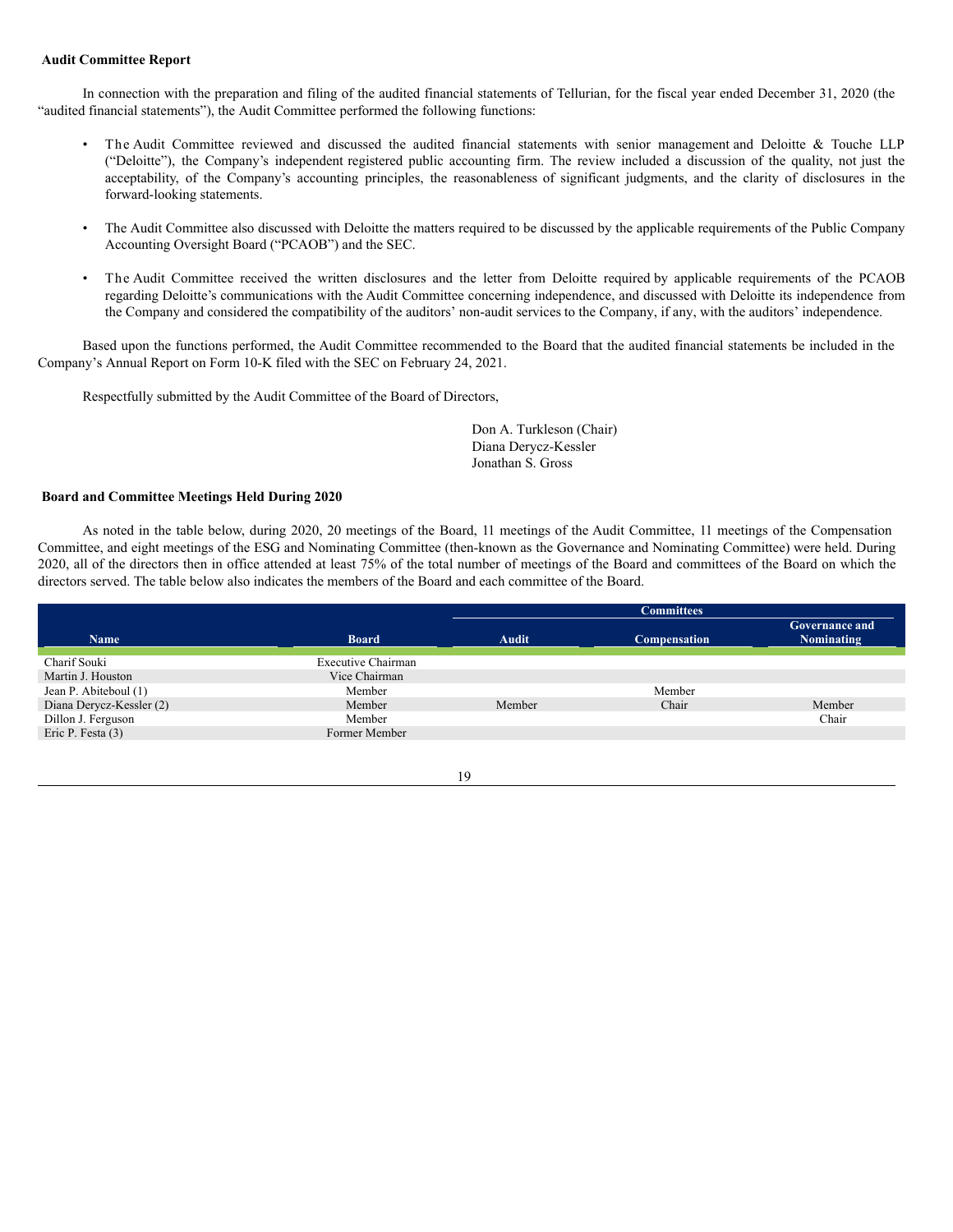### <span id="page-24-0"></span>**Audit Committee Report**

In connection with the preparation and filing of the audited financial statements of Tellurian, for the fiscal year ended December 31, 2020 (the "audited financial statements"), the Audit Committee performed the following functions:

- The Audit Committee reviewed and discussed the audited financial statements with senior management and Deloitte & Touche LLP ("Deloitte"), the Company's independent registered public accounting firm. The review included a discussion of the quality, not just the acceptability, of the Company's accounting principles, the reasonableness of significant judgments, and the clarity of disclosures in the forward-looking statements.
- The Audit Committee also discussed with Deloitte the matters required to be discussed by the applicable requirements of the Public Company Accounting Oversight Board ("PCAOB") and the SEC.
- The Audit Committee received the written disclosures and the letter from Deloitte required by applicable requirements of the PCAOB regarding Deloitte's communications with the Audit Committee concerning independence, and discussed with Deloitte its independence from the Company and considered the compatibility of the auditors' non-audit services to the Company, if any, with the auditors' independence.

Based upon the functions performed, the Audit Committee recommended to the Board that the audited financial statements be included in the Company's Annual Report on Form 10-K filed with the SEC on February 24, 2021.

Respectfully submitted by the Audit Committee of the Board of Directors,

Don A. Turkleson (Chair) Diana Derycz-Kessler Jonathan S. Gross

## <span id="page-24-1"></span>**Board and Committee Meetings Held During 2020**

As noted in the table below, during 2020, 20 meetings of the Board, 11 meetings of the Audit Committee, 11 meetings of the Compensation Committee, and eight meetings of the ESG and Nominating Committee (then-known as the Governance and Nominating Committee) were held. During 2020, all of the directors then in office attended at least 75% of the total number of meetings of the Board and committees of the Board on which the directors served. The table below also indicates the members of the Board and each committee of the Board.

|                          |                    | <b>Committees</b> |                     |                                            |
|--------------------------|--------------------|-------------------|---------------------|--------------------------------------------|
| <b>Name</b>              | <b>Board</b>       | Audit             | <b>Compensation</b> | <b>Governance and</b><br><b>Nominating</b> |
| Charif Souki             | Executive Chairman |                   |                     |                                            |
| Martin J. Houston        | Vice Chairman      |                   |                     |                                            |
| Jean P. Abiteboul (1)    | Member             |                   | Member              |                                            |
| Diana Derycz-Kessler (2) | Member             | Member            | Chair               | Member                                     |
| Dillon J. Ferguson       | Member             |                   |                     | Chair                                      |
| Eric P. Festa $(3)$      | Former Member      |                   |                     |                                            |
|                          |                    |                   |                     |                                            |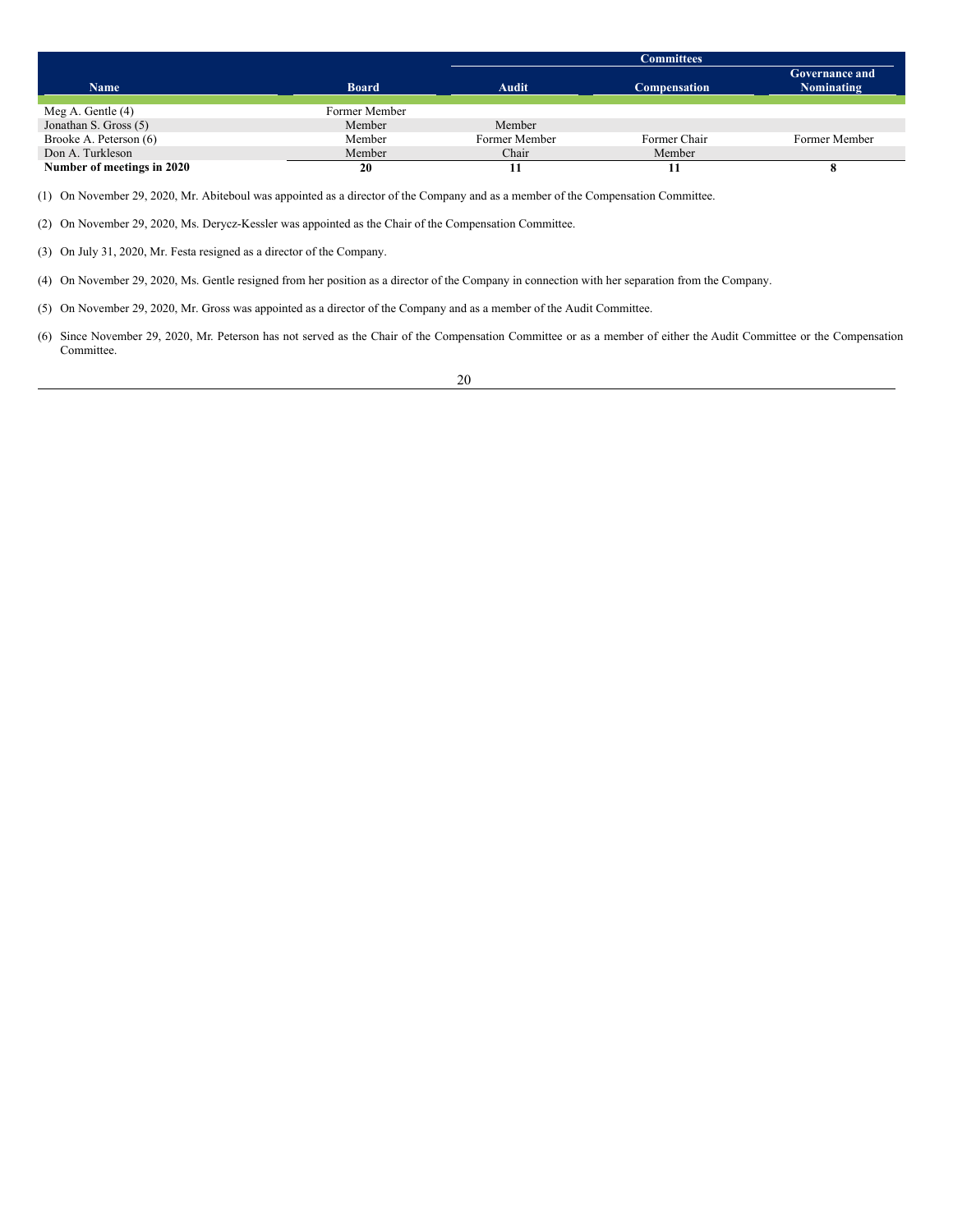|                            |               | <b>Committees</b> |                     |                                            |
|----------------------------|---------------|-------------------|---------------------|--------------------------------------------|
| <b>Name</b>                | <b>Board</b>  | Audit             | <b>Compensation</b> | <b>Governance and</b><br><b>Nominating</b> |
| Meg A. Gentle $(4)$        | Former Member |                   |                     |                                            |
| Jonathan S. Gross (5)      | Member        | Member            |                     |                                            |
| Brooke A. Peterson (6)     | Member        | Former Member     | Former Chair        | Former Member                              |
| Don A. Turkleson           | Member        | Chair             | Member              |                                            |
| Number of meetings in 2020 | 20            |                   |                     |                                            |

(1) On November 29, 2020, Mr. Abiteboul was appointed as a director of the Company and as a member of the Compensation Committee.

(2) On November 29, 2020, Ms. Derycz-Kessler was appointed as the Chair of the Compensation Committee.

(3) On July 31, 2020, Mr. Festa resigned as a director of the Company.

(4) On November 29, 2020, Ms. Gentle resigned from her position as a director of the Company in connection with her separation from the Company.

(5) On November 29, 2020, Mr. Gross was appointed as a director of the Company and as a member of the Audit Committee.

(6) Since November 29, 2020, Mr. Peterson has not served as the Chair of the Compensation Committee or as a member of either the Audit Committee or the Compensation Committee.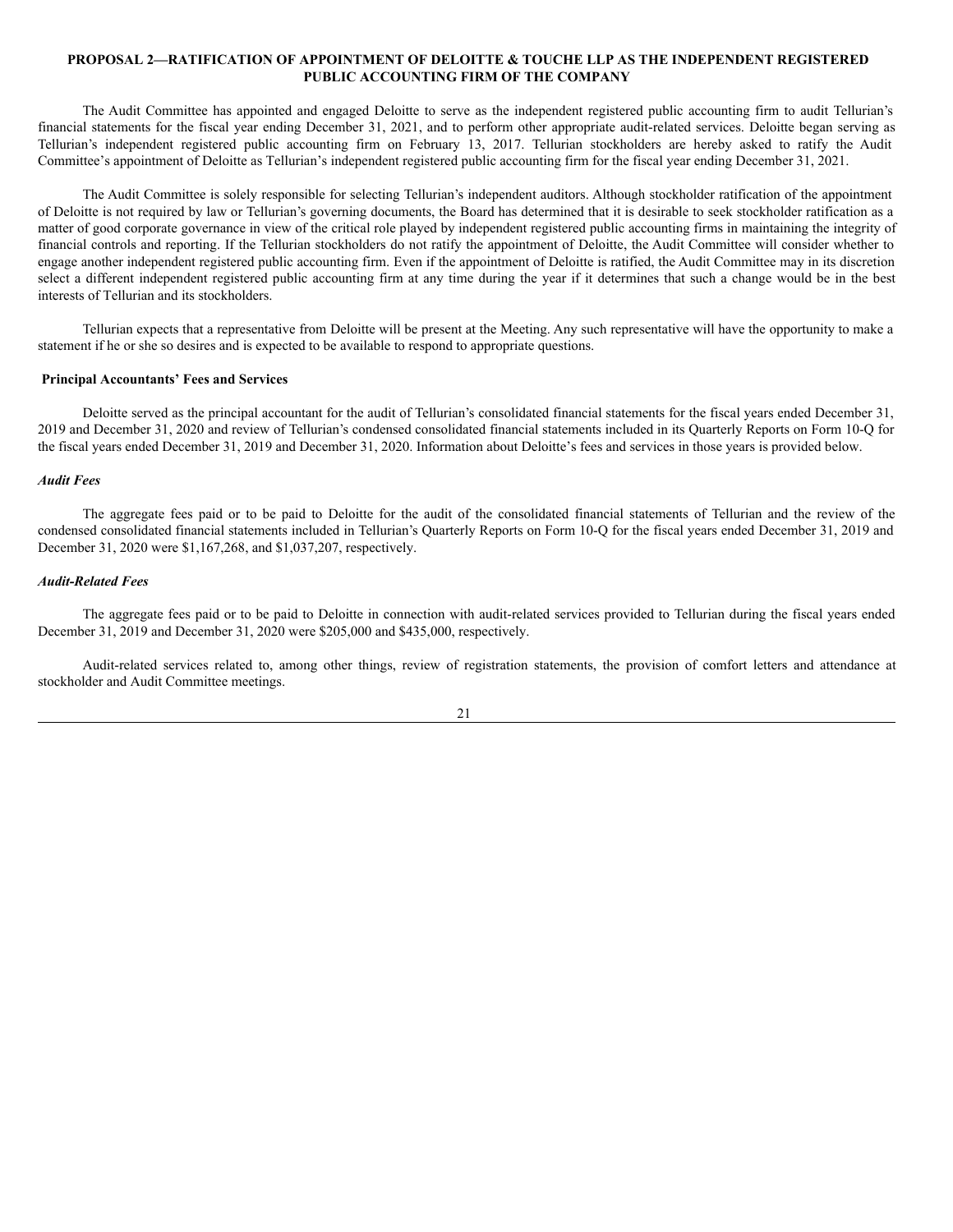## <span id="page-26-0"></span>**PROPOSAL 2—RATIFICATION OF APPOINTMENT OF DELOITTE & TOUCHE LLP AS THE INDEPENDENT REGISTERED PUBLIC ACCOUNTING FIRM OF THE COMPANY**

The Audit Committee has appointed and engaged Deloitte to serve as the independent registered public accounting firm to audit Tellurian's financial statements for the fiscal year ending December 31, 2021, and to perform other appropriate audit-related services. Deloitte began serving as Tellurian's independent registered public accounting firm on February 13, 2017. Tellurian stockholders are hereby asked to ratify the Audit Committee's appointment of Deloitte as Tellurian's independent registered public accounting firm for the fiscal year ending December 31, 2021.

The Audit Committee is solely responsible for selecting Tellurian's independent auditors. Although stockholder ratification of the appointment of Deloitte is not required by law or Tellurian's governing documents, the Board has determined that it is desirable to seek stockholder ratification as a matter of good corporate governance in view of the critical role played by independent registered public accounting firms in maintaining the integrity of financial controls and reporting. If the Tellurian stockholders do not ratify the appointment of Deloitte, the Audit Committee will consider whether to engage another independent registered public accounting firm. Even if the appointment of Deloitte is ratified, the Audit Committee may in its discretion select a different independent registered public accounting firm at any time during the year if it determines that such a change would be in the best interests of Tellurian and its stockholders.

Tellurian expects that a representative from Deloitte will be present at the Meeting. Any such representative will have the opportunity to make a statement if he or she so desires and is expected to be available to respond to appropriate questions.

### <span id="page-26-1"></span>**Principal Accountants' Fees and Services**

Deloitte served as the principal accountant for the audit of Tellurian's consolidated financial statements for the fiscal years ended December 31, 2019 and December 31, 2020 and review of Tellurian's condensed consolidated financial statements included in its Quarterly Reports on Form 10-Q for the fiscal years ended December 31, 2019 and December 31, 2020. Information about Deloitte's fees and services in those years is provided below.

## *Audit Fees*

The aggregate fees paid or to be paid to Deloitte for the audit of the consolidated financial statements of Tellurian and the review of the condensed consolidated financial statements included in Tellurian's Quarterly Reports on Form 10-Q for the fiscal years ended December 31, 2019 and December 31, 2020 were \$1,167,268, and \$1,037,207, respectively.

## *Audit-Related Fees*

The aggregate fees paid or to be paid to Deloitte in connection with audit-related services provided to Tellurian during the fiscal years ended December 31, 2019 and December 31, 2020 were \$205,000 and \$435,000, respectively.

Audit-related services related to, among other things, review of registration statements, the provision of comfort letters and attendance at stockholder and Audit Committee meetings.

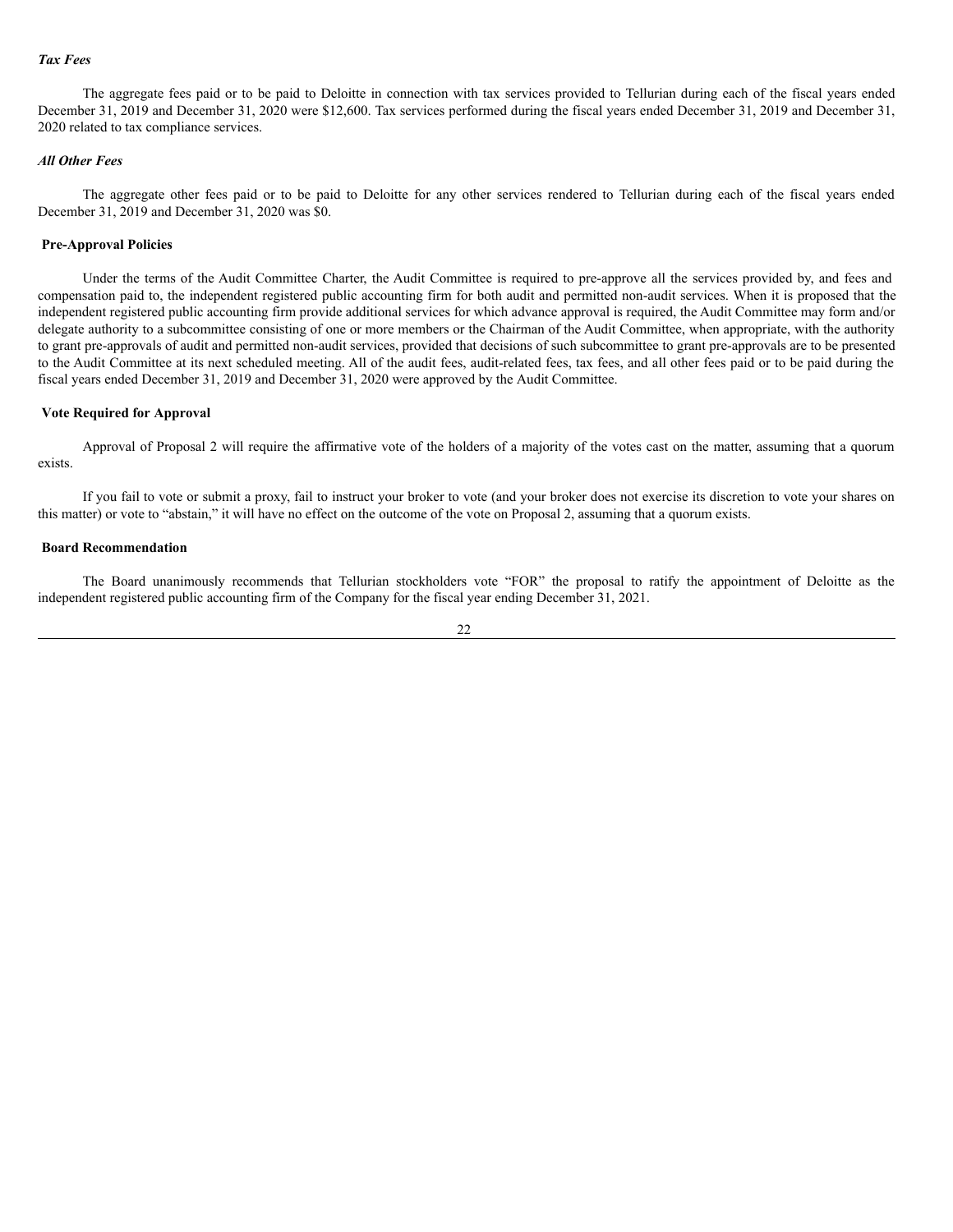## *Tax Fees*

The aggregate fees paid or to be paid to Deloitte in connection with tax services provided to Tellurian during each of the fiscal years ended December 31, 2019 and December 31, 2020 were \$12,600. Tax services performed during the fiscal years ended December 31, 2019 and December 31, 2020 related to tax compliance services.

## *All Other Fees*

The aggregate other fees paid or to be paid to Deloitte for any other services rendered to Tellurian during each of the fiscal years ended December 31, 2019 and December 31, 2020 was \$0.

### <span id="page-27-0"></span>**Pre-Approval Policies**

Under the terms of the Audit Committee Charter, the Audit Committee is required to pre-approve all the services provided by, and fees and compensation paid to, the independent registered public accounting firm for both audit and permitted non-audit services. When it is proposed that the independent registered public accounting firm provide additional services for which advance approval is required, the Audit Committee may form and/or delegate authority to a subcommittee consisting of one or more members or the Chairman of the Audit Committee, when appropriate, with the authority to grant pre-approvals of audit and permitted non-audit services, provided that decisions of such subcommittee to grant pre-approvals are to be presented to the Audit Committee at its next scheduled meeting. All of the audit fees, audit-related fees, tax fees, and all other fees paid or to be paid during the fiscal years ended December 31, 2019 and December 31, 2020 were approved by the Audit Committee.

### <span id="page-27-1"></span>**Vote Required for Approval**

Approval of Proposal 2 will require the affirmative vote of the holders of a majority of the votes cast on the matter, assuming that a quorum exists.

If you fail to vote or submit a proxy, fail to instruct your broker to vote (and your broker does not exercise its discretion to vote your shares on this matter) or vote to "abstain," it will have no effect on the outcome of the vote on Proposal 2, assuming that a quorum exists.

## <span id="page-27-2"></span>**Board Recommendation**

The Board unanimously recommends that Tellurian stockholders vote "FOR" the proposal to ratify the appointment of Deloitte as the independent registered public accounting firm of the Company for the fiscal year ending December 31, 2021.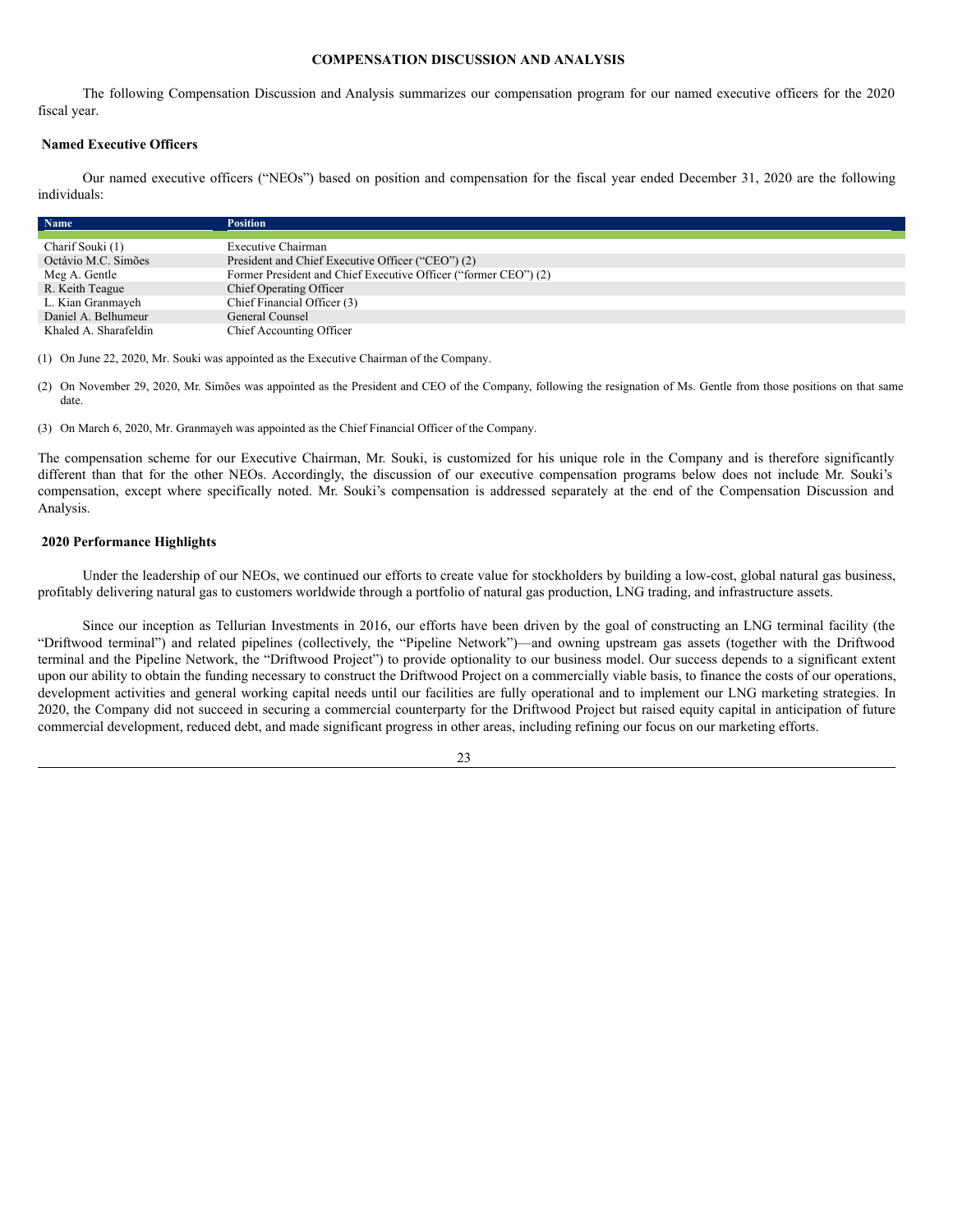#### <span id="page-28-0"></span>**COMPENSATION DISCUSSION AND ANALYSIS**

The following Compensation Discussion and Analysis summarizes our compensation program for our named executive officers for the 2020 fiscal year.

### <span id="page-28-1"></span>**Named Executive Officers**

Our named executive officers ("NEOs") based on position and compensation for the fiscal year ended December 31, 2020 are the following individuals:

| Name                  | <b>Position</b>                                                 |
|-----------------------|-----------------------------------------------------------------|
|                       |                                                                 |
| Charif Souki (1)      | Executive Chairman                                              |
| Octávio M.C. Simões   | President and Chief Executive Officer ("CEO") (2)               |
| Meg A. Gentle         | Former President and Chief Executive Officer ("former CEO") (2) |
| R. Keith Teague       | Chief Operating Officer                                         |
| L. Kian Granmayeh     | Chief Financial Officer (3)                                     |
| Daniel A. Belhumeur   | General Counsel                                                 |
| Khaled A. Sharafeldin | Chief Accounting Officer                                        |

(1) On June 22, 2020, Mr. Souki was appointed as the Executive Chairman of the Company.

(2) On November 29, 2020, Mr. Simões was appointed as the President and CEO of the Company, following the resignation of Ms. Gentle from those positions on that same date.

(3) On March 6, 2020, Mr. Granmayeh was appointed as the Chief Financial Officer of the Company.

The compensation scheme for our Executive Chairman, Mr. Souki, is customized for his unique role in the Company and is therefore significantly different than that for the other NEOs. Accordingly, the discussion of our executive compensation programs below does not include Mr. Souki's compensation, except where specifically noted. Mr. Souki's compensation is addressed separately at the end of the Compensation Discussion and Analysis.

### <span id="page-28-2"></span>**2020 Performance Highlights**

Under the leadership of our NEOs, we continued our efforts to create value for stockholders by building a low-cost, global natural gas business, profitably delivering natural gas to customers worldwide through a portfolio of natural gas production, LNG trading, and infrastructure assets.

Since our inception as Tellurian Investments in 2016, our efforts have been driven by the goal of constructing an LNG terminal facility (the "Driftwood terminal") and related pipelines (collectively, the "Pipeline Network")—and owning upstream gas assets (together with the Driftwood terminal and the Pipeline Network, the "Driftwood Project") to provide optionality to our business model. Our success depends to a significant extent upon our ability to obtain the funding necessary to construct the Driftwood Project on a commercially viable basis, to finance the costs of our operations, development activities and general working capital needs until our facilities are fully operational and to implement our LNG marketing strategies. In 2020, the Company did not succeed in securing a commercial counterparty for the Driftwood Project but raised equity capital in anticipation of future commercial development, reduced debt, and made significant progress in other areas, including refining our focus on our marketing efforts.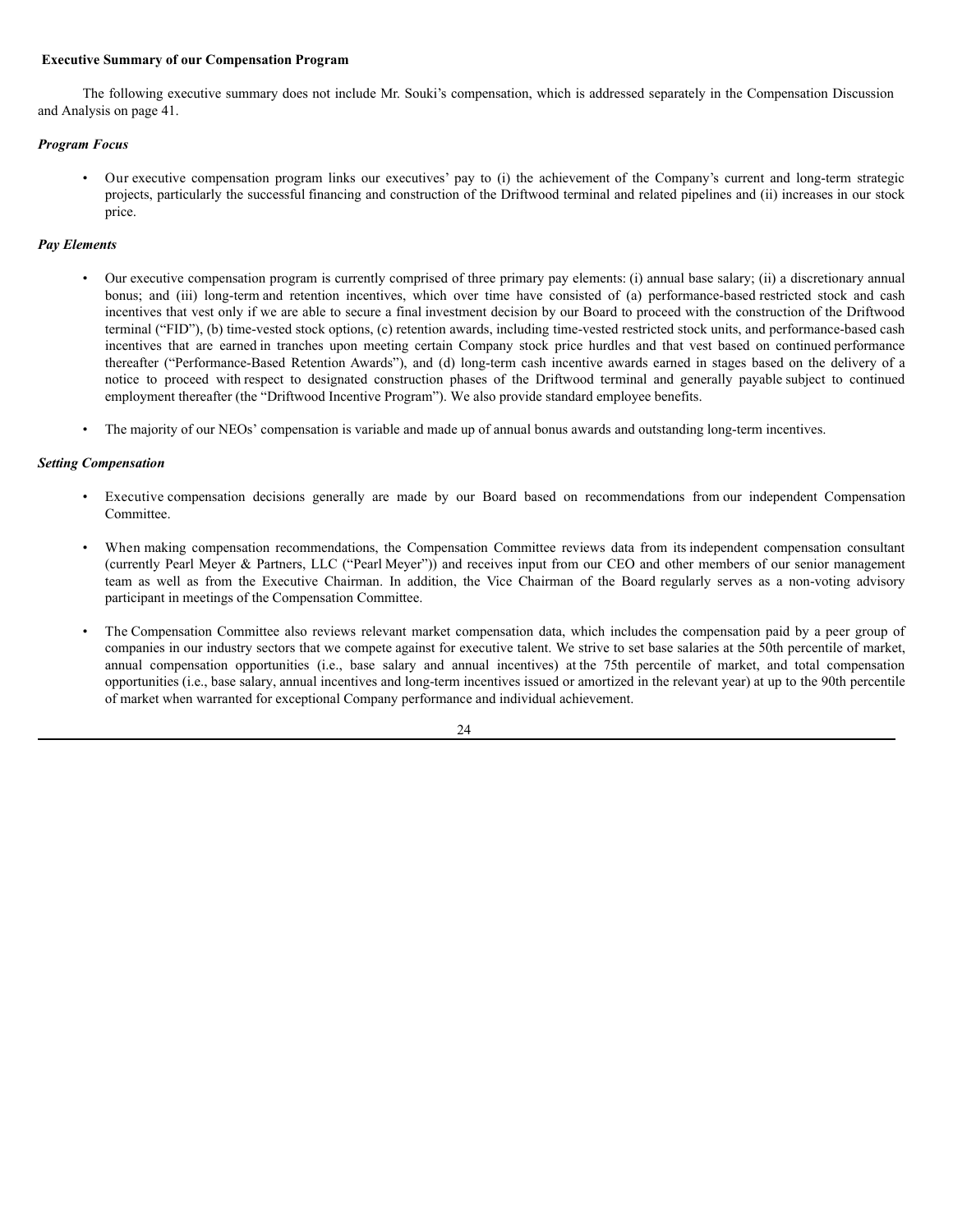### <span id="page-29-0"></span>**Executive Summary of our Compensation Program**

The following executive summary does not include Mr. Souki's compensation, which is addressed separately in the Compensation Discussion and Analysis on page 41.

## *Program Focus*

• Our executive compensation program links our executives' pay to (i) the achievement of the Company's current and long-term strategic projects, particularly the successful financing and construction of the Driftwood terminal and related pipelines and (ii) increases in our stock price.

### *Pay Elements*

- Our executive compensation program is currently comprised of three primary pay elements: (i) annual base salary; (ii) a discretionary annual bonus; and (iii) long-term and retention incentives, which over time have consisted of (a) performance-based restricted stock and cash incentives that vest only if we are able to secure a final investment decision by our Board to proceed with the construction of the Driftwood terminal ("FID"), (b) time-vested stock options, (c) retention awards, including time-vested restricted stock units, and performance-based cash incentives that are earned in tranches upon meeting certain Company stock price hurdles and that vest based on continued performance thereafter ("Performance-Based Retention Awards"), and (d) long-term cash incentive awards earned in stages based on the delivery of a notice to proceed with respect to designated construction phases of the Driftwood terminal and generally payable subject to continued employment thereafter (the "Driftwood Incentive Program"). We also provide standard employee benefits.
- The majority of our NEOs' compensation is variable and made up of annual bonus awards and outstanding long-term incentives.

### *Setting Compensation*

- Executive compensation decisions generally are made by our Board based on recommendations from our independent Compensation Committee.
- When making compensation recommendations, the Compensation Committee reviews data from its independent compensation consultant (currently Pearl Meyer & Partners, LLC ("Pearl Meyer")) and receives input from our CEO and other members of our senior management team as well as from the Executive Chairman. In addition, the Vice Chairman of the Board regularly serves as a non-voting advisory participant in meetings of the Compensation Committee.
- The Compensation Committee also reviews relevant market compensation data, which includes the compensation paid by a peer group of companies in our industry sectors that we compete against for executive talent. We strive to set base salaries at the 50th percentile of market, annual compensation opportunities (i.e., base salary and annual incentives) at the 75th percentile of market, and total compensation opportunities (i.e., base salary, annual incentives and long-term incentives issued or amortized in the relevant year) at up to the 90th percentile of market when warranted for exceptional Company performance and individual achievement.

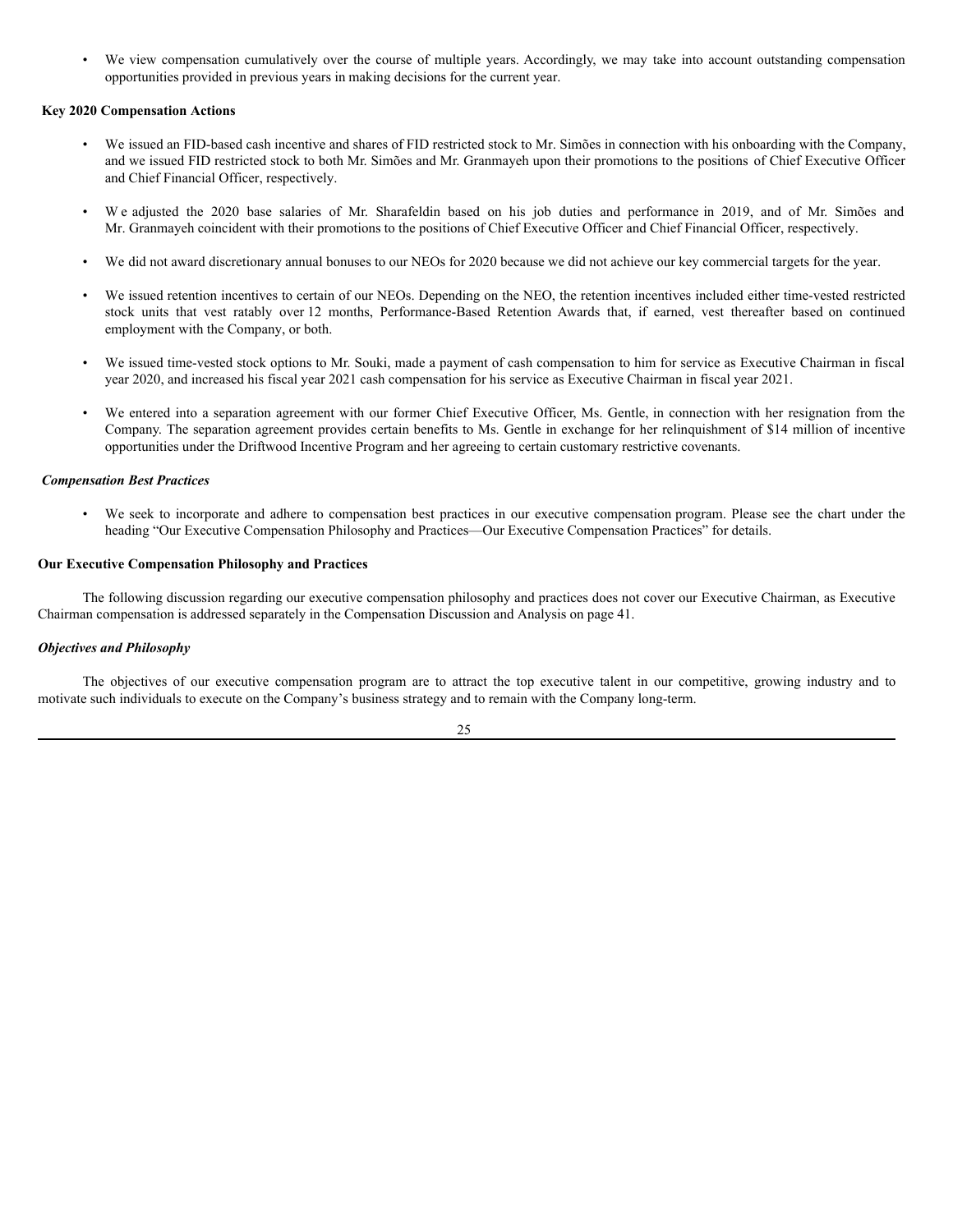• We view compensation cumulatively over the course of multiple years. Accordingly, we may take into account outstanding compensation opportunities provided in previous years in making decisions for the current year.

## <span id="page-30-0"></span>**Key 2020 Compensation Actions**

- We issued an FID-based cash incentive and shares of FID restricted stock to Mr. Simões in connection with his onboarding with the Company, and we issued FID restricted stock to both Mr. Simões and Mr. Granmayeh upon their promotions to the positions of Chief Executive Officer and Chief Financial Officer, respectively.
- W e adjusted the 2020 base salaries of Mr. Sharafeldin based on his job duties and performance in 2019, and of Mr. Simões and Mr. Granmayeh coincident with their promotions to the positions of Chief Executive Officer and Chief Financial Officer, respectively.
- We did not award discretionary annual bonuses to our NEOs for 2020 because we did not achieve our key commercial targets for the year.
- We issued retention incentives to certain of our NEOs. Depending on the NEO, the retention incentives included either time-vested restricted stock units that vest ratably over 12 months, Performance-Based Retention Awards that, if earned, vest thereafter based on continued employment with the Company, or both.
- We issued time-vested stock options to Mr. Souki, made a payment of cash compensation to him for service as Executive Chairman in fiscal year 2020, and increased his fiscal year 2021 cash compensation for his service as Executive Chairman in fiscal year 2021.
- We entered into a separation agreement with our former Chief Executive Officer, Ms. Gentle, in connection with her resignation from the Company. The separation agreement provides certain benefits to Ms. Gentle in exchange for her relinquishment of \$14 million of incentive opportunities under the Driftwood Incentive Program and her agreeing to certain customary restrictive covenants.

## <span id="page-30-1"></span>*Compensation Best Practices*

• We seek to incorporate and adhere to compensation best practices in our executive compensation program. Please see the chart under the heading "Our Executive Compensation Philosophy and Practices—Our Executive Compensation Practices" for details.

## **Our Executive Compensation Philosophy and Practices**

The following discussion regarding our executive compensation philosophy and practices does not cover our Executive Chairman, as Executive Chairman compensation is addressed separately in the Compensation Discussion and Analysis on page 41.

## *Objectives and Philosophy*

The objectives of our executive compensation program are to attract the top executive talent in our competitive, growing industry and to motivate such individuals to execute on the Company's business strategy and to remain with the Company long-term.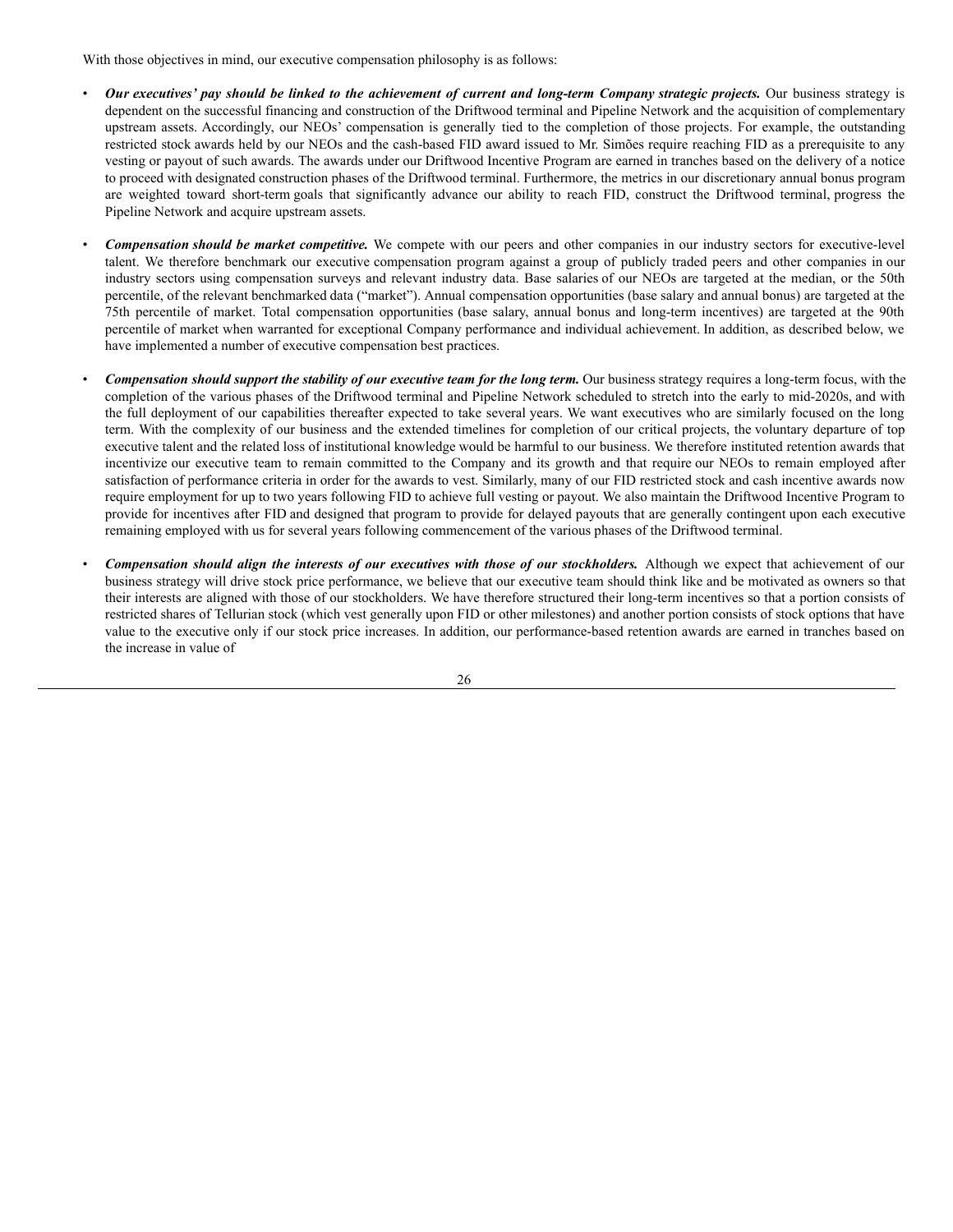With those objectives in mind, our executive compensation philosophy is as follows:

- Our executives' pay should be linked to the achievement of current and long-term Company strategic projects. Our business strategy is dependent on the successful financing and construction of the Driftwood terminal and Pipeline Network and the acquisition of complementary upstream assets. Accordingly, our NEOs' compensation is generally tied to the completion of those projects. For example, the outstanding restricted stock awards held by our NEOs and the cash-based FID award issued to Mr. Simões require reaching FID as a prerequisite to any vesting or payout of such awards. The awards under our Driftwood Incentive Program are earned in tranches based on the delivery of a notice to proceed with designated construction phases of the Driftwood terminal. Furthermore, the metrics in our discretionary annual bonus program are weighted toward short-term goals that significantly advance our ability to reach FID, construct the Driftwood terminal, progress the Pipeline Network and acquire upstream assets.
- *Compensation should be market competitive.* We compete with our peers and other companies in our industry sectors for executive-level talent. We therefore benchmark our executive compensation program against a group of publicly traded peers and other companies in our industry sectors using compensation surveys and relevant industry data. Base salaries of our NEOs are targeted at the median, or the 50th percentile, of the relevant benchmarked data ("market"). Annual compensation opportunities (base salary and annual bonus) are targeted at the 75th percentile of market. Total compensation opportunities (base salary, annual bonus and long-term incentives) are targeted at the 90th percentile of market when warranted for exceptional Company performance and individual achievement. In addition, as described below, we have implemented a number of executive compensation best practices.
- Compensation should support the stability of our executive team for the long term. Our business strategy requires a long-term focus, with the completion of the various phases of the Driftwood terminal and Pipeline Network scheduled to stretch into the early to mid-2020s, and with the full deployment of our capabilities thereafter expected to take several years. We want executives who are similarly focused on the long term. With the complexity of our business and the extended timelines for completion of our critical projects, the voluntary departure of top executive talent and the related loss of institutional knowledge would be harmful to our business. We therefore instituted retention awards that incentivize our executive team to remain committed to the Company and its growth and that require our NEOs to remain employed after satisfaction of performance criteria in order for the awards to vest. Similarly, many of our FID restricted stock and cash incentive awards now require employment for up to two years following FID to achieve full vesting or payout. We also maintain the Driftwood Incentive Program to provide for incentives after FID and designed that program to provide for delayed payouts that are generally contingent upon each executive remaining employed with us for several years following commencement of the various phases of the Driftwood terminal.
- Compensation should align the interests of our executives with those of our stockholders. Although we expect that achievement of our business strategy will drive stock price performance, we believe that our executive team should think like and be motivated as owners so that their interests are aligned with those of our stockholders. We have therefore structured their long-term incentives so that a portion consists of restricted shares of Tellurian stock (which vest generally upon FID or other milestones) and another portion consists of stock options that have value to the executive only if our stock price increases. In addition, our performance-based retention awards are earned in tranches based on the increase in value of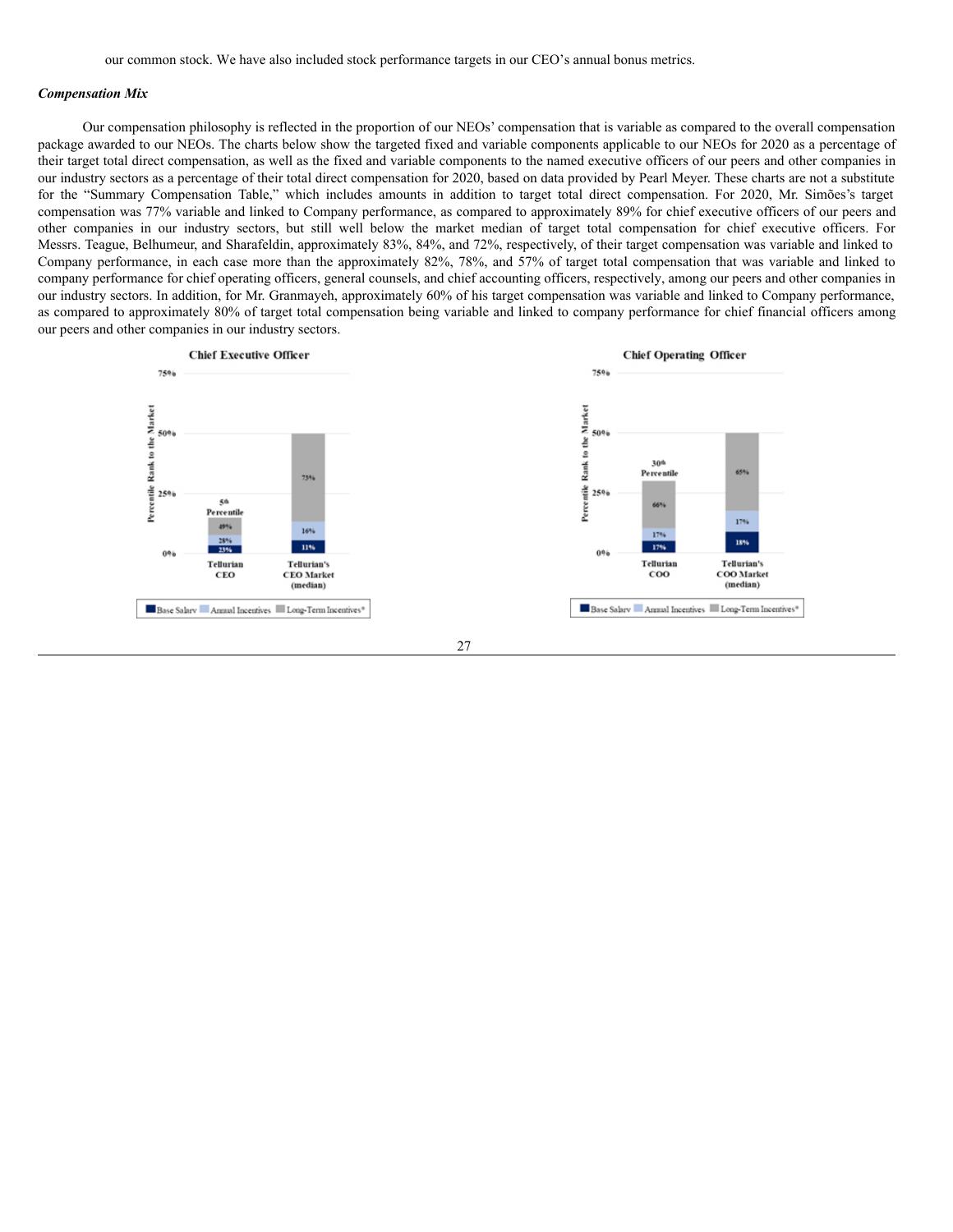#### *Compensation Mix*

Our compensation philosophy is reflected in the proportion of our NEOs' compensation that is variable as compared to the overall compensation package awarded to our NEOs. The charts below show the targeted fixed and variable components applicable to our NEOs for 2020 as a percentage of their target total direct compensation, as well as the fixed and variable components to the named executive officers of our peers and other companies in our industry sectors as a percentage of their total direct compensation for 2020, based on data provided by Pearl Meyer. These charts are not a substitute for the "Summary Compensation Table," which includes amounts in addition to target total direct compensation. For 2020, Mr. Simões's target compensation was 77% variable and linked to Company performance, as compared to approximately 89% for chief executive officers of our peers and other companies in our industry sectors, but still well below the market median of target total compensation for chief executive officers. For Messrs. Teague, Belhumeur, and Sharafeldin, approximately 83%, 84%, and 72%, respectively, of their target compensation was variable and linked to Company performance, in each case more than the approximately 82%, 78%, and 57% of target total compensation that was variable and linked to company performance for chief operating officers, general counsels, and chief accounting officers, respectively, among our peers and other companies in our industry sectors. In addition, for Mr. Granmayeh, approximately 60% of his target compensation was variable and linked to Company performance, as compared to approximately 80% of target total compensation being variable and linked to company performance for chief financial officers among our peers and other companies in our industry sectors.



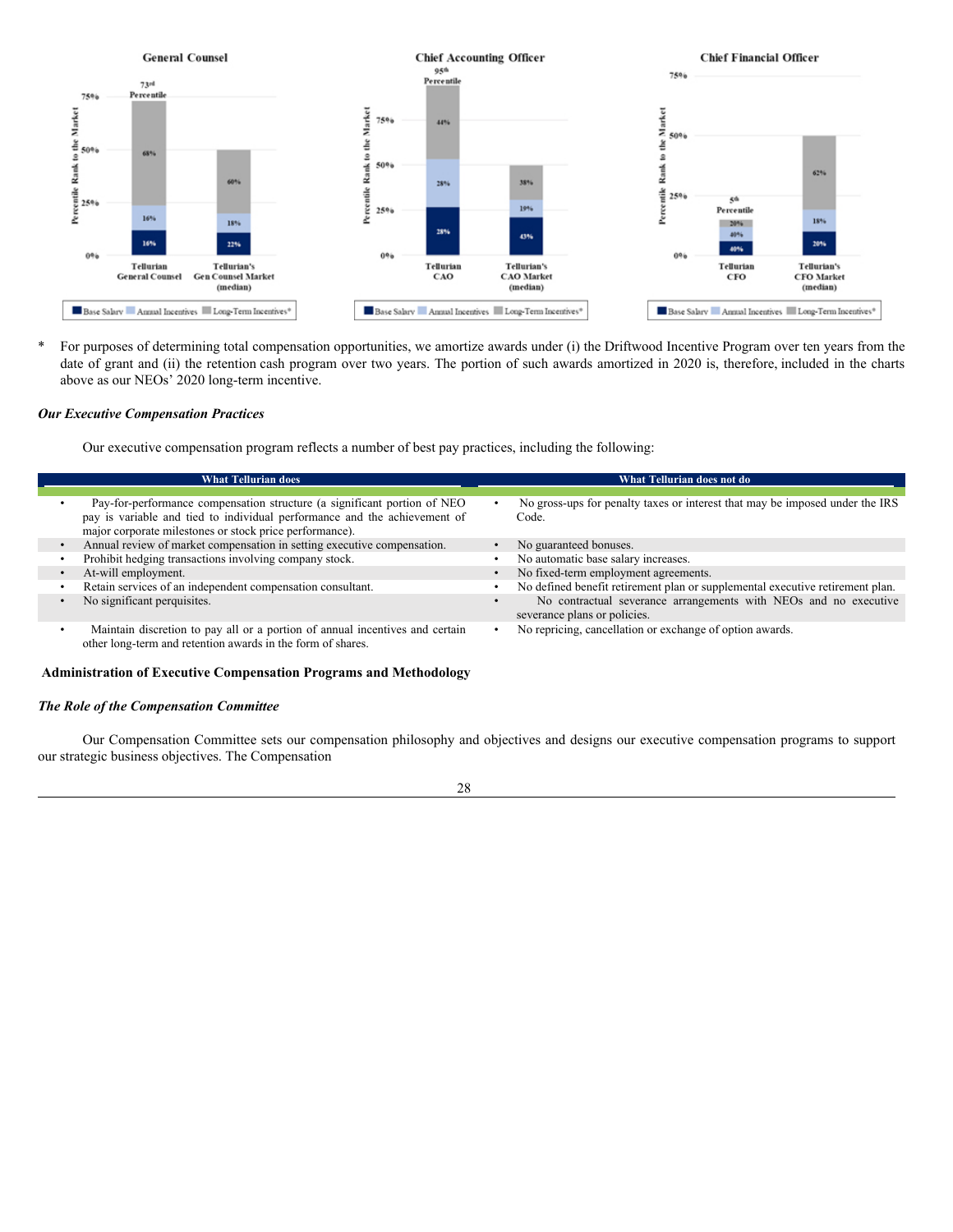

\* For purposes of determining total compensation opportunities, we amortize awards under (i) the Driftwood Incentive Program over ten years from the date of grant and (ii) the retention cash program over two years. The portion of such awards amortized in 2020 is, therefore, included in the charts above as our NEOs' 2020 long-term incentive.

### *Our Executive Compensation Practices*

Our executive compensation program reflects a number of best pay practices, including the following:

| <b>What Tellurian does</b>                                                                                                                  | What Tellurian does not do                                                                       |
|---------------------------------------------------------------------------------------------------------------------------------------------|--------------------------------------------------------------------------------------------------|
|                                                                                                                                             |                                                                                                  |
| Pay-for-performance compensation structure (a significant portion of NEO                                                                    | No gross-ups for penalty taxes or interest that may be imposed under the IRS                     |
| pay is variable and tied to individual performance and the achievement of                                                                   | Code.                                                                                            |
| major corporate milestones or stock price performance).                                                                                     |                                                                                                  |
| Annual review of market compensation in setting executive compensation.                                                                     | No guaranteed bonuses.                                                                           |
| Prohibit hedging transactions involving company stock.                                                                                      | No automatic base salary increases.                                                              |
| At-will employment.                                                                                                                         | No fixed-term employment agreements.                                                             |
| Retain services of an independent compensation consultant.                                                                                  | No defined benefit retirement plan or supplemental executive retirement plan.                    |
| No significant perquisites.                                                                                                                 | No contractual severance arrangements with NEOs and no executive<br>severance plans or policies. |
| Maintain discretion to pay all or a portion of annual incentives and certain<br>other long-term and retention awards in the form of shares. | No repricing, cancellation or exchange of option awards.                                         |

#### <span id="page-33-0"></span>**Administration of Executive Compensation Programs and Methodology**

#### *The Role of the Compensation Committee*

Our Compensation Committee sets our compensation philosophy and objectives and designs our executive compensation programs to support our strategic business objectives. The Compensation

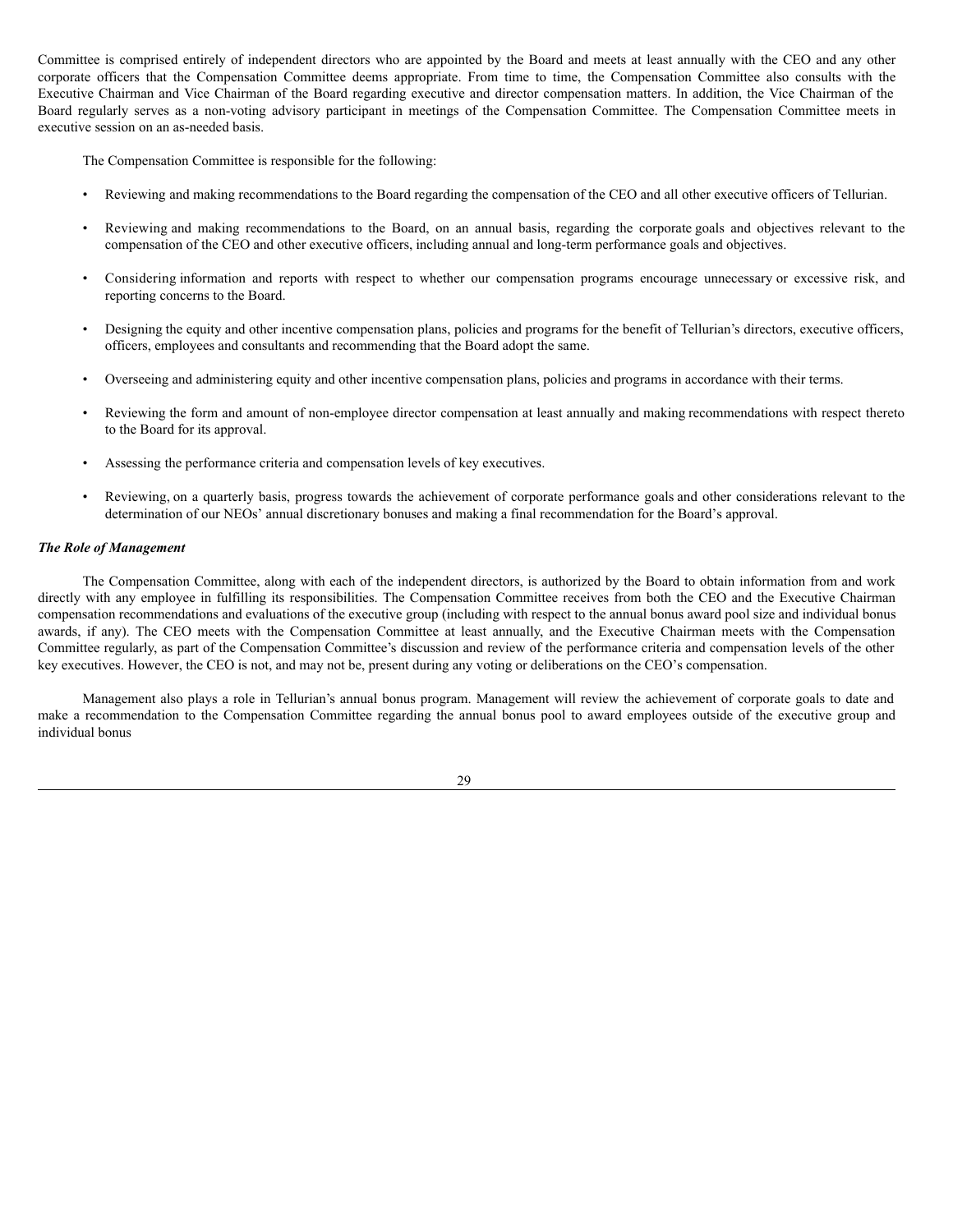Committee is comprised entirely of independent directors who are appointed by the Board and meets at least annually with the CEO and any other corporate officers that the Compensation Committee deems appropriate. From time to time, the Compensation Committee also consults with the Executive Chairman and Vice Chairman of the Board regarding executive and director compensation matters. In addition, the Vice Chairman of the Board regularly serves as a non-voting advisory participant in meetings of the Compensation Committee. The Compensation Committee meets in executive session on an as-needed basis.

The Compensation Committee is responsible for the following:

- Reviewing and making recommendations to the Board regarding the compensation of the CEO and all other executive officers of Tellurian.
- Reviewing and making recommendations to the Board, on an annual basis, regarding the corporate goals and objectives relevant to the compensation of the CEO and other executive officers, including annual and long-term performance goals and objectives.
- Considering information and reports with respect to whether our compensation programs encourage unnecessary or excessive risk, and reporting concerns to the Board.
- Designing the equity and other incentive compensation plans, policies and programs for the benefit of Tellurian's directors, executive officers, officers, employees and consultants and recommending that the Board adopt the same.
- Overseeing and administering equity and other incentive compensation plans, policies and programs in accordance with their terms.
- Reviewing the form and amount of non-employee director compensation at least annually and making recommendations with respect thereto to the Board for its approval.
- Assessing the performance criteria and compensation levels of key executives.
- Reviewing, on a quarterly basis, progress towards the achievement of corporate performance goals and other considerations relevant to the determination of our NEOs' annual discretionary bonuses and making a final recommendation for the Board's approval.

## *The Role of Management*

The Compensation Committee, along with each of the independent directors, is authorized by the Board to obtain information from and work directly with any employee in fulfilling its responsibilities. The Compensation Committee receives from both the CEO and the Executive Chairman compensation recommendations and evaluations of the executive group (including with respect to the annual bonus award pool size and individual bonus awards, if any). The CEO meets with the Compensation Committee at least annually, and the Executive Chairman meets with the Compensation Committee regularly, as part of the Compensation Committee's discussion and review of the performance criteria and compensation levels of the other key executives. However, the CEO is not, and may not be, present during any voting or deliberations on the CEO's compensation.

Management also plays a role in Tellurian's annual bonus program. Management will review the achievement of corporate goals to date and make a recommendation to the Compensation Committee regarding the annual bonus pool to award employees outside of the executive group and individual bonus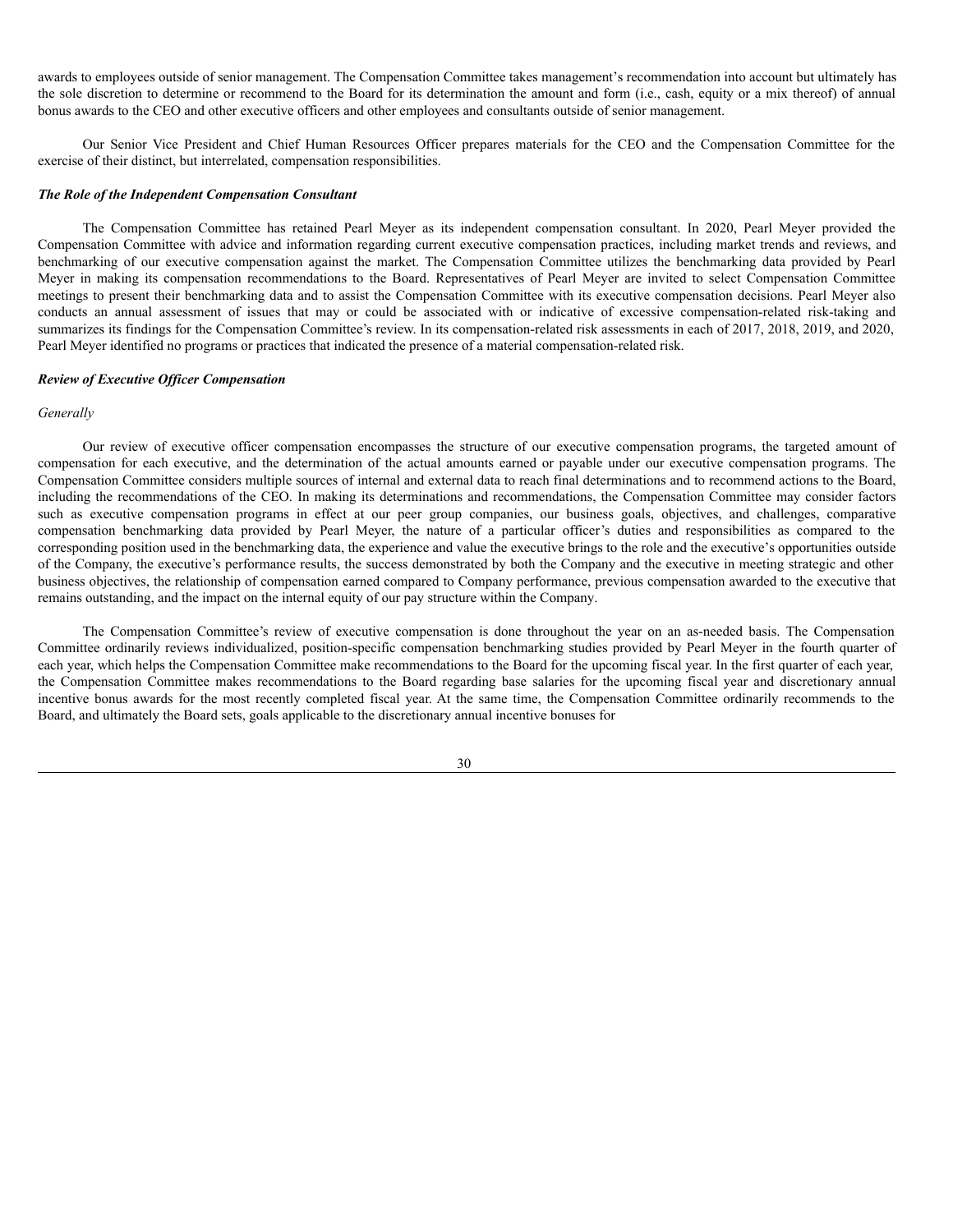awards to employees outside of senior management. The Compensation Committee takes management's recommendation into account but ultimately has the sole discretion to determine or recommend to the Board for its determination the amount and form (i.e., cash, equity or a mix thereof) of annual bonus awards to the CEO and other executive officers and other employees and consultants outside of senior management.

Our Senior Vice President and Chief Human Resources Officer prepares materials for the CEO and the Compensation Committee for the exercise of their distinct, but interrelated, compensation responsibilities.

## *The Role of the Independent Compensation Consultant*

The Compensation Committee has retained Pearl Meyer as its independent compensation consultant. In 2020, Pearl Meyer provided the Compensation Committee with advice and information regarding current executive compensation practices, including market trends and reviews, and benchmarking of our executive compensation against the market. The Compensation Committee utilizes the benchmarking data provided by Pearl Meyer in making its compensation recommendations to the Board. Representatives of Pearl Meyer are invited to select Compensation Committee meetings to present their benchmarking data and to assist the Compensation Committee with its executive compensation decisions. Pearl Meyer also conducts an annual assessment of issues that may or could be associated with or indicative of excessive compensation-related risk-taking and summarizes its findings for the Compensation Committee's review. In its compensation-related risk assessments in each of 2017, 2018, 2019, and 2020, Pearl Meyer identified no programs or practices that indicated the presence of a material compensation-related risk.

### *Review of Executive Of icer Compensation*

#### *Generally*

Our review of executive officer compensation encompasses the structure of our executive compensation programs, the targeted amount of compensation for each executive, and the determination of the actual amounts earned or payable under our executive compensation programs. The Compensation Committee considers multiple sources of internal and external data to reach final determinations and to recommend actions to the Board, including the recommendations of the CEO. In making its determinations and recommendations, the Compensation Committee may consider factors such as executive compensation programs in effect at our peer group companies, our business goals, objectives, and challenges, comparative compensation benchmarking data provided by Pearl Meyer, the nature of a particular officer's duties and responsibilities as compared to the corresponding position used in the benchmarking data, the experience and value the executive brings to the role and the executive's opportunities outside of the Company, the executive's performance results, the success demonstrated by both the Company and the executive in meeting strategic and other business objectives, the relationship of compensation earned compared to Company performance, previous compensation awarded to the executive that remains outstanding, and the impact on the internal equity of our pay structure within the Company.

The Compensation Committee's review of executive compensation is done throughout the year on an as-needed basis. The Compensation Committee ordinarily reviews individualized, position-specific compensation benchmarking studies provided by Pearl Meyer in the fourth quarter of each year, which helps the Compensation Committee make recommendations to the Board for the upcoming fiscal year. In the first quarter of each year, the Compensation Committee makes recommendations to the Board regarding base salaries for the upcoming fiscal year and discretionary annual incentive bonus awards for the most recently completed fiscal year. At the same time, the Compensation Committee ordinarily recommends to the Board, and ultimately the Board sets, goals applicable to the discretionary annual incentive bonuses for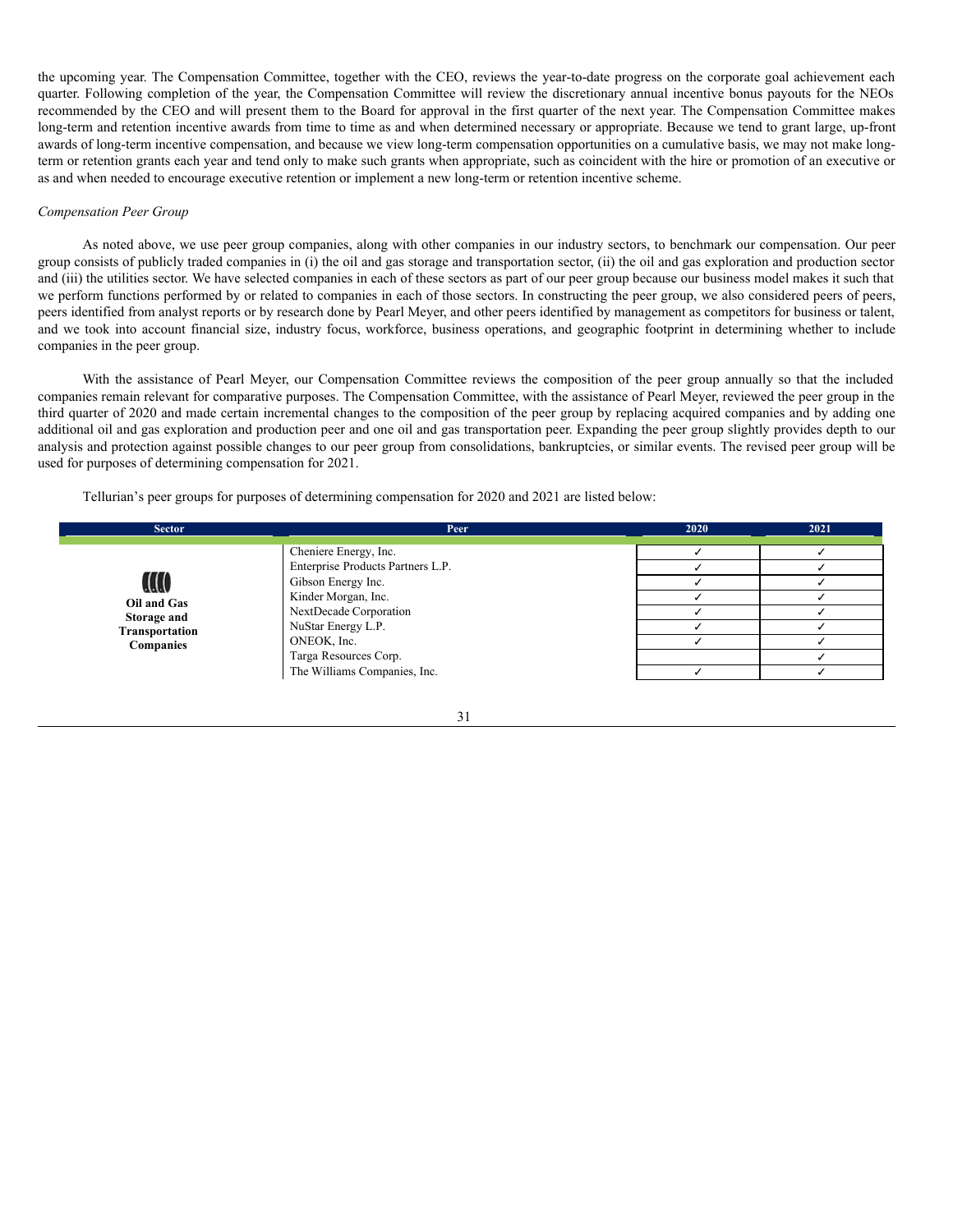the upcoming year. The Compensation Committee, together with the CEO, reviews the year-to-date progress on the corporate goal achievement each quarter. Following completion of the year, the Compensation Committee will review the discretionary annual incentive bonus payouts for the NEOs recommended by the CEO and will present them to the Board for approval in the first quarter of the next year. The Compensation Committee makes long-term and retention incentive awards from time to time as and when determined necessary or appropriate. Because we tend to grant large, up-front awards of long-term incentive compensation, and because we view long-term compensation opportunities on a cumulative basis, we may not make longterm or retention grants each year and tend only to make such grants when appropriate, such as coincident with the hire or promotion of an executive or as and when needed to encourage executive retention or implement a new long-term or retention incentive scheme.

#### *Compensation Peer Group*

As noted above, we use peer group companies, along with other companies in our industry sectors, to benchmark our compensation. Our peer group consists of publicly traded companies in (i) the oil and gas storage and transportation sector, (ii) the oil and gas exploration and production sector and (iii) the utilities sector. We have selected companies in each of these sectors as part of our peer group because our business model makes it such that we perform functions performed by or related to companies in each of those sectors. In constructing the peer group, we also considered peers of peers, peers identified from analyst reports or by research done by Pearl Meyer, and other peers identified by management as competitors for business or talent, and we took into account financial size, industry focus, workforce, business operations, and geographic footprint in determining whether to include companies in the peer group.

With the assistance of Pearl Meyer, our Compensation Committee reviews the composition of the peer group annually so that the included companies remain relevant for comparative purposes. The Compensation Committee, with the assistance of Pearl Meyer, reviewed the peer group in the third quarter of 2020 and made certain incremental changes to the composition of the peer group by replacing acquired companies and by adding one additional oil and gas exploration and production peer and one oil and gas transportation peer. Expanding the peer group slightly provides depth to our analysis and protection against possible changes to our peer group from consolidations, bankruptcies, or similar events. The revised peer group will be used for purposes of determining compensation for 2021.

Tellurian's peer groups for purposes of determining compensation for 2020 and 2021 are listed below:

| <b>Sector</b>                   | Peer                                                                                                                              | 2020 | 2021 |
|---------------------------------|-----------------------------------------------------------------------------------------------------------------------------------|------|------|
| W<br>Oil and Gas<br>Storage and | Cheniere Energy, Inc.<br>Enterprise Products Partners L.P.<br>Gibson Energy Inc.<br>Kinder Morgan, Inc.<br>NextDecade Corporation |      |      |
| Transportation                  | NuStar Energy L.P.                                                                                                                |      |      |
| <b>Companies</b>                | ONEOK, Inc.                                                                                                                       |      |      |
|                                 | Targa Resources Corp.                                                                                                             |      |      |
|                                 | The Williams Companies, Inc.                                                                                                      |      |      |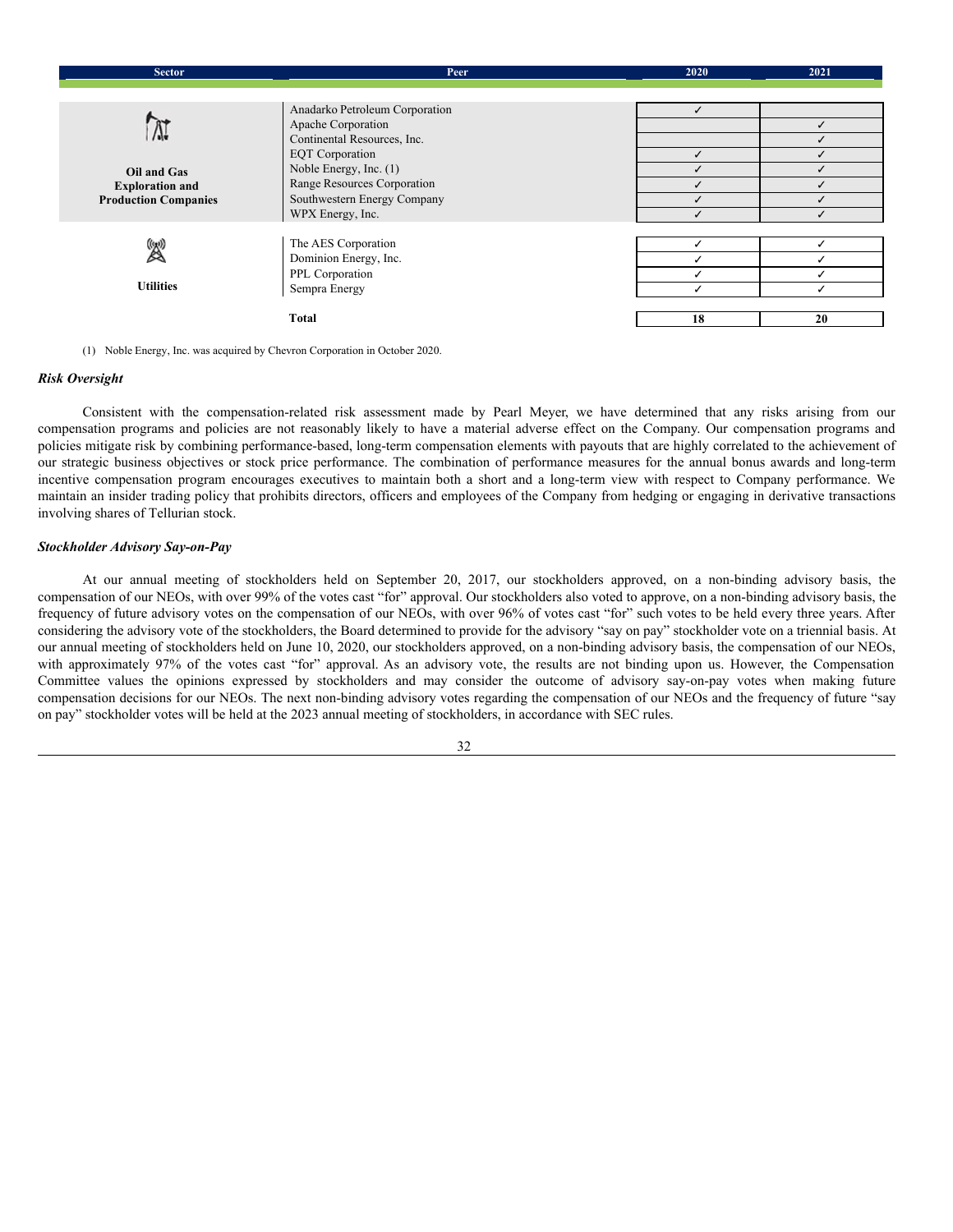| <b>Sector</b><br>Peer       |                                | 2020 | 2021 |
|-----------------------------|--------------------------------|------|------|
|                             |                                |      |      |
|                             | Anadarko Petroleum Corporation | ✓    |      |
|                             | Apache Corporation             |      |      |
| A.                          | Continental Resources, Inc.    |      |      |
|                             | <b>EQT</b> Corporation         | ✓    |      |
| Oil and Gas                 | Noble Energy, Inc. (1)         |      |      |
| <b>Exploration and</b>      | Range Resources Corporation    |      |      |
| <b>Production Companies</b> | Southwestern Energy Company    |      |      |
|                             | WPX Energy, Inc.               |      |      |
|                             |                                |      |      |
| 図                           | The AES Corporation            |      |      |
|                             | Dominion Energy, Inc.          |      |      |
|                             | PPL Corporation                |      |      |
| <b>Utilities</b>            | Sempra Energy                  |      |      |
|                             |                                |      |      |
|                             | Total                          | 18   | 20   |

(1) Noble Energy, Inc. was acquired by Chevron Corporation in October 2020.

## *Risk Oversight*

Consistent with the compensation-related risk assessment made by Pearl Meyer, we have determined that any risks arising from our compensation programs and policies are not reasonably likely to have a material adverse effect on the Company. Our compensation programs and policies mitigate risk by combining performance-based, long-term compensation elements with payouts that are highly correlated to the achievement of our strategic business objectives or stock price performance. The combination of performance measures for the annual bonus awards and long-term incentive compensation program encourages executives to maintain both a short and a long-term view with respect to Company performance. We maintain an insider trading policy that prohibits directors, officers and employees of the Company from hedging or engaging in derivative transactions involving shares of Tellurian stock.

## *Stockholder Advisory Say-on-Pay*

At our annual meeting of stockholders held on September 20, 2017, our stockholders approved, on a non-binding advisory basis, the compensation of our NEOs, with over 99% of the votes cast "for" approval. Our stockholders also voted to approve, on a non-binding advisory basis, the frequency of future advisory votes on the compensation of our NEOs, with over 96% of votes cast "for" such votes to be held every three years. After considering the advisory vote of the stockholders, the Board determined to provide for the advisory "say on pay" stockholder vote on a triennial basis. At our annual meeting of stockholders held on June 10, 2020, our stockholders approved, on a non-binding advisory basis, the compensation of our NEOs, with approximately 97% of the votes cast "for" approval. As an advisory vote, the results are not binding upon us. However, the Compensation Committee values the opinions expressed by stockholders and may consider the outcome of advisory say-on-pay votes when making future compensation decisions for our NEOs. The next non-binding advisory votes regarding the compensation of our NEOs and the frequency of future "say on pay" stockholder votes will be held at the 2023 annual meeting of stockholders, in accordance with SEC rules.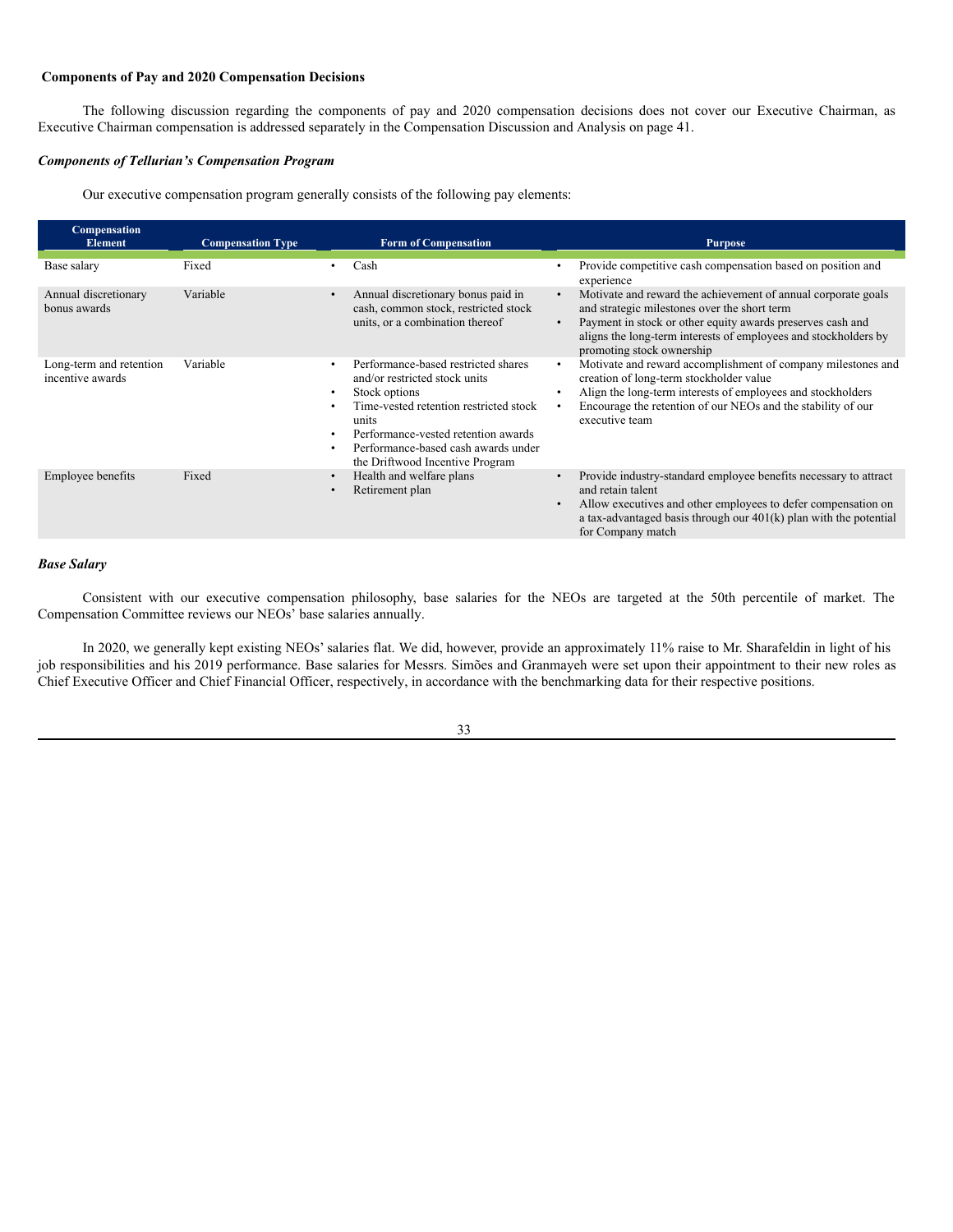## <span id="page-38-0"></span>**Components of Pay and 2020 Compensation Decisions**

The following discussion regarding the components of pay and 2020 compensation decisions does not cover our Executive Chairman, as Executive Chairman compensation is addressed separately in the Compensation Discussion and Analysis on page 41.

## *Components of Tellurian's Compensation Program*

Our executive compensation program generally consists of the following pay elements:

| Compensation<br><b>Element</b>              | <b>Compensation Type</b> | <b>Form of Compensation</b>                                                                                                                                                                                                                                                                                                | <b>Purpose</b>                                                                                                                                                                                                                                                              |
|---------------------------------------------|--------------------------|----------------------------------------------------------------------------------------------------------------------------------------------------------------------------------------------------------------------------------------------------------------------------------------------------------------------------|-----------------------------------------------------------------------------------------------------------------------------------------------------------------------------------------------------------------------------------------------------------------------------|
| Base salary                                 | Fixed                    | Cash                                                                                                                                                                                                                                                                                                                       | Provide competitive cash compensation based on position and<br>experience                                                                                                                                                                                                   |
| Annual discretionary<br>bonus awards        | Variable                 | Annual discretionary bonus paid in<br>$\bullet$<br>cash, common stock, restricted stock<br>units, or a combination thereof                                                                                                                                                                                                 | Motivate and reward the achievement of annual corporate goals<br>and strategic milestones over the short term<br>Payment in stock or other equity awards preserves cash and<br>aligns the long-term interests of employees and stockholders by<br>promoting stock ownership |
| Long-term and retention<br>incentive awards | Variable                 | Performance-based restricted shares<br>$\bullet$<br>and/or restricted stock units<br>Stock options<br>$\bullet$<br>Time-vested retention restricted stock<br>$\bullet$<br>units<br>Performance-vested retention awards<br>$\bullet$<br>Performance-based cash awards under<br>$\bullet$<br>the Driftwood Incentive Program | Motivate and reward accomplishment of company milestones and<br>creation of long-term stockholder value<br>Align the long-term interests of employees and stockholders<br>Encourage the retention of our NEOs and the stability of our<br>executive team                    |
| <b>Employee benefits</b>                    | Fixed                    | Health and welfare plans<br>$\bullet$<br>Retirement plan<br>$\bullet$                                                                                                                                                                                                                                                      | Provide industry-standard employee benefits necessary to attract<br>and retain talent<br>Allow executives and other employees to defer compensation on<br>a tax-advantaged basis through our $401(k)$ plan with the potential<br>for Company match                          |

## *Base Salary*

Consistent with our executive compensation philosophy, base salaries for the NEOs are targeted at the 50th percentile of market. The Compensation Committee reviews our NEOs' base salaries annually.

In 2020, we generally kept existing NEOs' salaries flat. We did, however, provide an approximately 11% raise to Mr. Sharafeldin in light of his job responsibilities and his 2019 performance. Base salaries for Messrs. Simões and Granmayeh were set upon their appointment to their new roles as Chief Executive Officer and Chief Financial Officer, respectively, in accordance with the benchmarking data for their respective positions.

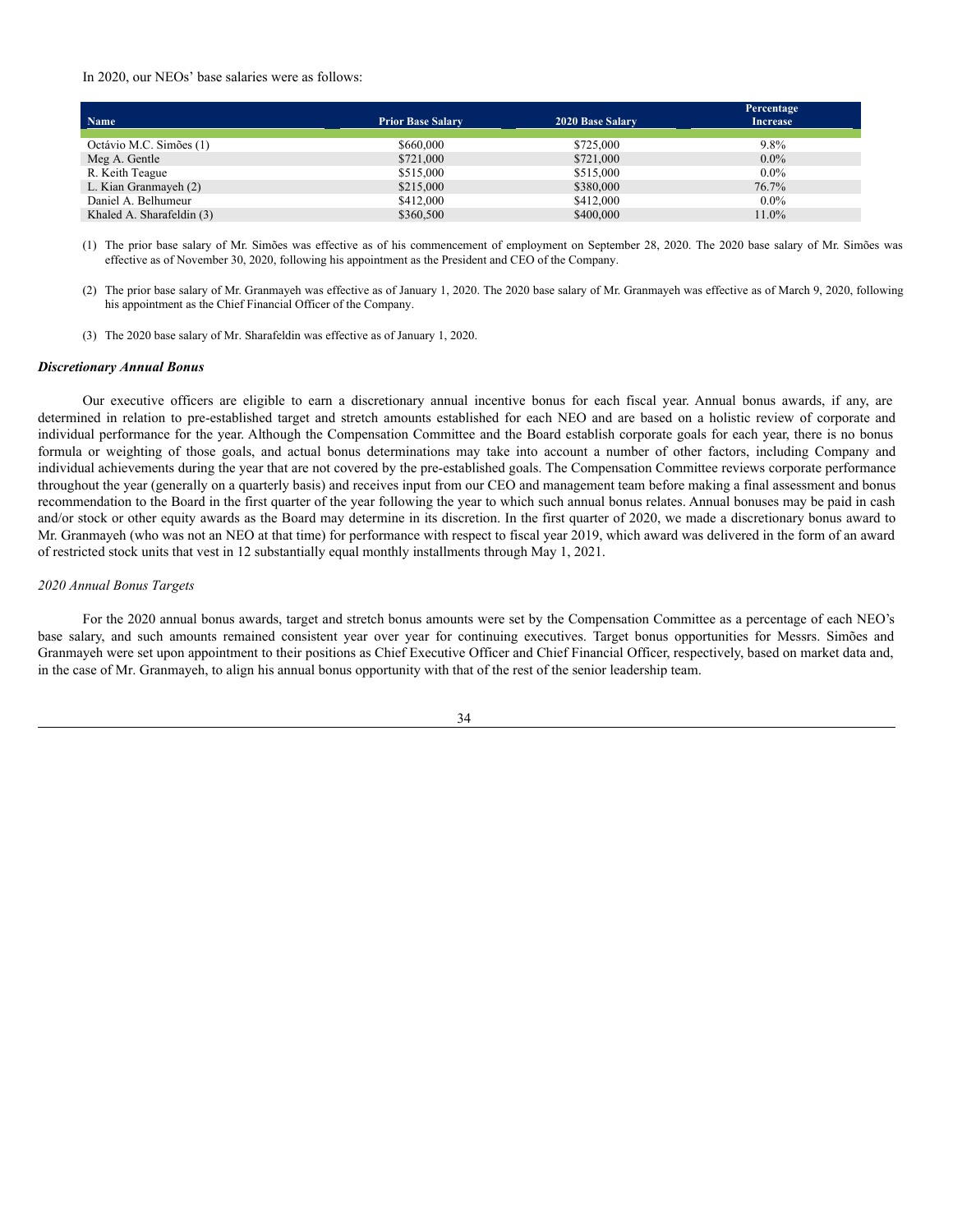#### In 2020, our NEOs' base salaries were as follows:

| Name                      | <b>Prior Base Salary</b> | 2020 Base Salary | Percentage<br><b>Increase</b> |
|---------------------------|--------------------------|------------------|-------------------------------|
| Octávio M.C. Simões (1)   | \$660,000                | \$725,000        | 9.8%                          |
| Meg A. Gentle             | \$721,000                | \$721,000        | $0.0\%$                       |
| R. Keith Teague           | \$515,000                | \$515,000        | $0.0\%$                       |
| L. Kian Granmayeh (2)     | \$215,000                | \$380,000        | 76.7%                         |
| Daniel A. Belhumeur       | \$412,000                | \$412,000        | $0.0\%$                       |
| Khaled A. Sharafeldin (3) | \$360,500                | \$400,000        | 11.0%                         |

(1) The prior base salary of Mr. Simões was effective as of his commencement of employment on September 28, 2020. The 2020 base salary of Mr. Simões was effective as of November 30, 2020, following his appointment as the President and CEO of the Company.

- (2) The prior base salary of Mr. Granmayeh was effective as of January 1, 2020. The 2020 base salary of Mr. Granmayeh was effective as of March 9, 2020, following his appointment as the Chief Financial Officer of the Company.
- (3) The 2020 base salary of Mr. Sharafeldin was effective as of January 1, 2020.

#### *Discretionary Annual Bonus*

Our executive officers are eligible to earn a discretionary annual incentive bonus for each fiscal year. Annual bonus awards, if any, are determined in relation to pre-established target and stretch amounts established for each NEO and are based on a holistic review of corporate and individual performance for the year. Although the Compensation Committee and the Board establish corporate goals for each year, there is no bonus formula or weighting of those goals, and actual bonus determinations may take into account a number of other factors, including Company and individual achievements during the year that are not covered by the pre-established goals. The Compensation Committee reviews corporate performance throughout the year (generally on a quarterly basis) and receives input from our CEO and management team before making a final assessment and bonus recommendation to the Board in the first quarter of the year following the year to which such annual bonus relates. Annual bonuses may be paid in cash and/or stock or other equity awards as the Board may determine in its discretion. In the first quarter of 2020, we made a discretionary bonus award to Mr. Granmayeh (who was not an NEO at that time) for performance with respect to fiscal year 2019, which award was delivered in the form of an award of restricted stock units that vest in 12 substantially equal monthly installments through May 1, 2021.

#### *2020 Annual Bonus Targets*

For the 2020 annual bonus awards, target and stretch bonus amounts were set by the Compensation Committee as a percentage of each NEO's base salary, and such amounts remained consistent year over year for continuing executives. Target bonus opportunities for Messrs. Simões and Granmayeh were set upon appointment to their positions as Chief Executive Officer and Chief Financial Officer, respectively, based on market data and, in the case of Mr. Granmayeh, to align his annual bonus opportunity with that of the rest of the senior leadership team.

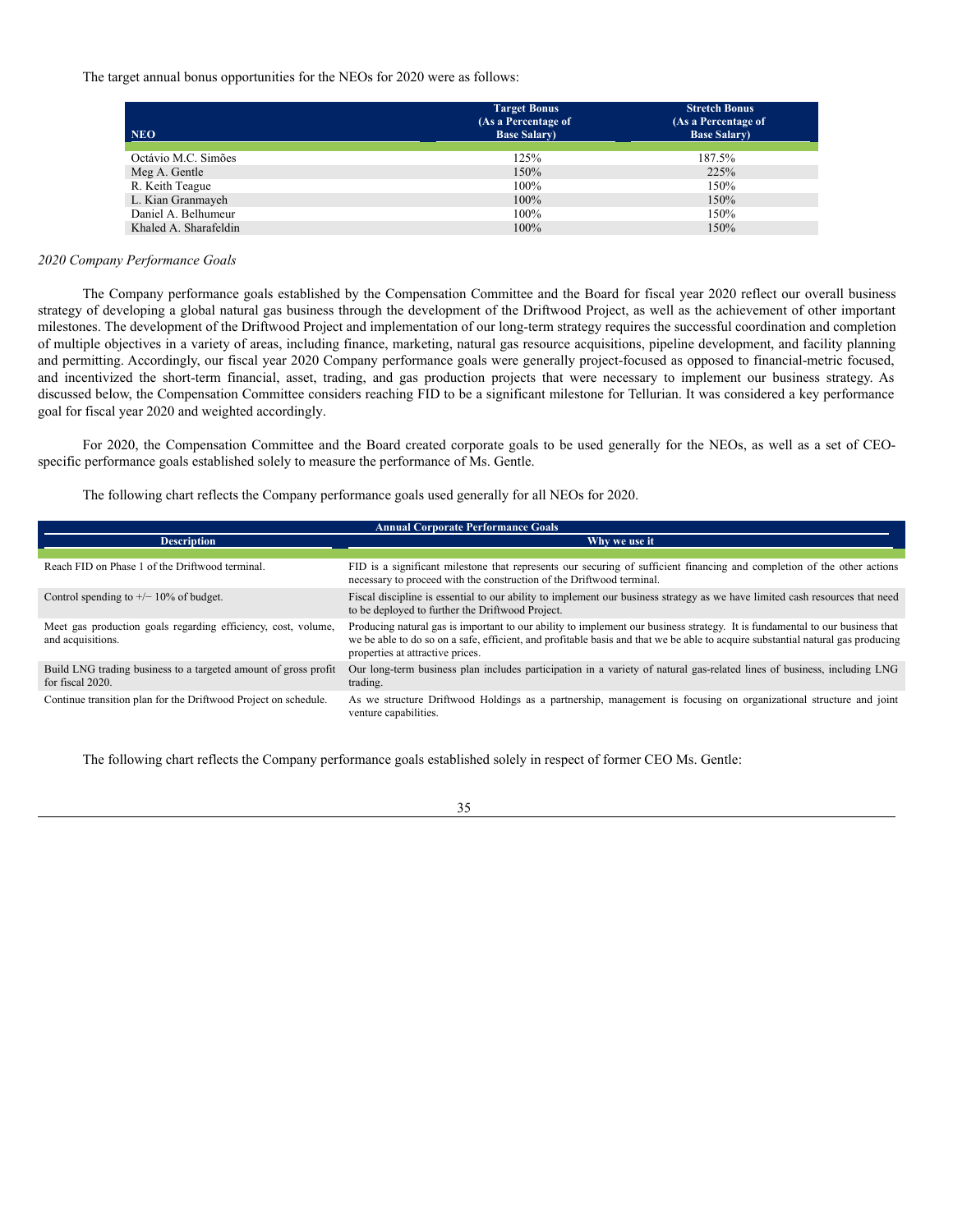The target annual bonus opportunities for the NEOs for 2020 were as follows:

| <b>NEO</b>            | <b>Target Bonus</b><br>(As a Percentage of<br><b>Base Salary</b> ) | <b>Stretch Bonus</b><br>(As a Percentage of<br><b>Base Salary</b> ) |
|-----------------------|--------------------------------------------------------------------|---------------------------------------------------------------------|
| Octávio M.C. Simões   | 125%                                                               | 187.5%                                                              |
| Meg A. Gentle         | 150%                                                               | 225%                                                                |
| R. Keith Teague       | 100%                                                               | 150%                                                                |
| L. Kian Granmayeh     | 100%                                                               | 150%                                                                |
| Daniel A. Belhumeur   | 100%                                                               | 150%                                                                |
| Khaled A. Sharafeldin | 100%                                                               | 150%                                                                |

#### *2020 Company Performance Goals*

The Company performance goals established by the Compensation Committee and the Board for fiscal year 2020 reflect our overall business strategy of developing a global natural gas business through the development of the Driftwood Project, as well as the achievement of other important milestones. The development of the Driftwood Project and implementation of our long-term strategy requires the successful coordination and completion of multiple objectives in a variety of areas, including finance, marketing, natural gas resource acquisitions, pipeline development, and facility planning and permitting. Accordingly, our fiscal year 2020 Company performance goals were generally project-focused as opposed to financial-metric focused, and incentivized the short-term financial, asset, trading, and gas production projects that were necessary to implement our business strategy. As discussed below, the Compensation Committee considers reaching FID to be a significant milestone for Tellurian. It was considered a key performance goal for fiscal year 2020 and weighted accordingly.

For 2020, the Compensation Committee and the Board created corporate goals to be used generally for the NEOs, as well as a set of CEOspecific performance goals established solely to measure the performance of Ms. Gentle.

The following chart reflects the Company performance goals used generally for all NEOs for 2020.

| <b>Annual Corporate Performance Goals</b>                                           |                                                                                                                                                                                                                                                                                                     |  |  |
|-------------------------------------------------------------------------------------|-----------------------------------------------------------------------------------------------------------------------------------------------------------------------------------------------------------------------------------------------------------------------------------------------------|--|--|
| <b>Description</b>                                                                  | Why we use it                                                                                                                                                                                                                                                                                       |  |  |
|                                                                                     |                                                                                                                                                                                                                                                                                                     |  |  |
| Reach FID on Phase 1 of the Driftwood terminal.                                     | FID is a significant milestone that represents our securing of sufficient financing and completion of the other actions<br>necessary to proceed with the construction of the Driftwood terminal.                                                                                                    |  |  |
| Control spending to $+/- 10\%$ of budget.                                           | Fiscal discipline is essential to our ability to implement our business strategy as we have limited cash resources that need<br>to be deployed to further the Driftwood Project.                                                                                                                    |  |  |
| Meet gas production goals regarding efficiency, cost, volume,<br>and acquisitions.  | Producing natural gas is important to our ability to implement our business strategy. It is fundamental to our business that<br>we be able to do so on a safe, efficient, and profitable basis and that we be able to acquire substantial natural gas producing<br>properties at attractive prices. |  |  |
| Build LNG trading business to a targeted amount of gross profit<br>for fiscal 2020. | Our long-term business plan includes participation in a variety of natural gas-related lines of business, including LNG<br>trading.                                                                                                                                                                 |  |  |
| Continue transition plan for the Driftwood Project on schedule.                     | As we structure Driftwood Holdings as a partnership, management is focusing on organizational structure and joint<br>venture capabilities.                                                                                                                                                          |  |  |

The following chart reflects the Company performance goals established solely in respect of former CEO Ms. Gentle: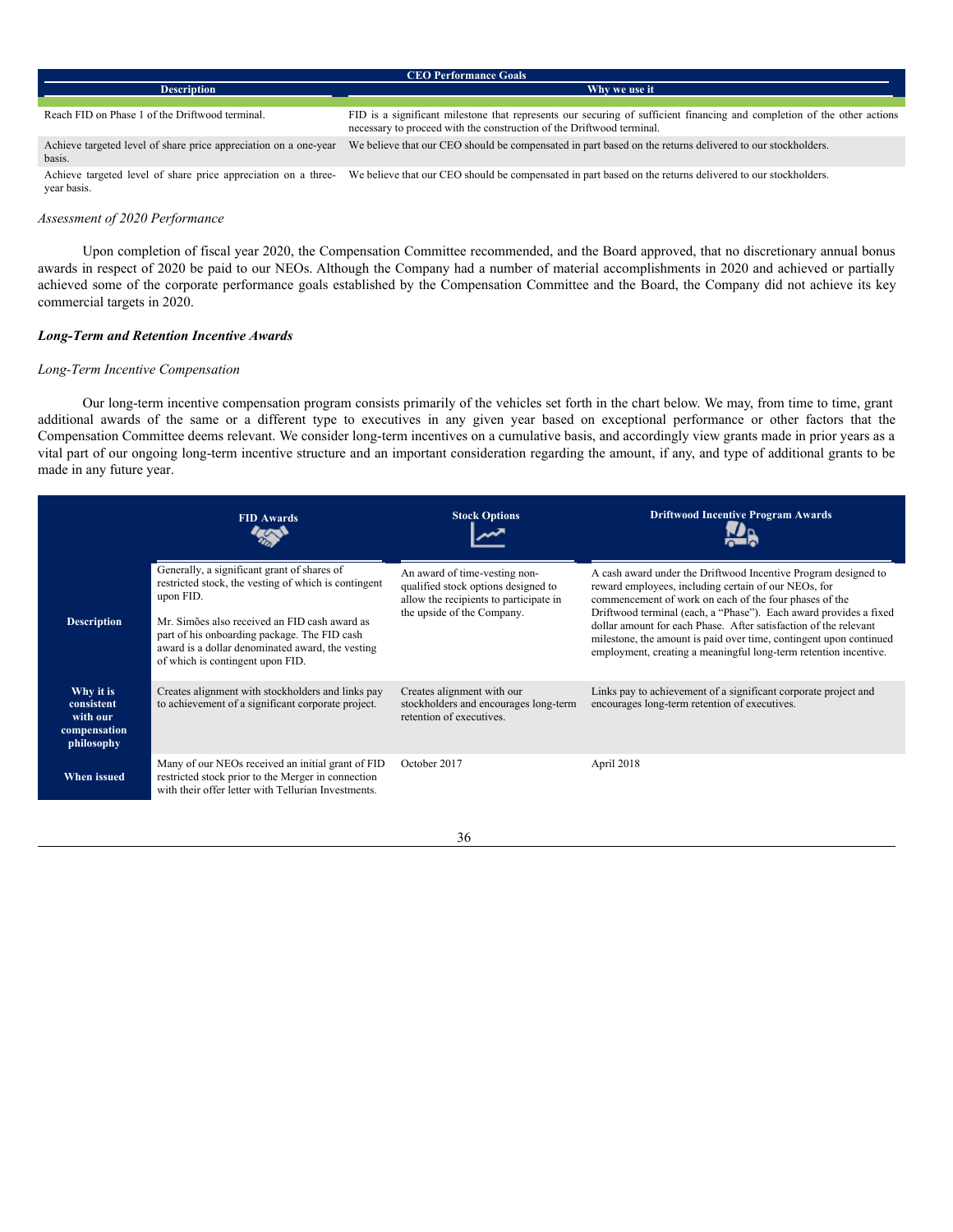| <b>CEO Performance Goals</b>                                               |                                                                                                                                                                                                  |  |  |
|----------------------------------------------------------------------------|--------------------------------------------------------------------------------------------------------------------------------------------------------------------------------------------------|--|--|
| <b>Description</b>                                                         | Why we use it                                                                                                                                                                                    |  |  |
|                                                                            |                                                                                                                                                                                                  |  |  |
| Reach FID on Phase 1 of the Driftwood terminal.                            | FID is a significant milestone that represents our securing of sufficient financing and completion of the other actions<br>necessary to proceed with the construction of the Driftwood terminal. |  |  |
| Achieve targeted level of share price appreciation on a one-year<br>basis. | We believe that our CEO should be compensated in part based on the returns delivered to our stockholders.                                                                                        |  |  |
| Achieve targeted level of share price appreciation on a three-             | We believe that our CEO should be compensated in part based on the returns delivered to our stockholders.                                                                                        |  |  |

## *Assessment of 2020 Performance*

year basis.

Upon completion of fiscal year 2020, the Compensation Committee recommended, and the Board approved, that no discretionary annual bonus awards in respect of 2020 be paid to our NEOs. Although the Company had a number of material accomplishments in 2020 and achieved or partially achieved some of the corporate performance goals established by the Compensation Committee and the Board, the Company did not achieve its key commercial targets in 2020.

## *Long-Term and Retention Incentive Awards*

### *Long-Term Incentive Compensation*

Our long-term incentive compensation program consists primarily of the vehicles set forth in the chart below. We may, from time to time, grant additional awards of the same or a different type to executives in any given year based on exceptional performance or other factors that the Compensation Committee deems relevant. We consider long-term incentives on a cumulative basis, and accordingly view grants made in prior years as a vital part of our ongoing long-term incentive structure and an important consideration regarding the amount, if any, and type of additional grants to be made in any future year.

|                                                                   | <b>FID Awards</b>                                                                                                                                                                                                                                                                                         | <b>Stock Options</b>                                                                                                                         | <b>Driftwood Incentive Program Awards</b>                                                                                                                                                                                                                                                                                                                                                                                                                           |
|-------------------------------------------------------------------|-----------------------------------------------------------------------------------------------------------------------------------------------------------------------------------------------------------------------------------------------------------------------------------------------------------|----------------------------------------------------------------------------------------------------------------------------------------------|---------------------------------------------------------------------------------------------------------------------------------------------------------------------------------------------------------------------------------------------------------------------------------------------------------------------------------------------------------------------------------------------------------------------------------------------------------------------|
| <b>Description</b>                                                | Generally, a significant grant of shares of<br>restricted stock, the vesting of which is contingent<br>upon FID.<br>Mr. Simões also received an FID cash award as<br>part of his onboarding package. The FID cash<br>award is a dollar denominated award, the vesting<br>of which is contingent upon FID. | An award of time-vesting non-<br>qualified stock options designed to<br>allow the recipients to participate in<br>the upside of the Company. | A cash award under the Driftwood Incentive Program designed to<br>reward employees, including certain of our NEOs, for<br>commencement of work on each of the four phases of the<br>Driftwood terminal (each, a "Phase"). Each award provides a fixed<br>dollar amount for each Phase. After satisfaction of the relevant<br>milestone, the amount is paid over time, contingent upon continued<br>employment, creating a meaningful long-term retention incentive. |
| Why it is<br>consistent<br>with our<br>compensation<br>philosophy | Creates alignment with stockholders and links pay<br>to achievement of a significant corporate project.                                                                                                                                                                                                   | Creates alignment with our<br>stockholders and encourages long-term<br>retention of executives.                                              | Links pay to achievement of a significant corporate project and<br>encourages long-term retention of executives.                                                                                                                                                                                                                                                                                                                                                    |
| When issued                                                       | Many of our NEOs received an initial grant of FID<br>restricted stock prior to the Merger in connection<br>with their offer letter with Tellurian Investments.                                                                                                                                            | October 2017                                                                                                                                 | April 2018                                                                                                                                                                                                                                                                                                                                                                                                                                                          |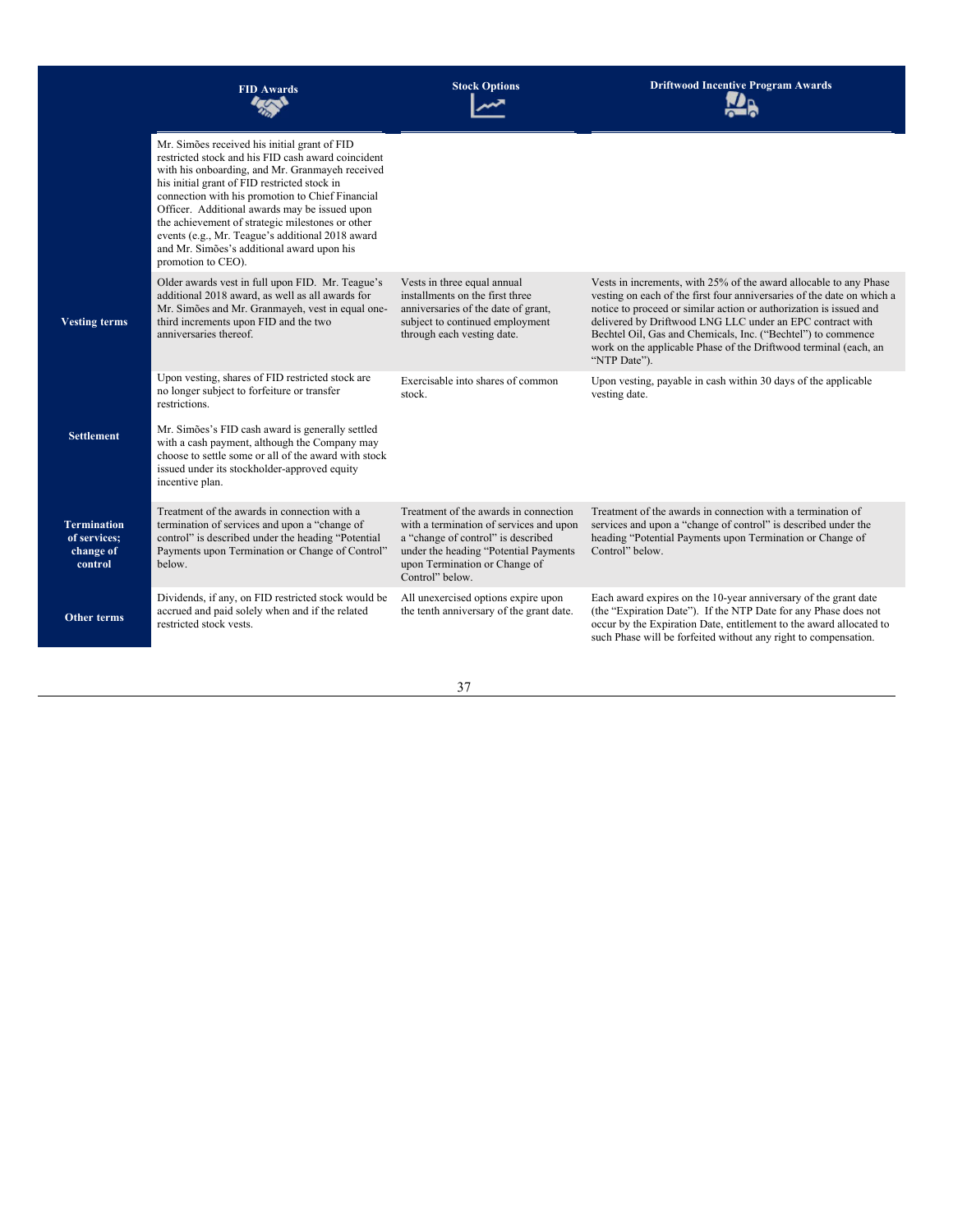|                                                            | <b>FID Awards</b>                                                                                                                                                                                                                                                                                                                                                                                                                                                                      | <b>Stock Options</b>                                                                                                                                                                                                | <b>Driftwood Incentive Program Awards</b>                                                                                                                                                                                                                                                                                                                                                                                          |
|------------------------------------------------------------|----------------------------------------------------------------------------------------------------------------------------------------------------------------------------------------------------------------------------------------------------------------------------------------------------------------------------------------------------------------------------------------------------------------------------------------------------------------------------------------|---------------------------------------------------------------------------------------------------------------------------------------------------------------------------------------------------------------------|------------------------------------------------------------------------------------------------------------------------------------------------------------------------------------------------------------------------------------------------------------------------------------------------------------------------------------------------------------------------------------------------------------------------------------|
|                                                            | Mr. Simões received his initial grant of FID<br>restricted stock and his FID cash award coincident<br>with his onboarding, and Mr. Granmayeh received<br>his initial grant of FID restricted stock in<br>connection with his promotion to Chief Financial<br>Officer. Additional awards may be issued upon<br>the achievement of strategic milestones or other<br>events (e.g., Mr. Teague's additional 2018 award<br>and Mr. Simões's additional award upon his<br>promotion to CEO). |                                                                                                                                                                                                                     |                                                                                                                                                                                                                                                                                                                                                                                                                                    |
| <b>Vesting terms</b>                                       | Older awards vest in full upon FID. Mr. Teague's<br>additional 2018 award, as well as all awards for<br>Mr. Simões and Mr. Granmayeh, vest in equal one-<br>third increments upon FID and the two<br>anniversaries thereof.                                                                                                                                                                                                                                                            | Vests in three equal annual<br>installments on the first three<br>anniversaries of the date of grant,<br>subject to continued employment<br>through each vesting date.                                              | Vests in increments, with 25% of the award allocable to any Phase<br>vesting on each of the first four anniversaries of the date on which a<br>notice to proceed or similar action or authorization is issued and<br>delivered by Driftwood LNG LLC under an EPC contract with<br>Bechtel Oil, Gas and Chemicals, Inc. ("Bechtel") to commence<br>work on the applicable Phase of the Driftwood terminal (each, an<br>"NTP Date"). |
| <b>Settlement</b>                                          | Upon vesting, shares of FID restricted stock are<br>no longer subject to forfeiture or transfer<br>restrictions.<br>Mr. Simões's FID cash award is generally settled<br>with a cash payment, although the Company may<br>choose to settle some or all of the award with stock                                                                                                                                                                                                          | Exercisable into shares of common<br>stock.                                                                                                                                                                         | Upon vesting, payable in cash within 30 days of the applicable<br>vesting date.                                                                                                                                                                                                                                                                                                                                                    |
|                                                            | issued under its stockholder-approved equity<br>incentive plan.                                                                                                                                                                                                                                                                                                                                                                                                                        |                                                                                                                                                                                                                     |                                                                                                                                                                                                                                                                                                                                                                                                                                    |
| <b>Termination</b><br>of services;<br>change of<br>control | Treatment of the awards in connection with a<br>termination of services and upon a "change of<br>control" is described under the heading "Potential<br>Payments upon Termination or Change of Control"<br>below.                                                                                                                                                                                                                                                                       | Treatment of the awards in connection<br>with a termination of services and upon<br>a "change of control" is described<br>under the heading "Potential Payments<br>upon Termination or Change of<br>Control" below. | Treatment of the awards in connection with a termination of<br>services and upon a "change of control" is described under the<br>heading "Potential Payments upon Termination or Change of<br>Control" below.                                                                                                                                                                                                                      |
| Other terms                                                | Dividends, if any, on FID restricted stock would be<br>accrued and paid solely when and if the related<br>restricted stock vests.                                                                                                                                                                                                                                                                                                                                                      | All unexercised options expire upon<br>the tenth anniversary of the grant date.                                                                                                                                     | Each award expires on the 10-year anniversary of the grant date<br>(the "Expiration Date"). If the NTP Date for any Phase does not<br>occur by the Expiration Date, entitlement to the award allocated to<br>such Phase will be forfeited without any right to compensation.                                                                                                                                                       |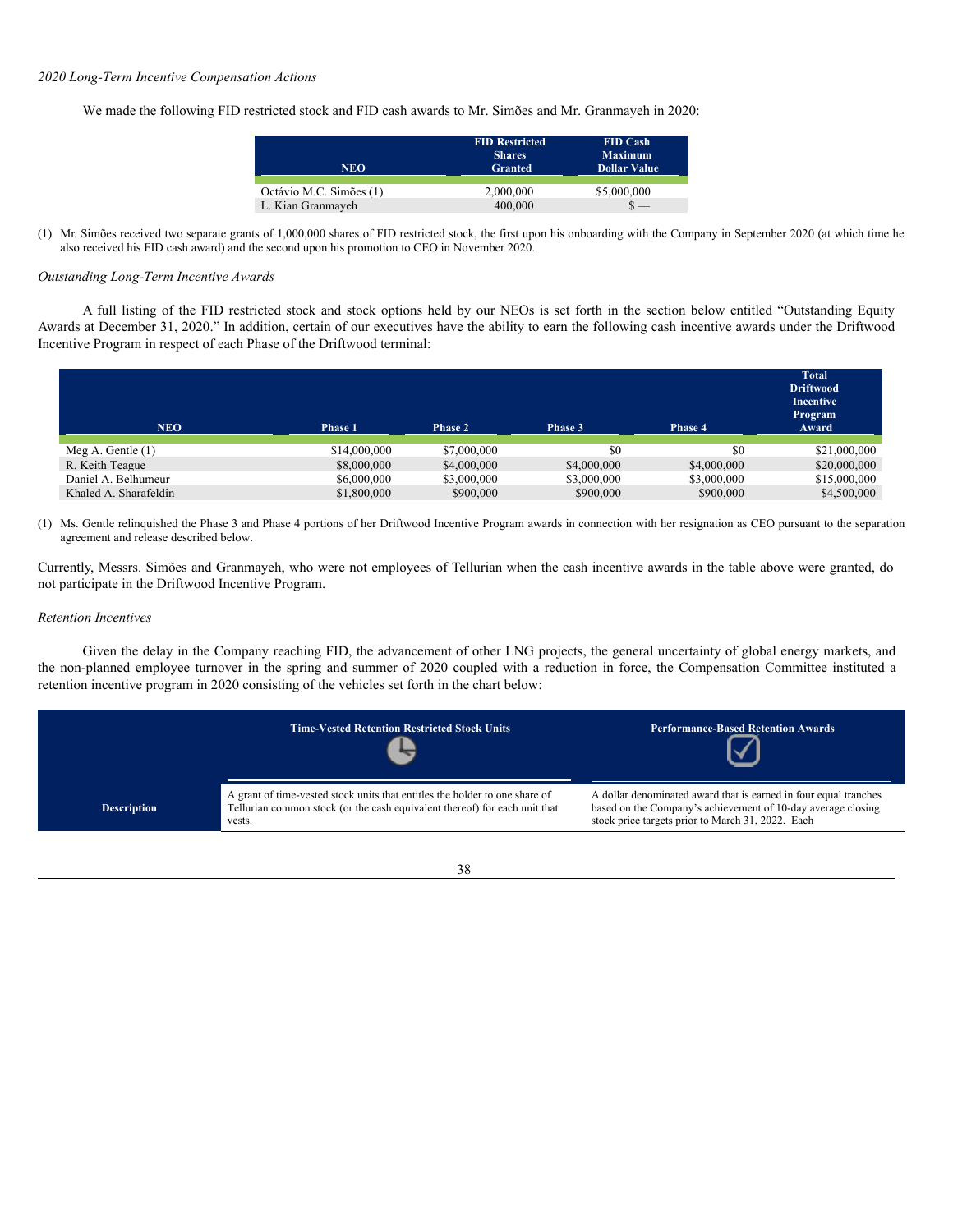### *2020 Long-Term Incentive Compensation Actions*

We made the following FID restricted stock and FID cash awards to Mr. Simões and Mr. Granmayeh in 2020:

| <b>NEO</b>              | <b>FID Restricted</b><br><b>Shares</b><br><b>Granted</b> | <b>FID Cash</b><br><b>Maximum</b><br><b>Dollar Value</b> |
|-------------------------|----------------------------------------------------------|----------------------------------------------------------|
| Octávio M.C. Simões (1) | 2,000,000                                                | \$5,000,000                                              |
| L. Kian Granmayeh       | 400,000                                                  |                                                          |

(1) Mr. Simões received two separate grants of 1,000,000 shares of FID restricted stock, the first upon his onboarding with the Company in September 2020 (at which time he also received his FID cash award) and the second upon his promotion to CEO in November 2020.

### *Outstanding Long-Term Incentive Awards*

A full listing of the FID restricted stock and stock options held by our NEOs is set forth in the section below entitled "Outstanding Equity Awards at December 31, 2020." In addition, certain of our executives have the ability to earn the following cash incentive awards under the Driftwood Incentive Program in respect of each Phase of the Driftwood terminal:

| <b>NEO</b>            | Phase 1      | <b>Phase 2</b> | Phase 3     | Phase 4     | <b>Total</b><br><b>Driftwood</b><br><b>Incentive</b><br>Program<br>Award |
|-----------------------|--------------|----------------|-------------|-------------|--------------------------------------------------------------------------|
| Meg A. Gentle $(1)$   | \$14,000,000 | \$7,000,000    | \$0         | \$0         | \$21,000,000                                                             |
| R. Keith Teague       | \$8,000,000  | \$4,000,000    | \$4,000,000 | \$4,000,000 | \$20,000,000                                                             |
| Daniel A. Belhumeur   | \$6,000,000  | \$3,000,000    | \$3,000,000 | \$3,000,000 | \$15,000,000                                                             |
| Khaled A. Sharafeldin | \$1,800,000  | \$900,000      | \$900,000   | \$900,000   | \$4,500,000                                                              |

(1) Ms. Gentle relinquished the Phase 3 and Phase 4 portions of her Driftwood Incentive Program awards in connection with her resignation as CEO pursuant to the separation agreement and release described below.

Currently, Messrs. Simões and Granmayeh, who were not employees of Tellurian when the cash incentive awards in the table above were granted, do not participate in the Driftwood Incentive Program.

## *Retention Incentives*

Given the delay in the Company reaching FID, the advancement of other LNG projects, the general uncertainty of global energy markets, and the non-planned employee turnover in the spring and summer of 2020 coupled with a reduction in force, the Compensation Committee instituted a retention incentive program in 2020 consisting of the vehicles set forth in the chart below:



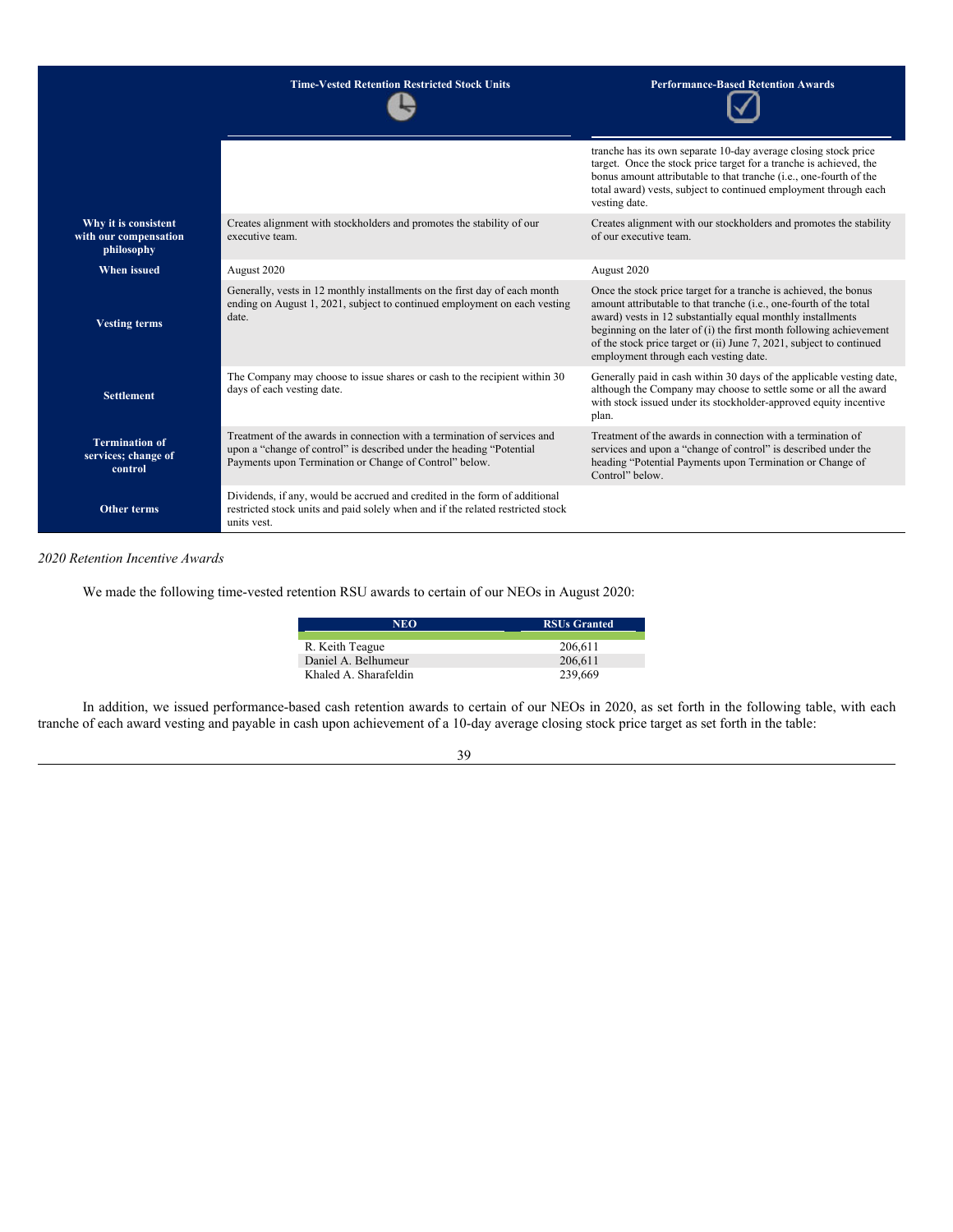|                                                             | <b>Time-Vested Retention Restricted Stock Units</b>                                                                                                                                                        | <b>Performance-Based Retention Awards</b>                                                                                                                                                                                                                                                                                                                                                     |
|-------------------------------------------------------------|------------------------------------------------------------------------------------------------------------------------------------------------------------------------------------------------------------|-----------------------------------------------------------------------------------------------------------------------------------------------------------------------------------------------------------------------------------------------------------------------------------------------------------------------------------------------------------------------------------------------|
|                                                             |                                                                                                                                                                                                            | tranche has its own separate 10-day average closing stock price<br>target. Once the stock price target for a tranche is achieved, the<br>bonus amount attributable to that tranche (i.e., one-fourth of the<br>total award) vests, subject to continued employment through each<br>vesting date.                                                                                              |
| Why it is consistent<br>with our compensation<br>philosophy | Creates alignment with stockholders and promotes the stability of our<br>executive team.                                                                                                                   | Creates alignment with our stockholders and promotes the stability<br>of our executive team.                                                                                                                                                                                                                                                                                                  |
| <b>When issued</b>                                          | August 2020                                                                                                                                                                                                | August 2020                                                                                                                                                                                                                                                                                                                                                                                   |
| <b>Vesting terms</b>                                        | Generally, vests in 12 monthly installments on the first day of each month<br>ending on August 1, 2021, subject to continued employment on each vesting<br>date.                                           | Once the stock price target for a tranche is achieved, the bonus<br>amount attributable to that tranche (i.e., one-fourth of the total<br>award) vests in 12 substantially equal monthly installments<br>beginning on the later of (i) the first month following achievement<br>of the stock price target or (ii) June 7, 2021, subject to continued<br>employment through each vesting date. |
| <b>Settlement</b>                                           | The Company may choose to issue shares or cash to the recipient within 30<br>days of each vesting date.                                                                                                    | Generally paid in cash within 30 days of the applicable vesting date,<br>although the Company may choose to settle some or all the award<br>with stock issued under its stockholder-approved equity incentive<br>plan.                                                                                                                                                                        |
| <b>Termination of</b><br>services; change of<br>control     | Treatment of the awards in connection with a termination of services and<br>upon a "change of control" is described under the heading "Potential<br>Payments upon Termination or Change of Control" below. | Treatment of the awards in connection with a termination of<br>services and upon a "change of control" is described under the<br>heading "Potential Payments upon Termination or Change of<br>Control" below.                                                                                                                                                                                 |
| Other terms                                                 | Dividends, if any, would be accrued and credited in the form of additional<br>restricted stock units and paid solely when and if the related restricted stock<br>units yest.                               |                                                                                                                                                                                                                                                                                                                                                                                               |

## *2020 Retention Incentive Awards*

We made the following time-vested retention RSU awards to certain of our NEOs in August 2020:

| <b>NEO</b>            | <b>RSUs Granted</b> |
|-----------------------|---------------------|
| R. Keith Teague       | 206,611             |
| Daniel A. Belhumeur   | 206,611             |
| Khaled A. Sharafeldin | 239,669             |

In addition, we issued performance-based cash retention awards to certain of our NEOs in 2020, as set forth in the following table, with each tranche of each award vesting and payable in cash upon achievement of a 10-day average closing stock price target as set forth in the table: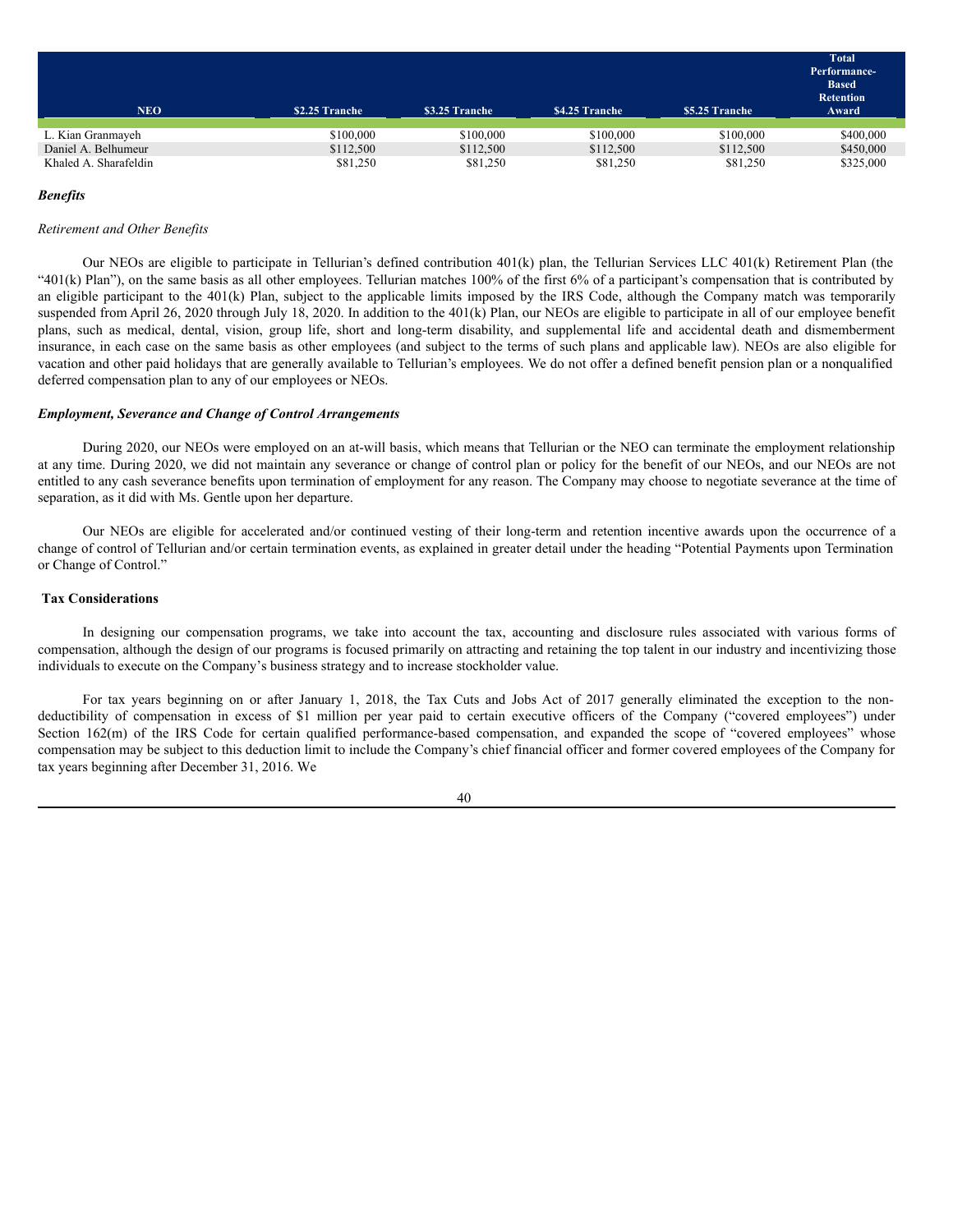|                       |                |                |                |                | Total<br>Performance-<br><b>Based</b><br><b>Retention</b> |
|-----------------------|----------------|----------------|----------------|----------------|-----------------------------------------------------------|
| <b>NEO</b>            | \$2.25 Tranche | \$3.25 Tranche | \$4.25 Tranche | \$5.25 Tranche | Award                                                     |
|                       |                |                |                |                |                                                           |
| L. Kian Granmayeh     | \$100,000      | \$100,000      | \$100,000      | \$100,000      | \$400,000                                                 |
| Daniel A. Belhumeur   | \$112,500      | \$112,500      | \$112,500      | \$112,500      | \$450,000                                                 |
| Khaled A. Sharafeldin | \$81,250       | \$81,250       | \$81,250       | \$81,250       | \$325,000                                                 |

### *Benefits*

## *Retirement and Other Benefits*

Our NEOs are eligible to participate in Tellurian's defined contribution 401(k) plan, the Tellurian Services LLC 401(k) Retirement Plan (the "401(k) Plan"), on the same basis as all other employees. Tellurian matches 100% of the first 6% of a participant's compensation that is contributed by an eligible participant to the  $401(k)$  Plan, subject to the applicable limits imposed by the IRS Code, although the Company match was temporarily suspended from April 26, 2020 through July 18, 2020. In addition to the 401(k) Plan, our NEOs are eligible to participate in all of our employee benefit plans, such as medical, dental, vision, group life, short and long-term disability, and supplemental life and accidental death and dismemberment insurance, in each case on the same basis as other employees (and subject to the terms of such plans and applicable law). NEOs are also eligible for vacation and other paid holidays that are generally available to Tellurian's employees. We do not offer a defined benefit pension plan or a nonqualified deferred compensation plan to any of our employees or NEOs.

### *Employment, Severance and Change of Control Arrangements*

During 2020, our NEOs were employed on an at-will basis, which means that Tellurian or the NEO can terminate the employment relationship at any time. During 2020, we did not maintain any severance or change of control plan or policy for the benefit of our NEOs, and our NEOs are not entitled to any cash severance benefits upon termination of employment for any reason. The Company may choose to negotiate severance at the time of separation, as it did with Ms. Gentle upon her departure.

Our NEOs are eligible for accelerated and/or continued vesting of their long-term and retention incentive awards upon the occurrence of a change of control of Tellurian and/or certain termination events, as explained in greater detail under the heading "Potential Payments upon Termination or Change of Control."

## <span id="page-45-0"></span>**Tax Considerations**

In designing our compensation programs, we take into account the tax, accounting and disclosure rules associated with various forms of compensation, although the design of our programs is focused primarily on attracting and retaining the top talent in our industry and incentivizing those individuals to execute on the Company's business strategy and to increase stockholder value.

For tax years beginning on or after January 1, 2018, the Tax Cuts and Jobs Act of 2017 generally eliminated the exception to the nondeductibility of compensation in excess of \$1 million per year paid to certain executive officers of the Company ("covered employees") under Section 162(m) of the IRS Code for certain qualified performance-based compensation, and expanded the scope of "covered employees" whose compensation may be subject to this deduction limit to include the Company's chief financial officer and former covered employees of the Company for tax years beginning after December 31, 2016. We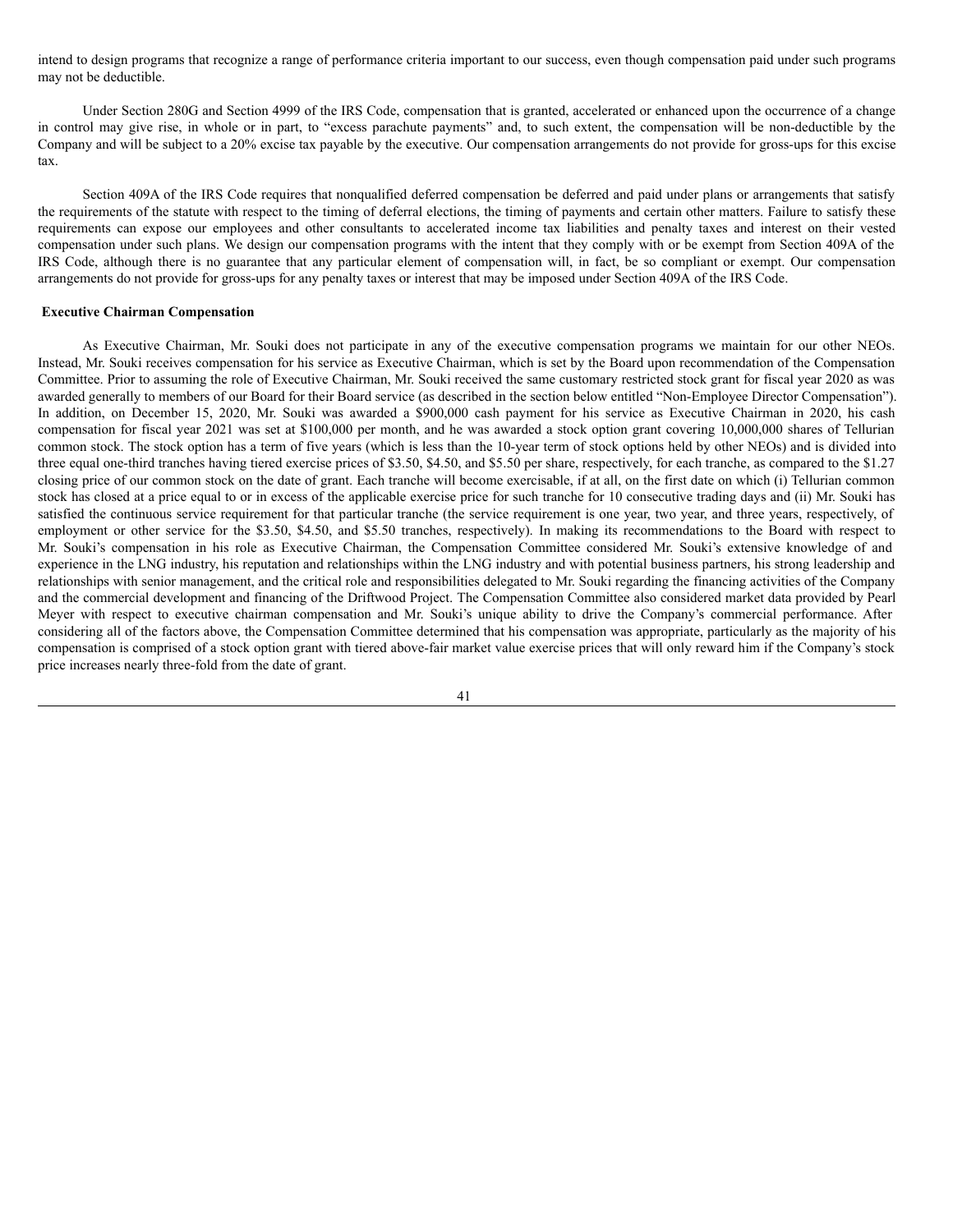intend to design programs that recognize a range of performance criteria important to our success, even though compensation paid under such programs may not be deductible.

Under Section 280G and Section 4999 of the IRS Code, compensation that is granted, accelerated or enhanced upon the occurrence of a change in control may give rise, in whole or in part, to "excess parachute payments" and, to such extent, the compensation will be non-deductible by the Company and will be subject to a 20% excise tax payable by the executive. Our compensation arrangements do not provide for gross-ups for this excise tax.

Section 409A of the IRS Code requires that nonqualified deferred compensation be deferred and paid under plans or arrangements that satisfy the requirements of the statute with respect to the timing of deferral elections, the timing of payments and certain other matters. Failure to satisfy these requirements can expose our employees and other consultants to accelerated income tax liabilities and penalty taxes and interest on their vested compensation under such plans. We design our compensation programs with the intent that they comply with or be exempt from Section 409A of the IRS Code, although there is no guarantee that any particular element of compensation will, in fact, be so compliant or exempt. Our compensation arrangements do not provide for gross-ups for any penalty taxes or interest that may be imposed under Section 409A of the IRS Code.

## <span id="page-46-0"></span>**Executive Chairman Compensation**

As Executive Chairman, Mr. Souki does not participate in any of the executive compensation programs we maintain for our other NEOs. Instead, Mr. Souki receives compensation for his service as Executive Chairman, which is set by the Board upon recommendation of the Compensation Committee. Prior to assuming the role of Executive Chairman, Mr. Souki received the same customary restricted stock grant for fiscal year 2020 as was awarded generally to members of our Board for their Board service (as described in the section below entitled "Non-Employee Director Compensation"). In addition, on December 15, 2020, Mr. Souki was awarded a \$900,000 cash payment for his service as Executive Chairman in 2020, his cash compensation for fiscal year 2021 was set at \$100,000 per month, and he was awarded a stock option grant covering 10,000,000 shares of Tellurian common stock. The stock option has a term of five years (which is less than the 10-year term of stock options held by other NEOs) and is divided into three equal one-third tranches having tiered exercise prices of \$3.50, \$4.50, and \$5.50 per share, respectively, for each tranche, as compared to the \$1.27 closing price of our common stock on the date of grant. Each tranche will become exercisable, if at all, on the first date on which (i) Tellurian common stock has closed at a price equal to or in excess of the applicable exercise price for such tranche for 10 consecutive trading days and (ii) Mr. Souki has satisfied the continuous service requirement for that particular tranche (the service requirement is one year, two year, and three years, respectively, of employment or other service for the \$3.50, \$4.50, and \$5.50 tranches, respectively). In making its recommendations to the Board with respect to Mr. Souki's compensation in his role as Executive Chairman, the Compensation Committee considered Mr. Souki's extensive knowledge of and experience in the LNG industry, his reputation and relationships within the LNG industry and with potential business partners, his strong leadership and relationships with senior management, and the critical role and responsibilities delegated to Mr. Souki regarding the financing activities of the Company and the commercial development and financing of the Driftwood Project. The Compensation Committee also considered market data provided by Pearl Meyer with respect to executive chairman compensation and Mr. Souki's unique ability to drive the Company's commercial performance. After considering all of the factors above, the Compensation Committee determined that his compensation was appropriate, particularly as the majority of his compensation is comprised of a stock option grant with tiered above-fair market value exercise prices that will only reward him if the Company's stock price increases nearly three-fold from the date of grant.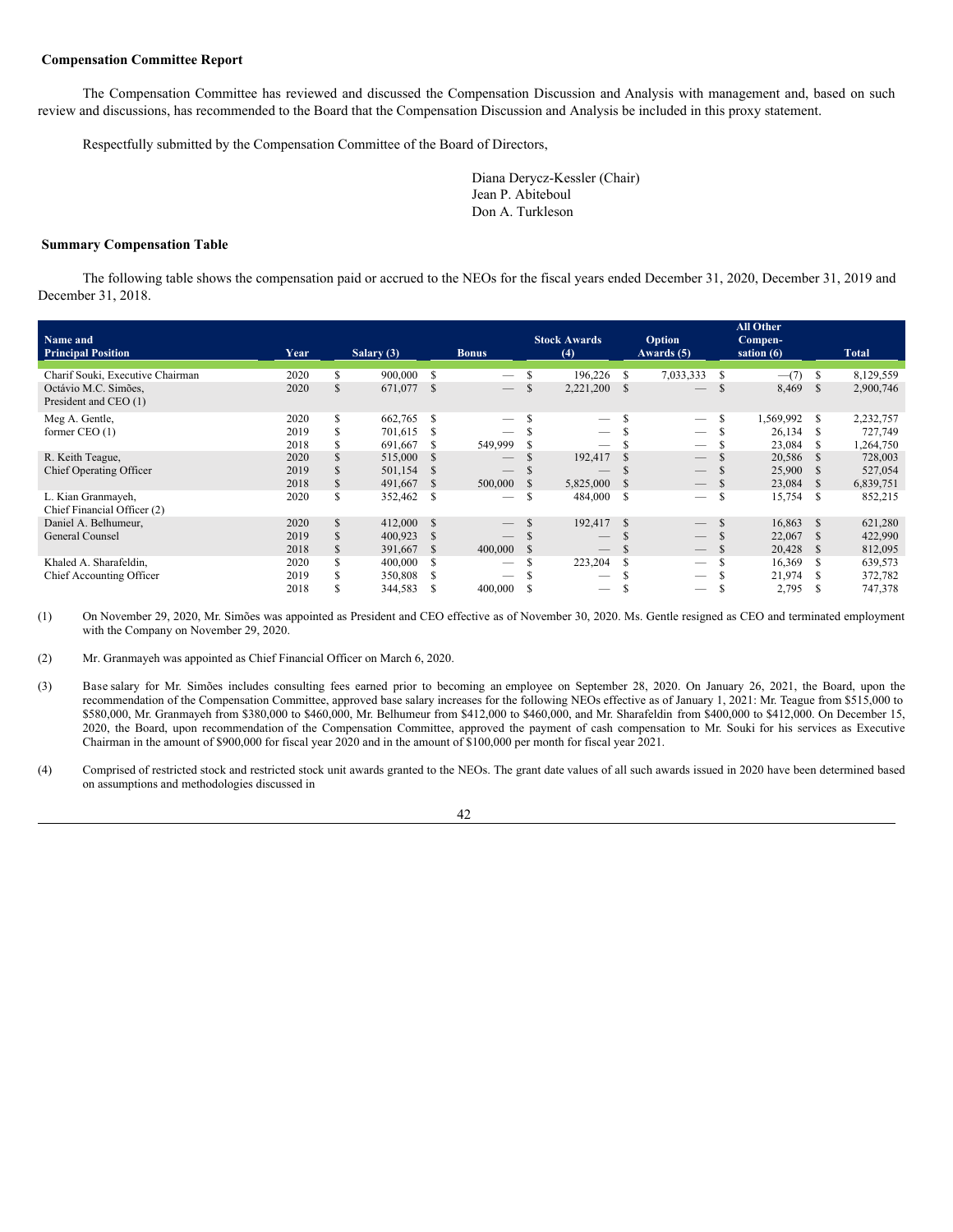## <span id="page-47-0"></span>**Compensation Committee Report**

The Compensation Committee has reviewed and discussed the Compensation Discussion and Analysis with management and, based on such review and discussions, has recommended to the Board that the Compensation Discussion and Analysis be included in this proxy statement.

Respectfully submitted by the Compensation Committee of the Board of Directors,

Diana Derycz-Kessler (Chair) Jean P. Abiteboul Don A. Turkleson

#### <span id="page-47-1"></span>**Summary Compensation Table**

The following table shows the compensation paid or accrued to the NEOs for the fiscal years ended December 31, 2020, December 31, 2019 and December 31, 2018.

| Name and<br><b>Principal Position</b>         | Year |     | Salary $(3)$ |              | <b>Bonus</b>             |              | <b>Stock Awards</b><br>(4)      |      | Option<br>Awards (5)            |               | <b>All Other</b><br>Compen-<br>sation $(6)$ |               | <b>Total</b> |
|-----------------------------------------------|------|-----|--------------|--------------|--------------------------|--------------|---------------------------------|------|---------------------------------|---------------|---------------------------------------------|---------------|--------------|
| Charif Souki, Executive Chairman              | 2020 | S   | 900,000      | S            | $\overline{\phantom{m}}$ | \$           | 196,226                         | -S   | 7,033,333                       | S             | $-$ (7)                                     | S             | 8,129,559    |
| Octávio M.C. Simões,<br>President and CEO (1) | 2020 | S   | 671,077      | -S           | $\overline{\phantom{a}}$ | \$           | 2,221,200 \$                    |      | $\overline{\phantom{m}}$        | S             | 8,469                                       | <sup>S</sup>  | 2,900,746    |
| Meg A. Gentle,                                | 2020 | S.  | 662,765      | -S           | $\qquad \qquad$          |              |                                 |      | $\overline{\phantom{m}}$        | S             | 1,569,992                                   | S             | 2,232,757    |
| former $CEO(1)$                               | 2019 |     | 701,615      | S            |                          |              | $\overline{\phantom{m}}$        |      | $\overline{\phantom{m}}$        |               | 26,134                                      | -S            | 727,749      |
|                                               | 2018 |     | 691,667      | -S           | 549,999                  |              |                                 |      |                                 |               | 23,084                                      | S             | 1,264,750    |
| R. Keith Teague,                              | 2020 |     | 515,000      | <b>S</b>     | $\qquad \qquad - \qquad$ |              | 192,417                         |      | $\overline{\phantom{m}}$        |               | 20,586                                      | -S            | 728,003      |
| <b>Chief Operating Officer</b>                | 2019 |     | 501,154      | S            | $\qquad \qquad -$        |              | __                              |      | $\overline{\phantom{m}}$        |               | 25,900                                      | S             | 527,054      |
|                                               | 2018 | S   | 491,667      | <sup>S</sup> | 500,000                  | <sup>S</sup> | 5,825,000                       | - S  | $\hspace{0.1mm}-\hspace{0.1mm}$ |               | 23,084                                      | S             | 6,839,751    |
| L. Kian Granmayeh,                            | 2020 | S   | 352,462      | S            |                          | \$           | 484,000                         | -S   | $\hspace{0.05cm}$               | S             | 15,754                                      | S             | 852,215      |
| Chief Financial Officer (2)                   |      |     |              |              |                          |              |                                 |      |                                 |               |                                             |               |              |
| Daniel A. Belhumeur,                          | 2020 | \$. | 412,000      | <sup>S</sup> | $\overline{\phantom{a}}$ |              | 192,417                         | - \$ |                                 | <sup>\$</sup> | 16,863                                      | <sup>\$</sup> | 621,280      |
| General Counsel                               | 2019 |     | 400,923      | S            |                          |              | $\hspace{0.1mm}-\hspace{0.1mm}$ |      |                                 |               | 22,067                                      | -S            | 422,990      |
|                                               | 2018 |     | 391,667      | -S           | 400,000                  | <sup>S</sup> | $\hspace{0.1mm}-\hspace{0.1mm}$ |      |                                 |               | 20,428                                      | -S            | 812,095      |
| Khaled A. Sharafeldin,                        | 2020 |     | 400,000      | S            |                          |              | 223,204                         |      |                                 |               | 16,369                                      | -S            | 639,573      |
| Chief Accounting Officer                      | 2019 |     | 350,808      | S            |                          |              | –                               |      |                                 |               | 21,974                                      |               | 372,782      |
|                                               | 2018 |     | 344,583      | S            | 400,000                  |              | —                               |      |                                 | J.            | 2,795                                       | £.            | 747,378      |

(1) On November 29, 2020, Mr. Simões was appointed as President and CEO effective as of November 30, 2020. Ms. Gentle resigned as CEO and terminated employment with the Company on November 29, 2020.

(2) Mr. Granmayeh was appointed as Chief Financial Officer on March 6, 2020.

- (3) Base salary for Mr. Simões includes consulting fees earned prior to becoming an employee on September 28, 2020. On January 26, 2021, the Board, upon the recommendation of the Compensation Committee, approved base salary increases for the following NEOs effective as of January 1, 2021: Mr. Teague from \$515,000 to \$580,000, Mr. Granmayeh from \$380,000 to \$460,000, Mr. Belhumeur from \$412,000 to \$460,000, and Mr. Sharafeldin from \$400,000 to \$412,000. On December 15, 2020, the Board, upon recommendation of the Compensation Committee, approved the payment of cash compensation to Mr. Souki for his services as Executive Chairman in the amount of \$900,000 for fiscal year 2020 and in the amount of \$100,000 per month for fiscal year 2021.
- (4) Comprised of restricted stock and restricted stock unit awards granted to the NEOs. The grant date values of all such awards issued in 2020 have been determined based on assumptions and methodologies discussed in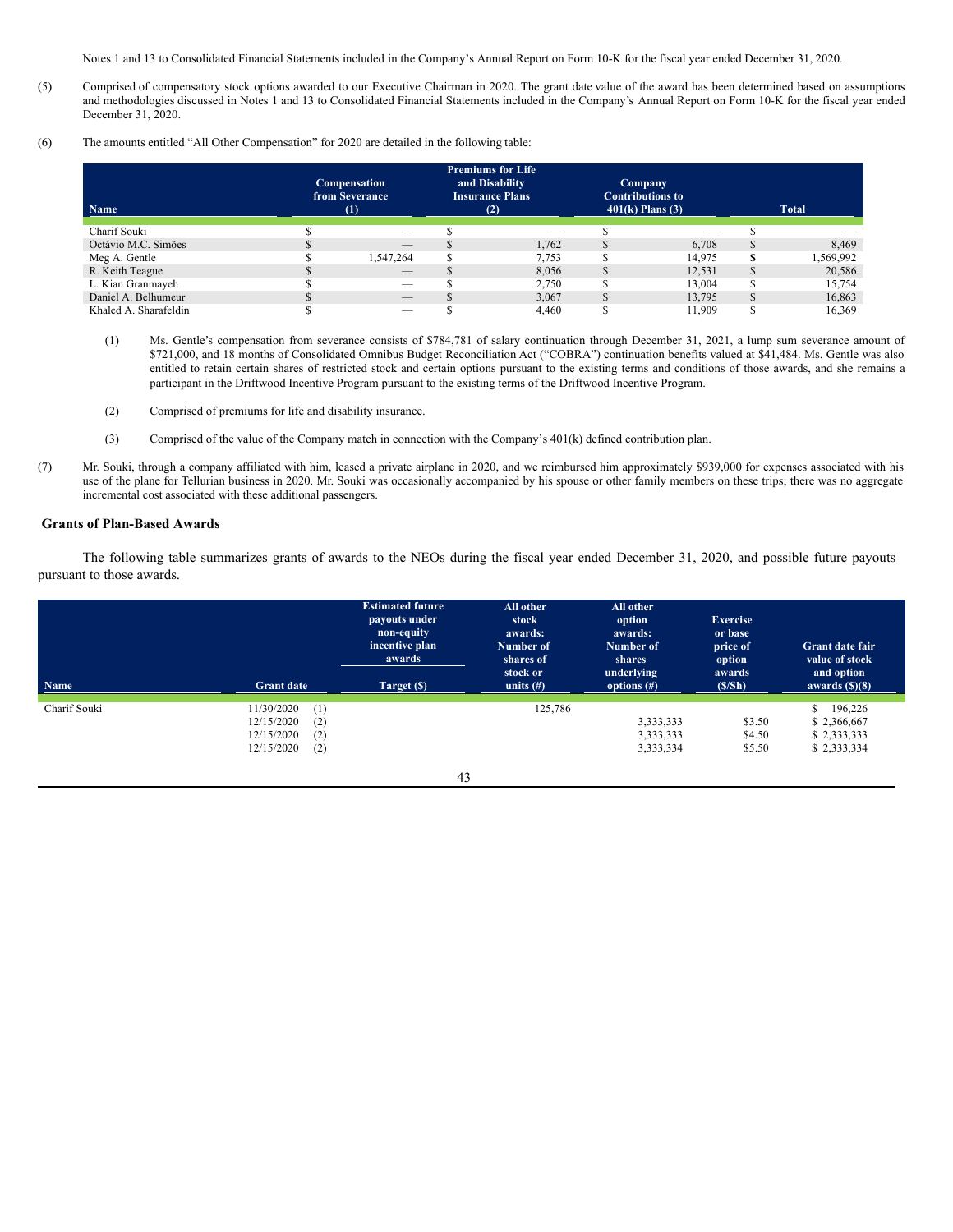Notes 1 and 13 to Consolidated Financial Statements included in the Company's Annual Report on Form 10-K for the fiscal year ended December 31, 2020.

- (5) Comprised of compensatory stock options awarded to our Executive Chairman in 2020. The grant date value of the award has been determined based on assumptions and methodologies discussed in Notes 1 and 13 to Consolidated Financial Statements included in the Company's Annual Report on Form 10-K for the fiscal year ended December 31, 2020.
- (6) The amounts entitled "All Other Compensation" for 2020 are detailed in the following table:

| <b>Name</b>           | <b>Compensation</b><br>from Severance<br>$\scriptstyle{(1)}$ | <b>Premiums for Life</b><br>and Disability<br><b>Insurance Plans</b><br>(2) | <b>Company</b><br><b>Contributions to</b><br>$401(k)$ Plans (3) |          | <b>Total</b> |
|-----------------------|--------------------------------------------------------------|-----------------------------------------------------------------------------|-----------------------------------------------------------------|----------|--------------|
| Charif Souki          | $\overline{\phantom{a}}$                                     |                                                                             | $-$                                                             |          |              |
| Octávio M.C. Simões   | $-$                                                          | 1.762                                                                       | 6.708                                                           |          | 8,469        |
| Meg A. Gentle         | 1,547,264                                                    | 7,753                                                                       | 14.975                                                          | \$       | 1,569,992    |
| R. Keith Teague       | $-$                                                          | 8.056                                                                       | 12.531                                                          | J.       | 20,586       |
| L. Kian Granmayeh     |                                                              | 2.750                                                                       | 13.004                                                          |          | 15.754       |
| Daniel A. Belhumeur   | $\qquad \qquad - \qquad$                                     | 3.067                                                                       | 13.795                                                          | <b>S</b> | 16,863       |
| Khaled A. Sharafeldin |                                                              | 4.460                                                                       | 11.909                                                          |          | 16.369       |

- (1) Ms. Gentle's compensation from severance consists of \$784,781 of salary continuation through December 31, 2021, a lump sum severance amount of \$721,000, and 18 months of Consolidated Omnibus Budget Reconciliation Act ("COBRA") continuation benefits valued at \$41,484. Ms. Gentle was also entitled to retain certain shares of restricted stock and certain options pursuant to the existing terms and conditions of those awards, and she remains a participant in the Driftwood Incentive Program pursuant to the existing terms of the Driftwood Incentive Program.
- (2) Comprised of premiums for life and disability insurance.
- (3) Comprised of the value of the Company match in connection with the Company's 401(k) defined contribution plan.
- (7) Mr. Souki, through a company affiliated with him, leased a private airplane in 2020, and we reimbursed him approximately \$939,000 for expenses associated with his use of the plane for Tellurian business in 2020. Mr. Souki was occasionally accompanied by his spouse or other family members on these trips; there was no aggregate incremental cost associated with these additional passengers.

## <span id="page-48-0"></span>**Grants of Plan-Based Awards**

The following table summarizes grants of awards to the NEOs during the fiscal year ended December 31, 2020, and possible future payouts pursuant to those awards.

| <b>Name</b>  | <b>Grant date</b>                                                                | <b>Estimated future</b><br>payouts under<br>non-equity<br>incentive plan<br>awards<br>Target (\$) | All other<br>stock<br>awards:<br>Number of<br>shares of<br>stock or<br>units $(\#)$ | All other<br>option<br>awards:<br>Number of<br>shares<br>underlying<br>options $(\#)$ | <b>Exercise</b><br>or base<br>price of<br>option<br>awards<br>(S/Sh) | <b>Grant date fair</b><br>value of stock<br>and option<br>awards $(\text{S})(8)$ |
|--------------|----------------------------------------------------------------------------------|---------------------------------------------------------------------------------------------------|-------------------------------------------------------------------------------------|---------------------------------------------------------------------------------------|----------------------------------------------------------------------|----------------------------------------------------------------------------------|
| Charif Souki | 11/30/2020<br>(1)<br>12/15/2020<br>(2)<br>12/15/2020<br>(2)<br>12/15/2020<br>(2) | 43                                                                                                | 125,786                                                                             | 3,333,333<br>3,333,333<br>3,333,334                                                   | \$3.50<br>\$4.50<br>\$5.50                                           | \$<br>196,226<br>\$2,366,667<br>\$2,333,333<br>\$2,333,334                       |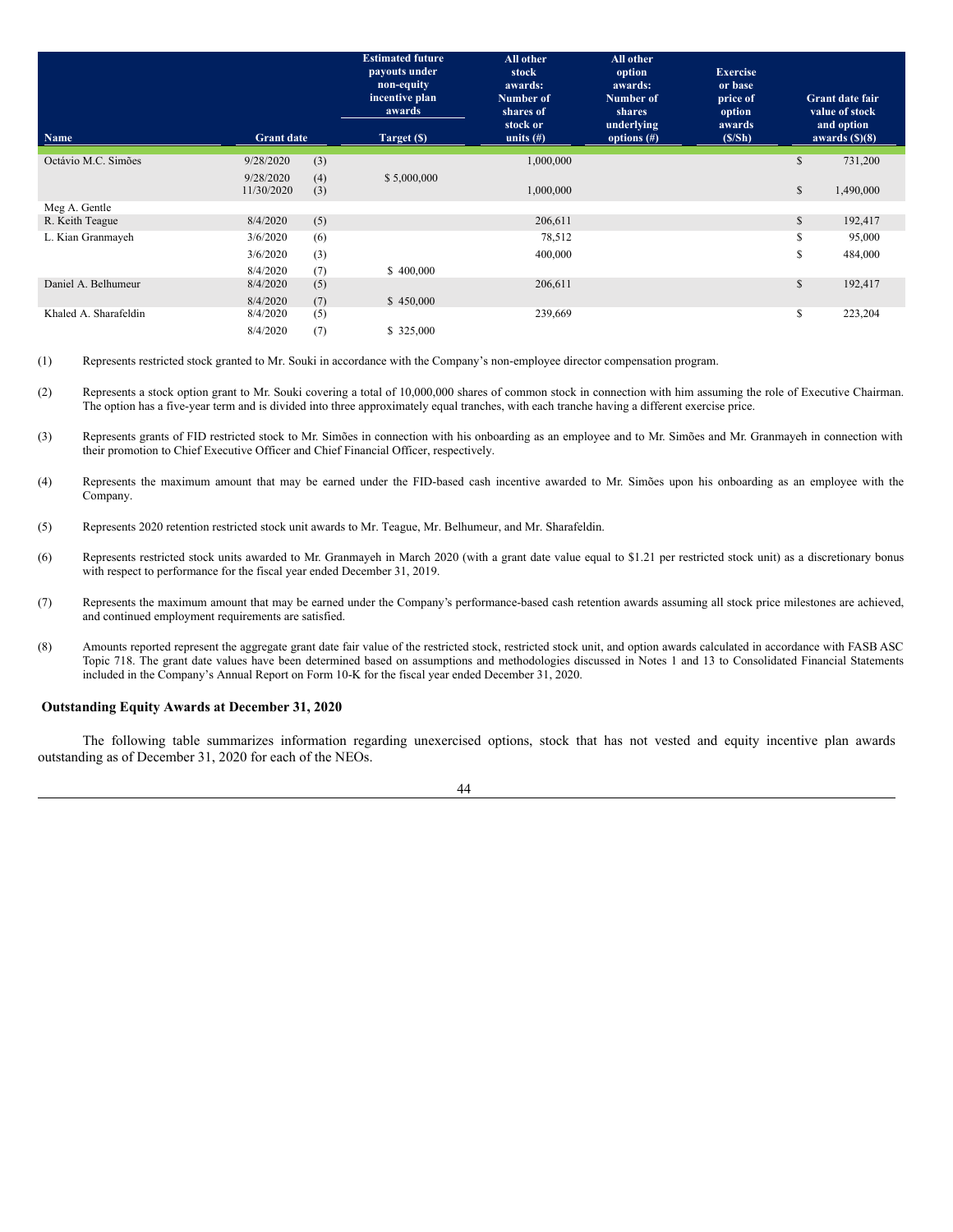|                       |                         |            | <b>Estimated future</b><br>payouts under<br>non-equity<br>incentive plan<br>awards | All other<br>stock<br>awards:<br>Number of<br>shares of<br>stock or | All other<br>option<br>awards:<br>Number of<br>shares<br>underlying | <b>Exercise</b><br>or base<br>price of<br>option<br>awards |              | <b>Grant date fair</b><br>value of stock<br>and option |
|-----------------------|-------------------------|------------|------------------------------------------------------------------------------------|---------------------------------------------------------------------|---------------------------------------------------------------------|------------------------------------------------------------|--------------|--------------------------------------------------------|
| Name                  | <b>Grant date</b>       |            | Target (\$)                                                                        | units $(\#)$                                                        | options $(\#)$                                                      | (S/Sh)                                                     |              | awards $(\text{S})(8)$                                 |
| Octávio M.C. Simões   | 9/28/2020               | (3)        |                                                                                    | 1,000,000                                                           |                                                                     |                                                            | \$           | 731,200                                                |
|                       | 9/28/2020<br>11/30/2020 | (4)<br>(3) | \$5,000,000                                                                        | 1,000,000                                                           |                                                                     |                                                            | $\mathbb{S}$ | 1,490,000                                              |
| Meg A. Gentle         |                         |            |                                                                                    |                                                                     |                                                                     |                                                            |              |                                                        |
| R. Keith Teague       | 8/4/2020                | (5)        |                                                                                    | 206,611                                                             |                                                                     |                                                            | S            | 192,417                                                |
| L. Kian Granmayeh     | 3/6/2020                | (6)        |                                                                                    | 78,512                                                              |                                                                     |                                                            | S            | 95,000                                                 |
|                       | 3/6/2020                | (3)        |                                                                                    | 400,000                                                             |                                                                     |                                                            | S            | 484,000                                                |
|                       | 8/4/2020                | (7)        | \$400,000                                                                          |                                                                     |                                                                     |                                                            |              |                                                        |
| Daniel A. Belhumeur   | 8/4/2020                | (5)        |                                                                                    | 206,611                                                             |                                                                     |                                                            | \$           | 192,417                                                |
|                       | 8/4/2020                | (7)        | \$450,000                                                                          |                                                                     |                                                                     |                                                            |              |                                                        |
| Khaled A. Sharafeldin | 8/4/2020                | (5)        |                                                                                    | 239,669                                                             |                                                                     |                                                            | \$           | 223,204                                                |
|                       | 8/4/2020                | (7)        | \$325,000                                                                          |                                                                     |                                                                     |                                                            |              |                                                        |

(1) Represents restricted stock granted to Mr. Souki in accordance with the Company's non-employee director compensation program.

- (2) Represents a stock option grant to Mr. Souki covering a total of 10,000,000 shares of common stock in connection with him assuming the role of Executive Chairman. The option has a five-year term and is divided into three approximately equal tranches, with each tranche having a different exercise price.
- (3) Represents grants of FID restricted stock to Mr. Simões in connection with his onboarding as an employee and to Mr. Simões and Mr. Granmayeh in connection with their promotion to Chief Executive Officer and Chief Financial Officer, respectively.
- (4) Represents the maximum amount that may be earned under the FID-based cash incentive awarded to Mr. Simões upon his onboarding as an employee with the Company.
- (5) Represents 2020 retention restricted stock unit awards to Mr. Teague, Mr. Belhumeur, and Mr. Sharafeldin.
- (6) Represents restricted stock units awarded to Mr. Granmayeh in March 2020 (with a grant date value equal to \$1.21 per restricted stock unit) as a discretionary bonus with respect to performance for the fiscal year ended December 31, 2019.
- (7) Represents the maximum amount that may be earned under the Company's performance-based cash retention awards assuming all stock price milestones are achieved, and continued employment requirements are satisfied.
- (8) Amounts reported represent the aggregate grant date fair value of the restricted stock, restricted stock unit, and option awards calculated in accordance with FASB ASC Topic 718. The grant date values have been determined based on assumptions and methodologies discussed in Notes 1 and 13 to Consolidated Financial Statements included in the Company's Annual Report on Form 10-K for the fiscal year ended December 31, 2020.

## <span id="page-49-0"></span>**Outstanding Equity Awards at December 31, 2020**

The following table summarizes information regarding unexercised options, stock that has not vested and equity incentive plan awards outstanding as of December 31, 2020 for each of the NEOs.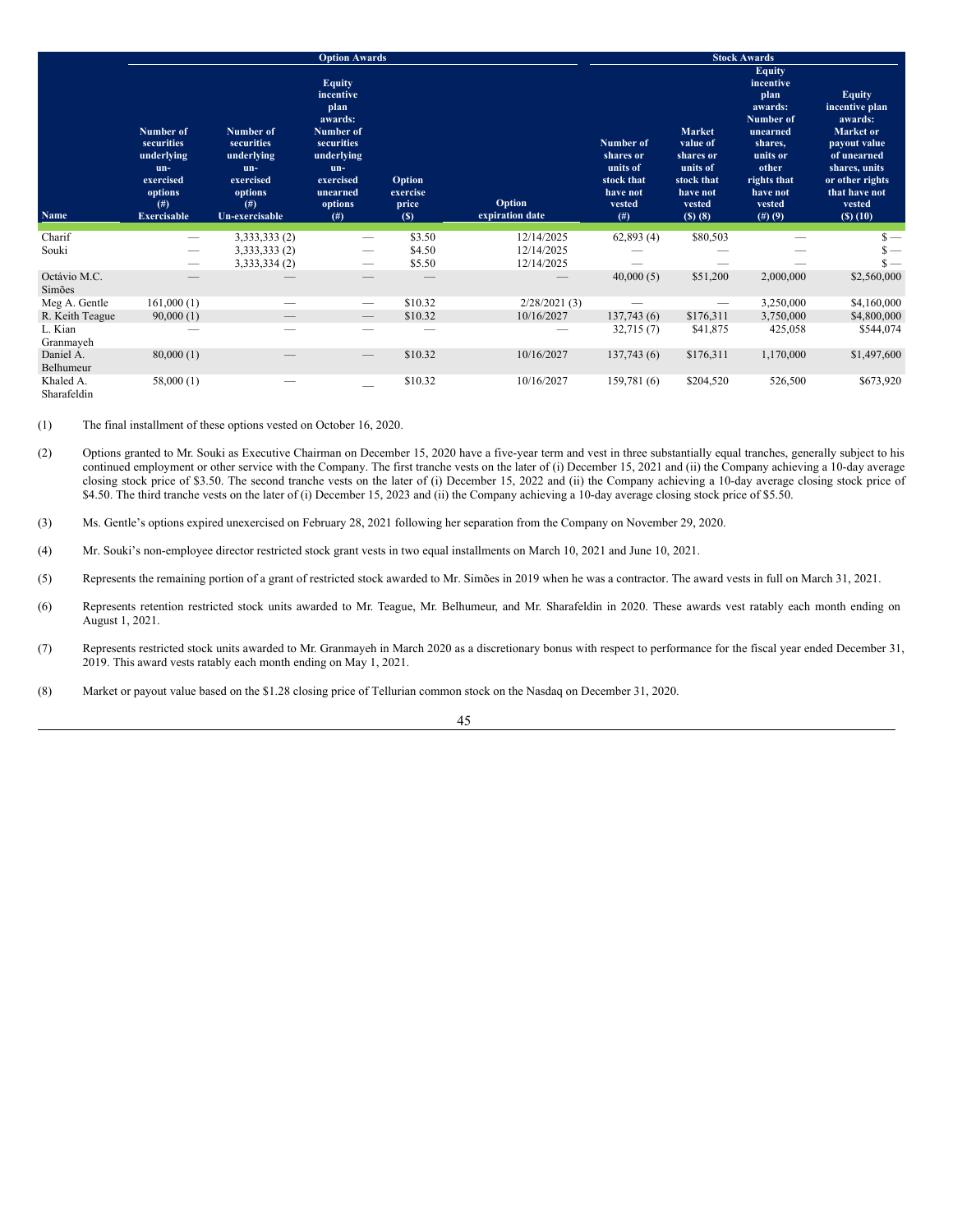|                          |                                                                                                         |                                                                                                | <b>Option Awards</b>                                                                                                                        |                                    |                           |                                                                                     |                                                                                                | <b>Stock Awards</b>                                                                                                                                   |                                                                                                                                                                     |
|--------------------------|---------------------------------------------------------------------------------------------------------|------------------------------------------------------------------------------------------------|---------------------------------------------------------------------------------------------------------------------------------------------|------------------------------------|---------------------------|-------------------------------------------------------------------------------------|------------------------------------------------------------------------------------------------|-------------------------------------------------------------------------------------------------------------------------------------------------------|---------------------------------------------------------------------------------------------------------------------------------------------------------------------|
| Name                     | Number of<br>securities<br>underlying<br>un-<br>exercised<br>options<br>$($ # $)$<br><b>Exercisable</b> | Number of<br>securities<br>underlying<br>un-<br>exercised<br>options<br>(f#)<br>Un-exercisable | <b>Equity</b><br>incentive<br>plan<br>awards:<br>Number of<br>securities<br>underlying<br>$un-$<br>exercised<br>unearned<br>options<br>(f#) | Option<br>exercise<br>price<br>(S) | Option<br>expiration date | Number of<br>shares or<br>units of<br>stock that<br>have not<br>vested<br>$($ # $)$ | Market<br>value of<br>shares or<br>units of<br>stock that<br>have not<br>vested<br>$(S)$ $(8)$ | <b>Equity</b><br>incentive<br>plan<br>awards:<br>Number of<br>unearned<br>shares,<br>units or<br>other<br>rights that<br>have not<br>vested<br>(#)(9) | <b>Equity</b><br>incentive plan<br>awards:<br>Market or<br>payout value<br>of unearned<br>shares, units<br>or other rights<br>that have not<br>vested<br>$(S)$ (10) |
| Charif                   | $\overline{\phantom{m}}$                                                                                | 3,333,333 (2)                                                                                  | -                                                                                                                                           | \$3.50                             | 12/14/2025                | 62,893(4)                                                                           | \$80,503                                                                                       |                                                                                                                                                       | $s -$                                                                                                                                                               |
| Souki                    | $\qquad \qquad$                                                                                         | 3,333,333 (2)                                                                                  | --                                                                                                                                          | \$4.50                             | 12/14/2025                |                                                                                     |                                                                                                |                                                                                                                                                       | $\frac{\epsilon}{\epsilon}$                                                                                                                                         |
|                          |                                                                                                         | 3,333,334 (2)                                                                                  | --                                                                                                                                          | \$5.50                             | 12/14/2025                |                                                                                     |                                                                                                |                                                                                                                                                       | $s -$                                                                                                                                                               |
| Octávio M.C.<br>Simões   |                                                                                                         |                                                                                                |                                                                                                                                             |                                    |                           | 40,000(5)                                                                           | \$51,200                                                                                       | 2,000,000                                                                                                                                             | \$2,560,000                                                                                                                                                         |
| Meg A. Gentle            | 161,000(1)                                                                                              |                                                                                                | $\hspace{0.05cm}$                                                                                                                           | \$10.32                            | 2/28/2021(3)              | $\overline{\phantom{0}}$                                                            | $\hspace{0.1mm}-\hspace{0.1mm}$                                                                | 3,250,000                                                                                                                                             | \$4,160,000                                                                                                                                                         |
| R. Keith Teague          | 90,000(1)                                                                                               | $\hspace{0.1mm}-\hspace{0.1mm}$                                                                | $\hspace{0.1mm}-\hspace{0.1mm}$                                                                                                             | \$10.32                            | 10/16/2027                | 137,743(6)                                                                          | \$176,311                                                                                      | 3,750,000                                                                                                                                             | \$4,800,000                                                                                                                                                         |
| L. Kian<br>Granmayeh     |                                                                                                         |                                                                                                |                                                                                                                                             |                                    |                           | 32,715(7)                                                                           | \$41,875                                                                                       | 425,058                                                                                                                                               | \$544,074                                                                                                                                                           |
| Daniel A.<br>Belhumeur   | 80,000(1)                                                                                               |                                                                                                | $\overline{\phantom{0}}$                                                                                                                    | \$10.32                            | 10/16/2027                | 137,743(6)                                                                          | \$176,311                                                                                      | 1,170,000                                                                                                                                             | \$1,497,600                                                                                                                                                         |
| Khaled A.<br>Sharafeldin | 58,000(1)                                                                                               |                                                                                                |                                                                                                                                             | \$10.32                            | 10/16/2027                | 159,781(6)                                                                          | \$204,520                                                                                      | 526,500                                                                                                                                               | \$673,920                                                                                                                                                           |

(1) The final installment of these options vested on October 16, 2020.

(2) Options granted to Mr. Souki as Executive Chairman on December 15, 2020 have a five-year term and vest in three substantially equal tranches, generally subject to his continued employment or other service with the Company. The first tranche vests on the later of (i) December 15, 2021 and (ii) the Company achieving a 10-day average closing stock price of \$3.50. The second tranche vests on the later of (i) December 15, 2022 and (ii) the Company achieving a 10-day average closing stock price of \$4.50. The third tranche vests on the later of (i) December 15, 2023 and (ii) the Company achieving a 10-day average closing stock price of \$5.50.

(3) Ms. Gentle's options expired unexercised on February 28, 2021 following her separation from the Company on November 29, 2020.

(4) Mr. Souki's non-employee director restricted stock grant vests in two equal installments on March 10, 2021 and June 10, 2021.

(5) Represents the remaining portion of a grant of restricted stock awarded to Mr. Simões in 2019 when he was a contractor. The award vests in full on March 31, 2021.

(6) Represents retention restricted stock units awarded to Mr. Teague, Mr. Belhumeur, and Mr. Sharafeldin in 2020. These awards vest ratably each month ending on August 1, 2021.

(7) Represents restricted stock units awarded to Mr. Granmayeh in March 2020 as a discretionary bonus with respect to performance for the fiscal year ended December 31, 2019. This award vests ratably each month ending on May 1, 2021.

(8) Market or payout value based on the \$1.28 closing price of Tellurian common stock on the Nasdaq on December 31, 2020.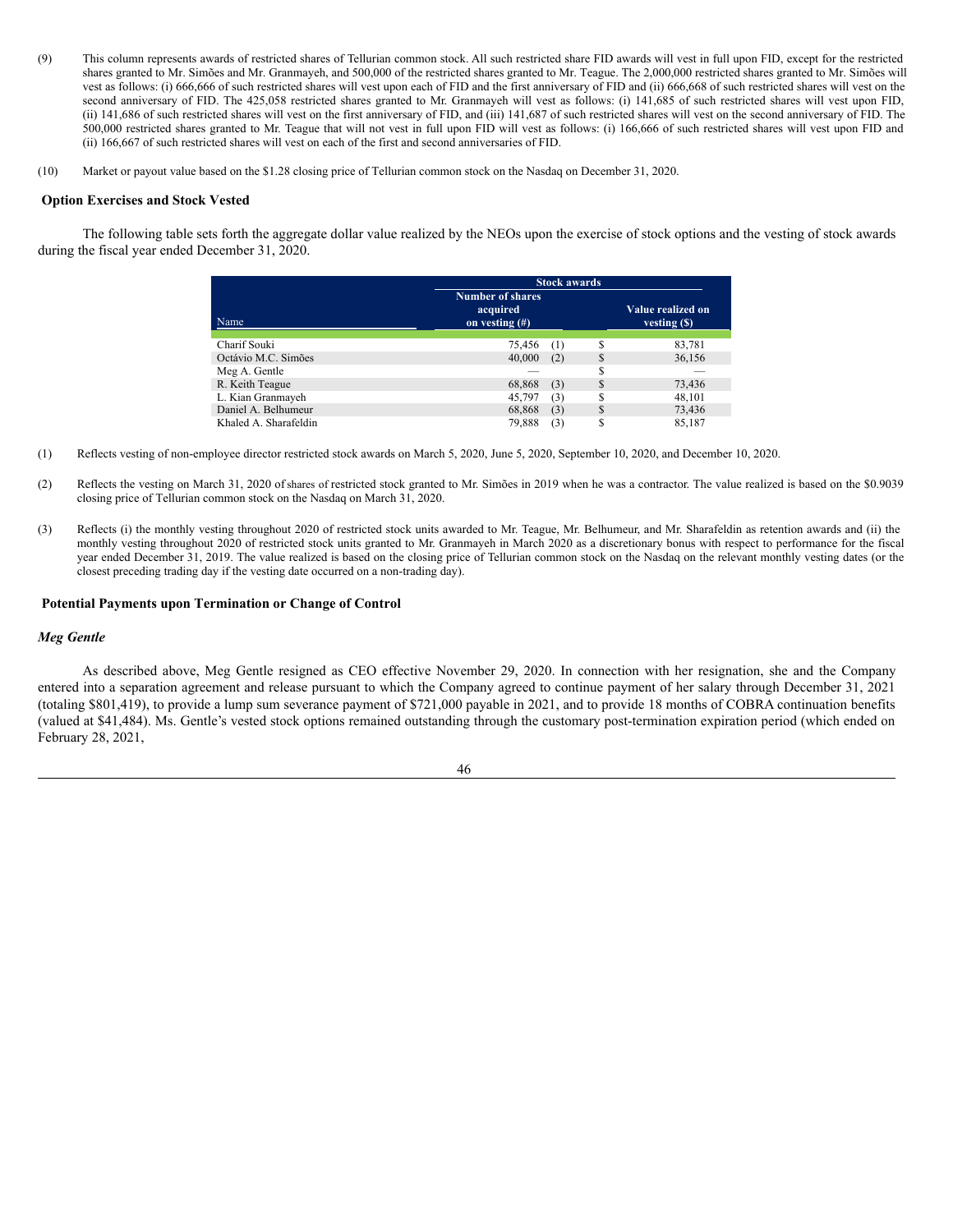- (9) This column represents awards of restricted shares of Tellurian common stock. All such restricted share FID awards will vest in full upon FID, except for the restricted shares granted to Mr. Simões and Mr. Granmayeh, and 500,000 of the restricted shares granted to Mr. Teague. The 2,000,000 restricted shares granted to Mr. Simões will vest as follows: (i) 666,666 of such restricted shares will vest upon each of FID and the first anniversary of FID and (ii) 666,668 of such restricted shares will vest on the second anniversary of FID. The 425,058 restricted shares granted to Mr. Granmayeh will vest as follows: (i) 141,685 of such restricted shares will vest upon FID, (ii) 141,686 of such restricted shares will vest on the first anniversary of FID, and (iii) 141,687 of such restricted shares will vest on the second anniversary of FID. The 500,000 restricted shares granted to Mr. Teague that will not vest in full upon FID will vest as follows: (i) 166,666 of such restricted shares will vest upon FID and (ii) 166,667 of such restricted shares will vest on each of the first and second anniversaries of FID.
- (10) Market or payout value based on the \$1.28 closing price of Tellurian common stock on the Nasdaq on December 31, 2020.

### <span id="page-51-0"></span>**Option Exercises and Stock Vested**

The following table sets forth the aggregate dollar value realized by the NEOs upon the exercise of stock options and the vesting of stock awards during the fiscal year ended December 31, 2020.

|                       | <b>Stock awards</b>                                     |     |    |                                     |  |  |  |  |
|-----------------------|---------------------------------------------------------|-----|----|-------------------------------------|--|--|--|--|
| Name                  | <b>Number of shares</b><br>acquired<br>on vesting $(f)$ |     |    | Value realized on<br>vesting $(\$)$ |  |  |  |  |
|                       |                                                         |     |    |                                     |  |  |  |  |
| Charif Souki          | 75.456                                                  | (1) | S  | 83,781                              |  |  |  |  |
| Octávio M.C. Simões   | 40,000                                                  | (2) | \$ | 36,156                              |  |  |  |  |
| Meg A. Gentle         |                                                         |     | S  |                                     |  |  |  |  |
| R. Keith Teague       | 68,868                                                  | (3) | S  | 73,436                              |  |  |  |  |
| L. Kian Granmayeh     | 45,797                                                  | (3) | \$ | 48,101                              |  |  |  |  |
| Daniel A. Belhumeur   | 68,868                                                  | (3) | \$ | 73,436                              |  |  |  |  |
| Khaled A. Sharafeldin | 79.888                                                  | (3) | \$ | 85,187                              |  |  |  |  |

- (1) Reflects vesting of non-employee director restricted stock awards on March 5, 2020, June 5, 2020, September 10, 2020, and December 10, 2020.
- (2) Reflects the vesting on March 31, 2020 of shares of restricted stock granted to Mr. Simões in 2019 when he was a contractor. The value realized is based on the \$0.9039 closing price of Tellurian common stock on the Nasdaq on March 31, 2020.
- (3) Reflects (i) the monthly vesting throughout 2020 of restricted stock units awarded to Mr. Teague, Mr. Belhumeur, and Mr. Sharafeldin as retention awards and (ii) the monthly vesting throughout 2020 of restricted stock units granted to Mr. Granmayeh in March 2020 as a discretionary bonus with respect to performance for the fiscal year ended December 31, 2019. The value realized is based on the closing price of Tellurian common stock on the Nasdaq on the relevant monthly vesting dates (or the closest preceding trading day if the vesting date occurred on a non-trading day).

#### <span id="page-51-1"></span>**Potential Payments upon Termination or Change of Control**

#### *Meg Gentle*

As described above, Meg Gentle resigned as CEO effective November 29, 2020. In connection with her resignation, she and the Company entered into a separation agreement and release pursuant to which the Company agreed to continue payment of her salary through December 31, 2021 (totaling \$801,419), to provide a lump sum severance payment of \$721,000 payable in 2021, and to provide 18 months of COBRA continuation benefits (valued at \$41,484). Ms. Gentle's vested stock options remained outstanding through the customary post-termination expiration period (which ended on February 28, 2021,

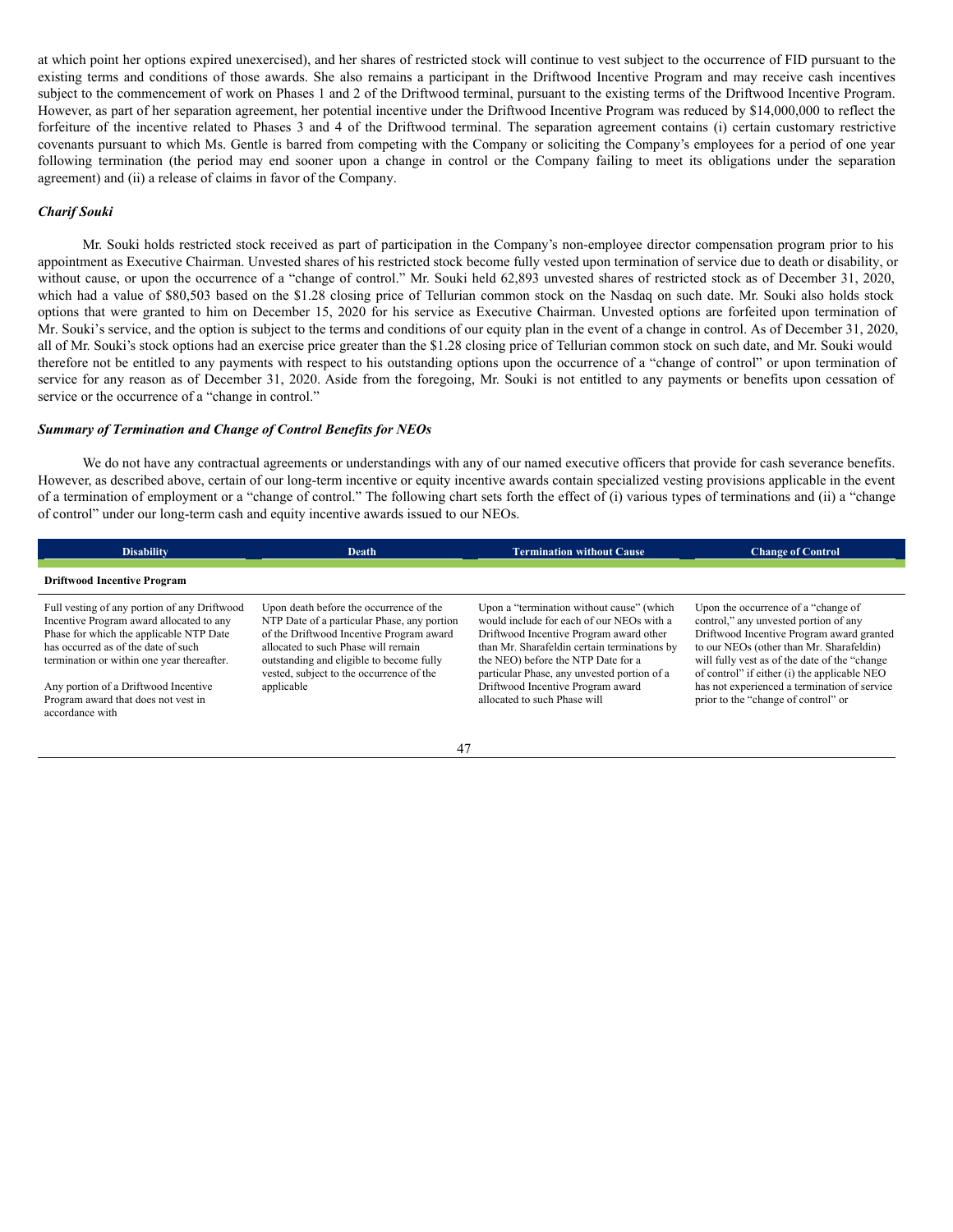at which point her options expired unexercised), and her shares of restricted stock will continue to vest subject to the occurrence of FID pursuant to the existing terms and conditions of those awards. She also remains a participant in the Driftwood Incentive Program and may receive cash incentives subject to the commencement of work on Phases 1 and 2 of the Driftwood terminal, pursuant to the existing terms of the Driftwood Incentive Program. However, as part of her separation agreement, her potential incentive under the Driftwood Incentive Program was reduced by \$14,000,000 to reflect the forfeiture of the incentive related to Phases 3 and 4 of the Driftwood terminal. The separation agreement contains (i) certain customary restrictive covenants pursuant to which Ms. Gentle is barred from competing with the Company or soliciting the Company's employees for a period of one year following termination (the period may end sooner upon a change in control or the Company failing to meet its obligations under the separation agreement) and (ii) a release of claims in favor of the Company.

## *Charif Souki*

Mr. Souki holds restricted stock received as part of participation in the Company's non-employee director compensation program prior to his appointment as Executive Chairman. Unvested shares of his restricted stock become fully vested upon termination of service due to death or disability, or without cause, or upon the occurrence of a "change of control." Mr. Souki held 62,893 unvested shares of restricted stock as of December 31, 2020, which had a value of \$80,503 based on the \$1.28 closing price of Tellurian common stock on the Nasdaq on such date. Mr. Souki also holds stock options that were granted to him on December 15, 2020 for his service as Executive Chairman. Unvested options are forfeited upon termination of Mr. Souki's service, and the option is subject to the terms and conditions of our equity plan in the event of a change in control. As of December 31, 2020, all of Mr. Souki's stock options had an exercise price greater than the \$1.28 closing price of Tellurian common stock on such date, and Mr. Souki would therefore not be entitled to any payments with respect to his outstanding options upon the occurrence of a "change of control" or upon termination of service for any reason as of December 31, 2020. Aside from the foregoing, Mr. Souki is not entitled to any payments or benefits upon cessation of service or the occurrence of a "change in control."

## *Summary of Termination and Change of Control Benefits for NEOs*

We do not have any contractual agreements or understandings with any of our named executive officers that provide for cash severance benefits. However, as described above, certain of our long-term incentive or equity incentive awards contain specialized vesting provisions applicable in the event of a termination of employment or a "change of control." The following chart sets forth the effect of (i) various types of terminations and (ii) a "change of control" under our long-term cash and equity incentive awards issued to our NEOs.

| <b>Disability</b>                                                                                                                                                                                                                                                                                                          | Death                                                                                                                                                                                                                                                                           | <b>Termination without Cause</b>                                                                                                                                                                                                                                                                                                            | <b>Change of Control</b>                                                                                                                                                                                                                                                                                                                                        |  |
|----------------------------------------------------------------------------------------------------------------------------------------------------------------------------------------------------------------------------------------------------------------------------------------------------------------------------|---------------------------------------------------------------------------------------------------------------------------------------------------------------------------------------------------------------------------------------------------------------------------------|---------------------------------------------------------------------------------------------------------------------------------------------------------------------------------------------------------------------------------------------------------------------------------------------------------------------------------------------|-----------------------------------------------------------------------------------------------------------------------------------------------------------------------------------------------------------------------------------------------------------------------------------------------------------------------------------------------------------------|--|
| <b>Driftwood Incentive Program</b>                                                                                                                                                                                                                                                                                         |                                                                                                                                                                                                                                                                                 |                                                                                                                                                                                                                                                                                                                                             |                                                                                                                                                                                                                                                                                                                                                                 |  |
| Full vesting of any portion of any Driftwood<br>Incentive Program award allocated to any<br>Phase for which the applicable NTP Date<br>has occurred as of the date of such<br>termination or within one year thereafter.<br>Any portion of a Driftwood Incentive<br>Program award that does not vest in<br>accordance with | Upon death before the occurrence of the<br>NTP Date of a particular Phase, any portion<br>of the Driftwood Incentive Program award<br>allocated to such Phase will remain<br>outstanding and eligible to become fully<br>vested, subject to the occurrence of the<br>applicable | Upon a "termination without cause" (which<br>would include for each of our NEOs with a<br>Driftwood Incentive Program award other<br>than Mr. Sharafeldin certain terminations by<br>the NEO) before the NTP Date for a<br>particular Phase, any unvested portion of a<br>Driftwood Incentive Program award<br>allocated to such Phase will | Upon the occurrence of a "change of"<br>control," any unvested portion of any<br>Driftwood Incentive Program award granted<br>to our NEOs (other than Mr. Sharafeldin)<br>will fully vest as of the date of the "change"<br>of control" if either (i) the applicable NEO<br>has not experienced a termination of service<br>prior to the "change of control" or |  |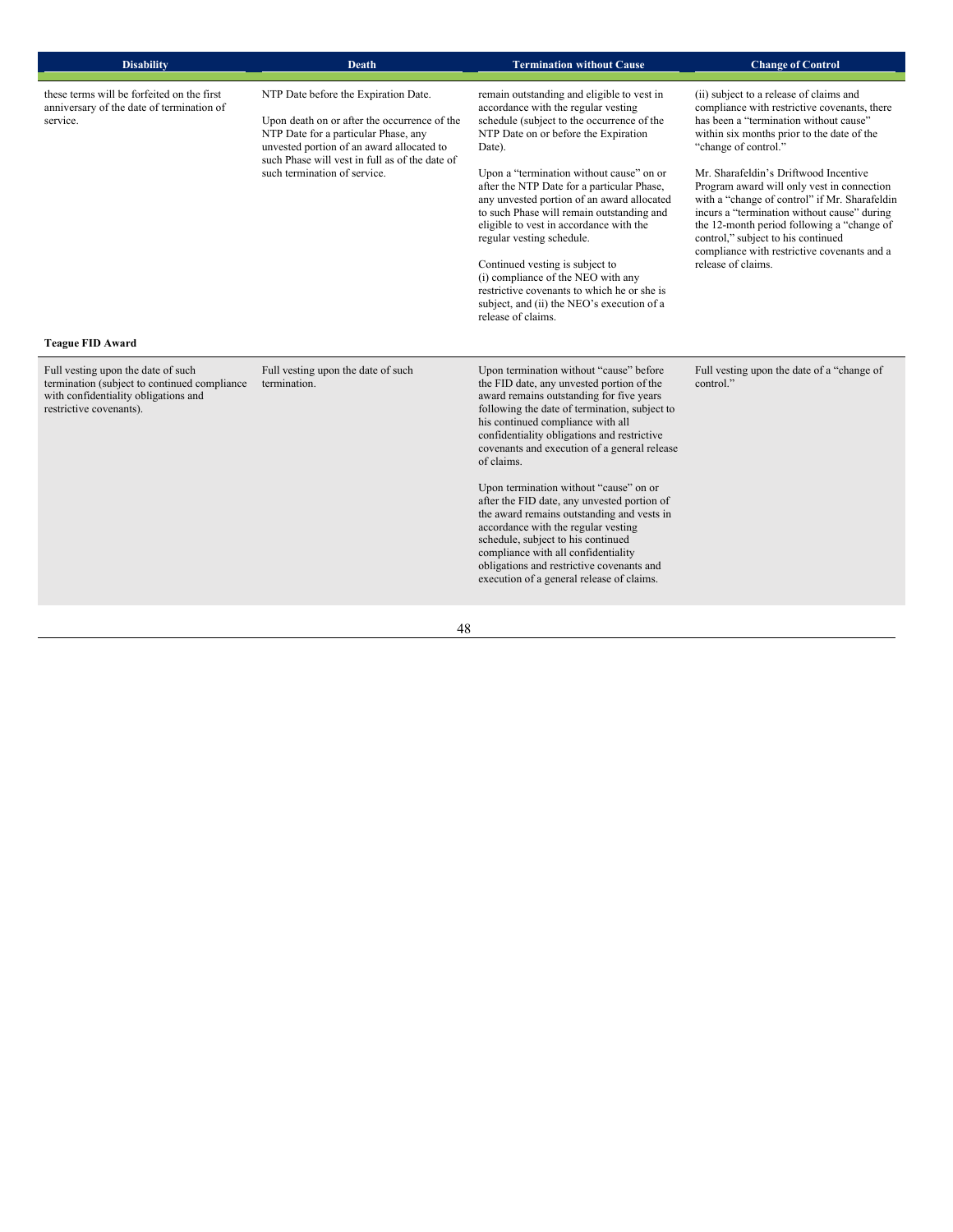| <b>Disability</b>                                                                                                                                                                | <b>Death</b>                                                                                                                                                                                                                                                | <b>Termination without Cause</b>                                                                                                                                                                                                                                                                                                                                                                                                                                                                                                                                                                                                                                                         | <b>Change of Control</b>                                                                                                                                                                                                                                                                                                                                                                                                                                                                                                                                |
|----------------------------------------------------------------------------------------------------------------------------------------------------------------------------------|-------------------------------------------------------------------------------------------------------------------------------------------------------------------------------------------------------------------------------------------------------------|------------------------------------------------------------------------------------------------------------------------------------------------------------------------------------------------------------------------------------------------------------------------------------------------------------------------------------------------------------------------------------------------------------------------------------------------------------------------------------------------------------------------------------------------------------------------------------------------------------------------------------------------------------------------------------------|---------------------------------------------------------------------------------------------------------------------------------------------------------------------------------------------------------------------------------------------------------------------------------------------------------------------------------------------------------------------------------------------------------------------------------------------------------------------------------------------------------------------------------------------------------|
| these terms will be forfeited on the first<br>anniversary of the date of termination of<br>service.                                                                              | NTP Date before the Expiration Date.<br>Upon death on or after the occurrence of the<br>NTP Date for a particular Phase, any<br>unvested portion of an award allocated to<br>such Phase will vest in full as of the date of<br>such termination of service. | remain outstanding and eligible to vest in<br>accordance with the regular vesting<br>schedule (subject to the occurrence of the<br>NTP Date on or before the Expiration<br>Date).<br>Upon a "termination without cause" on or<br>after the NTP Date for a particular Phase,<br>any unvested portion of an award allocated<br>to such Phase will remain outstanding and<br>eligible to vest in accordance with the<br>regular vesting schedule.<br>Continued vesting is subject to<br>(i) compliance of the NEO with any<br>restrictive covenants to which he or she is<br>subject, and (ii) the NEO's execution of a<br>release of claims.                                               | (ii) subject to a release of claims and<br>compliance with restrictive covenants, there<br>has been a "termination without cause"<br>within six months prior to the date of the<br>"change of control."<br>Mr. Sharafeldin's Driftwood Incentive<br>Program award will only vest in connection<br>with a "change of control" if Mr. Sharafeldin<br>incurs a "termination without cause" during<br>the 12-month period following a "change of<br>control," subject to his continued<br>compliance with restrictive covenants and a<br>release of claims. |
| <b>Teague FID Award</b><br>Full vesting upon the date of such<br>termination (subject to continued compliance<br>with confidentiality obligations and<br>restrictive covenants). | Full vesting upon the date of such<br>termination.                                                                                                                                                                                                          | Upon termination without "cause" before<br>the FID date, any unvested portion of the<br>award remains outstanding for five years<br>following the date of termination, subject to<br>his continued compliance with all<br>confidentiality obligations and restrictive<br>covenants and execution of a general release<br>of claims.<br>Upon termination without "cause" on or<br>after the FID date, any unvested portion of<br>the award remains outstanding and vests in<br>accordance with the regular vesting<br>schedule, subject to his continued<br>compliance with all confidentiality<br>obligations and restrictive covenants and<br>execution of a general release of claims. | Full vesting upon the date of a "change of"<br>control."                                                                                                                                                                                                                                                                                                                                                                                                                                                                                                |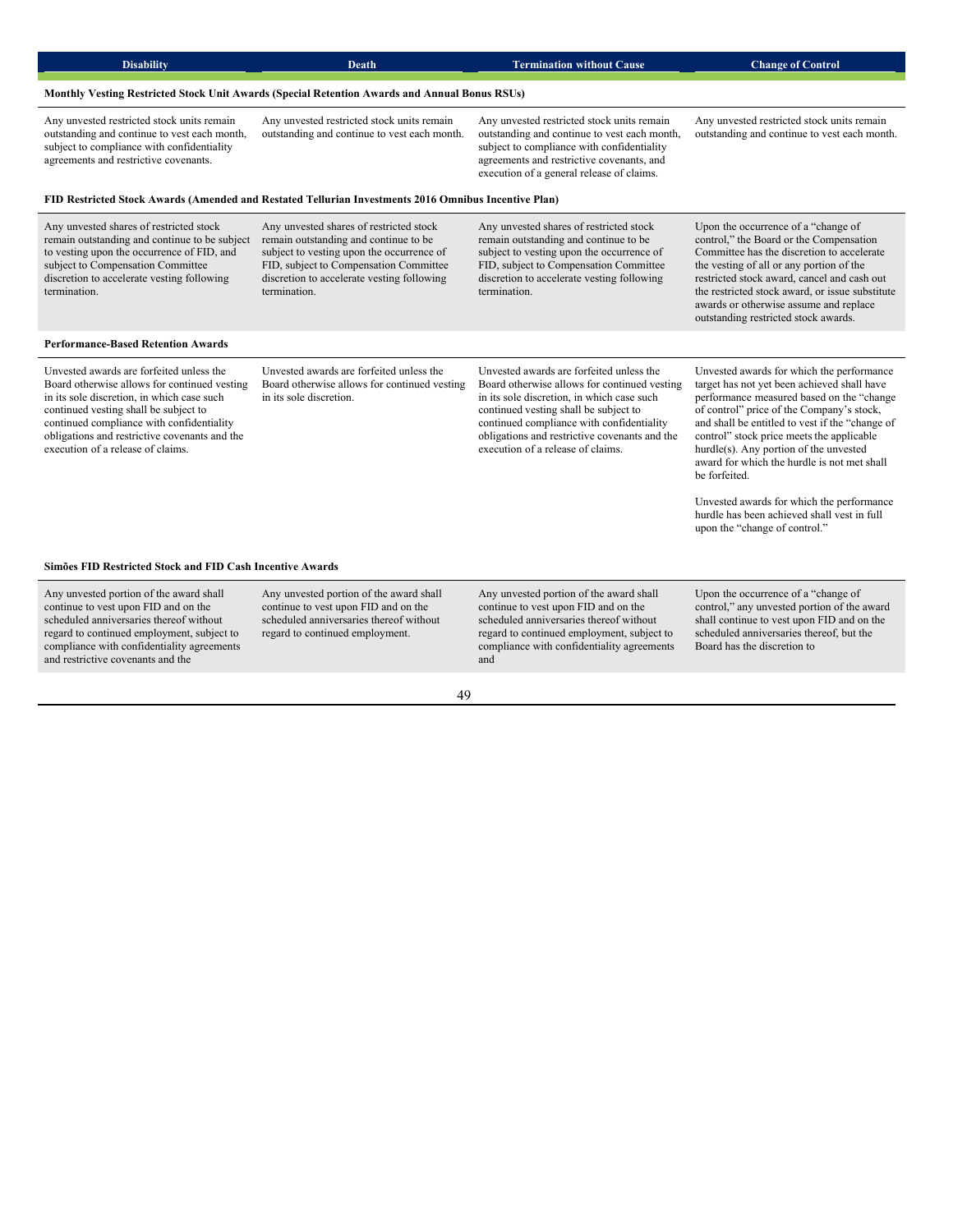| <b>Disability</b>                                                                                                                                                                                                                                                                                                  | <b>Death</b>                                                                                                                                                                                                                          | <b>Termination without Cause</b>                                                                                                                                                                                                                                                                                   | <b>Change of Control</b>                                                                                                                                                                                                                                                                                                                                                                                                                                                                                                  |
|--------------------------------------------------------------------------------------------------------------------------------------------------------------------------------------------------------------------------------------------------------------------------------------------------------------------|---------------------------------------------------------------------------------------------------------------------------------------------------------------------------------------------------------------------------------------|--------------------------------------------------------------------------------------------------------------------------------------------------------------------------------------------------------------------------------------------------------------------------------------------------------------------|---------------------------------------------------------------------------------------------------------------------------------------------------------------------------------------------------------------------------------------------------------------------------------------------------------------------------------------------------------------------------------------------------------------------------------------------------------------------------------------------------------------------------|
|                                                                                                                                                                                                                                                                                                                    | Monthly Vesting Restricted Stock Unit Awards (Special Retention Awards and Annual Bonus RSUs)                                                                                                                                         |                                                                                                                                                                                                                                                                                                                    |                                                                                                                                                                                                                                                                                                                                                                                                                                                                                                                           |
| Any unvested restricted stock units remain<br>outstanding and continue to vest each month,<br>subject to compliance with confidentiality<br>agreements and restrictive covenants.                                                                                                                                  | Any unvested restricted stock units remain<br>outstanding and continue to vest each month.                                                                                                                                            | Any unvested restricted stock units remain<br>outstanding and continue to vest each month,<br>subject to compliance with confidentiality<br>agreements and restrictive covenants, and<br>execution of a general release of claims.                                                                                 | Any unvested restricted stock units remain<br>outstanding and continue to vest each month.                                                                                                                                                                                                                                                                                                                                                                                                                                |
|                                                                                                                                                                                                                                                                                                                    | FID Restricted Stock Awards (Amended and Restated Tellurian Investments 2016 Omnibus Incentive Plan)                                                                                                                                  |                                                                                                                                                                                                                                                                                                                    |                                                                                                                                                                                                                                                                                                                                                                                                                                                                                                                           |
| Any unvested shares of restricted stock<br>remain outstanding and continue to be subject<br>to vesting upon the occurrence of FID, and<br>subject to Compensation Committee<br>discretion to accelerate vesting following<br>termination.                                                                          | Any unvested shares of restricted stock<br>remain outstanding and continue to be<br>subject to vesting upon the occurrence of<br>FID, subject to Compensation Committee<br>discretion to accelerate vesting following<br>termination. | Any unvested shares of restricted stock<br>remain outstanding and continue to be<br>subject to vesting upon the occurrence of<br>FID, subject to Compensation Committee<br>discretion to accelerate vesting following<br>termination.                                                                              | Upon the occurrence of a "change of"<br>control," the Board or the Compensation<br>Committee has the discretion to accelerate<br>the vesting of all or any portion of the<br>restricted stock award, cancel and cash out<br>the restricted stock award, or issue substitute<br>awards or otherwise assume and replace<br>outstanding restricted stock awards.                                                                                                                                                             |
| <b>Performance-Based Retention Awards</b>                                                                                                                                                                                                                                                                          |                                                                                                                                                                                                                                       |                                                                                                                                                                                                                                                                                                                    |                                                                                                                                                                                                                                                                                                                                                                                                                                                                                                                           |
| Unvested awards are forfeited unless the<br>Board otherwise allows for continued vesting<br>in its sole discretion, in which case such<br>continued vesting shall be subject to<br>continued compliance with confidentiality<br>obligations and restrictive covenants and the<br>execution of a release of claims. | Unvested awards are forfeited unless the<br>Board otherwise allows for continued vesting<br>in its sole discretion.                                                                                                                   | Unvested awards are forfeited unless the<br>Board otherwise allows for continued vesting<br>in its sole discretion, in which case such<br>continued vesting shall be subject to<br>continued compliance with confidentiality<br>obligations and restrictive covenants and the<br>execution of a release of claims. | Unvested awards for which the performance<br>target has not yet been achieved shall have<br>performance measured based on the "change<br>of control" price of the Company's stock,<br>and shall be entitled to vest if the "change of<br>control" stock price meets the applicable<br>hurdle(s). Any portion of the unvested<br>award for which the hurdle is not met shall<br>be forfeited.<br>Unvested awards for which the performance<br>hurdle has been achieved shall vest in full<br>upon the "change of control." |
| Simões FID Restricted Stock and FID Cash Incentive Awards                                                                                                                                                                                                                                                          |                                                                                                                                                                                                                                       |                                                                                                                                                                                                                                                                                                                    |                                                                                                                                                                                                                                                                                                                                                                                                                                                                                                                           |
|                                                                                                                                                                                                                                                                                                                    |                                                                                                                                                                                                                                       |                                                                                                                                                                                                                                                                                                                    |                                                                                                                                                                                                                                                                                                                                                                                                                                                                                                                           |
| Any unvested portion of the award shall<br>continue to vest upon FID and on the<br>scheduled anniversaries thereof without<br>regard to continued employment, subject to<br>compliance with confidentiality agreements<br>and restrictive covenants and the                                                        | Any unvested portion of the award shall<br>continue to vest upon FID and on the<br>scheduled anniversaries thereof without<br>regard to continued employment.                                                                         | Any unvested portion of the award shall<br>continue to vest upon FID and on the<br>scheduled anniversaries thereof without<br>regard to continued employment, subject to<br>compliance with confidentiality agreements<br>and                                                                                      | Upon the occurrence of a "change of<br>control," any unvested portion of the award<br>shall continue to vest upon FID and on the<br>scheduled anniversaries thereof, but the<br>Board has the discretion to                                                                                                                                                                                                                                                                                                               |

49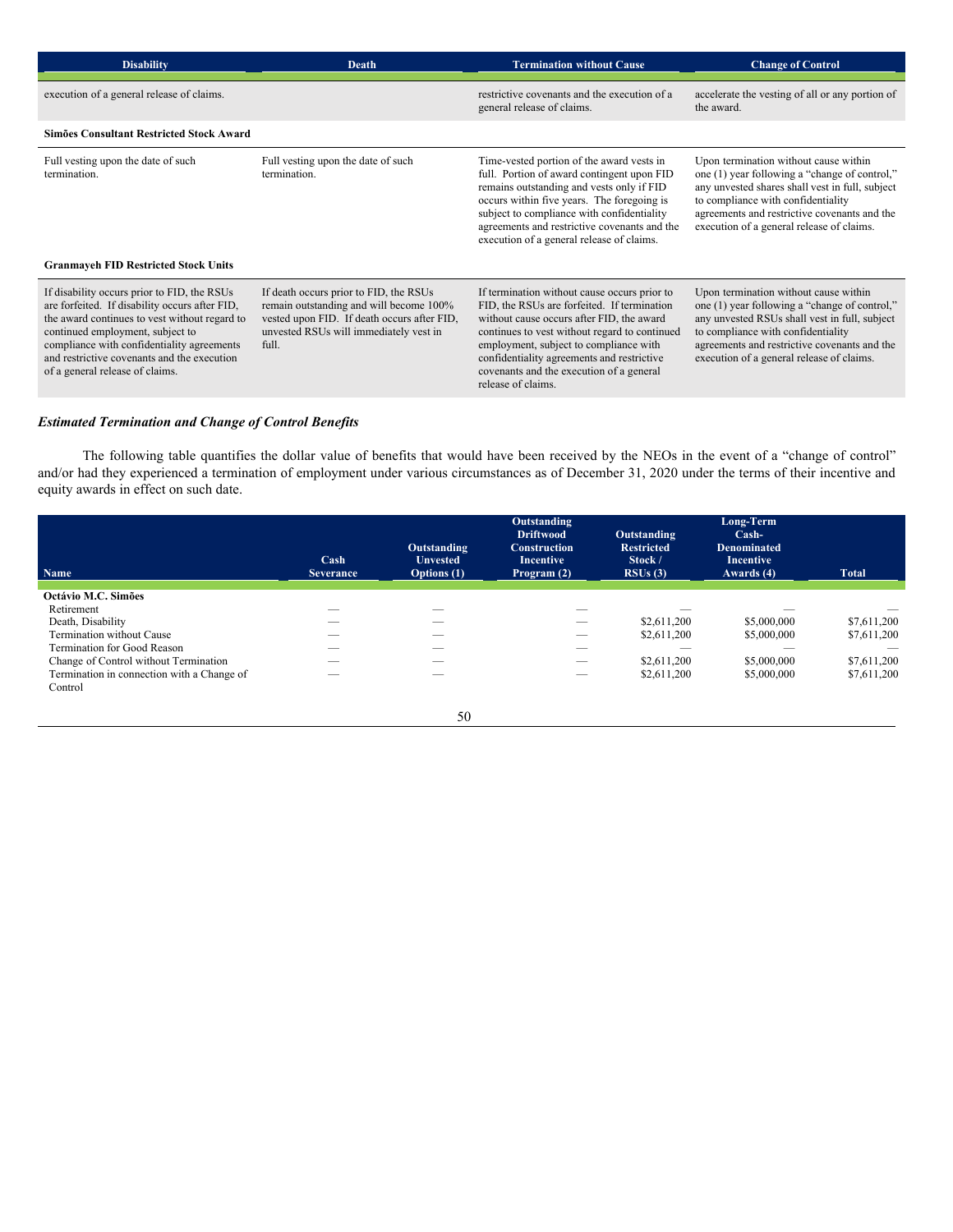| <b>Disability</b>                                                                                                                                                                                                                                                                                                  | <b>Death</b>                                                                                                                                                                        | <b>Termination without Cause</b>                                                                                                                                                                                                                                                                                                                    | <b>Change of Control</b>                                                                                                                                                                                                                                                     |
|--------------------------------------------------------------------------------------------------------------------------------------------------------------------------------------------------------------------------------------------------------------------------------------------------------------------|-------------------------------------------------------------------------------------------------------------------------------------------------------------------------------------|-----------------------------------------------------------------------------------------------------------------------------------------------------------------------------------------------------------------------------------------------------------------------------------------------------------------------------------------------------|------------------------------------------------------------------------------------------------------------------------------------------------------------------------------------------------------------------------------------------------------------------------------|
| execution of a general release of claims.                                                                                                                                                                                                                                                                          |                                                                                                                                                                                     | restrictive covenants and the execution of a<br>general release of claims.                                                                                                                                                                                                                                                                          | accelerate the vesting of all or any portion of<br>the award.                                                                                                                                                                                                                |
| Simões Consultant Restricted Stock Award                                                                                                                                                                                                                                                                           |                                                                                                                                                                                     |                                                                                                                                                                                                                                                                                                                                                     |                                                                                                                                                                                                                                                                              |
| Full vesting upon the date of such<br>termination.                                                                                                                                                                                                                                                                 | Full vesting upon the date of such<br>termination.                                                                                                                                  | Time-vested portion of the award vests in<br>full. Portion of award contingent upon FID<br>remains outstanding and vests only if FID<br>occurs within five years. The foregoing is<br>subject to compliance with confidentiality<br>agreements and restrictive covenants and the<br>execution of a general release of claims.                       | Upon termination without cause within<br>one (1) year following a "change of control,"<br>any unvested shares shall vest in full, subject<br>to compliance with confidentiality<br>agreements and restrictive covenants and the<br>execution of a general release of claims. |
| <b>Granmayeh FID Restricted Stock Units</b>                                                                                                                                                                                                                                                                        |                                                                                                                                                                                     |                                                                                                                                                                                                                                                                                                                                                     |                                                                                                                                                                                                                                                                              |
| If disability occurs prior to FID, the RSUs<br>are forfeited. If disability occurs after FID,<br>the award continues to vest without regard to<br>continued employment, subject to<br>compliance with confidentiality agreements<br>and restrictive covenants and the execution<br>of a general release of claims. | If death occurs prior to FID, the RSUs<br>remain outstanding and will become 100%<br>vested upon FID. If death occurs after FID,<br>unvested RSUs will immediately vest in<br>full. | If termination without cause occurs prior to<br>FID, the RSUs are forfeited. If termination<br>without cause occurs after FID, the award<br>continues to vest without regard to continued<br>employment, subject to compliance with<br>confidentiality agreements and restrictive<br>covenants and the execution of a general<br>release of claims. | Upon termination without cause within<br>one (1) year following a "change of control,"<br>any unvested RSUs shall vest in full, subject<br>to compliance with confidentiality<br>agreements and restrictive covenants and the<br>execution of a general release of claims.   |

## *Estimated Termination and Change of Control Benefits*

The following table quantifies the dollar value of benefits that would have been received by the NEOs in the event of a "change of control" and/or had they experienced a termination of employment under various circumstances as of December 31, 2020 under the terms of their incentive and equity awards in effect on such date.

| Name                                       | Cash<br><b>Severance</b> | Outstanding<br><b>Unvested</b><br>Options $(1)$ | Outstanding<br><b>Driftwood</b><br><b>Construction</b><br>Incentive<br>Program (2) | Outstanding<br><b>Restricted</b><br>Stock /<br>RSUs(3) | Long-Term<br>$Cash-$<br><b>Denominated</b><br><b>Incentive</b><br>Awards (4) | <b>Total</b> |
|--------------------------------------------|--------------------------|-------------------------------------------------|------------------------------------------------------------------------------------|--------------------------------------------------------|------------------------------------------------------------------------------|--------------|
| Octávio M.C. Simões                        |                          |                                                 |                                                                                    |                                                        |                                                                              |              |
| Retirement                                 |                          | --                                              |                                                                                    |                                                        |                                                                              |              |
| Death, Disability                          | __                       | $-$                                             | $-$                                                                                | \$2,611,200                                            | \$5,000,000                                                                  | \$7,611,200  |
| Termination without Cause                  | __                       | –                                               |                                                                                    | \$2,611,200                                            | \$5,000,000                                                                  | \$7,611,200  |
| Termination for Good Reason                | --                       | __                                              | __                                                                                 |                                                        |                                                                              |              |
| Change of Control without Termination      | __                       | $-$                                             |                                                                                    | \$2,611,200                                            | \$5,000,000                                                                  | \$7,611,200  |
| Termination in connection with a Change of | __                       | __                                              | $-$                                                                                | \$2,611,200                                            | \$5,000,000                                                                  | \$7,611,200  |
| Control                                    |                          |                                                 |                                                                                    |                                                        |                                                                              |              |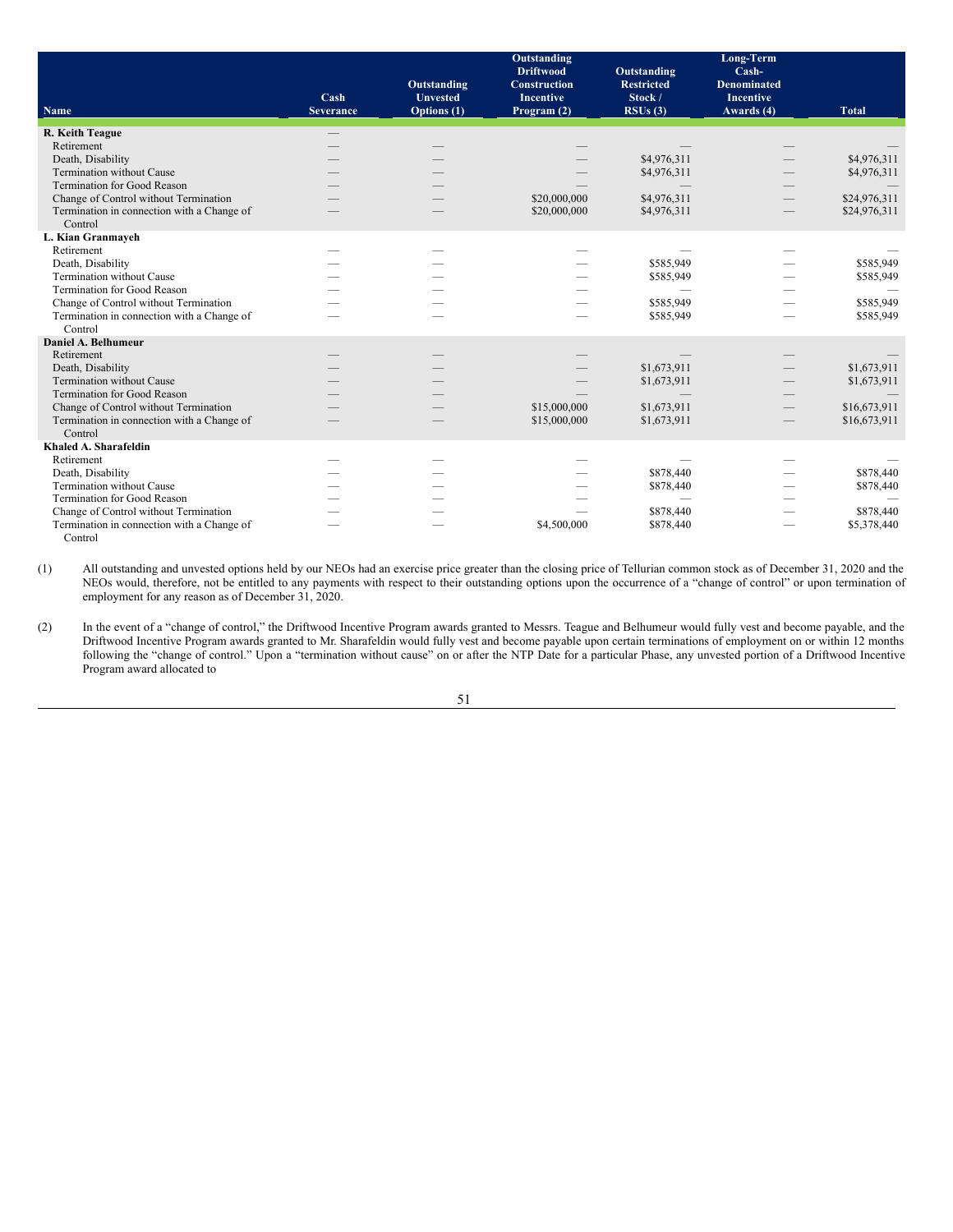|                                                       |                          |                                               | Outstanding<br><b>Driftwood</b>                        | <b>Outstanding</b>                      | Long-Term<br>Cash-                                   |              |
|-------------------------------------------------------|--------------------------|-----------------------------------------------|--------------------------------------------------------|-----------------------------------------|------------------------------------------------------|--------------|
| <b>Name</b>                                           | Cash<br><b>Severance</b> | Outstanding<br><b>Unvested</b><br>Options (1) | <b>Construction</b><br><b>Incentive</b><br>Program (2) | <b>Restricted</b><br>Stock /<br>RSUs(3) | <b>Denominated</b><br><b>Incentive</b><br>Awards (4) | <b>Total</b> |
| R. Keith Teague                                       |                          |                                               |                                                        |                                         |                                                      |              |
| Retirement                                            |                          |                                               |                                                        |                                         |                                                      |              |
| Death, Disability                                     |                          |                                               |                                                        | \$4,976,311                             |                                                      | \$4,976,311  |
| Termination without Cause                             |                          |                                               |                                                        | \$4,976,311                             |                                                      | \$4,976,311  |
| <b>Termination for Good Reason</b>                    |                          |                                               |                                                        |                                         |                                                      |              |
| Change of Control without Termination                 |                          |                                               | \$20,000,000                                           | \$4,976,311                             |                                                      | \$24,976,311 |
| Termination in connection with a Change of<br>Control |                          |                                               | \$20,000,000                                           | \$4,976,311                             |                                                      | \$24,976,311 |
| L. Kian Granmayeh                                     |                          |                                               |                                                        |                                         |                                                      |              |
| Retirement                                            |                          |                                               |                                                        |                                         |                                                      |              |
| Death, Disability                                     |                          |                                               |                                                        | \$585,949                               |                                                      | \$585,949    |
| Termination without Cause                             |                          |                                               |                                                        | \$585,949                               |                                                      | \$585,949    |
| <b>Termination for Good Reason</b>                    |                          |                                               |                                                        |                                         |                                                      |              |
| Change of Control without Termination                 |                          |                                               |                                                        | \$585,949                               |                                                      | \$585,949    |
| Termination in connection with a Change of            |                          |                                               |                                                        | \$585,949                               |                                                      | \$585,949    |
| Control                                               |                          |                                               |                                                        |                                         |                                                      |              |
| Daniel A. Belhumeur                                   |                          |                                               |                                                        |                                         |                                                      |              |
| Retirement                                            |                          |                                               |                                                        |                                         |                                                      |              |
| Death, Disability                                     |                          |                                               |                                                        | \$1,673,911                             |                                                      | \$1,673,911  |
| <b>Termination without Cause</b>                      |                          |                                               |                                                        | \$1,673,911                             |                                                      | \$1,673,911  |
| <b>Termination for Good Reason</b>                    |                          |                                               |                                                        |                                         |                                                      |              |
| Change of Control without Termination                 |                          |                                               | \$15,000,000                                           | \$1,673,911                             |                                                      | \$16,673,911 |
| Termination in connection with a Change of            |                          |                                               | \$15,000,000                                           | \$1,673,911                             |                                                      | \$16,673,911 |
| Control<br>Khaled A. Sharafeldin                      |                          |                                               |                                                        |                                         |                                                      |              |
| Retirement                                            |                          |                                               |                                                        |                                         |                                                      |              |
|                                                       |                          |                                               |                                                        | \$878,440                               |                                                      | \$878,440    |
| Death, Disability<br><b>Termination without Cause</b> |                          |                                               |                                                        | \$878,440                               |                                                      | \$878,440    |
| Termination for Good Reason                           |                          |                                               |                                                        |                                         |                                                      |              |
| Change of Control without Termination                 |                          |                                               |                                                        | \$878,440                               |                                                      | \$878,440    |
| Termination in connection with a Change of            |                          |                                               | \$4,500,000                                            | \$878,440                               |                                                      | \$5,378,440  |
| Control                                               |                          |                                               |                                                        |                                         |                                                      |              |

(1) All outstanding and unvested options held by our NEOs had an exercise price greater than the closing price of Tellurian common stock as of December 31, 2020 and the NEOs would, therefore, not be entitled to any payments with respect to their outstanding options upon the occurrence of a "change of control" or upon termination of employment for any reason as of December 31, 2020.

(2) In the event of a "change of control," the Driftwood Incentive Program awards granted to Messrs. Teague and Belhumeur would fully vest and become payable, and the Driftwood Incentive Program awards granted to Mr. Sharafeldin would fully vest and become payable upon certain terminations of employment on or within 12 months following the "change of control." Upon a "termination without cause" on or after the NTP Date for a particular Phase, any unvested portion of a Driftwood Incentive Program award allocated to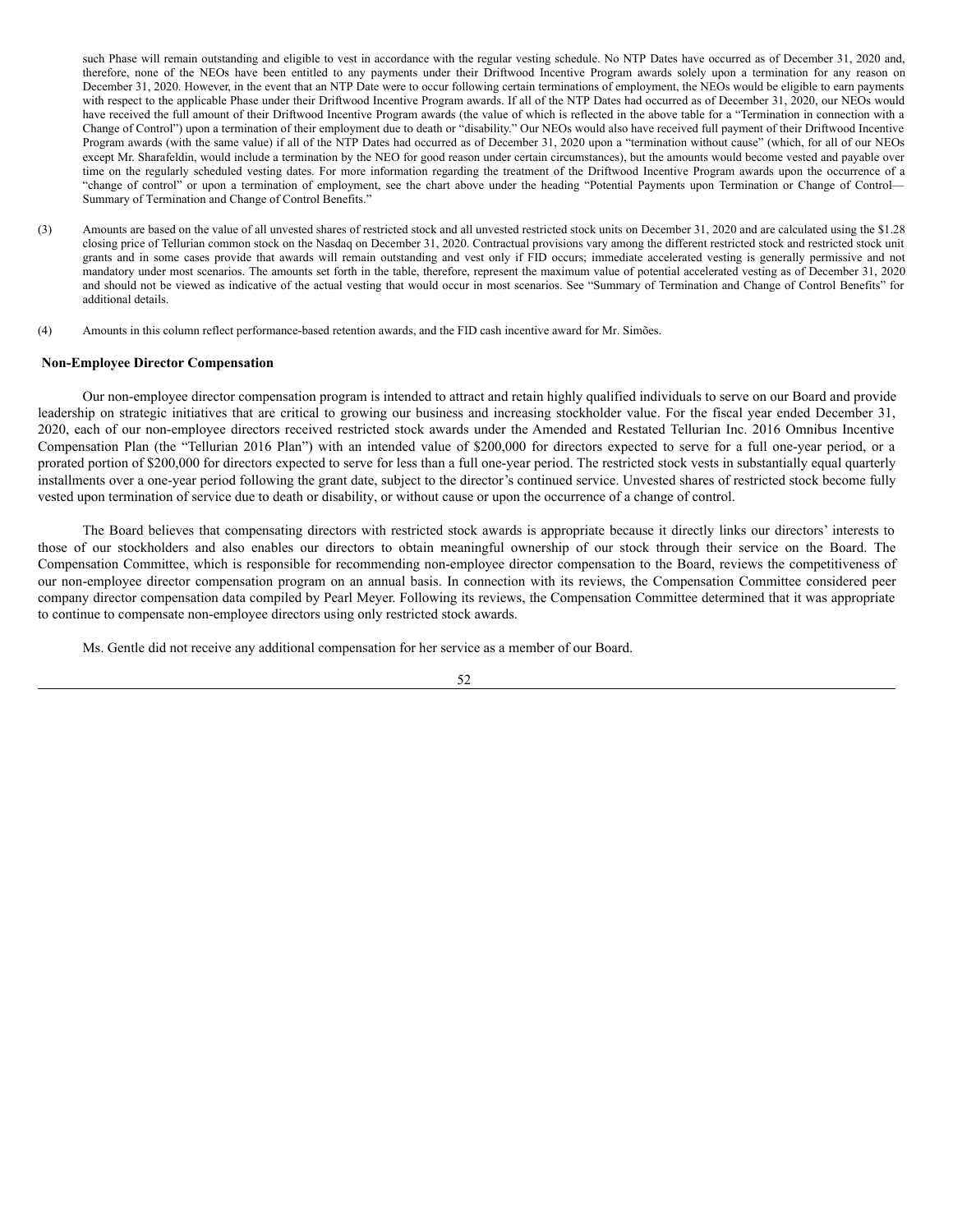such Phase will remain outstanding and eligible to vest in accordance with the regular vesting schedule. No NTP Dates have occurred as of December 31, 2020 and, therefore, none of the NEOs have been entitled to any payments under their Driftwood Incentive Program awards solely upon a termination for any reason on December 31, 2020. However, in the event that an NTP Date were to occur following certain terminations of employment, the NEOs would be eligible to earn payments with respect to the applicable Phase under their Driftwood Incentive Program awards. If all of the NTP Dates had occurred as of December 31, 2020, our NEOs would have received the full amount of their Driftwood Incentive Program awards (the value of which is reflected in the above table for a "Termination in connection with a Change of Control") upon a termination of their employment due to death or "disability." Our NEOs would also have received full payment of their Driftwood Incentive Program awards (with the same value) if all of the NTP Dates had occurred as of December 31, 2020 upon a "termination without cause" (which, for all of our NEOs except Mr. Sharafeldin, would include a termination by the NEO for good reason under certain circumstances), but the amounts would become vested and payable over time on the regularly scheduled vesting dates. For more information regarding the treatment of the Driftwood Incentive Program awards upon the occurrence of a "change of control" or upon a termination of employment, see the chart above under the heading "Potential Payments upon Termination or Change of Control— Summary of Termination and Change of Control Benefits."

- (3) Amounts are based on the value of all unvested shares of restricted stock and all unvested restricted stock units on December 31, 2020 and are calculated using the \$1.28 closing price of Tellurian common stock on the Nasdaq on December 31, 2020. Contractual provisions vary among the different restricted stock and restricted stock unit grants and in some cases provide that awards will remain outstanding and vest only if FID occurs; immediate accelerated vesting is generally permissive and not mandatory under most scenarios. The amounts set forth in the table, therefore, represent the maximum value of potential accelerated vesting as of December 31, 2020 and should not be viewed as indicative of the actual vesting that would occur in most scenarios. See "Summary of Termination and Change of Control Benefits" for additional details.
- (4) Amounts in this column reflect performance-based retention awards, and the FID cash incentive award for Mr. Simões.

### <span id="page-57-0"></span>**Non-Employee Director Compensation**

Our non-employee director compensation program is intended to attract and retain highly qualified individuals to serve on our Board and provide leadership on strategic initiatives that are critical to growing our business and increasing stockholder value. For the fiscal year ended December 31, 2020, each of our non-employee directors received restricted stock awards under the Amended and Restated Tellurian Inc. 2016 Omnibus Incentive Compensation Plan (the "Tellurian 2016 Plan") with an intended value of \$200,000 for directors expected to serve for a full one-year period, or a prorated portion of \$200,000 for directors expected to serve for less than a full one-year period. The restricted stock vests in substantially equal quarterly installments over a one-year period following the grant date, subject to the director's continued service. Unvested shares of restricted stock become fully vested upon termination of service due to death or disability, or without cause or upon the occurrence of a change of control.

The Board believes that compensating directors with restricted stock awards is appropriate because it directly links our directors' interests to those of our stockholders and also enables our directors to obtain meaningful ownership of our stock through their service on the Board. The Compensation Committee, which is responsible for recommending non-employee director compensation to the Board, reviews the competitiveness of our non-employee director compensation program on an annual basis. In connection with its reviews, the Compensation Committee considered peer company director compensation data compiled by Pearl Meyer. Following its reviews, the Compensation Committee determined that it was appropriate to continue to compensate non-employee directors using only restricted stock awards.

Ms. Gentle did not receive any additional compensation for her service as a member of our Board.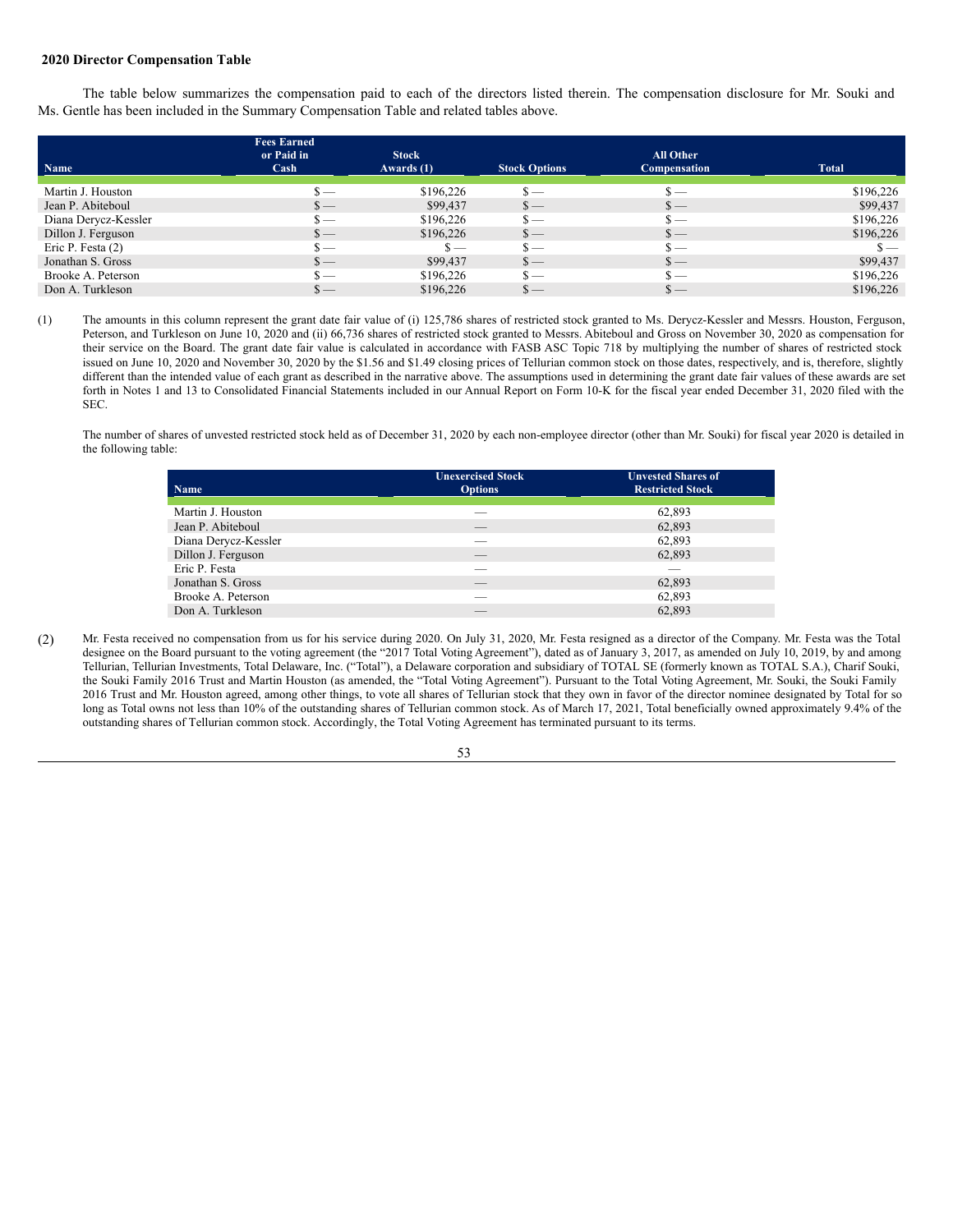### <span id="page-58-0"></span>**2020 Director Compensation Table**

The table below summarizes the compensation paid to each of the directors listed therein. The compensation disclosure for Mr. Souki and Ms. Gentle has been included in the Summary Compensation Table and related tables above.

|                      | <b>Fees Earned</b>         |              |                                 |                                 |                |
|----------------------|----------------------------|--------------|---------------------------------|---------------------------------|----------------|
|                      | or Paid in                 | <b>Stock</b> |                                 | All Other                       |                |
| Name                 | $\operatorname{Cash}$      | Awards $(1)$ | <b>Stock Options</b>            | <b>Compensation</b>             | <b>Total</b>   |
|                      |                            |              |                                 |                                 |                |
| Martin J. Houston    | $\mathbf{s}$ —             | \$196,226    | $\mathbf{s}$ —                  | $\mathbf{s}$ —                  | \$196,226      |
| Jean P. Abiteboul    | $\mathbf{s}$ —             | \$99,437     | $s-$                            | $s-$                            | \$99,437       |
| Diana Derycz-Kessler | $\mathbf{s}$ —             | \$196,226    | $\mathbf{s}$ —                  | $\mathbf{s}$ —                  | \$196,226      |
| Dillon J. Ferguson   | $\mathbf{s}$ —             | \$196,226    | $\mathbf{s}$ —                  | $s-$                            | \$196,226      |
| Eric P. Festa $(2)$  | $\mathbf{s}$ —             | $\mathbf{S}$ | $\mathbf{s}$ —                  | $\mathbf{s}$ —                  | $\mathbf{s}$ — |
| Jonathan S. Gross    | $\frac{\text{S}}{\text{}}$ | \$99,437     | $\frac{\mathsf{s}}{\mathsf{S}}$ | $s-$                            | \$99,437       |
| Brooke A. Peterson   | $\mathbf{s}$ —             | \$196,226    | $s-$                            | $\mathbf{s}$ —                  | \$196,226      |
| Don A. Turkleson     | $\mathbf{s}$ —             | \$196,226    | $\mathbf{s}$ —                  | $\frac{\mathsf{s}}{\mathsf{S}}$ | \$196,226      |

(1) The amounts in this column represent the grant date fair value of (i) 125,786 shares of restricted stock granted to Ms. Derycz-Kessler and Messrs. Houston, Ferguson, Peterson, and Turkleson on June 10, 2020 and (ii) 66,736 shares of restricted stock granted to Messrs. Abiteboul and Gross on November 30, 2020 as compensation for their service on the Board. The grant date fair value is calculated in accordance with FASB ASC Topic 718 by multiplying the number of shares of restricted stock issued on June 10, 2020 and November 30, 2020 by the \$1.56 and \$1.49 closing prices of Tellurian common stock on those dates, respectively, and is, therefore, slightly different than the intended value of each grant as described in the narrative above. The assumptions used in determining the grant date fair values of these awards are set forth in Notes 1 and 13 to Consolidated Financial Statements included in our Annual Report on Form 10-K for the fiscal year ended December 31, 2020 filed with the SEC.

The number of shares of unvested restricted stock held as of December 31, 2020 by each non-employee director (other than Mr. Souki) for fiscal year 2020 is detailed in the following table:

| Name                 | <b>Unexercised Stock</b><br><b>Options</b> | <b>Unvested Shares of</b><br><b>Restricted Stock</b> |
|----------------------|--------------------------------------------|------------------------------------------------------|
| Martin J. Houston    |                                            | 62,893                                               |
| Jean P. Abiteboul    | __                                         | 62,893                                               |
| Diana Derycz-Kessler | ___                                        | 62,893                                               |
| Dillon J. Ferguson   | __                                         | 62,893                                               |
| Eric P. Festa        |                                            |                                                      |
| Jonathan S. Gross    | __                                         | 62,893                                               |
| Brooke A. Peterson   | ___                                        | 62,893                                               |
| Don A. Turkleson     | __                                         | 62.893                                               |

(2) Mr. Festa received no compensation from us for his service during 2020. On July 31, 2020, Mr. Festa resigned as a director of the Company. Mr. Festa was the Total designee on the Board pursuant to the voting agreement (the "2017 Total Voting Agreement"), dated as of January 3, 2017, as amended on July 10, 2019, by and among Tellurian, Tellurian Investments, Total Delaware, Inc. ("Total"), a Delaware corporation and subsidiary of TOTAL SE (formerly known as TOTAL S.A.), Charif Souki, the Souki Family 2016 Trust and Martin Houston (as amended, the "Total Voting Agreement"). Pursuant to the Total Voting Agreement, Mr. Souki, the Souki Family 2016 Trust and Mr. Houston agreed, among other things, to vote all shares of Tellurian stock that they own in favor of the director nominee designated by Total for so long as Total owns not less than 10% of the outstanding shares of Tellurian common stock. As of March 17, 2021, Total beneficially owned approximately 9.4% of the outstanding shares of Tellurian common stock. Accordingly, the Total Voting Agreement has terminated pursuant to its terms.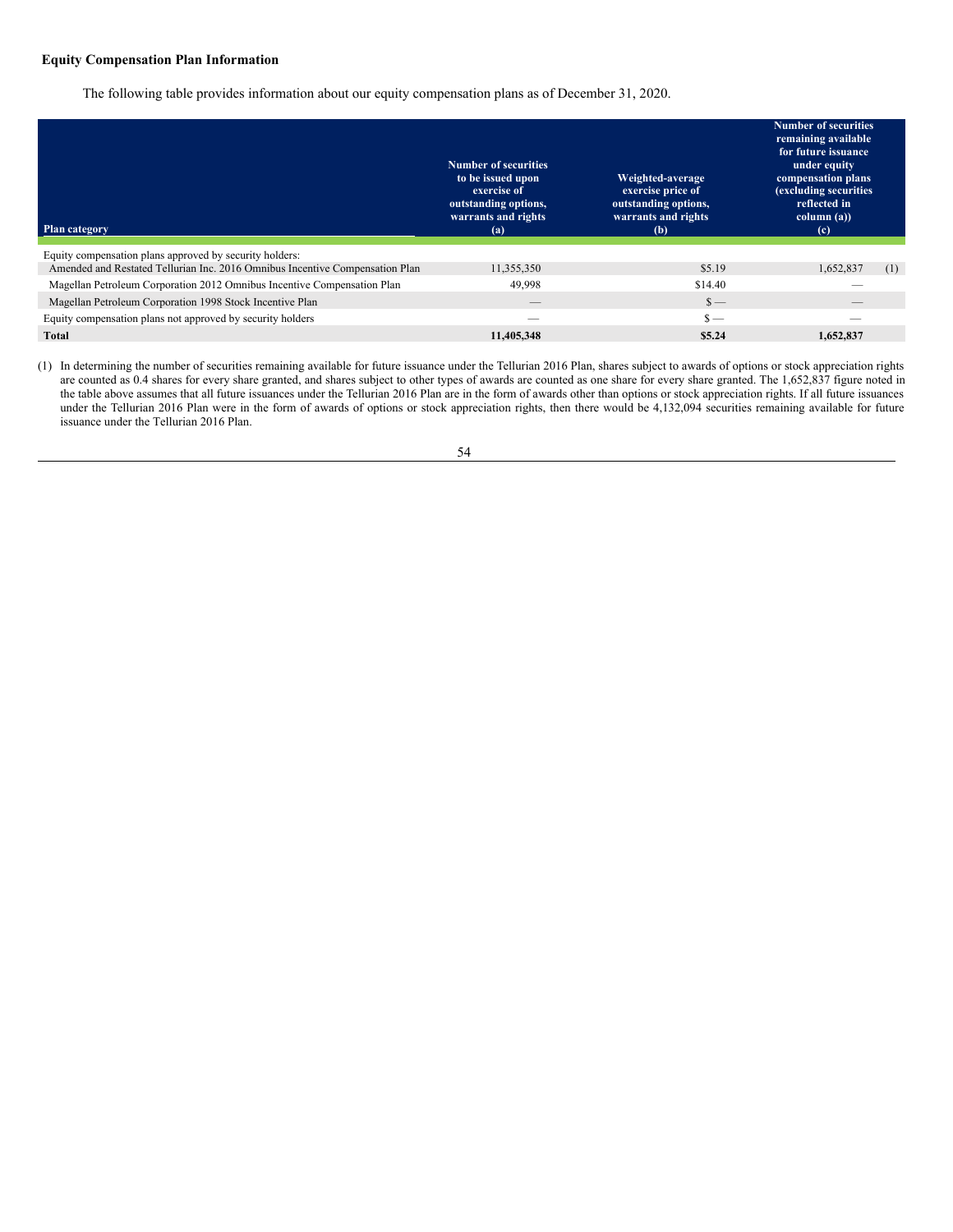# <span id="page-59-0"></span>**Equity Compensation Plan Information**

The following table provides information about our equity compensation plans as of December 31, 2020.

| <b>Plan category</b>                                                         | <b>Number of securities</b><br>to be issued upon<br>exercise of<br>outstanding options,<br>warrants and rights<br>(a) | Weighted-average<br>exercise price of<br>outstanding options,<br>warrants and rights<br>(b) | <b>Number of securities</b><br>remaining available<br>for future issuance<br>under equity<br>compensation plans<br>(excluding securities<br>reflected in<br>column (a))<br>(c) |
|------------------------------------------------------------------------------|-----------------------------------------------------------------------------------------------------------------------|---------------------------------------------------------------------------------------------|--------------------------------------------------------------------------------------------------------------------------------------------------------------------------------|
| Equity compensation plans approved by security holders:                      |                                                                                                                       |                                                                                             |                                                                                                                                                                                |
| Amended and Restated Tellurian Inc. 2016 Omnibus Incentive Compensation Plan | 11,355,350                                                                                                            | \$5.19                                                                                      | 1,652,837<br>(1)                                                                                                                                                               |
| Magellan Petroleum Corporation 2012 Omnibus Incentive Compensation Plan      | 49.998                                                                                                                | \$14.40                                                                                     |                                                                                                                                                                                |
| Magellan Petroleum Corporation 1998 Stock Incentive Plan                     |                                                                                                                       | $\frac{\S}{\S}$                                                                             |                                                                                                                                                                                |
| Equity compensation plans not approved by security holders                   | __                                                                                                                    | $\mathbf{s}$ —                                                                              | --                                                                                                                                                                             |
| Total                                                                        | 11.405.348                                                                                                            | \$5.24                                                                                      | 1.652.837                                                                                                                                                                      |

(1) In determining the number of securities remaining available for future issuance under the Tellurian 2016 Plan, shares subject to awards of options or stock appreciation rights are counted as 0.4 shares for every share granted, and shares subject to other types of awards are counted as one share for every share granted. The 1,652,837 figure noted in the table above assumes that all future issuances under the Tellurian 2016 Plan are in the form of awards other than options or stock appreciation rights. If all future issuances under the Tellurian 2016 Plan were in the form of awards of options or stock appreciation rights, then there would be 4,132,094 securities remaining available for future issuance under the Tellurian 2016 Plan.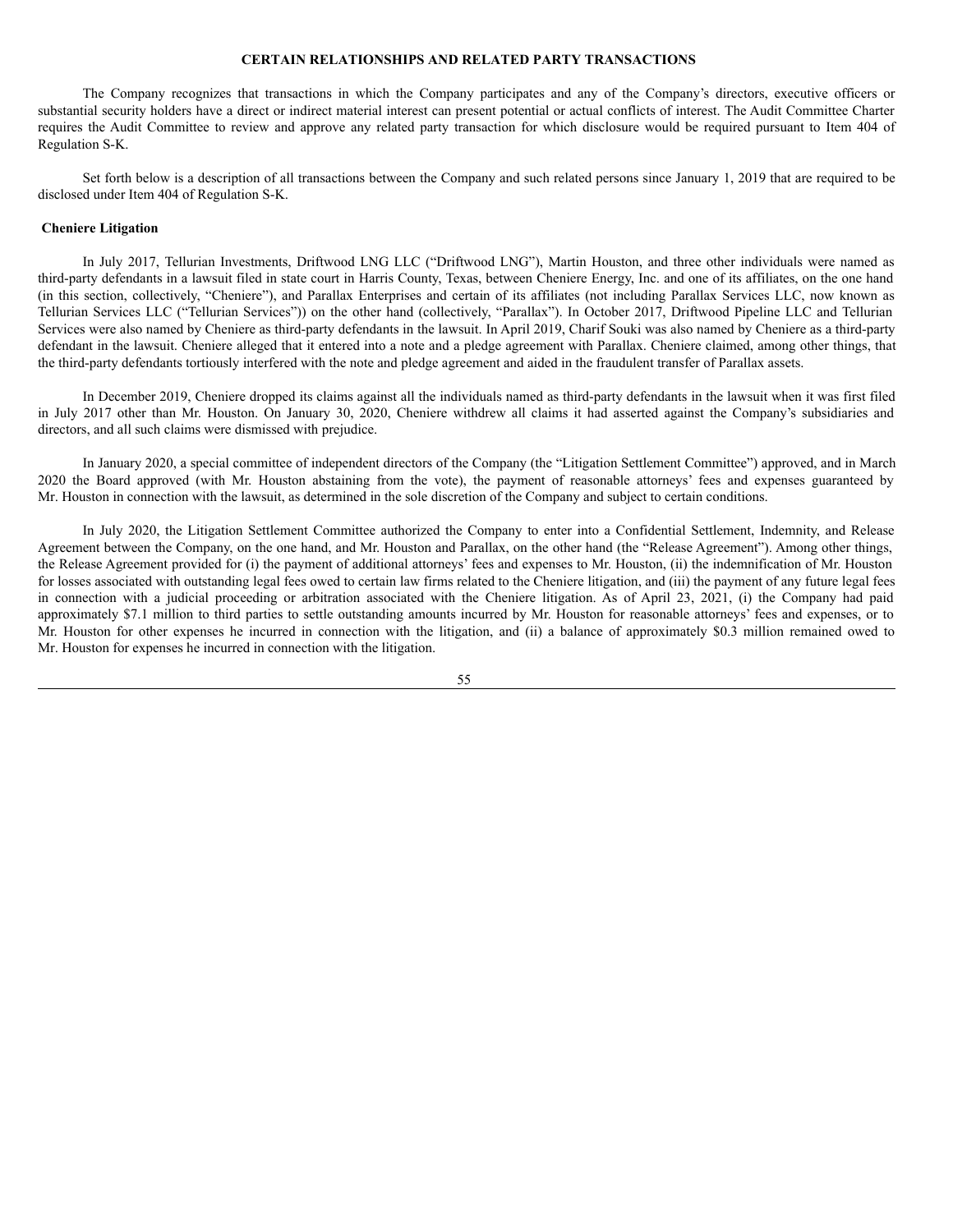## <span id="page-60-0"></span>**CERTAIN RELATIONSHIPS AND RELATED PARTY TRANSACTIONS**

The Company recognizes that transactions in which the Company participates and any of the Company's directors, executive officers or substantial security holders have a direct or indirect material interest can present potential or actual conflicts of interest. The Audit Committee Charter requires the Audit Committee to review and approve any related party transaction for which disclosure would be required pursuant to Item 404 of Regulation S-K.

Set forth below is a description of all transactions between the Company and such related persons since January 1, 2019 that are required to be disclosed under Item 404 of Regulation S-K.

## <span id="page-60-1"></span>**Cheniere Litigation**

In July 2017, Tellurian Investments, Driftwood LNG LLC ("Driftwood LNG"), Martin Houston, and three other individuals were named as third-party defendants in a lawsuit filed in state court in Harris County, Texas, between Cheniere Energy, Inc. and one of its affiliates, on the one hand (in this section, collectively, "Cheniere"), and Parallax Enterprises and certain of its affiliates (not including Parallax Services LLC, now known as Tellurian Services LLC ("Tellurian Services")) on the other hand (collectively, "Parallax"). In October 2017, Driftwood Pipeline LLC and Tellurian Services were also named by Cheniere as third-party defendants in the lawsuit. In April 2019, Charif Souki was also named by Cheniere as a third-party defendant in the lawsuit. Cheniere alleged that it entered into a note and a pledge agreement with Parallax. Cheniere claimed, among other things, that the third-party defendants tortiously interfered with the note and pledge agreement and aided in the fraudulent transfer of Parallax assets.

In December 2019, Cheniere dropped its claims against all the individuals named as third-party defendants in the lawsuit when it was first filed in July 2017 other than Mr. Houston. On January 30, 2020, Cheniere withdrew all claims it had asserted against the Company's subsidiaries and directors, and all such claims were dismissed with prejudice.

In January 2020, a special committee of independent directors of the Company (the "Litigation Settlement Committee") approved, and in March 2020 the Board approved (with Mr. Houston abstaining from the vote), the payment of reasonable attorneys' fees and expenses guaranteed by Mr. Houston in connection with the lawsuit, as determined in the sole discretion of the Company and subject to certain conditions.

In July 2020, the Litigation Settlement Committee authorized the Company to enter into a Confidential Settlement, Indemnity, and Release Agreement between the Company, on the one hand, and Mr. Houston and Parallax, on the other hand (the "Release Agreement"). Among other things, the Release Agreement provided for (i) the payment of additional attorneys' fees and expenses to Mr. Houston, (ii) the indemnification of Mr. Houston for losses associated with outstanding legal fees owed to certain law firms related to the Cheniere litigation, and (iii) the payment of any future legal fees in connection with a judicial proceeding or arbitration associated with the Cheniere litigation. As of April 23, 2021, (i) the Company had paid approximately \$7.1 million to third parties to settle outstanding amounts incurred by Mr. Houston for reasonable attorneys' fees and expenses, or to Mr. Houston for other expenses he incurred in connection with the litigation, and (ii) a balance of approximately \$0.3 million remained owed to Mr. Houston for expenses he incurred in connection with the litigation.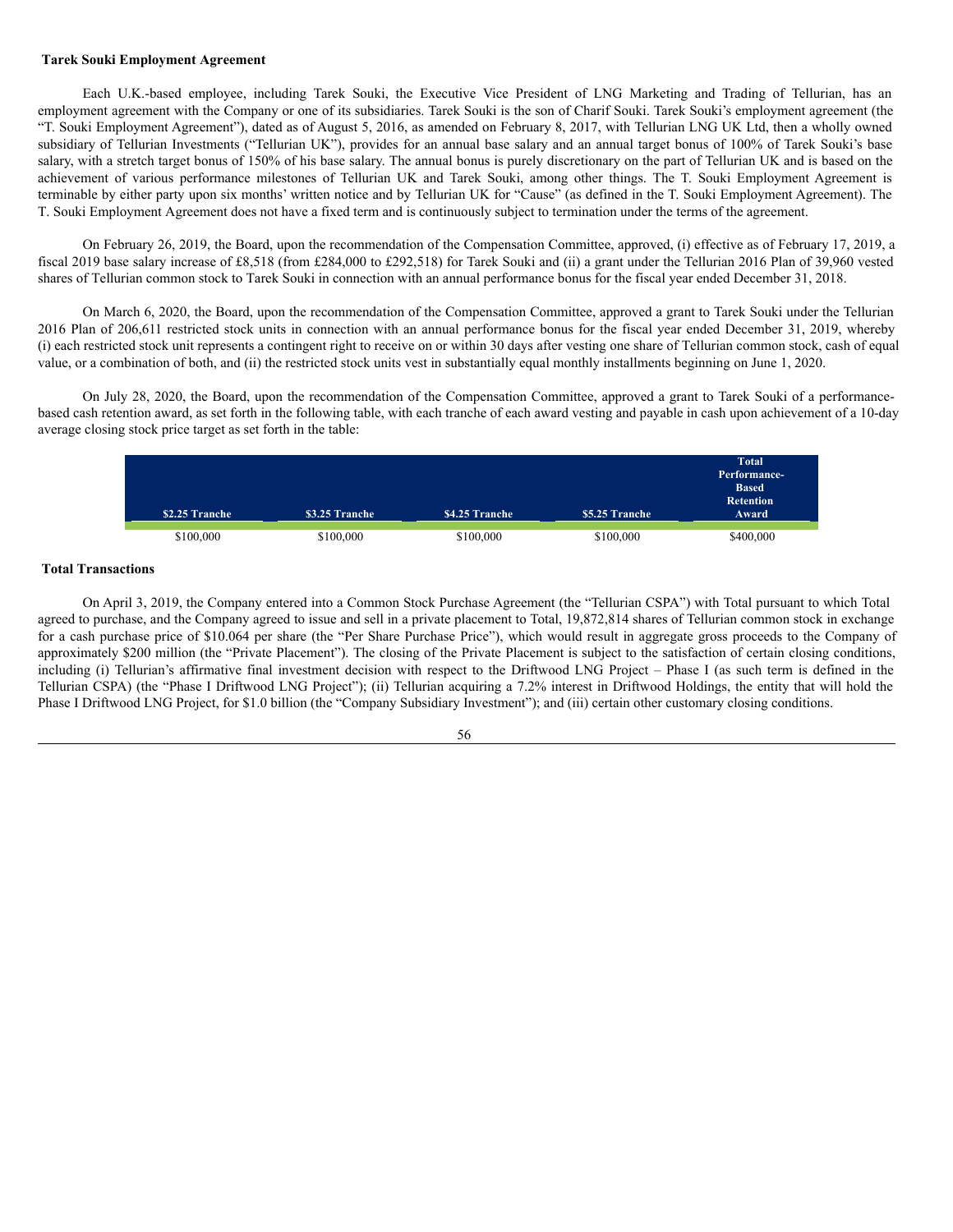### <span id="page-61-0"></span>**Tarek Souki Employment Agreement**

Each U.K.-based employee, including Tarek Souki, the Executive Vice President of LNG Marketing and Trading of Tellurian, has an employment agreement with the Company or one of its subsidiaries. Tarek Souki is the son of Charif Souki. Tarek Souki's employment agreement (the "T. Souki Employment Agreement"), dated as of August 5, 2016, as amended on February 8, 2017, with Tellurian LNG UK Ltd, then a wholly owned subsidiary of Tellurian Investments ("Tellurian UK"), provides for an annual base salary and an annual target bonus of 100% of Tarek Souki's base salary, with a stretch target bonus of 150% of his base salary. The annual bonus is purely discretionary on the part of Tellurian UK and is based on the achievement of various performance milestones of Tellurian UK and Tarek Souki, among other things. The T. Souki Employment Agreement is terminable by either party upon six months' written notice and by Tellurian UK for "Cause" (as defined in the T. Souki Employment Agreement). The T. Souki Employment Agreement does not have a fixed term and is continuously subject to termination under the terms of the agreement.

On February 26, 2019, the Board, upon the recommendation of the Compensation Committee, approved, (i) effective as of February 17, 2019, a fiscal 2019 base salary increase of £8,518 (from £284,000 to £292,518) for Tarek Souki and (ii) a grant under the Tellurian 2016 Plan of 39,960 vested shares of Tellurian common stock to Tarek Souki in connection with an annual performance bonus for the fiscal year ended December 31, 2018.

On March 6, 2020, the Board, upon the recommendation of the Compensation Committee, approved a grant to Tarek Souki under the Tellurian 2016 Plan of 206,611 restricted stock units in connection with an annual performance bonus for the fiscal year ended December 31, 2019, whereby (i) each restricted stock unit represents a contingent right to receive on or within 30 days after vesting one share of Tellurian common stock, cash of equal value, or a combination of both, and (ii) the restricted stock units vest in substantially equal monthly installments beginning on June 1, 2020.

On July 28, 2020, the Board, upon the recommendation of the Compensation Committee, approved a grant to Tarek Souki of a performancebased cash retention award, as set forth in the following table, with each tranche of each award vesting and payable in cash upon achievement of a 10-day average closing stock price target as set forth in the table:

| \$2.25 Tranche | \$3.25 Tranche | \$4.25 Tranche | \$5.25 Tranche | <b>Total</b><br>Performance-<br><b>Based</b><br><b>Retention</b><br>Award |
|----------------|----------------|----------------|----------------|---------------------------------------------------------------------------|
| \$100,000      | \$100,000      | \$100,000      | \$100,000      | \$400,000                                                                 |

### <span id="page-61-1"></span>**Total Transactions**

On April 3, 2019, the Company entered into a Common Stock Purchase Agreement (the "Tellurian CSPA") with Total pursuant to which Total agreed to purchase, and the Company agreed to issue and sell in a private placement to Total, 19,872,814 shares of Tellurian common stock in exchange for a cash purchase price of \$10.064 per share (the "Per Share Purchase Price"), which would result in aggregate gross proceeds to the Company of approximately \$200 million (the "Private Placement"). The closing of the Private Placement is subject to the satisfaction of certain closing conditions, including (i) Tellurian's affirmative final investment decision with respect to the Driftwood LNG Project – Phase I (as such term is defined in the Tellurian CSPA) (the "Phase I Driftwood LNG Project"); (ii) Tellurian acquiring a 7.2% interest in Driftwood Holdings, the entity that will hold the Phase I Driftwood LNG Project, for \$1.0 billion (the "Company Subsidiary Investment"); and (iii) certain other customary closing conditions.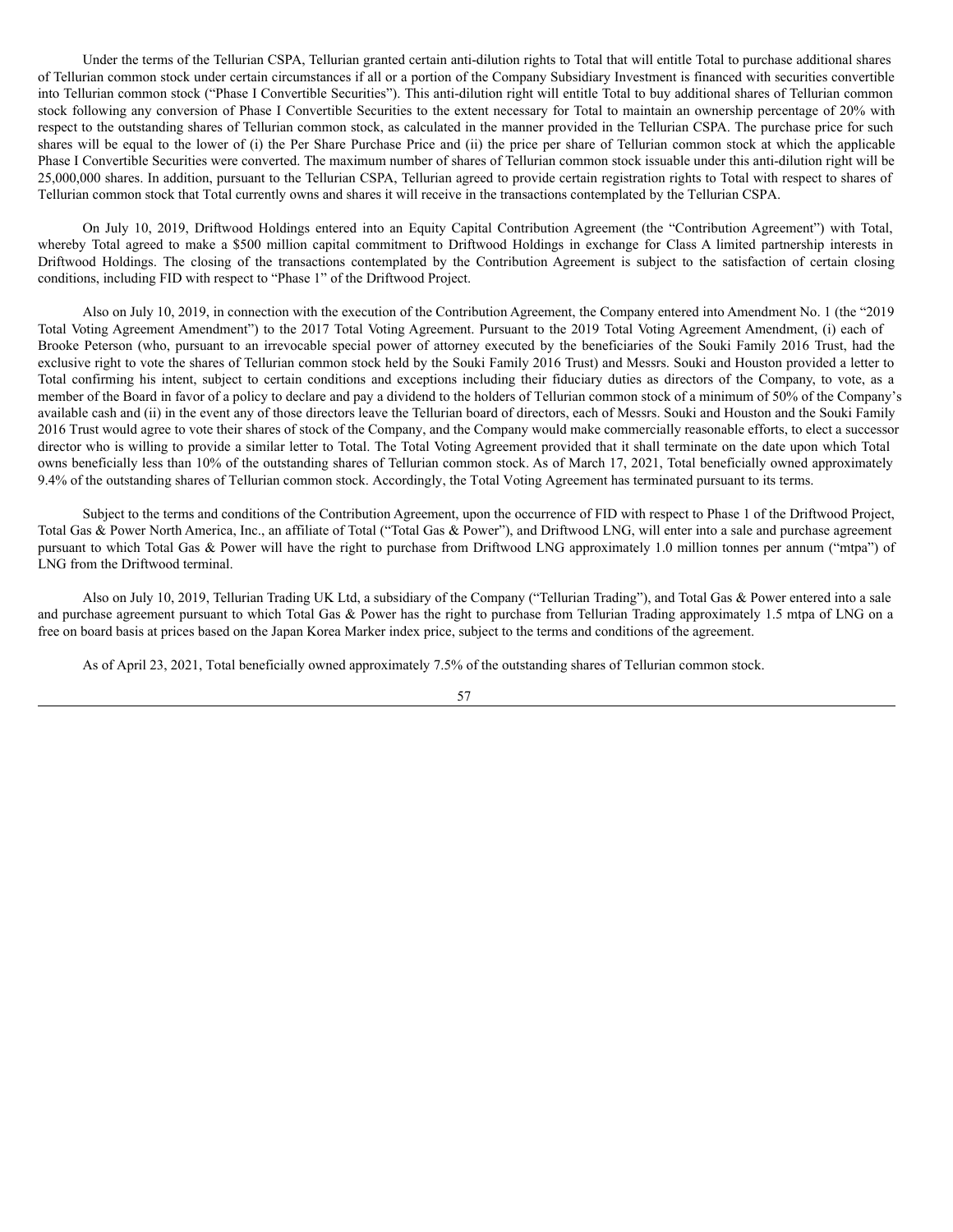Under the terms of the Tellurian CSPA, Tellurian granted certain anti-dilution rights to Total that will entitle Total to purchase additional shares of Tellurian common stock under certain circumstances if all or a portion of the Company Subsidiary Investment is financed with securities convertible into Tellurian common stock ("Phase I Convertible Securities"). This anti-dilution right will entitle Total to buy additional shares of Tellurian common stock following any conversion of Phase I Convertible Securities to the extent necessary for Total to maintain an ownership percentage of 20% with respect to the outstanding shares of Tellurian common stock, as calculated in the manner provided in the Tellurian CSPA. The purchase price for such shares will be equal to the lower of (i) the Per Share Purchase Price and (ii) the price per share of Tellurian common stock at which the applicable Phase I Convertible Securities were converted. The maximum number of shares of Tellurian common stock issuable under this anti-dilution right will be 25,000,000 shares. In addition, pursuant to the Tellurian CSPA, Tellurian agreed to provide certain registration rights to Total with respect to shares of Tellurian common stock that Total currently owns and shares it will receive in the transactions contemplated by the Tellurian CSPA.

On July 10, 2019, Driftwood Holdings entered into an Equity Capital Contribution Agreement (the "Contribution Agreement") with Total, whereby Total agreed to make a \$500 million capital commitment to Driftwood Holdings in exchange for Class A limited partnership interests in Driftwood Holdings. The closing of the transactions contemplated by the Contribution Agreement is subject to the satisfaction of certain closing conditions, including FID with respect to "Phase 1" of the Driftwood Project.

Also on July 10, 2019, in connection with the execution of the Contribution Agreement, the Company entered into Amendment No. 1 (the "2019 Total Voting Agreement Amendment") to the 2017 Total Voting Agreement. Pursuant to the 2019 Total Voting Agreement Amendment, (i) each of Brooke Peterson (who, pursuant to an irrevocable special power of attorney executed by the beneficiaries of the Souki Family 2016 Trust, had the exclusive right to vote the shares of Tellurian common stock held by the Souki Family 2016 Trust) and Messrs. Souki and Houston provided a letter to Total confirming his intent, subject to certain conditions and exceptions including their fiduciary duties as directors of the Company, to vote, as a member of the Board in favor of a policy to declare and pay a dividend to the holders of Tellurian common stock of a minimum of 50% of the Company's available cash and (ii) in the event any of those directors leave the Tellurian board of directors, each of Messrs. Souki and Houston and the Souki Family 2016 Trust would agree to vote their shares of stock of the Company, and the Company would make commercially reasonable efforts, to elect a successor director who is willing to provide a similar letter to Total. The Total Voting Agreement provided that it shall terminate on the date upon which Total owns beneficially less than 10% of the outstanding shares of Tellurian common stock. As of March 17, 2021, Total beneficially owned approximately 9.4% of the outstanding shares of Tellurian common stock. Accordingly, the Total Voting Agreement has terminated pursuant to its terms.

Subject to the terms and conditions of the Contribution Agreement, upon the occurrence of FID with respect to Phase 1 of the Driftwood Project, Total Gas & Power North America, Inc., an affiliate of Total ("Total Gas & Power"), and Driftwood LNG, will enter into a sale and purchase agreement pursuant to which Total Gas & Power will have the right to purchase from Driftwood LNG approximately 1.0 million tonnes per annum ("mtpa") of LNG from the Driftwood terminal.

Also on July 10, 2019, Tellurian Trading UK Ltd, a subsidiary of the Company ("Tellurian Trading"), and Total Gas & Power entered into a sale and purchase agreement pursuant to which Total Gas & Power has the right to purchase from Tellurian Trading approximately 1.5 mtpa of LNG on a free on board basis at prices based on the Japan Korea Marker index price, subject to the terms and conditions of the agreement.

As of April 23, 2021, Total beneficially owned approximately 7.5% of the outstanding shares of Tellurian common stock.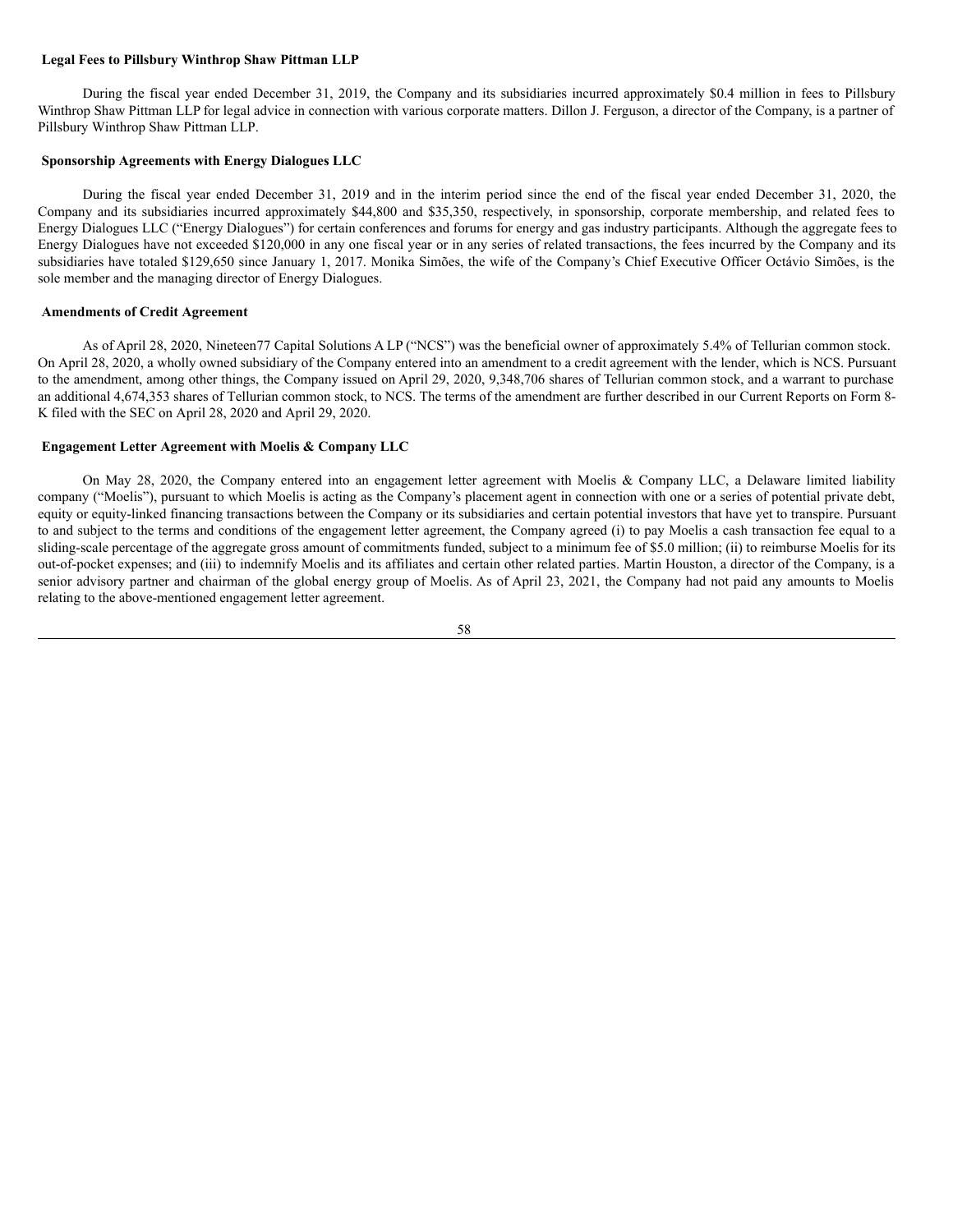### <span id="page-63-0"></span>**Legal Fees to Pillsbury Winthrop Shaw Pittman LLP**

During the fiscal year ended December 31, 2019, the Company and its subsidiaries incurred approximately \$0.4 million in fees to Pillsbury Winthrop Shaw Pittman LLP for legal advice in connection with various corporate matters. Dillon J. Ferguson, a director of the Company, is a partner of Pillsbury Winthrop Shaw Pittman LLP.

## <span id="page-63-1"></span>**Sponsorship Agreements with Energy Dialogues LLC**

During the fiscal year ended December 31, 2019 and in the interim period since the end of the fiscal year ended December 31, 2020, the Company and its subsidiaries incurred approximately \$44,800 and \$35,350, respectively, in sponsorship, corporate membership, and related fees to Energy Dialogues LLC ("Energy Dialogues") for certain conferences and forums for energy and gas industry participants. Although the aggregate fees to Energy Dialogues have not exceeded \$120,000 in any one fiscal year or in any series of related transactions, the fees incurred by the Company and its subsidiaries have totaled \$129,650 since January 1, 2017. Monika Simões, the wife of the Company's Chief Executive Officer Octávio Simões, is the sole member and the managing director of Energy Dialogues.

#### <span id="page-63-2"></span>**Amendments of Credit Agreement**

As of April 28, 2020, Nineteen77 Capital Solutions A LP ("NCS") was the beneficial owner of approximately 5.4% of Tellurian common stock. On April 28, 2020, a wholly owned subsidiary of the Company entered into an amendment to a credit agreement with the lender, which is NCS. Pursuant to the amendment, among other things, the Company issued on April 29, 2020, 9,348,706 shares of Tellurian common stock, and a warrant to purchase an additional 4,674,353 shares of Tellurian common stock, to NCS. The terms of the amendment are further described in our Current Reports on Form 8- K filed with the SEC on April 28, 2020 and April 29, 2020.

#### <span id="page-63-3"></span>**Engagement Letter Agreement with Moelis & Company LLC**

On May 28, 2020, the Company entered into an engagement letter agreement with Moelis & Company LLC, a Delaware limited liability company ("Moelis"), pursuant to which Moelis is acting as the Company's placement agent in connection with one or a series of potential private debt, equity or equity-linked financing transactions between the Company or its subsidiaries and certain potential investors that have yet to transpire. Pursuant to and subject to the terms and conditions of the engagement letter agreement, the Company agreed (i) to pay Moelis a cash transaction fee equal to a sliding-scale percentage of the aggregate gross amount of commitments funded, subject to a minimum fee of \$5.0 million; (ii) to reimburse Moelis for its out-of-pocket expenses; and (iii) to indemnify Moelis and its affiliates and certain other related parties. Martin Houston, a director of the Company, is a senior advisory partner and chairman of the global energy group of Moelis. As of April 23, 2021, the Company had not paid any amounts to Moelis relating to the above-mentioned engagement letter agreement.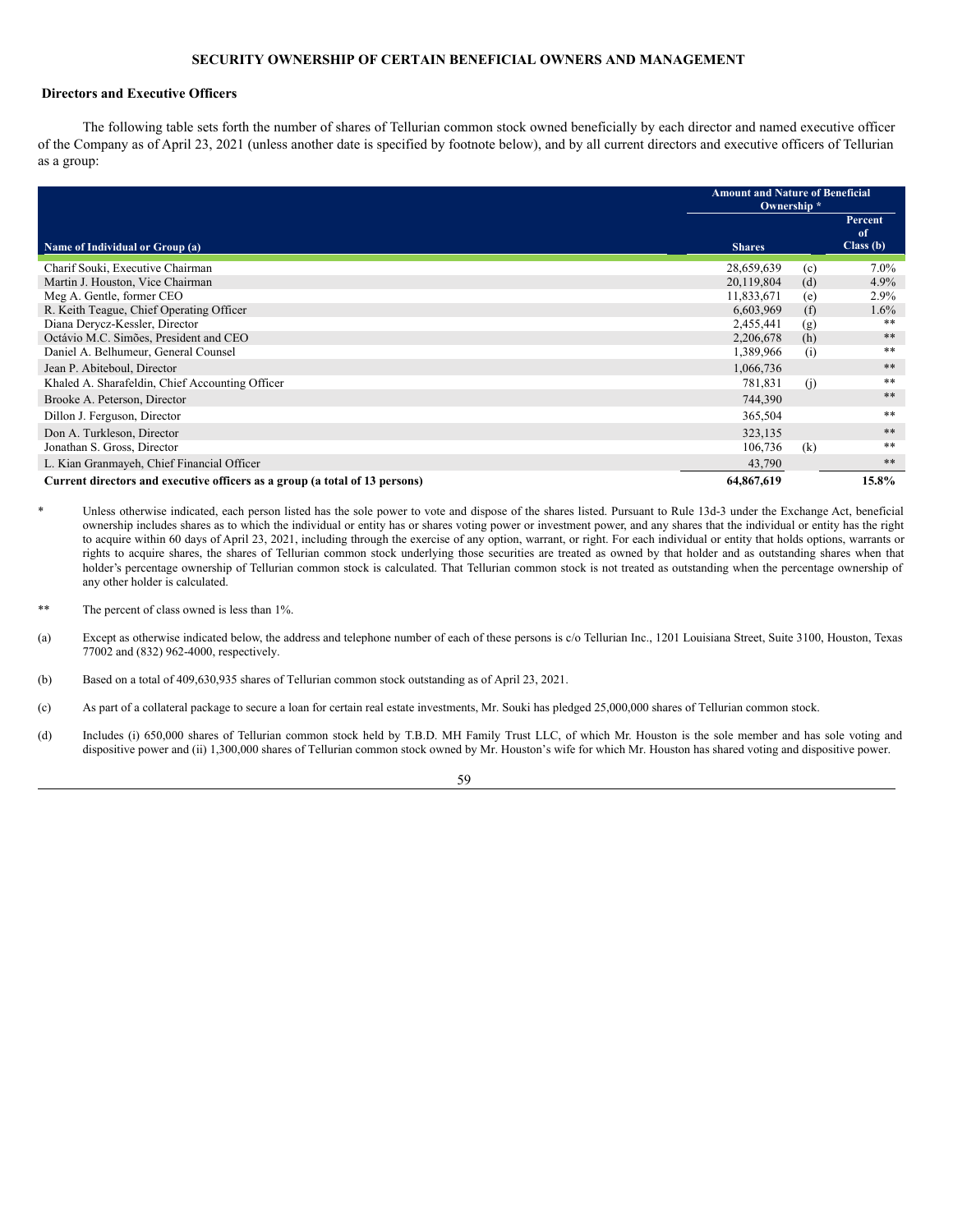## <span id="page-64-0"></span>**SECURITY OWNERSHIP OF CERTAIN BENEFICIAL OWNERS AND MANAGEMENT**

### <span id="page-64-1"></span>**Directors and Executive Officers**

The following table sets forth the number of shares of Tellurian common stock owned beneficially by each director and named executive officer of the Company as of April 23, 2021 (unless another date is specified by footnote below), and by all current directors and executive officers of Tellurian as a group:

|                                                                             | <b>Amount and Nature of Beneficial</b><br>Ownership* |     |                           |
|-----------------------------------------------------------------------------|------------------------------------------------------|-----|---------------------------|
| Name of Individual or Group (a)                                             | <b>Shares</b>                                        |     | Percent<br>of<br>Class(b) |
|                                                                             |                                                      |     |                           |
| Charif Souki, Executive Chairman                                            | 28,659,639                                           | (c) | $7.0\%$                   |
| Martin J. Houston, Vice Chairman                                            | 20,119,804                                           | (d) | $4.9\%$                   |
| Meg A. Gentle, former CEO                                                   | 11,833,671                                           | (e) | $2.9\%$                   |
| R. Keith Teague, Chief Operating Officer                                    | 6,603,969                                            | (f) | $1.6\%$                   |
| Diana Derycz-Kessler, Director                                              | 2,455,441                                            | (g) | **                        |
| Octávio M.C. Simões, President and CEO                                      | 2,206,678                                            | (h) | **                        |
| Daniel A. Belhumeur, General Counsel                                        | 1,389,966                                            | (i) | **                        |
| Jean P. Abiteboul, Director                                                 | 1,066,736                                            |     | **                        |
| Khaled A. Sharafeldin, Chief Accounting Officer                             | 781,831                                              | (i) | **                        |
| Brooke A. Peterson, Director                                                | 744,390                                              |     | **                        |
| Dillon J. Ferguson, Director                                                | 365,504                                              |     | **                        |
| Don A. Turkleson, Director                                                  | 323,135                                              |     | **                        |
| Jonathan S. Gross, Director                                                 | 106,736                                              | (k) | **                        |
| L. Kian Granmayeh, Chief Financial Officer                                  | 43,790                                               |     | **                        |
| Current directors and executive officers as a group (a total of 13 persons) | 64,867,619                                           |     | 15.8%                     |

Unless otherwise indicated, each person listed has the sole power to vote and dispose of the shares listed. Pursuant to Rule 13d-3 under the Exchange Act, beneficial ownership includes shares as to which the individual or entity has or shares voting power or investment power, and any shares that the individual or entity has the right to acquire within 60 days of April 23, 2021, including through the exercise of any option, warrant, or right. For each individual or entity that holds options, warrants or rights to acquire shares, the shares of Tellurian common stock underlying those securities are treated as owned by that holder and as outstanding shares when that holder's percentage ownership of Tellurian common stock is calculated. That Tellurian common stock is not treated as outstanding when the percentage ownership of any other holder is calculated.

The percent of class owned is less than 1%.

(a) Except as otherwise indicated below, the address and telephone number of each of these persons is c/o Tellurian Inc., 1201 Louisiana Street, Suite 3100, Houston, Texas 77002 and (832) 962-4000, respectively.

(b) Based on a total of 409,630,935 shares of Tellurian common stock outstanding as of April 23, 2021.

(c) As part of a collateral package to secure a loan for certain real estate investments, Mr. Souki has pledged 25,000,000 shares of Tellurian common stock.

(d) Includes (i) 650,000 shares of Tellurian common stock held by T.B.D. MH Family Trust LLC, of which Mr. Houston is the sole member and has sole voting and dispositive power and (ii) 1,300,000 shares of Tellurian common stock owned by Mr. Houston's wife for which Mr. Houston has shared voting and dispositive power.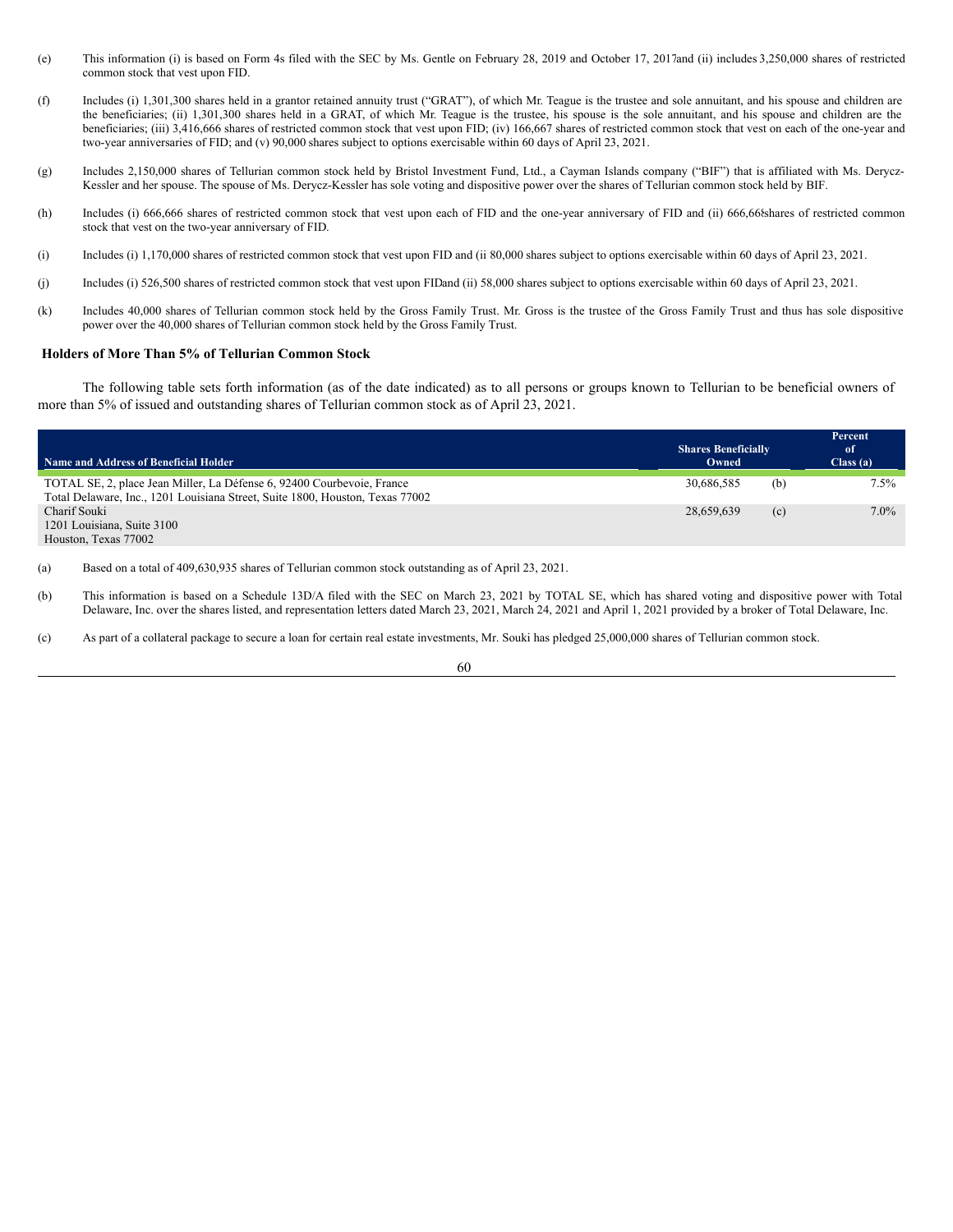- (e) This information (i) is based on Form 4s filed with the SEC by Ms. Gentle on February 28, 2019 and October 17, 2017and (ii) includes 3,250,000 shares of restricted common stock that vest upon FID.
- (f) Includes (i) 1,301,300 shares held in a grantor retained annuity trust ("GRAT"), of which Mr. Teague is the trustee and sole annuitant, and his spouse and children are the beneficiaries; (ii) 1,301,300 shares held in a GRAT, of which Mr. Teague is the trustee, his spouse is the sole annuitant, and his spouse and children are the beneficiaries; (iii) 3,416,666 shares of restricted common stock that vest upon FID; (iv) 166,667 shares of restricted common stock that vest on each of the one-year and two-year anniversaries of FID; and (v) 90,000 shares subject to options exercisable within 60 days of April 23, 2021.
- (g) Includes 2,150,000 shares of Tellurian common stock held by Bristol Investment Fund, Ltd., a Cayman Islands company ("BIF") that is affiliated with Ms. Derycz-Kessler and her spouse. The spouse of Ms. Derycz-Kessler has sole voting and dispositive power over the shares of Tellurian common stock held by BIF.
- (h) Includes (i) 666,666 shares of restricted common stock that vest upon each of FID and the one-year anniversary of FID and (ii) 666,668shares of restricted common stock that vest on the two-year anniversary of FID.
- (i) Includes (i) 1,170,000 shares of restricted common stock that vest upon FID and (ii 80,000 shares subject to options exercisable within 60 days of April 23, 2021.
- (j) Includes (i) 526,500 shares of restricted common stock that vest upon FIDand (ii) 58,000 shares subject to options exercisable within 60 days of April 23, 2021.
- (k) Includes 40,000 shares of Tellurian common stock held by the Gross Family Trust. Mr. Gross is the trustee of the Gross Family Trust and thus has sole dispositive power over the 40,000 shares of Tellurian common stock held by the Gross Family Trust.

### <span id="page-65-0"></span>**Holders of More Than 5% of Tellurian Common Stock**

The following table sets forth information (as of the date indicated) as to all persons or groups known to Tellurian to be beneficial owners of more than 5% of issued and outstanding shares of Tellurian common stock as of April 23, 2021.

|                                                                               |                                     |     | Percent        |
|-------------------------------------------------------------------------------|-------------------------------------|-----|----------------|
| Name and Address of Beneficial Holder                                         | <b>Shares Beneficially</b><br>Owned |     | of<br>Class(a) |
|                                                                               |                                     |     |                |
| TOTAL SE, 2, place Jean Miller, La Défense 6, 92400 Courbevoie, France        | 30.686.585                          | (b) | $7.5\%$        |
| Total Delaware, Inc., 1201 Louisiana Street, Suite 1800, Houston, Texas 77002 |                                     |     |                |
| Charif Souki                                                                  | 28,659,639                          | (c) | $7.0\%$        |
| 1201 Louisiana, Suite 3100                                                    |                                     |     |                |
| Houston, Texas 77002                                                          |                                     |     |                |

(a) Based on a total of 409,630,935 shares of Tellurian common stock outstanding as of April 23, 2021.

- (b) This information is based on a Schedule 13D/A filed with the SEC on March 23, 2021 by TOTAL SE, which has shared voting and dispositive power with Total Delaware, Inc. over the shares listed, and representation letters dated March 23, 2021, March 24, 2021 and April 1, 2021 provided by a broker of Total Delaware, Inc.
- (c) As part of a collateral package to secure a loan for certain real estate investments, Mr. Souki has pledged 25,000,000 shares of Tellurian common stock.

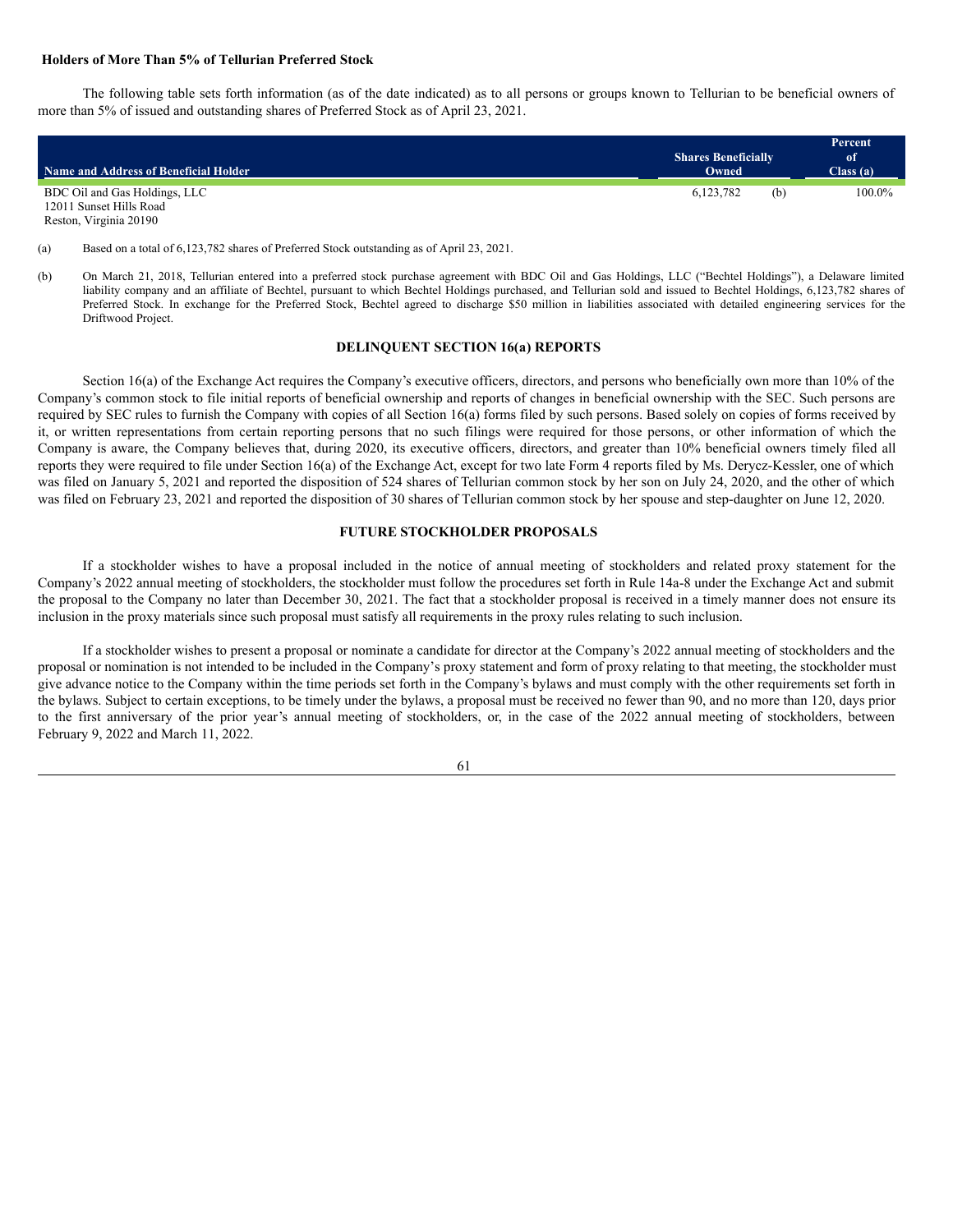#### <span id="page-66-0"></span>**Holders of More Than 5% of Tellurian Preferred Stock**

The following table sets forth information (as of the date indicated) as to all persons or groups known to Tellurian to be beneficial owners of more than 5% of issued and outstanding shares of Preferred Stock as of April 23, 2021.

| Name and Address of Beneficial Holder                    | <b>Shares Beneficially</b><br>Owned |     | Percent<br><sup>of</sup><br>Class(a) |
|----------------------------------------------------------|-------------------------------------|-----|--------------------------------------|
| BDC Oil and Gas Holdings, LLC<br>12011 Sunset Hills Road | 6.123.782                           | (b) | 100.0%                               |

Reston, Virginia 20190

(a) Based on a total of 6,123,782 shares of Preferred Stock outstanding as of April 23, 2021.

### <span id="page-66-1"></span>**DELINQUENT SECTION 16(a) REPORTS**

Section 16(a) of the Exchange Act requires the Company's executive officers, directors, and persons who beneficially own more than 10% of the Company's common stock to file initial reports of beneficial ownership and reports of changes in beneficial ownership with the SEC. Such persons are required by SEC rules to furnish the Company with copies of all Section 16(a) forms filed by such persons. Based solely on copies of forms received by it, or written representations from certain reporting persons that no such filings were required for those persons, or other information of which the Company is aware, the Company believes that, during 2020, its executive officers, directors, and greater than 10% beneficial owners timely filed all reports they were required to file under Section 16(a) of the Exchange Act, except for two late Form 4 reports filed by Ms. Derycz-Kessler, one of which was filed on January 5, 2021 and reported the disposition of 524 shares of Tellurian common stock by her son on July 24, 2020, and the other of which was filed on February 23, 2021 and reported the disposition of 30 shares of Tellurian common stock by her spouse and step-daughter on June 12, 2020.

## <span id="page-66-2"></span>**FUTURE STOCKHOLDER PROPOSALS**

If a stockholder wishes to have a proposal included in the notice of annual meeting of stockholders and related proxy statement for the Company's 2022 annual meeting of stockholders, the stockholder must follow the procedures set forth in Rule 14a-8 under the Exchange Act and submit the proposal to the Company no later than December 30, 2021. The fact that a stockholder proposal is received in a timely manner does not ensure its inclusion in the proxy materials since such proposal must satisfy all requirements in the proxy rules relating to such inclusion.

If a stockholder wishes to present a proposal or nominate a candidate for director at the Company's 2022 annual meeting of stockholders and the proposal or nomination is not intended to be included in the Company's proxy statement and form of proxy relating to that meeting, the stockholder must give advance notice to the Company within the time periods set forth in the Company's bylaws and must comply with the other requirements set forth in the bylaws. Subject to certain exceptions, to be timely under the bylaws, a proposal must be received no fewer than 90, and no more than 120, days prior to the first anniversary of the prior year's annual meeting of stockholders, or, in the case of the 2022 annual meeting of stockholders, between February 9, 2022 and March 11, 2022.



<sup>(</sup>b) On March 21, 2018, Tellurian entered into a preferred stock purchase agreement with BDC Oil and Gas Holdings, LLC ("Bechtel Holdings"), a Delaware limited liability company and an affiliate of Bechtel, pursuant to which Bechtel Holdings purchased, and Tellurian sold and issued to Bechtel Holdings, 6,123,782 shares of Preferred Stock. In exchange for the Preferred Stock, Bechtel agreed to discharge \$50 million in liabilities associated with detailed engineering services for the Driftwood Project.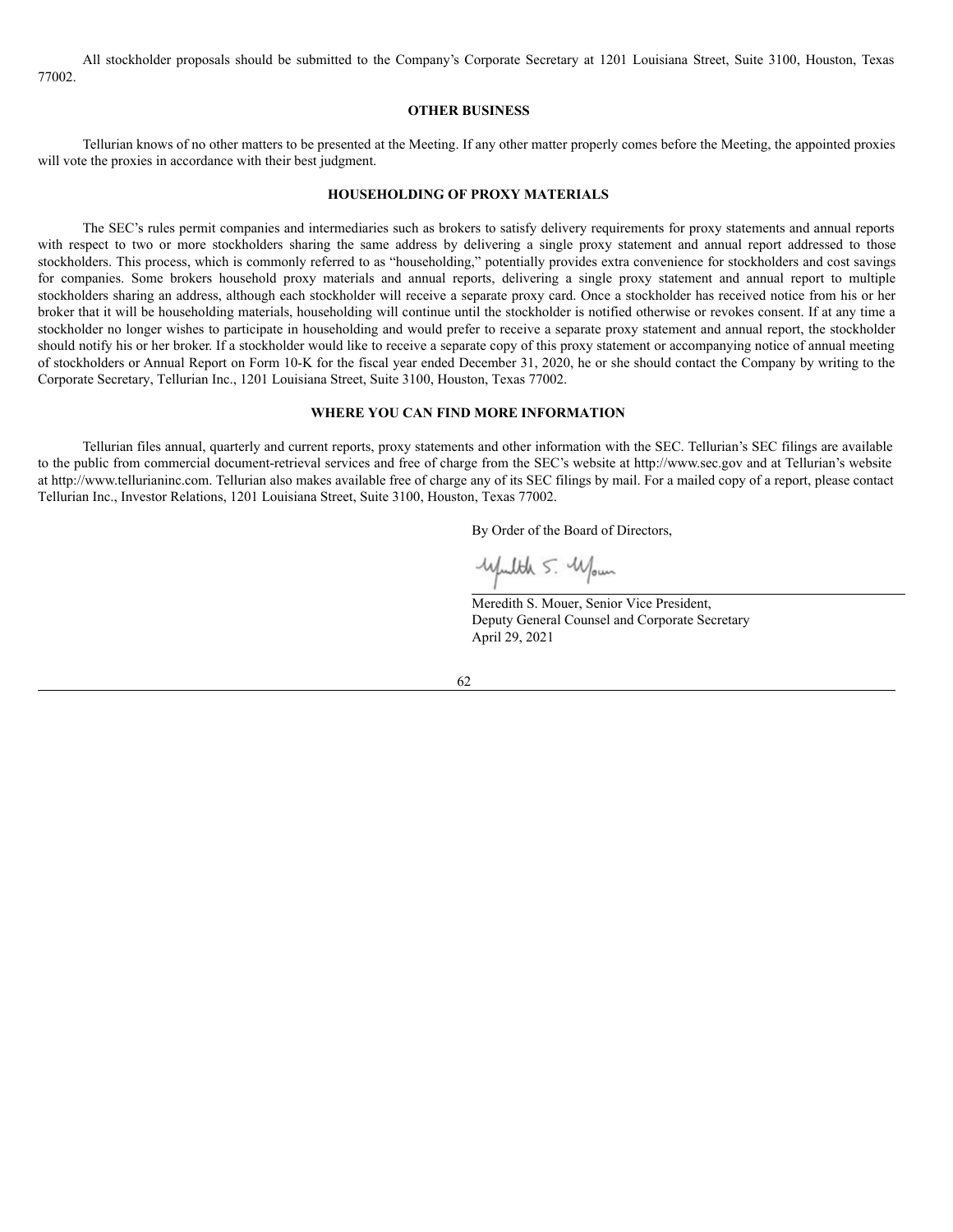All stockholder proposals should be submitted to the Company's Corporate Secretary at 1201 Louisiana Street, Suite 3100, Houston, Texas 77002.

### <span id="page-67-0"></span>**OTHER BUSINESS**

Tellurian knows of no other matters to be presented at the Meeting. If any other matter properly comes before the Meeting, the appointed proxies will vote the proxies in accordance with their best judgment.

### <span id="page-67-1"></span>**HOUSEHOLDING OF PROXY MATERIALS**

The SEC's rules permit companies and intermediaries such as brokers to satisfy delivery requirements for proxy statements and annual reports with respect to two or more stockholders sharing the same address by delivering a single proxy statement and annual report addressed to those stockholders. This process, which is commonly referred to as "householding," potentially provides extra convenience for stockholders and cost savings for companies. Some brokers household proxy materials and annual reports, delivering a single proxy statement and annual report to multiple stockholders sharing an address, although each stockholder will receive a separate proxy card. Once a stockholder has received notice from his or her broker that it will be householding materials, householding will continue until the stockholder is notified otherwise or revokes consent. If at any time a stockholder no longer wishes to participate in householding and would prefer to receive a separate proxy statement and annual report, the stockholder should notify his or her broker. If a stockholder would like to receive a separate copy of this proxy statement or accompanying notice of annual meeting of stockholders or Annual Report on Form 10-K for the fiscal year ended December 31, 2020, he or she should contact the Company by writing to the Corporate Secretary, Tellurian Inc., 1201 Louisiana Street, Suite 3100, Houston, Texas 77002.

### <span id="page-67-2"></span>**WHERE YOU CAN FIND MORE INFORMATION**

Tellurian files annual, quarterly and current reports, proxy statements and other information with the SEC. Tellurian's SEC filings are available to the public from commercial document-retrieval services and free of charge from the SEC's website at http://www.sec.gov and at Tellurian's website at http://www.tellurianinc.com. Tellurian also makes available free of charge any of its SEC filings by mail. For a mailed copy of a report, please contact Tellurian Inc., Investor Relations, 1201 Louisiana Street, Suite 3100, Houston, Texas 77002.

By Order of the Board of Directors,

upulth 5. Wown

Meredith S. Mouer, Senior Vice President, Deputy General Counsel and Corporate Secretary April 29, 2021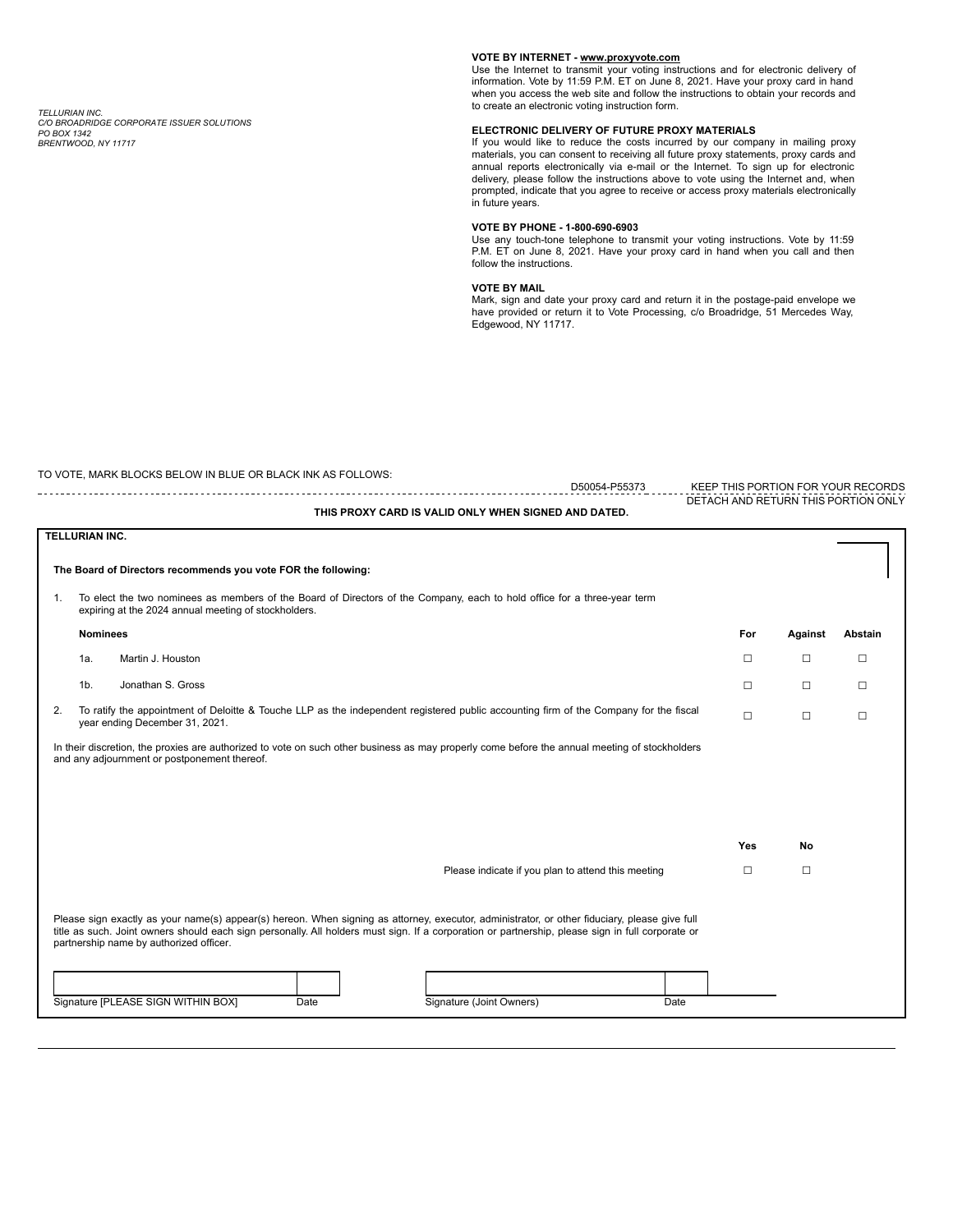*TELLURIAN INC. C/O BROADRIDGE CORPORATE ISSUER SOLUTIONS PO BOX 1342 BRENTWOOD, NY 11717*

#### **VOTE BY INTERNET - www.proxyvote.com**

Use the Internet to transmit your voting instructions and for electronic delivery of information. Vote by 11:59 P.M. ET on June 8, 2021. Have your proxy card in hand when you access the web site and follow the instructions to obtain your records and to create an electronic voting instruction form.

#### **ELECTRONIC DELIVERY OF FUTURE PROXY MATERIALS**

If you would like to reduce the costs incurred by our company in mailing proxy materials, you can consent to receiving all future proxy statements, proxy cards and annual reports electronically via e-mail or the Internet. To sign up for electronic delivery, please follow the instructions above to vote using the Internet and, when prompted, indicate that you agree to receive or access proxy materials electronically in future years.

#### **VOTE BY PHONE - 1-800-690-6903**

Use any touch-tone telephone to transmit your voting instructions. Vote by 11:59 P.M. ET on June 8, 2021. Have your proxy card in hand when you call and then follow the instructions.

#### **VOTE BY MAIL**

Mark, sign and date your proxy card and return it in the postage-paid envelope we have provided or return it to Vote Processing, c/o Broadridge, 51 Mercedes Way, Edgewood, NY 11717.

|    | TO VOTE, MARK BLOCKS BELOW IN BLUE OR BLACK INK AS FOLLOWS:<br>D50054-P55373                                                                                                                                                                                                                                                                                                                                                    |        |         | KEEP THIS PORTION FOR YOUR RECORDS  |
|----|---------------------------------------------------------------------------------------------------------------------------------------------------------------------------------------------------------------------------------------------------------------------------------------------------------------------------------------------------------------------------------------------------------------------------------|--------|---------|-------------------------------------|
|    | THIS PROXY CARD IS VALID ONLY WHEN SIGNED AND DATED.                                                                                                                                                                                                                                                                                                                                                                            |        |         | DETACH AND RETURN THIS PORTION ONLY |
|    | <b>TELLURIAN INC.</b>                                                                                                                                                                                                                                                                                                                                                                                                           |        |         |                                     |
|    | The Board of Directors recommends you vote FOR the following:                                                                                                                                                                                                                                                                                                                                                                   |        |         |                                     |
| 1. | To elect the two nominees as members of the Board of Directors of the Company, each to hold office for a three-year term<br>expiring at the 2024 annual meeting of stockholders.                                                                                                                                                                                                                                                |        |         |                                     |
|    | <b>Nominees</b>                                                                                                                                                                                                                                                                                                                                                                                                                 | For    | Against | Abstain                             |
|    | Martin J. Houston<br>1a.                                                                                                                                                                                                                                                                                                                                                                                                        | П      | П       | □                                   |
|    | Jonathan S. Gross<br>1 <sub>b</sub>                                                                                                                                                                                                                                                                                                                                                                                             | П      | п       | П                                   |
| 2. | To ratify the appointment of Deloitte & Touche LLP as the independent registered public accounting firm of the Company for the fiscal<br>year ending December 31, 2021.                                                                                                                                                                                                                                                         | П      | П       | □                                   |
|    | In their discretion, the proxies are authorized to vote on such other business as may properly come before the annual meeting of stockholders<br>and any adjournment or postponement thereof.                                                                                                                                                                                                                                   |        |         |                                     |
|    |                                                                                                                                                                                                                                                                                                                                                                                                                                 | Yes    | No      |                                     |
|    | Please indicate if you plan to attend this meeting                                                                                                                                                                                                                                                                                                                                                                              | $\Box$ | $\Box$  |                                     |
|    | Please sign exactly as your name(s) appear(s) hereon. When signing as attorney, executor, administrator, or other fiduciary, please give full<br>title as such. Joint owners should each sign personally. All holders must sign. If a corporation or partnership, please sign in full corporate or<br>partnership name by authorized officer.<br>Signature [PLEASE SIGN WITHIN BOX]<br>Signature (Joint Owners)<br>Date<br>Date |        |         |                                     |